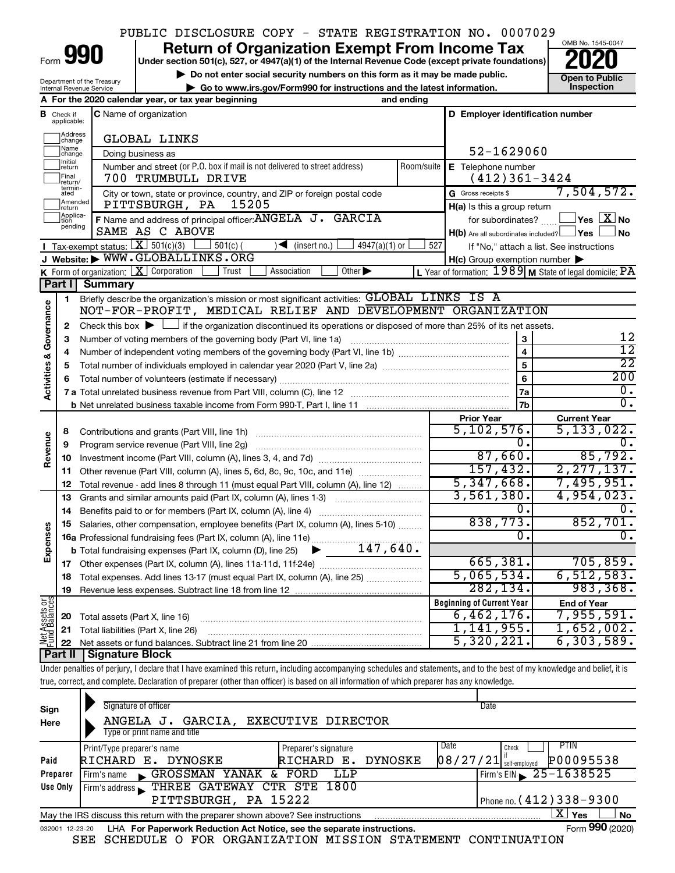## PUBLIC DISCLOSURE COPY - STATE REGISTRATION NO. 0007029

Form

# **990** Return of Organization Exempt From Income Tax <br>
Under section 501(c), 527, or 4947(a)(1) of the Internal Revenue Code (except private foundations)<br> **PO20**

**▶ Do not enter social security numbers on this form as it may be made public.**  $\overline{O}$  **Doen to Public ▶** Go to www.irs.gov/Form990 for instructions and the latest information. Inspection **| Go to www.irs.gov/Form990 for instructions and the latest information. Inspection**



Department of the Treasury Internal Revenue Service

|                                    |                                        | A For the 2020 calendar year, or tax year beginning                                                                                                                        | and ending                       |                                                     |                                                                        |  |  |
|------------------------------------|----------------------------------------|----------------------------------------------------------------------------------------------------------------------------------------------------------------------------|----------------------------------|-----------------------------------------------------|------------------------------------------------------------------------|--|--|
|                                    | <b>B</b> Check if applicable:          | <b>C</b> Name of organization                                                                                                                                              |                                  | D Employer identification number                    |                                                                        |  |  |
|                                    | Address<br> change                     | GLOBAL LINKS                                                                                                                                                               |                                  |                                                     |                                                                        |  |  |
|                                    | Mame<br>]change                        | Doing business as                                                                                                                                                          |                                  | 52-1629060                                          |                                                                        |  |  |
|                                    | Initial<br> return<br>Final<br>return/ | Number and street (or P.O. box if mail is not delivered to street address)<br>700 TRUMBULL DRIVE                                                                           | Room/suite<br>E Telephone number |                                                     |                                                                        |  |  |
|                                    | termin-<br>ated                        | City or town, state or province, country, and ZIP or foreign postal code                                                                                                   |                                  | G Gross receipts \$                                 | 7,504,572.                                                             |  |  |
|                                    | Amended<br>return                      | PITTSBURGH, PA<br>15205                                                                                                                                                    |                                  | H(a) Is this a group return                         |                                                                        |  |  |
|                                    | Applica-<br>Ition                      | F Name and address of principal officer: ANGELA J. GARCIA                                                                                                                  |                                  |                                                     |                                                                        |  |  |
|                                    | pending                                | SAME AS C ABOVE                                                                                                                                                            |                                  | H(b) Are all subordinates included? Ves             | <b>No</b>                                                              |  |  |
|                                    |                                        | <b>I</b> Tax-exempt status: $X \ 501(c)(3)$<br>$501(c)$ (<br>$\sqrt{\bullet}$ (insert no.)<br>4947(a)(1) or                                                                | 527                              |                                                     | If "No," attach a list. See instructions                               |  |  |
|                                    |                                        | J Website: WWW.GLOBALLINKS.ORG                                                                                                                                             |                                  | $H(c)$ Group exemption number $\blacktriangleright$ |                                                                        |  |  |
|                                    |                                        | K Form of organization: $X$ Corporation<br>Other $\blacktriangleright$<br>Trust<br>Association                                                                             |                                  |                                                     | L Year of formation: $1989$ M State of legal domicile: $\overline{PA}$ |  |  |
|                                    | Part I                                 | <b>Summary</b>                                                                                                                                                             |                                  |                                                     |                                                                        |  |  |
|                                    | 1                                      | Briefly describe the organization's mission or most significant activities: GLOBAL LINKS IS A                                                                              |                                  |                                                     |                                                                        |  |  |
|                                    |                                        | NOT-FOR-PROFIT, MEDICAL RELIEF AND DEVELOPMENT ORGANIZATION                                                                                                                |                                  |                                                     |                                                                        |  |  |
|                                    | 2                                      | Check this box $\blacktriangleright$ $\Box$ if the organization discontinued its operations or disposed of more than 25% of its net assets.                                |                                  |                                                     |                                                                        |  |  |
|                                    | 3                                      |                                                                                                                                                                            |                                  |                                                     | 12                                                                     |  |  |
|                                    | 4                                      | Number of independent voting members of the governing body (Part VI, line 1b) <i></i>                                                                                      |                                  | $\overline{\mathbf{A}}$                             | $\overline{12}$                                                        |  |  |
|                                    | 5                                      |                                                                                                                                                                            |                                  | 5                                                   | $\overline{22}$                                                        |  |  |
|                                    | 6                                      |                                                                                                                                                                            |                                  | 6                                                   | 200                                                                    |  |  |
| <b>Activities &amp; Governance</b> |                                        |                                                                                                                                                                            |                                  | 7a                                                  | О.                                                                     |  |  |
|                                    |                                        |                                                                                                                                                                            |                                  | 7b                                                  | $\overline{\mathfrak{o}}$ .                                            |  |  |
|                                    |                                        |                                                                                                                                                                            |                                  | <b>Prior Year</b>                                   | <b>Current Year</b>                                                    |  |  |
|                                    | 8                                      |                                                                                                                                                                            |                                  | 5, 102, 576.                                        | $5,133,022$ .                                                          |  |  |
|                                    | 9                                      | Program service revenue (Part VIII, line 2g)                                                                                                                               |                                  | Ο.                                                  | ο.                                                                     |  |  |
| Revenue                            | 10                                     |                                                                                                                                                                            |                                  | 87,660.                                             | 85,792.                                                                |  |  |
|                                    | 11                                     | Other revenue (Part VIII, column (A), lines 5, 6d, 8c, 9c, 10c, and 11e)                                                                                                   |                                  | 157,432.                                            | 2, 277, 137.                                                           |  |  |
|                                    | 12                                     | Total revenue - add lines 8 through 11 (must equal Part VIII, column (A), line 12)                                                                                         |                                  | 5,347,668.                                          | 7,495,951.                                                             |  |  |
|                                    | 13                                     | Grants and similar amounts paid (Part IX, column (A), lines 1-3)                                                                                                           |                                  | 3,561,380.                                          | 4,954,023.                                                             |  |  |
|                                    | 14                                     |                                                                                                                                                                            |                                  | 0.                                                  | $\mathbf 0$ .                                                          |  |  |
|                                    | 15                                     | Salaries, other compensation, employee benefits (Part IX, column (A), lines 5-10)                                                                                          |                                  | 838,773.                                            | 852,701.                                                               |  |  |
|                                    |                                        | 16a Professional fundraising fees (Part IX, column (A), line 11e)                                                                                                          |                                  | 0.                                                  | $\overline{0}$ .                                                       |  |  |
| Expenses                           |                                        | 147,640.<br>▶<br><b>b</b> Total fundraising expenses (Part IX, column (D), line 25)                                                                                        |                                  |                                                     |                                                                        |  |  |
|                                    | 17                                     |                                                                                                                                                                            |                                  | 665, 381.                                           | 705,859.                                                               |  |  |
|                                    | 18                                     | Total expenses. Add lines 13-17 (must equal Part IX, column (A), line 25)                                                                                                  |                                  | 5,065,534.                                          | 6,512,583.                                                             |  |  |
|                                    | 19                                     |                                                                                                                                                                            |                                  | 282,134.                                            | 983,368.                                                               |  |  |
| Net Assets or<br>Fund Balances     |                                        |                                                                                                                                                                            |                                  | <b>Beginning of Current Year</b>                    | <b>End of Year</b>                                                     |  |  |
|                                    | 20                                     | Total assets (Part X, line 16)                                                                                                                                             |                                  | 6,462,176.                                          | 7,955,591.                                                             |  |  |
|                                    | 21                                     | Total liabilities (Part X, line 26)                                                                                                                                        |                                  | 1,141,955.                                          | 1,652,002.                                                             |  |  |
|                                    | 22                                     |                                                                                                                                                                            |                                  | 5,320,221.                                          | 6, 303, 589.                                                           |  |  |
|                                    |                                        | <b>Part II   Signature Block</b>                                                                                                                                           |                                  |                                                     |                                                                        |  |  |
|                                    |                                        | Under penalties of perjury, I declare that I have examined this return, including accompanying schedules and statements, and to the best of my knowledge and belief, it is |                                  |                                                     |                                                                        |  |  |

true, correct, and complete. Declaration of preparer (other than officer) is based on all information of which preparer has any knowledge.

| Sign<br>Here                                         | Signature of officer<br>ANGELA J. GARCIA, EXECUTIVE DIRECTOR<br>Type or print name and title                                      | Date                                                                                           |  |  |  |  |  |  |  |
|------------------------------------------------------|-----------------------------------------------------------------------------------------------------------------------------------|------------------------------------------------------------------------------------------------|--|--|--|--|--|--|--|
| Paid                                                 | Print/Type preparer's name<br>Preparer's signature<br>RICHARD E.<br>DYNOSKE<br>RICHARD E. DYNOSKE<br>GROSSMAN YANAK & FORD<br>LLP | Date<br>PTIN<br>Check<br>P00095538<br>$08/27/21$ self-employed<br>Firm's EIN $\, 25 - 1638525$ |  |  |  |  |  |  |  |
| Preparer<br>Use Only                                 | Firm's name<br>$\mathbf{K}$ .<br>Firm's address FHREE GATEWAY CTR STE 1800                                                        |                                                                                                |  |  |  |  |  |  |  |
| Phone no. $(412)$ 338 - 9300<br>PITTSBURGH, PA 15222 |                                                                                                                                   |                                                                                                |  |  |  |  |  |  |  |
|                                                      | $X \mid Y_{\mathsf{es}}$<br><b>No</b><br>May the IRS discuss this return with the preparer shown above? See instructions          |                                                                                                |  |  |  |  |  |  |  |
| 032001 12-23-20                                      | LHA For Paperwork Reduction Act Notice, see the separate instructions.                                                            | Form 990 (2020)                                                                                |  |  |  |  |  |  |  |

SEE SCHEDULE O FOR ORGANIZATION MISSION STATEMENT CONTINUATION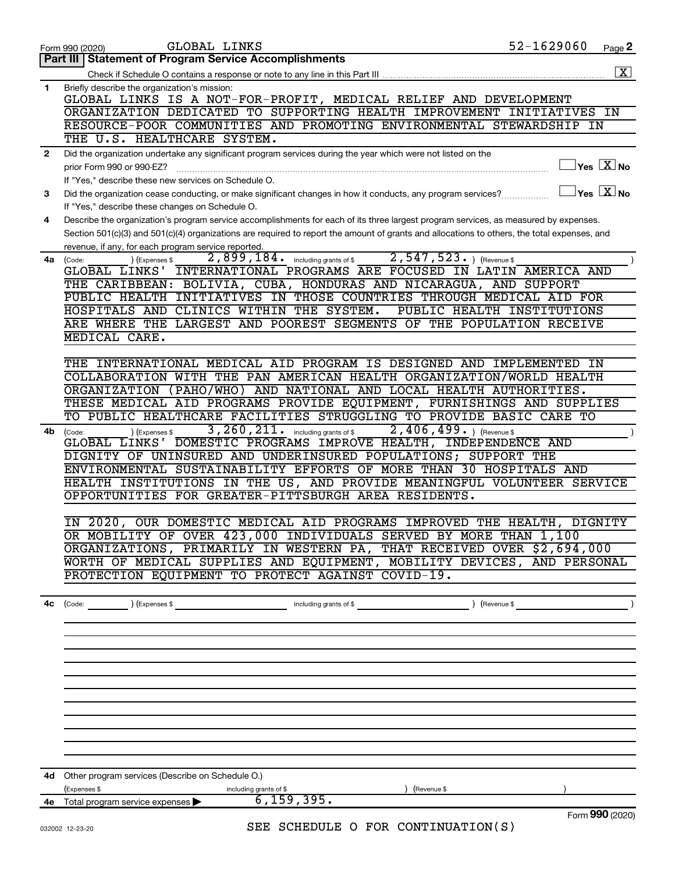|              | 52-1629060<br>GLOBAL LINKS<br>Page 2<br>Form 990 (2020)                                                                                                                                                                                         |
|--------------|-------------------------------------------------------------------------------------------------------------------------------------------------------------------------------------------------------------------------------------------------|
|              | <b>Part III   Statement of Program Service Accomplishments</b>                                                                                                                                                                                  |
|              | $\overline{\mathbf{x}}$                                                                                                                                                                                                                         |
| 1            | Briefly describe the organization's mission:<br>GLOBAL LINKS IS A NOT-FOR-PROFIT, MEDICAL RELIEF AND DEVELOPMENT                                                                                                                                |
|              | ORGANIZATION DEDICATED TO SUPPORTING HEALTH IMPROVEMENT INITIATIVES IN                                                                                                                                                                          |
|              | RESOURCE-POOR COMMUNITIES AND PROMOTING ENVIRONMENTAL STEWARDSHIP<br>IN<br>THE U.S. HEALTHCARE SYSTEM.                                                                                                                                          |
| $\mathbf{2}$ | Did the organization undertake any significant program services during the year which were not listed on the                                                                                                                                    |
|              | $\sqrt{}$ Yes $\sqrt{}\frac{\text{X}}{\text{N}}$ No<br>prior Form 990 or 990-EZ?<br>If "Yes," describe these new services on Schedule O.                                                                                                        |
| 3            | $\mathsf{Yes} \mathsf{X}$ No<br>Did the organization cease conducting, or make significant changes in how it conducts, any program services?                                                                                                    |
|              | If "Yes," describe these changes on Schedule O.                                                                                                                                                                                                 |
| 4            | Describe the organization's program service accomplishments for each of its three largest program services, as measured by expenses.                                                                                                            |
|              | Section 501(c)(3) and 501(c)(4) organizations are required to report the amount of grants and allocations to others, the total expenses, and                                                                                                    |
|              | revenue, if any, for each program service reported.                                                                                                                                                                                             |
| 4a l         | $2,547,523.$ (Revenue \$)<br>2,899,184. including grants of \$<br>(Expenses \$<br>(Code:<br>INTERNATIONAL PROGRAMS ARE FOCUSED IN LATIN AMERICA AND<br>GLOBAL LINKS'                                                                            |
|              | THE CARIBBEAN: BOLIVIA, CUBA, HONDURAS AND NICARAGUA, AND SUPPORT                                                                                                                                                                               |
|              | PUBLIC HEALTH INITIATIVES IN THOSE COUNTRIES THROUGH MEDICAL AID FOR                                                                                                                                                                            |
|              | HOSPITALS AND CLINICS WITHIN THE SYSTEM.<br>PUBLIC HEALTH INSTITUTIONS                                                                                                                                                                          |
|              | ARE WHERE THE LARGEST AND POOREST SEGMENTS OF THE POPULATION RECEIVE                                                                                                                                                                            |
|              | MEDICAL CARE.                                                                                                                                                                                                                                   |
|              |                                                                                                                                                                                                                                                 |
|              | THE INTERNATIONAL MEDICAL AID PROGRAM IS DESIGNED AND IMPLEMENTED IN                                                                                                                                                                            |
|              | COLLABORATION WITH THE PAN AMERICAN HEALTH ORGANIZATION/WORLD HEALTH                                                                                                                                                                            |
|              | ORGANIZATION (PAHO/WHO) AND NATIONAL AND LOCAL HEALTH AUTHORITIES.                                                                                                                                                                              |
|              | THESE MEDICAL AID PROGRAMS PROVIDE EQUIPMENT, FURNISHINGS AND SUPPLIES                                                                                                                                                                          |
|              | PUBLIC HEALTHCARE FACILITIES STRUGGLING TO PROVIDE BASIC CARE TO<br>TO.                                                                                                                                                                         |
| 4b           | 3, 260, 211.<br>$2,406,499.$ (Revenue \$<br>including grants of \$<br>) (Expenses \$<br>(Code:                                                                                                                                                  |
|              | GLOBAL LINKS' DOMESTIC PROGRAMS IMPROVE HEALTH, INDEPENDENCE AND                                                                                                                                                                                |
|              | DIGNITY OF UNINSURED AND UNDERINSURED POPULATIONS; SUPPORT THE                                                                                                                                                                                  |
|              | ENVIRONMENTAL SUSTAINABILITY EFFORTS OF MORE THAN 30 HOSPITALS AND                                                                                                                                                                              |
|              | HEALTH INSTITUTIONS IN THE US, AND PROVIDE MEANINGFUL VOLUNTEER SERVICE<br>OPPORTUNITIES FOR GREATER-PITTSBURGH AREA RESIDENTS.                                                                                                                 |
|              |                                                                                                                                                                                                                                                 |
|              | IN 2020, OUR DOMESTIC MEDICAL AID PROGRAMS IMPROVED THE HEALTH,<br><b>DIGNITY</b>                                                                                                                                                               |
|              | OR MOBILITY OF OVER 423,000 INDIVIDUALS SERVED BY MORE THAN 1,100                                                                                                                                                                               |
|              |                                                                                                                                                                                                                                                 |
|              | ORGANIZATIONS, PRIMARILY IN WESTERN PA, THAT RECEIVED OVER \$2,694,000<br>WORTH OF MEDICAL SUPPLIES AND EQUIPMENT, MOBILITY DEVICES, AND PERSONAL                                                                                               |
|              | PROTECTION EQUIPMENT TO PROTECT AGAINST COVID-19.                                                                                                                                                                                               |
|              |                                                                                                                                                                                                                                                 |
|              | $\rightarrow$<br>4c (Code: ) (Expenses \$ contact a series and the code of the code of the code of the code of the code of the code of the code of the code of the code of the code of the code of the code of the code of the code of the code |
|              |                                                                                                                                                                                                                                                 |
|              |                                                                                                                                                                                                                                                 |
|              |                                                                                                                                                                                                                                                 |
|              |                                                                                                                                                                                                                                                 |
|              |                                                                                                                                                                                                                                                 |
|              |                                                                                                                                                                                                                                                 |
|              |                                                                                                                                                                                                                                                 |
|              |                                                                                                                                                                                                                                                 |
|              |                                                                                                                                                                                                                                                 |
|              |                                                                                                                                                                                                                                                 |
|              |                                                                                                                                                                                                                                                 |
|              | 4d Other program services (Describe on Schedule O.)                                                                                                                                                                                             |
|              | (Expenses \$<br>including grants of \$<br>(Revenue \$                                                                                                                                                                                           |
|              | 6, 159, 395.<br>4e Total program service expenses >                                                                                                                                                                                             |
|              | Form 990 (2020)<br>SEE SCHEDULE O FOR CONTINUATION(S)<br>032002 12-23-20                                                                                                                                                                        |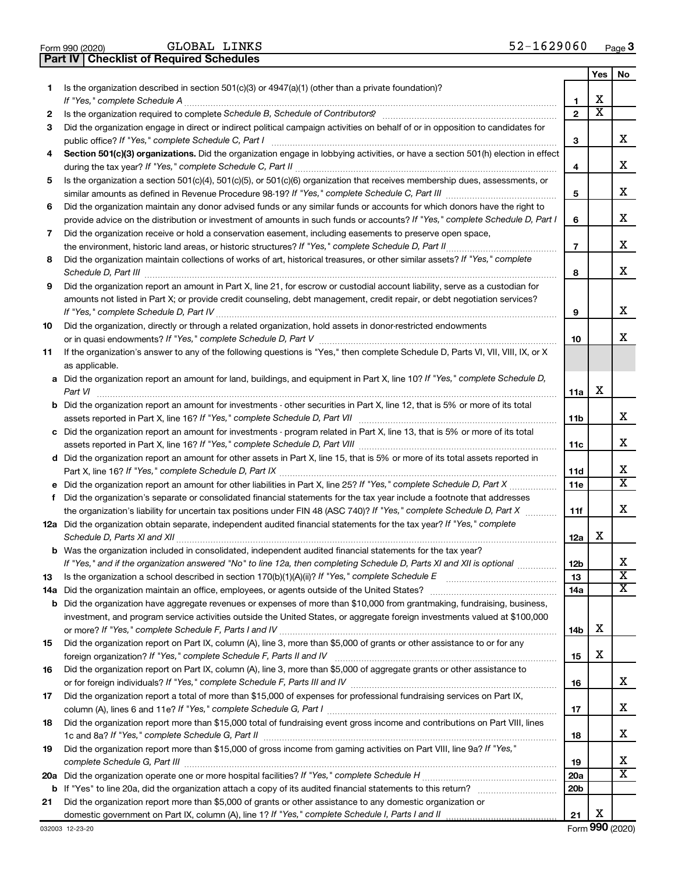|  | Form 990 (2020) |  |
|--|-----------------|--|
|  |                 |  |

**Part IV Checklist of Required Schedules** GLOBAL LINKS

|    |                                                                                                                                                                                                                                                           |                 | Yes                     | No                      |
|----|-----------------------------------------------------------------------------------------------------------------------------------------------------------------------------------------------------------------------------------------------------------|-----------------|-------------------------|-------------------------|
| 1. | Is the organization described in section 501(c)(3) or 4947(a)(1) (other than a private foundation)?                                                                                                                                                       | 1               | X                       |                         |
| 2  |                                                                                                                                                                                                                                                           | $\mathbf{2}$    | $\overline{\textbf{X}}$ |                         |
| З  | Did the organization engage in direct or indirect political campaign activities on behalf of or in opposition to candidates for                                                                                                                           |                 |                         |                         |
|    |                                                                                                                                                                                                                                                           | 3               |                         | x                       |
| 4  | Section 501(c)(3) organizations. Did the organization engage in lobbying activities, or have a section 501(h) election in effect                                                                                                                          |                 |                         |                         |
|    |                                                                                                                                                                                                                                                           | 4               |                         | х                       |
| 5  | Is the organization a section 501(c)(4), 501(c)(5), or 501(c)(6) organization that receives membership dues, assessments, or                                                                                                                              |                 |                         |                         |
|    |                                                                                                                                                                                                                                                           | 5               |                         | х                       |
| 6  | Did the organization maintain any donor advised funds or any similar funds or accounts for which donors have the right to<br>provide advice on the distribution or investment of amounts in such funds or accounts? If "Yes," complete Schedule D, Part I | 6               |                         | х                       |
| 7  | Did the organization receive or hold a conservation easement, including easements to preserve open space,                                                                                                                                                 |                 |                         |                         |
|    |                                                                                                                                                                                                                                                           | $\overline{7}$  |                         | х                       |
| 8  | Did the organization maintain collections of works of art, historical treasures, or other similar assets? If "Yes," complete                                                                                                                              |                 |                         |                         |
|    |                                                                                                                                                                                                                                                           | 8               |                         | х                       |
| 9  | Did the organization report an amount in Part X, line 21, for escrow or custodial account liability, serve as a custodian for                                                                                                                             |                 |                         |                         |
|    | amounts not listed in Part X; or provide credit counseling, debt management, credit repair, or debt negotiation services?                                                                                                                                 |                 |                         |                         |
|    |                                                                                                                                                                                                                                                           | 9               |                         | х                       |
| 10 | Did the organization, directly or through a related organization, hold assets in donor-restricted endowments                                                                                                                                              |                 |                         |                         |
|    |                                                                                                                                                                                                                                                           | 10              |                         | x                       |
| 11 | If the organization's answer to any of the following questions is "Yes," then complete Schedule D, Parts VI, VII, VIII, IX, or X                                                                                                                          |                 |                         |                         |
|    | as applicable.                                                                                                                                                                                                                                            |                 |                         |                         |
|    | a Did the organization report an amount for land, buildings, and equipment in Part X, line 10? If "Yes," complete Schedule D,                                                                                                                             |                 |                         |                         |
|    |                                                                                                                                                                                                                                                           | 11a             | X                       |                         |
|    | <b>b</b> Did the organization report an amount for investments - other securities in Part X, line 12, that is 5% or more of its total                                                                                                                     |                 |                         |                         |
|    |                                                                                                                                                                                                                                                           | 11b             |                         | x                       |
|    | c Did the organization report an amount for investments - program related in Part X, line 13, that is 5% or more of its total                                                                                                                             |                 |                         |                         |
|    |                                                                                                                                                                                                                                                           | 11c             |                         | x                       |
|    | d Did the organization report an amount for other assets in Part X, line 15, that is 5% or more of its total assets reported in                                                                                                                           |                 |                         | х                       |
|    |                                                                                                                                                                                                                                                           | 11d             |                         | X                       |
|    | Did the organization's separate or consolidated financial statements for the tax year include a footnote that addresses                                                                                                                                   | 11e             |                         |                         |
| f. | the organization's liability for uncertain tax positions under FIN 48 (ASC 740)? If "Yes," complete Schedule D, Part X                                                                                                                                    | 11f             |                         | х                       |
|    | 12a Did the organization obtain separate, independent audited financial statements for the tax year? If "Yes," complete                                                                                                                                   |                 |                         |                         |
|    |                                                                                                                                                                                                                                                           | 12a             | X                       |                         |
|    | <b>b</b> Was the organization included in consolidated, independent audited financial statements for the tax year?                                                                                                                                        |                 |                         |                         |
|    | If "Yes," and if the organization answered "No" to line 12a, then completing Schedule D, Parts XI and XII is optional                                                                                                                                     | 12 <sub>b</sub> |                         | х                       |
| 13 |                                                                                                                                                                                                                                                           | 13              |                         | $\overline{\textbf{x}}$ |
|    |                                                                                                                                                                                                                                                           | 14a             |                         | x                       |
|    | <b>b</b> Did the organization have aggregate revenues or expenses of more than \$10,000 from grantmaking, fundraising, business,                                                                                                                          |                 |                         |                         |
|    | investment, and program service activities outside the United States, or aggregate foreign investments valued at \$100,000                                                                                                                                |                 |                         |                         |
|    |                                                                                                                                                                                                                                                           | 14b             | х                       |                         |
| 15 | Did the organization report on Part IX, column (A), line 3, more than \$5,000 of grants or other assistance to or for any                                                                                                                                 | 15              | х                       |                         |
| 16 | Did the organization report on Part IX, column (A), line 3, more than \$5,000 of aggregate grants or other assistance to                                                                                                                                  |                 |                         |                         |
|    |                                                                                                                                                                                                                                                           | 16              |                         | х                       |
| 17 | Did the organization report a total of more than \$15,000 of expenses for professional fundraising services on Part IX,                                                                                                                                   |                 |                         |                         |
|    |                                                                                                                                                                                                                                                           | 17              |                         | х                       |
| 18 | Did the organization report more than \$15,000 total of fundraising event gross income and contributions on Part VIII, lines                                                                                                                              |                 |                         |                         |
|    |                                                                                                                                                                                                                                                           | 18              |                         | х                       |
| 19 | Did the organization report more than \$15,000 of gross income from gaming activities on Part VIII, line 9a? If "Yes,"                                                                                                                                    |                 |                         |                         |
|    |                                                                                                                                                                                                                                                           | 19              |                         | х                       |
|    |                                                                                                                                                                                                                                                           | 20a             |                         | $\overline{\textbf{X}}$ |
|    |                                                                                                                                                                                                                                                           | 20 <sub>b</sub> |                         |                         |
| 21 | Did the organization report more than \$5,000 of grants or other assistance to any domestic organization or                                                                                                                                               |                 |                         |                         |
|    |                                                                                                                                                                                                                                                           | 21              | х                       |                         |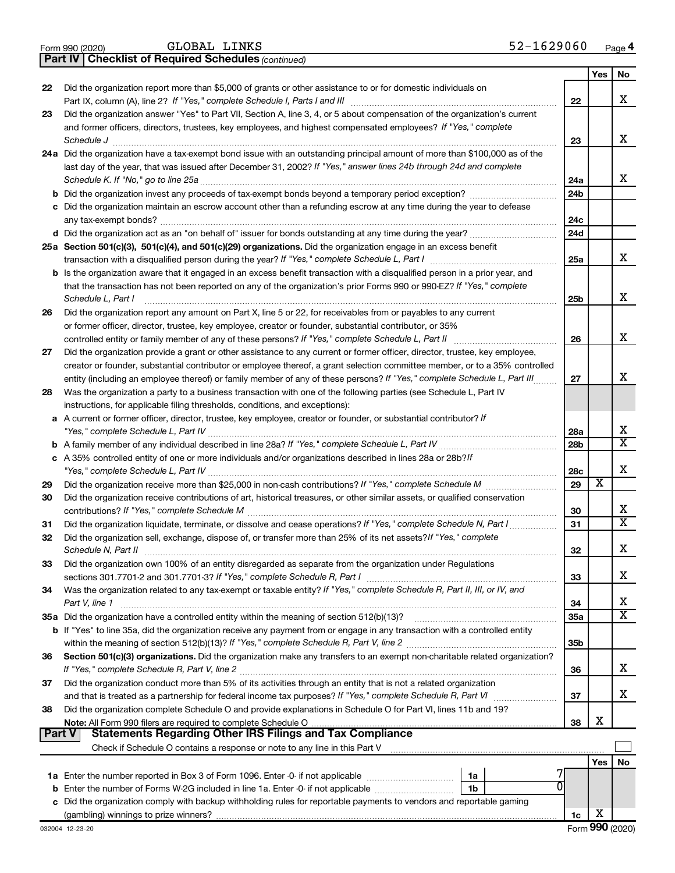|  | Form 990 (2020) |
|--|-----------------|
|  |                 |

*(continued)* **Part IV Checklist of Required Schedules**

|    |                                                                                                                                                                       |                 | Yes | No                      |
|----|-----------------------------------------------------------------------------------------------------------------------------------------------------------------------|-----------------|-----|-------------------------|
| 22 | Did the organization report more than \$5,000 of grants or other assistance to or for domestic individuals on                                                         |                 |     |                         |
|    | Part IX, column (A), line 2? If "Yes," complete Schedule I, Parts I and III                                                                                           | 22              |     | x                       |
| 23 | Did the organization answer "Yes" to Part VII, Section A, line 3, 4, or 5 about compensation of the organization's current                                            |                 |     |                         |
|    | and former officers, directors, trustees, key employees, and highest compensated employees? If "Yes," complete                                                        |                 |     |                         |
|    | Schedule J                                                                                                                                                            | 23              |     | x                       |
|    | 24a Did the organization have a tax-exempt bond issue with an outstanding principal amount of more than \$100,000 as of the                                           |                 |     |                         |
|    | last day of the year, that was issued after December 31, 2002? If "Yes," answer lines 24b through 24d and complete                                                    |                 |     |                         |
|    | Schedule K. If "No," go to line 25a                                                                                                                                   | 24a             |     | x                       |
|    | <b>b</b> Did the organization invest any proceeds of tax-exempt bonds beyond a temporary period exception?                                                            | 24 <sub>b</sub> |     |                         |
|    | c Did the organization maintain an escrow account other than a refunding escrow at any time during the year to defease                                                |                 |     |                         |
|    | any tax-exempt bonds?                                                                                                                                                 | 24 <sub>c</sub> |     |                         |
|    |                                                                                                                                                                       | 24d             |     |                         |
|    | 25a Section 501(c)(3), 501(c)(4), and 501(c)(29) organizations. Did the organization engage in an excess benefit                                                      |                 |     | x                       |
|    |                                                                                                                                                                       | 25a             |     |                         |
|    | <b>b</b> Is the organization aware that it engaged in an excess benefit transaction with a disqualified person in a prior year, and                                   |                 |     |                         |
|    | that the transaction has not been reported on any of the organization's prior Forms 990 or 990-EZ? If "Yes," complete                                                 |                 |     | x                       |
|    | Schedule L, Part I<br>Did the organization report any amount on Part X, line 5 or 22, for receivables from or payables to any current                                 | 25b             |     |                         |
| 26 | or former officer, director, trustee, key employee, creator or founder, substantial contributor, or 35%                                                               |                 |     |                         |
|    | controlled entity or family member of any of these persons? If "Yes," complete Schedule L, Part II                                                                    | 26              |     | х                       |
| 27 | Did the organization provide a grant or other assistance to any current or former officer, director, trustee, key employee,                                           |                 |     |                         |
|    | creator or founder, substantial contributor or employee thereof, a grant selection committee member, or to a 35% controlled                                           |                 |     |                         |
|    | entity (including an employee thereof) or family member of any of these persons? If "Yes," complete Schedule L, Part III                                              | 27              |     | x                       |
| 28 | Was the organization a party to a business transaction with one of the following parties (see Schedule L, Part IV                                                     |                 |     |                         |
|    | instructions, for applicable filing thresholds, conditions, and exceptions):                                                                                          |                 |     |                         |
|    | a A current or former officer, director, trustee, key employee, creator or founder, or substantial contributor? If                                                    |                 |     |                         |
|    |                                                                                                                                                                       | 28a             |     | x                       |
|    |                                                                                                                                                                       | 28 <sub>b</sub> |     | $\overline{\mathtt{x}}$ |
|    | c A 35% controlled entity of one or more individuals and/or organizations described in lines 28a or 28b?If                                                            |                 |     |                         |
|    |                                                                                                                                                                       | 28c             |     | х                       |
| 29 |                                                                                                                                                                       | 29              | X   |                         |
| 30 | Did the organization receive contributions of art, historical treasures, or other similar assets, or qualified conservation                                           |                 |     |                         |
|    |                                                                                                                                                                       | 30              |     | X                       |
| 31 |                                                                                                                                                                       | 31              |     | $\overline{\mathtt{x}}$ |
| 32 | Did the organization sell, exchange, dispose of, or transfer more than 25% of its net assets? If "Yes," complete                                                      |                 |     |                         |
|    | Schedule N, Part II                                                                                                                                                   | 32              |     | X                       |
| 33 | Did the organization own 100% of an entity disregarded as separate from the organization under Regulations                                                            |                 |     |                         |
|    |                                                                                                                                                                       | 33              |     | x                       |
| 34 | Was the organization related to any tax-exempt or taxable entity? If "Yes," complete Schedule R, Part II, III, or IV, and                                             |                 |     |                         |
|    | Part V, line 1                                                                                                                                                        | 34              |     | х                       |
|    | 35a Did the organization have a controlled entity within the meaning of section 512(b)(13)?                                                                           | 35a             |     | $\overline{\mathbf{x}}$ |
|    | b If "Yes" to line 35a, did the organization receive any payment from or engage in any transaction with a controlled entity                                           |                 |     |                         |
|    |                                                                                                                                                                       | 35 <sub>b</sub> |     |                         |
| 36 | Section 501(c)(3) organizations. Did the organization make any transfers to an exempt non-charitable related organization?                                            |                 |     |                         |
|    |                                                                                                                                                                       | 36              |     | x                       |
| 37 | Did the organization conduct more than 5% of its activities through an entity that is not a related organization                                                      |                 |     |                         |
|    | and that is treated as a partnership for federal income tax purposes? If "Yes," complete Schedule R, Part VI                                                          | 37              |     | x                       |
| 38 | Did the organization complete Schedule O and provide explanations in Schedule O for Part VI, lines 11b and 19?                                                        |                 |     |                         |
|    |                                                                                                                                                                       | 38              | х   |                         |
|    | <b>Part V</b><br>Statements Regarding Other IRS Filings and Tax Compliance                                                                                            |                 |     |                         |
|    | Check if Schedule O contains a response or note to any line in this Part V [11] [12] content in the schedule O contains a response or note to any line in this Part V |                 |     |                         |
|    |                                                                                                                                                                       |                 | Yes | No                      |
|    | 1a<br>0                                                                                                                                                               |                 |     |                         |
|    | 1b<br><b>b</b> Enter the number of Forms W-2G included in line 1a. Enter -0- if not applicable <i>manumumumum</i>                                                     |                 |     |                         |
|    | c Did the organization comply with backup withholding rules for reportable payments to vendors and reportable gaming                                                  |                 | X   |                         |
|    |                                                                                                                                                                       | 1c              |     |                         |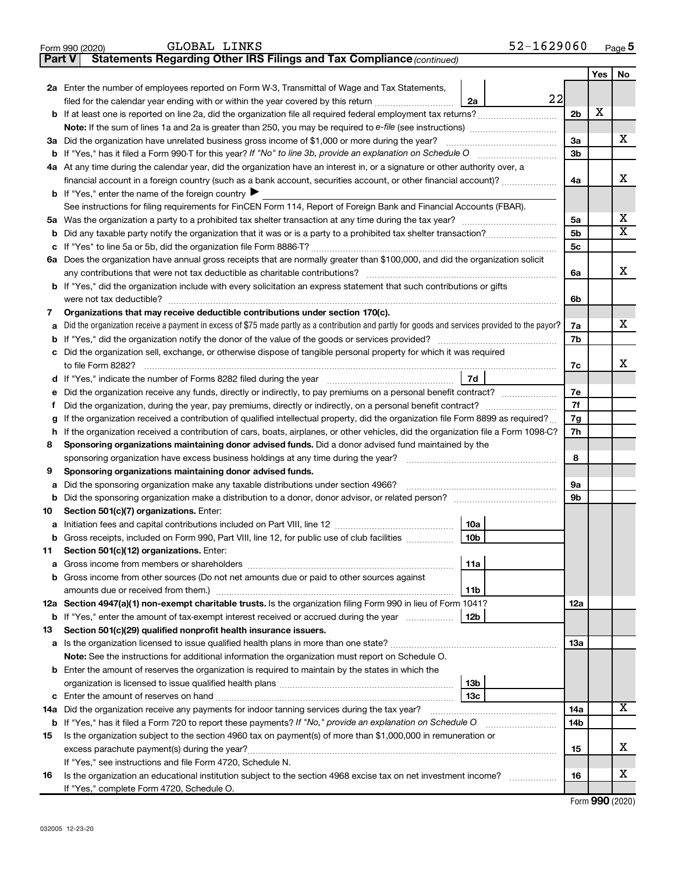|  | ۰.<br>. .                                                                                                                                                                                                                     |
|--|-------------------------------------------------------------------------------------------------------------------------------------------------------------------------------------------------------------------------------|
|  | the control of the control of the control of the control of the control of the control of the control of the control of the control of the control of the control of the control of the control of the control of the control |
|  |                                                                                                                                                                                                                               |
|  |                                                                                                                                                                                                                               |
|  |                                                                                                                                                                                                                               |

032005 12-23-20

|     |                                                                                                                                                                                                                                                                        |                | res | <b>NO</b> |  |  |  |  |
|-----|------------------------------------------------------------------------------------------------------------------------------------------------------------------------------------------------------------------------------------------------------------------------|----------------|-----|-----------|--|--|--|--|
|     | 2a Enter the number of employees reported on Form W-3, Transmittal of Wage and Tax Statements,                                                                                                                                                                         |                |     |           |  |  |  |  |
|     | 22<br>filed for the calendar year ending with or within the year covered by this return<br>2a                                                                                                                                                                          | 2 <sub>b</sub> | X   |           |  |  |  |  |
|     |                                                                                                                                                                                                                                                                        |                |     |           |  |  |  |  |
|     | <b>Note:</b> If the sum of lines 1a and 2a is greater than 250, you may be required to e-file (see instructions) <i>managererous</i>                                                                                                                                   | За             |     | x         |  |  |  |  |
| b   | 3a Did the organization have unrelated business gross income of \$1,000 or more during the year?                                                                                                                                                                       | 3b             |     |           |  |  |  |  |
|     | 4a At any time during the calendar year, did the organization have an interest in, or a signature or other authority over, a                                                                                                                                           |                |     |           |  |  |  |  |
|     | financial account in a foreign country (such as a bank account, securities account, or other financial account)?                                                                                                                                                       | 4a             |     | x         |  |  |  |  |
|     | <b>b</b> If "Yes," enter the name of the foreign country                                                                                                                                                                                                               |                |     |           |  |  |  |  |
|     | See instructions for filing requirements for FinCEN Form 114, Report of Foreign Bank and Financial Accounts (FBAR).                                                                                                                                                    |                |     |           |  |  |  |  |
| 5a  | Was the organization a party to a prohibited tax shelter transaction at any time during the tax year?                                                                                                                                                                  | 5а             |     | х         |  |  |  |  |
| b   |                                                                                                                                                                                                                                                                        | 5b             |     | X         |  |  |  |  |
| с   |                                                                                                                                                                                                                                                                        | 5c             |     |           |  |  |  |  |
|     | 6a Does the organization have annual gross receipts that are normally greater than \$100,000, and did the organization solicit                                                                                                                                         |                |     |           |  |  |  |  |
|     | any contributions that were not tax deductible as charitable contributions?                                                                                                                                                                                            | 6a             |     | х         |  |  |  |  |
|     | <b>b</b> If "Yes," did the organization include with every solicitation an express statement that such contributions or gifts                                                                                                                                          |                |     |           |  |  |  |  |
|     | were not tax deductible?                                                                                                                                                                                                                                               | 6b             |     |           |  |  |  |  |
| 7   | Organizations that may receive deductible contributions under section 170(c).                                                                                                                                                                                          |                |     |           |  |  |  |  |
| a   | Did the organization receive a payment in excess of \$75 made partly as a contribution and partly for goods and services provided to the payor?                                                                                                                        | 7a             |     | x         |  |  |  |  |
| b   | If "Yes," did the organization notify the donor of the value of the goods or services provided?                                                                                                                                                                        | 7b             |     |           |  |  |  |  |
|     | Did the organization sell, exchange, or otherwise dispose of tangible personal property for which it was required                                                                                                                                                      |                |     |           |  |  |  |  |
|     | to file Form 8282?                                                                                                                                                                                                                                                     | 7c             |     | x         |  |  |  |  |
| d   | If "Yes," indicate the number of Forms 8282 filed during the year<br>7d                                                                                                                                                                                                |                |     |           |  |  |  |  |
| е   | Did the organization receive any funds, directly or indirectly, to pay premiums on a personal benefit contract?                                                                                                                                                        | 7e<br>7f       |     |           |  |  |  |  |
|     | Did the organization, during the year, pay premiums, directly or indirectly, on a personal benefit contract?<br>f                                                                                                                                                      |                |     |           |  |  |  |  |
| h   | If the organization received a contribution of qualified intellectual property, did the organization file Form 8899 as required?<br>If the organization received a contribution of cars, boats, airplanes, or other vehicles, did the organization file a Form 1098-C? | 7g<br>7h       |     |           |  |  |  |  |
| 8   | Sponsoring organizations maintaining donor advised funds. Did a donor advised fund maintained by the                                                                                                                                                                   |                |     |           |  |  |  |  |
|     | sponsoring organization have excess business holdings at any time during the year?                                                                                                                                                                                     | 8              |     |           |  |  |  |  |
| 9   | Sponsoring organizations maintaining donor advised funds.                                                                                                                                                                                                              |                |     |           |  |  |  |  |
| а   | Did the sponsoring organization make any taxable distributions under section 4966?                                                                                                                                                                                     | 9а             |     |           |  |  |  |  |
| b   | Did the sponsoring organization make a distribution to a donor, donor advisor, or related person?                                                                                                                                                                      | 9b             |     |           |  |  |  |  |
| 10  | Section 501(c)(7) organizations. Enter:                                                                                                                                                                                                                                |                |     |           |  |  |  |  |
| а   | 10a                                                                                                                                                                                                                                                                    |                |     |           |  |  |  |  |
| b   | 10 <sub>b</sub><br>Gross receipts, included on Form 990, Part VIII, line 12, for public use of club facilities                                                                                                                                                         |                |     |           |  |  |  |  |
| 11  | Section 501(c)(12) organizations. Enter:                                                                                                                                                                                                                               |                |     |           |  |  |  |  |
| a   | 11a<br>Gross income from members or shareholders                                                                                                                                                                                                                       |                |     |           |  |  |  |  |
|     | Gross income from other sources (Do not net amounts due or paid to other sources against                                                                                                                                                                               |                |     |           |  |  |  |  |
|     | amounts due or received from them.)<br>11b                                                                                                                                                                                                                             |                |     |           |  |  |  |  |
|     | 12a Section 4947(a)(1) non-exempt charitable trusts. Is the organization filing Form 990 in lieu of Form 1041?<br>12b                                                                                                                                                  | 12a            |     |           |  |  |  |  |
| 13  | <b>b</b> If "Yes," enter the amount of tax-exempt interest received or accrued during the year<br>Section 501(c)(29) qualified nonprofit health insurance issuers.                                                                                                     |                |     |           |  |  |  |  |
| а   |                                                                                                                                                                                                                                                                        | 13a            |     |           |  |  |  |  |
|     | Note: See the instructions for additional information the organization must report on Schedule O.                                                                                                                                                                      |                |     |           |  |  |  |  |
| b   | Enter the amount of reserves the organization is required to maintain by the states in which the                                                                                                                                                                       |                |     |           |  |  |  |  |
|     | 13b                                                                                                                                                                                                                                                                    |                |     |           |  |  |  |  |
| с   | 13c                                                                                                                                                                                                                                                                    |                |     |           |  |  |  |  |
| 14a | Did the organization receive any payments for indoor tanning services during the tax year?                                                                                                                                                                             | 14a            |     | х         |  |  |  |  |
| b   | If "Yes," has it filed a Form 720 to report these payments? If "No," provide an explanation on Schedule O                                                                                                                                                              | 14b            |     |           |  |  |  |  |
| 15  | Is the organization subject to the section 4960 tax on payment(s) of more than \$1,000,000 in remuneration or                                                                                                                                                          |                |     |           |  |  |  |  |
|     |                                                                                                                                                                                                                                                                        | 15             |     | x         |  |  |  |  |
|     | If "Yes," see instructions and file Form 4720, Schedule N.                                                                                                                                                                                                             |                |     |           |  |  |  |  |
| 16  | Is the organization an educational institution subject to the section 4968 excise tax on net investment income?                                                                                                                                                        | 16             |     | х         |  |  |  |  |
|     | If "Yes," complete Form 4720, Schedule O.                                                                                                                                                                                                                              |                |     |           |  |  |  |  |

**Part V** Statements Regarding Other IRS Filings and Tax Compliance (continued)

Form 990 (2020) Page GLOBAL LINKS 52-1629060 **5**

**Yes No**

Form (2020) **990**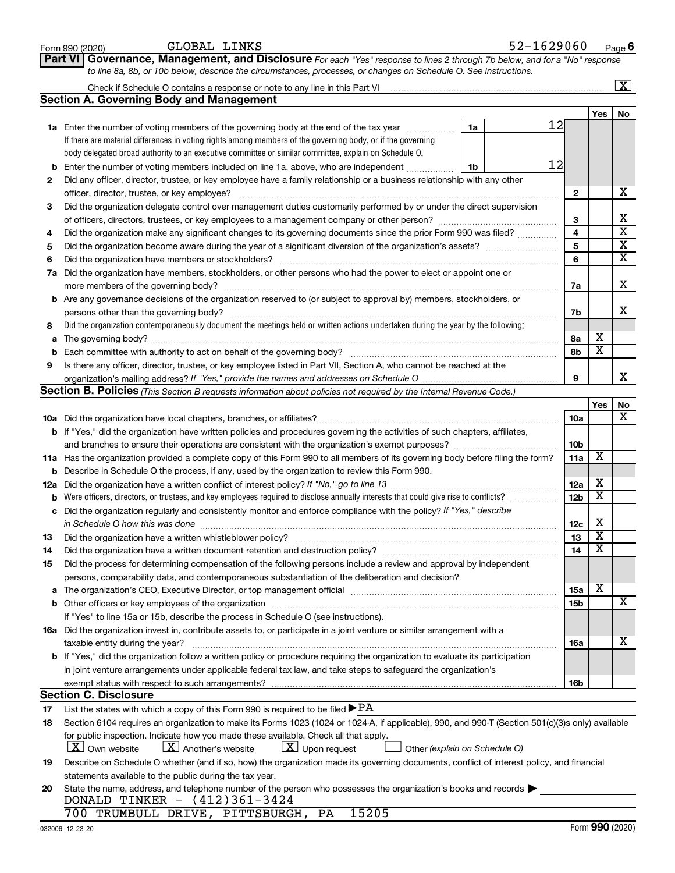|    | GLOBAL LINKS<br>Form 990 (2020)                                                                                                                                               |    | 52-1629060 |                 |                              | Page $6$                |
|----|-------------------------------------------------------------------------------------------------------------------------------------------------------------------------------|----|------------|-----------------|------------------------------|-------------------------|
|    | Part VI<br>Governance, Management, and Disclosure For each "Yes" response to lines 2 through 7b below, and for a "No" response                                                |    |            |                 |                              |                         |
|    | to line 8a, 8b, or 10b below, describe the circumstances, processes, or changes on Schedule O. See instructions.                                                              |    |            |                 |                              |                         |
|    | Check if Schedule O contains a response or note to any line in this Part VI                                                                                                   |    |            |                 |                              | $\overline{\mathbf{x}}$ |
|    | <b>Section A. Governing Body and Management</b>                                                                                                                               |    |            |                 |                              |                         |
|    |                                                                                                                                                                               |    |            |                 | Yes                          | No                      |
|    | 1a Enter the number of voting members of the governing body at the end of the tax year                                                                                        | 1a | 12         |                 |                              |                         |
|    | If there are material differences in voting rights among members of the governing body, or if the governing                                                                   |    |            |                 |                              |                         |
|    | body delegated broad authority to an executive committee or similar committee, explain on Schedule O.                                                                         |    |            |                 |                              |                         |
| b  | Enter the number of voting members included on line 1a, above, who are independent                                                                                            | 1b | 12         |                 |                              |                         |
| 2  | Did any officer, director, trustee, or key employee have a family relationship or a business relationship with any other                                                      |    |            |                 |                              |                         |
|    | officer, director, trustee, or key employee?                                                                                                                                  |    | .          | $\mathbf{2}$    |                              | х                       |
| 3  | Did the organization delegate control over management duties customarily performed by or under the direct supervision                                                         |    |            |                 |                              |                         |
|    |                                                                                                                                                                               |    |            | З               |                              | х                       |
| 4  | Did the organization make any significant changes to its governing documents since the prior Form 990 was filed?                                                              |    |            | 4               |                              | $\overline{\mathbf{x}}$ |
| 5  |                                                                                                                                                                               |    |            | 5               |                              | х                       |
| 6  | Did the organization have members or stockholders?                                                                                                                            |    |            | 6               |                              | X                       |
| 7a | Did the organization have members, stockholders, or other persons who had the power to elect or appoint one or                                                                |    |            |                 |                              |                         |
|    |                                                                                                                                                                               |    |            | 7a              |                              | х                       |
|    | <b>b</b> Are any governance decisions of the organization reserved to (or subject to approval by) members, stockholders, or                                                   |    |            |                 |                              |                         |
|    | persons other than the governing body?                                                                                                                                        |    |            | 7b              |                              | х                       |
| 8  | Did the organization contemporaneously document the meetings held or written actions undertaken during the year by the following:                                             |    |            |                 |                              |                         |
| а  |                                                                                                                                                                               |    |            | 8а              | х<br>$\overline{\mathbf{x}}$ |                         |
| b  |                                                                                                                                                                               |    |            | 8b              |                              |                         |
| 9  | Is there any officer, director, trustee, or key employee listed in Part VII, Section A, who cannot be reached at the                                                          |    |            |                 |                              | x                       |
|    |                                                                                                                                                                               |    |            | 9               |                              |                         |
|    | <b>Section B. Policies</b> (This Section B requests information about policies not required by the Internal Revenue Code.)                                                    |    |            |                 |                              |                         |
|    |                                                                                                                                                                               |    |            | <b>10a</b>      | Yes                          | No<br>x                 |
|    | <b>b</b> If "Yes," did the organization have written policies and procedures governing the activities of such chapters, affiliates,                                           |    |            |                 |                              |                         |
|    |                                                                                                                                                                               |    |            | 10 <sub>b</sub> |                              |                         |
|    | 11a Has the organization provided a complete copy of this Form 990 to all members of its governing body before filing the form?                                               |    |            | 11a             | X                            |                         |
|    | <b>b</b> Describe in Schedule O the process, if any, used by the organization to review this Form 990.                                                                        |    |            |                 |                              |                         |
|    | 12a Did the organization have a written conflict of interest policy? If "No," go to line 13                                                                                   |    |            | 12a             | х                            |                         |
| b  | Were officers, directors, or trustees, and key employees required to disclose annually interests that could give rise to conflicts?                                           |    |            | 12 <sub>b</sub> | х                            |                         |
|    | Did the organization regularly and consistently monitor and enforce compliance with the policy? If "Yes," describe                                                            |    |            |                 |                              |                         |
|    | in Schedule O how this was done <i>manual content of the set of the schedule O</i> how this was done                                                                          |    |            | 12c             | x                            |                         |
|    |                                                                                                                                                                               |    |            | 13              | $\overline{\texttt{x}}$      |                         |
| 14 | Did the organization have a written document retention and destruction policy? [11] manufaction in the organization have a written document retention and destruction policy? |    |            | 14              | $\overline{\textbf{x}}$      |                         |
| 15 | Did the process for determining compensation of the following persons include a review and approval by independent                                                            |    |            |                 |                              |                         |
|    | persons, comparability data, and contemporaneous substantiation of the deliberation and decision?                                                                             |    |            |                 |                              |                         |
| a  |                                                                                                                                                                               |    |            | <b>15a</b>      | х                            |                         |
|    |                                                                                                                                                                               |    |            | 15b             |                              | х                       |
|    | If "Yes" to line 15a or 15b, describe the process in Schedule O (see instructions).                                                                                           |    |            |                 |                              |                         |
|    | 16a Did the organization invest in, contribute assets to, or participate in a joint venture or similar arrangement with a                                                     |    |            |                 |                              |                         |
|    | taxable entity during the year?                                                                                                                                               |    |            | 16a             |                              | x                       |
|    | b If "Yes," did the organization follow a written policy or procedure requiring the organization to evaluate its participation                                                |    |            |                 |                              |                         |
|    | in joint venture arrangements under applicable federal tax law, and take steps to safequard the organization's                                                                |    |            |                 |                              |                         |
|    |                                                                                                                                                                               |    |            | 16b             |                              |                         |
|    | <b>Section C. Disclosure</b>                                                                                                                                                  |    |            |                 |                              |                         |
| 17 | List the states with which a copy of this Form 990 is required to be filed $\blacktriangleright$ PA                                                                           |    |            |                 |                              |                         |
| 18 | Section 6104 requires an organization to make its Forms 1023 (1024 or 1024-A, if applicable), 990, and 990-T (Section 501(c)(3)s only) available                              |    |            |                 |                              |                         |
|    | for public inspection. Indicate how you made these available. Check all that apply.                                                                                           |    |            |                 |                              |                         |
|    | $\lfloor X \rfloor$ Own website<br>$\lfloor X \rfloor$ Another's website<br>$\lfloor x \rfloor$ Upon request<br>Other (explain on Schedule O)                                 |    |            |                 |                              |                         |
| 19 | Describe on Schedule O whether (and if so, how) the organization made its governing documents, conflict of interest policy, and financial                                     |    |            |                 |                              |                         |
|    | statements available to the public during the tax year.                                                                                                                       |    |            |                 |                              |                         |
| 20 | State the name, address, and telephone number of the person who possesses the organization's books and records<br>DONALD TINKER - (412)361-3424                               |    |            |                 |                              |                         |
|    | 700 TRUMBULL DRIVE, PITTSBURGH, PA<br>15205                                                                                                                                   |    |            |                 |                              |                         |

GLOBAL LINKS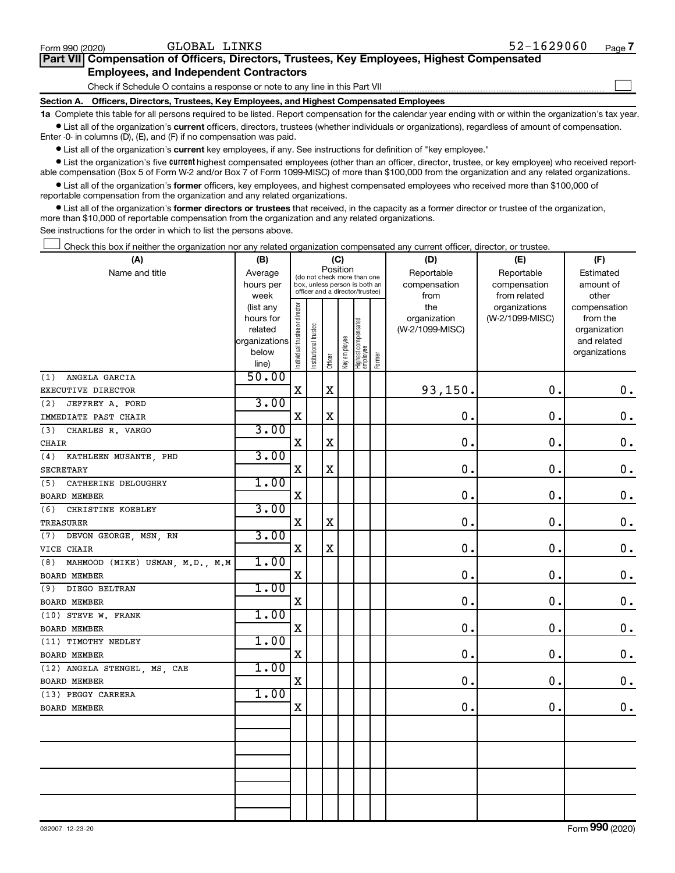$\Box$ 

| Part VII Compensation of Officers, Directors, Trustees, Key Employees, Highest Compensated |
|--------------------------------------------------------------------------------------------|
| <b>Employees, and Independent Contractors</b>                                              |

Check if Schedule O contains a response or note to any line in this Part VII

**Section A. Officers, Directors, Trustees, Key Employees, and Highest Compensated Employees**

**1a**  Complete this table for all persons required to be listed. Report compensation for the calendar year ending with or within the organization's tax year.  $\bullet$  List all of the organization's current officers, directors, trustees (whether individuals or organizations), regardless of amount of compensation.

Enter -0- in columns (D), (E), and (F) if no compensation was paid.

**•** List all of the organization's current key employees, if any. See instructions for definition of "key employee."

• List the organization's five *current* highest compensated employees (other than an officer, director, trustee, or key employee) who received reportable compensation (Box 5 of Form W-2 and/or Box 7 of Form 1099-MISC) of more than \$100,000 from the organization and any related organizations.

 $\bullet$  List all of the organization's former officers, key employees, and highest compensated employees who received more than \$100,000 of reportable compensation from the organization and any related organizations.

**•** List all of the organization's former directors or trustees that received, in the capacity as a former director or trustee of the organization, more than \$10,000 of reportable compensation from the organization and any related organizations.

See instructions for the order in which to list the persons above.

Check this box if neither the organization nor any related organization compensated any current officer, director, or trustee.  $\Box$ 

| (A)                                    | (B)                    |                                         |                                                                  | (C)         |              |                                 |        | (D)             | (E)             | (F)                |
|----------------------------------------|------------------------|-----------------------------------------|------------------------------------------------------------------|-------------|--------------|---------------------------------|--------|-----------------|-----------------|--------------------|
| Name and title                         | Average                | Position<br>(do not check more than one |                                                                  |             |              |                                 |        | Reportable      | Reportable      | Estimated          |
|                                        | hours per              |                                         | box, unless person is both an<br>officer and a director/trustee) |             |              |                                 |        | compensation    | compensation    | amount of          |
|                                        | week                   |                                         |                                                                  |             |              |                                 |        | from            | from related    | other              |
|                                        | (list any              |                                         |                                                                  |             |              |                                 |        | the             | organizations   | compensation       |
|                                        | hours for              |                                         |                                                                  |             |              |                                 |        | organization    | (W-2/1099-MISC) | from the           |
|                                        | related                |                                         |                                                                  |             |              |                                 |        | (W-2/1099-MISC) |                 | organization       |
|                                        | organizations<br>below |                                         |                                                                  |             |              |                                 |        |                 |                 | and related        |
|                                        | line)                  | Individual trustee or director          | Institutional trustee                                            | Officer     | Key employee | Highest compensated<br>employee | Former |                 |                 | organizations      |
| ANGELA GARCIA<br>(1)                   | 50.00                  |                                         |                                                                  |             |              |                                 |        |                 |                 |                    |
| EXECUTIVE DIRECTOR                     |                        | X                                       |                                                                  | $\mathbf X$ |              |                                 |        | 93,150.         | $\mathbf 0$ .   | $\boldsymbol{0}$ . |
| (2)<br>JEFFREY A. FORD                 | 3.00                   |                                         |                                                                  |             |              |                                 |        |                 |                 |                    |
| IMMEDIATE PAST CHAIR                   |                        | $\mathbf X$                             |                                                                  | $\mathbf X$ |              |                                 |        | 0.              | $\mathbf 0$ .   | $\mathbf 0$ .      |
| (3)<br>CHARLES R. VARGO                | 3.00                   |                                         |                                                                  |             |              |                                 |        |                 |                 |                    |
| <b>CHAIR</b>                           |                        | $\mathbf X$                             |                                                                  | $\mathbf X$ |              |                                 |        | 0.              | $\mathbf 0$ .   | $\mathbf 0$ .      |
| KATHLEEN MUSANTE, PHD<br>(4)           | 3.00                   |                                         |                                                                  |             |              |                                 |        |                 |                 |                    |
| <b>SECRETARY</b>                       |                        | $\mathbf X$                             |                                                                  | $\mathbf X$ |              |                                 |        | 0.              | 0.              | $\mathbf 0$ .      |
| CATHERINE DELOUGHRY<br>(5)             | 1.00                   |                                         |                                                                  |             |              |                                 |        |                 |                 |                    |
| BOARD MEMBER                           |                        | $\mathbf X$                             |                                                                  |             |              |                                 |        | 0.              | 0.              | $\mathbf 0$ .      |
| (6)<br>CHRISTINE KOEBLEY               | 3.00                   |                                         |                                                                  |             |              |                                 |        |                 |                 |                    |
| TREASURER                              |                        | $\mathbf X$                             |                                                                  | $\mathbf X$ |              |                                 |        | 0.              | 0.              | $\mathbf 0$ .      |
| (7)<br>DEVON GEORGE, MSN, RN           | 3.00                   |                                         |                                                                  |             |              |                                 |        |                 |                 |                    |
| VICE CHAIR                             |                        | $\mathbf X$                             |                                                                  | $\mathbf X$ |              |                                 |        | 0.              | $\mathbf 0$ .   | $\mathbf 0$ .      |
| MAHMOOD (MIKE) USMAN, M.D., M.M<br>(8) | 1.00                   |                                         |                                                                  |             |              |                                 |        |                 |                 |                    |
| <b>BOARD MEMBER</b>                    |                        | $\mathbf X$                             |                                                                  |             |              |                                 |        | 0.              | 0.              | $\mathbf 0$ .      |
| DIEGO BELTRAN<br>(9)                   | 1.00                   |                                         |                                                                  |             |              |                                 |        |                 |                 |                    |
| <b>BOARD MEMBER</b>                    |                        | $\mathbf X$                             |                                                                  |             |              |                                 |        | 0.              | $\mathbf 0$ .   | $\mathbf 0$ .      |
| (10) STEVE W. FRANK                    | 1.00                   |                                         |                                                                  |             |              |                                 |        |                 |                 |                    |
| BOARD MEMBER                           |                        | X                                       |                                                                  |             |              |                                 |        | $\mathbf 0$ .   | $\mathbf 0$ .   | $\mathbf 0$ .      |
| (11) TIMOTHY NEDLEY                    | 1.00                   |                                         |                                                                  |             |              |                                 |        |                 |                 |                    |
| <b>BOARD MEMBER</b>                    |                        | $\mathbf X$                             |                                                                  |             |              |                                 |        | $\mathbf 0$ .   | $\mathbf 0$ .   | $\mathbf 0$ .      |
| (12) ANGELA STENGEL, MS, CAE           | 1.00                   |                                         |                                                                  |             |              |                                 |        |                 |                 |                    |
| <b>BOARD MEMBER</b>                    |                        | X                                       |                                                                  |             |              |                                 |        | $\mathbf 0$ .   | $\mathbf 0$ .   | $\mathbf 0$ .      |
| (13) PEGGY CARRERA                     | 1.00                   |                                         |                                                                  |             |              |                                 |        |                 |                 |                    |
| <b>BOARD MEMBER</b>                    |                        | $\mathbf X$                             |                                                                  |             |              |                                 |        | $\mathbf 0$ .   | $\mathbf 0$ .   | $0$ .              |
|                                        |                        |                                         |                                                                  |             |              |                                 |        |                 |                 |                    |
|                                        |                        |                                         |                                                                  |             |              |                                 |        |                 |                 |                    |
|                                        |                        |                                         |                                                                  |             |              |                                 |        |                 |                 |                    |
|                                        |                        |                                         |                                                                  |             |              |                                 |        |                 |                 |                    |
|                                        |                        |                                         |                                                                  |             |              |                                 |        |                 |                 |                    |
|                                        |                        |                                         |                                                                  |             |              |                                 |        |                 |                 |                    |
|                                        |                        |                                         |                                                                  |             |              |                                 |        |                 |                 |                    |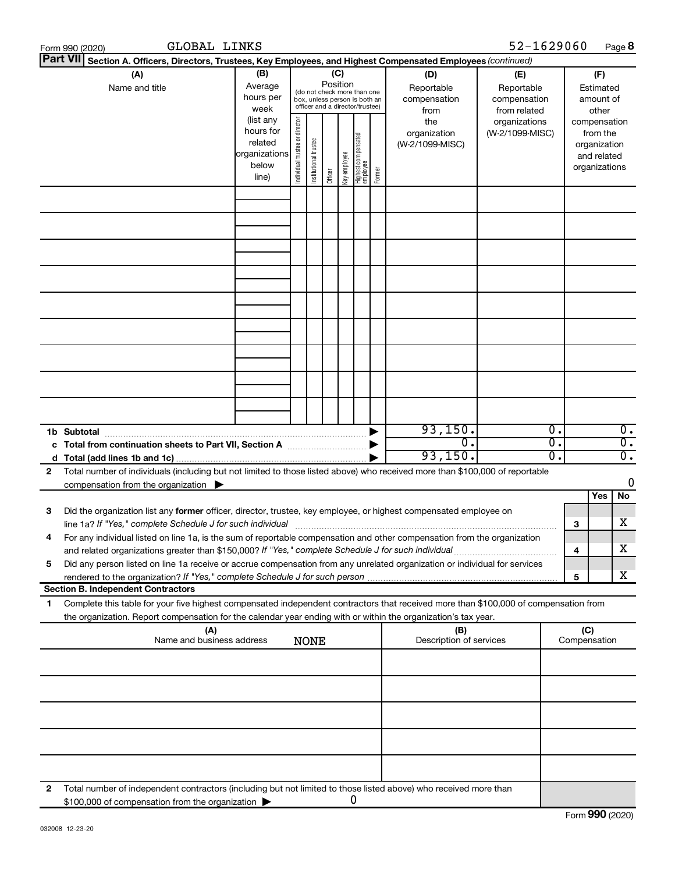|                 | <b>GLOBAL LINKS</b><br>Form 990 (2020)                                                                                                                                                                                                                                                                                    |  |  |             |  |  |   |  |                                                        | 52-1629060 |                                                          |                     | Page 8                               |
|-----------------|---------------------------------------------------------------------------------------------------------------------------------------------------------------------------------------------------------------------------------------------------------------------------------------------------------------------------|--|--|-------------|--|--|---|--|--------------------------------------------------------|------------|----------------------------------------------------------|---------------------|--------------------------------------|
| <b>Part VII</b> | Section A. Officers, Directors, Trustees, Key Employees, and Highest Compensated Employees (continued)                                                                                                                                                                                                                    |  |  |             |  |  |   |  |                                                        |            |                                                          |                     |                                      |
|                 | (B)<br>(A)<br>(C)<br>(D)<br>(E)<br>Position<br>Average<br>Name and title<br>Reportable<br>Reportable<br>(do not check more than one<br>hours per<br>compensation<br>compensation<br>box, unless person is both an<br>officer and a director/trustee)<br>week<br>from related<br>from<br>(list any<br>the<br>organizations |  |  |             |  |  |   |  | (F)<br>Estimated<br>amount of<br>other<br>compensation |            |                                                          |                     |                                      |
|                 | Individual trustee or director<br>hours for<br>(W-2/1099-MISC)<br>organization<br>  Highest compensated<br>  employee<br>Institutional trustee<br>related<br>(W-2/1099-MISC)<br>organizations<br>Key employee<br>below<br>Former<br>Officer<br>line)                                                                      |  |  |             |  |  |   |  |                                                        |            | from the<br>organization<br>and related<br>organizations |                     |                                      |
|                 |                                                                                                                                                                                                                                                                                                                           |  |  |             |  |  |   |  |                                                        |            |                                                          |                     |                                      |
|                 |                                                                                                                                                                                                                                                                                                                           |  |  |             |  |  |   |  |                                                        |            |                                                          |                     |                                      |
|                 |                                                                                                                                                                                                                                                                                                                           |  |  |             |  |  |   |  |                                                        |            |                                                          |                     |                                      |
|                 |                                                                                                                                                                                                                                                                                                                           |  |  |             |  |  |   |  |                                                        |            |                                                          |                     |                                      |
|                 |                                                                                                                                                                                                                                                                                                                           |  |  |             |  |  |   |  |                                                        |            |                                                          |                     |                                      |
|                 |                                                                                                                                                                                                                                                                                                                           |  |  |             |  |  |   |  |                                                        |            |                                                          |                     |                                      |
|                 |                                                                                                                                                                                                                                                                                                                           |  |  |             |  |  |   |  |                                                        |            |                                                          |                     |                                      |
|                 |                                                                                                                                                                                                                                                                                                                           |  |  |             |  |  |   |  |                                                        |            |                                                          |                     |                                      |
|                 |                                                                                                                                                                                                                                                                                                                           |  |  |             |  |  |   |  |                                                        |            |                                                          |                     |                                      |
|                 | 1b Subtotal                                                                                                                                                                                                                                                                                                               |  |  |             |  |  |   |  | 93,150.                                                |            | $\overline{\mathfrak{o}}$ .                              |                     | $\overline{0}$ .                     |
|                 | c Total from continuation sheets to Part VII, Section A manuscreen continuum                                                                                                                                                                                                                                              |  |  |             |  |  |   |  | σ.<br>93,150.                                          |            | $\overline{\mathfrak{o}}$ .<br>$\overline{0}$ .          |                     | $\overline{0}$ .<br>$\overline{0}$ . |
| 2               | Total number of individuals (including but not limited to those listed above) who received more than \$100,000 of reportable                                                                                                                                                                                              |  |  |             |  |  |   |  |                                                        |            |                                                          |                     |                                      |
|                 | compensation from the organization $\blacktriangleright$                                                                                                                                                                                                                                                                  |  |  |             |  |  |   |  |                                                        |            |                                                          |                     | 0                                    |
|                 |                                                                                                                                                                                                                                                                                                                           |  |  |             |  |  |   |  |                                                        |            |                                                          |                     | Yes<br>No                            |
| 3               | Did the organization list any former officer, director, trustee, key employee, or highest compensated employee on                                                                                                                                                                                                         |  |  |             |  |  |   |  |                                                        |            |                                                          | З                   | х                                    |
|                 | For any individual listed on line 1a, is the sum of reportable compensation and other compensation from the organization<br>and related organizations greater than \$150,000? If "Yes," complete Schedule J for such individual                                                                                           |  |  |             |  |  |   |  |                                                        |            |                                                          | 4                   | х                                    |
| 5               | Did any person listed on line 1a receive or accrue compensation from any unrelated organization or individual for services                                                                                                                                                                                                |  |  |             |  |  |   |  |                                                        |            |                                                          | 5                   | x                                    |
|                 | <b>Section B. Independent Contractors</b>                                                                                                                                                                                                                                                                                 |  |  |             |  |  |   |  |                                                        |            |                                                          |                     |                                      |
| 1.              | Complete this table for your five highest compensated independent contractors that received more than \$100,000 of compensation from<br>the organization. Report compensation for the calendar year ending with or within the organization's tax year.                                                                    |  |  |             |  |  |   |  |                                                        |            |                                                          |                     |                                      |
|                 | (A)<br>Name and business address                                                                                                                                                                                                                                                                                          |  |  | <b>NONE</b> |  |  |   |  | (B)<br>Description of services                         |            |                                                          | (C)<br>Compensation |                                      |
|                 |                                                                                                                                                                                                                                                                                                                           |  |  |             |  |  |   |  |                                                        |            |                                                          |                     |                                      |
|                 |                                                                                                                                                                                                                                                                                                                           |  |  |             |  |  |   |  |                                                        |            |                                                          |                     |                                      |
|                 |                                                                                                                                                                                                                                                                                                                           |  |  |             |  |  |   |  |                                                        |            |                                                          |                     |                                      |
|                 |                                                                                                                                                                                                                                                                                                                           |  |  |             |  |  |   |  |                                                        |            |                                                          |                     |                                      |
| 2               | Total number of independent contractors (including but not limited to those listed above) who received more than                                                                                                                                                                                                          |  |  |             |  |  |   |  |                                                        |            |                                                          |                     |                                      |
|                 | \$100,000 of compensation from the organization                                                                                                                                                                                                                                                                           |  |  |             |  |  | 0 |  |                                                        |            |                                                          |                     |                                      |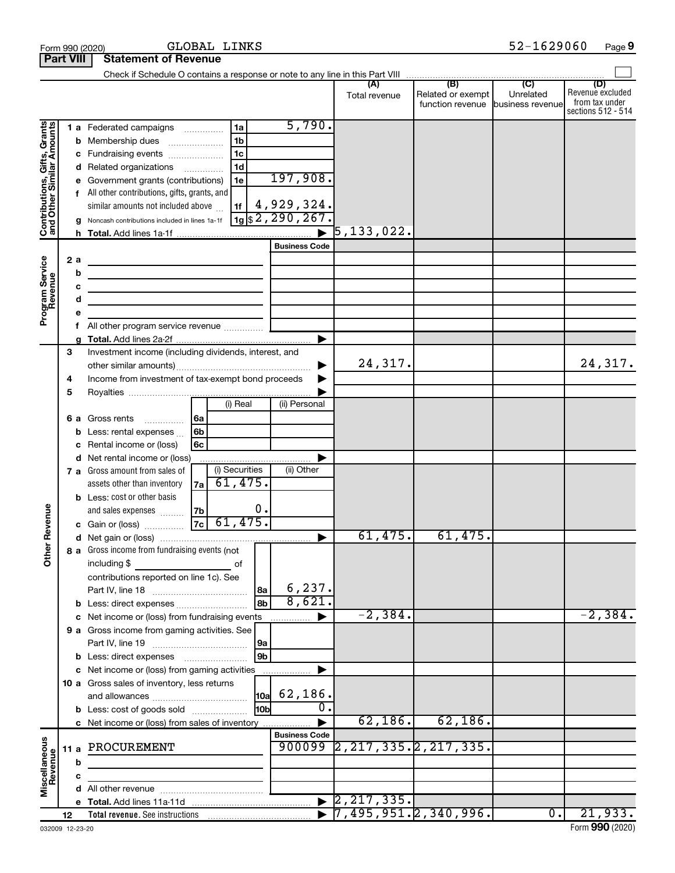|                                                           |                  | GLOBAL LINKS<br>Form 990 (2020)                                                                                            |                              |                      |                                                               | 52-1629060                  | Page 9                                                          |
|-----------------------------------------------------------|------------------|----------------------------------------------------------------------------------------------------------------------------|------------------------------|----------------------|---------------------------------------------------------------|-----------------------------|-----------------------------------------------------------------|
|                                                           | <b>Part VIII</b> | <b>Statement of Revenue</b>                                                                                                |                              |                      |                                                               |                             |                                                                 |
|                                                           |                  |                                                                                                                            |                              |                      |                                                               |                             |                                                                 |
|                                                           |                  |                                                                                                                            |                              | (A)<br>Total revenue | (B)<br>Related or exempt<br>function revenue business revenue | $\overline{C}$<br>Unrelated | (D)<br>Revenue excluded<br>from tax under<br>sections 512 - 514 |
|                                                           |                  | 1a <br>1 a Federated campaigns                                                                                             | 5,790.                       |                      |                                                               |                             |                                                                 |
|                                                           |                  | 1 <sub>b</sub><br><b>b</b> Membership dues<br>$\ldots \ldots \ldots \ldots \ldots$                                         |                              |                      |                                                               |                             |                                                                 |
|                                                           |                  | 1 <sub>c</sub><br>c Fundraising events                                                                                     |                              |                      |                                                               |                             |                                                                 |
|                                                           |                  | 1 <sub>d</sub><br>Related organizations<br>d                                                                               |                              |                      |                                                               |                             |                                                                 |
|                                                           |                  | 1e<br>Government grants (contributions)<br>е                                                                               | 197,908.                     |                      |                                                               |                             |                                                                 |
|                                                           |                  | All other contributions, gifts, grants, and                                                                                |                              |                      |                                                               |                             |                                                                 |
| Contributions, Gifts, Grants<br>and Other Similar Amounts |                  | similar amounts not included above<br>1f                                                                                   | 4,929,324.                   |                      |                                                               |                             |                                                                 |
|                                                           |                  | $\frac{1}{19}$ \$ 2, 290, 267.<br>Noncash contributions included in lines 1a-1f                                            |                              |                      |                                                               |                             |                                                                 |
|                                                           |                  |                                                                                                                            |                              | 5,133,022.           |                                                               |                             |                                                                 |
|                                                           |                  |                                                                                                                            | <b>Business Code</b>         |                      |                                                               |                             |                                                                 |
| Program Service<br>Revenue                                | 2 a              | <u> 1989 - Johann Barn, mars eta bat erroman erroman erroman erroman erroman erroman erroman erroman erroman err</u>       |                              |                      |                                                               |                             |                                                                 |
|                                                           |                  | b<br><u> 1989 - Johann Barbara, martin da basar da basar da basar da basar da basar da basar da basar da basar da basa</u> |                              |                      |                                                               |                             |                                                                 |
|                                                           |                  | c<br>the control of the control of the control of the control of the control of                                            |                              |                      |                                                               |                             |                                                                 |
|                                                           |                  | d<br><u> 1989 - Johann Barbara, martin amerikan basar da</u>                                                               |                              |                      |                                                               |                             |                                                                 |
|                                                           |                  | e                                                                                                                          |                              |                      |                                                               |                             |                                                                 |
|                                                           |                  | All other program service revenue<br>f                                                                                     |                              |                      |                                                               |                             |                                                                 |
|                                                           | 3                | Investment income (including dividends, interest, and                                                                      |                              |                      |                                                               |                             |                                                                 |
|                                                           |                  |                                                                                                                            |                              | 24,317.              |                                                               |                             | 24,317.                                                         |
|                                                           | 4                | Income from investment of tax-exempt bond proceeds                                                                         |                              |                      |                                                               |                             |                                                                 |
|                                                           | 5                |                                                                                                                            |                              |                      |                                                               |                             |                                                                 |
|                                                           |                  | (i) Real                                                                                                                   | (ii) Personal                |                      |                                                               |                             |                                                                 |
|                                                           |                  | 6a<br><b>6 a</b> Gross rents<br>.                                                                                          |                              |                      |                                                               |                             |                                                                 |
|                                                           |                  | 6 <sub>b</sub><br>Less: rental expenses<br>b                                                                               |                              |                      |                                                               |                             |                                                                 |
|                                                           |                  | 6c<br>Rental income or (loss)<br>c                                                                                         |                              |                      |                                                               |                             |                                                                 |
|                                                           |                  | d Net rental income or (loss)                                                                                              |                              |                      |                                                               |                             |                                                                 |
|                                                           |                  | (i) Securities<br>7 a Gross amount from sales of                                                                           | (ii) Other                   |                      |                                                               |                             |                                                                 |
|                                                           |                  | 61,475.<br>assets other than inventory<br>7a                                                                               |                              |                      |                                                               |                             |                                                                 |
|                                                           |                  | <b>b</b> Less: cost or other basis                                                                                         |                              |                      |                                                               |                             |                                                                 |
| evenue                                                    |                  | 0.<br>and sales expenses<br>7b                                                                                             |                              |                      |                                                               |                             |                                                                 |
|                                                           |                  | 61,475.<br>7c<br>c Gain or (loss)                                                                                          |                              |                      |                                                               |                             |                                                                 |
|                                                           |                  |                                                                                                                            |                              | 61,475.              | 61,475.                                                       |                             |                                                                 |
| Other F                                                   |                  | 8 a Gross income from fundraising events (not                                                                              |                              |                      |                                                               |                             |                                                                 |
|                                                           |                  | including \$<br>of                                                                                                         |                              |                      |                                                               |                             |                                                                 |
|                                                           |                  | contributions reported on line 1c). See                                                                                    | 6, 237.                      |                      |                                                               |                             |                                                                 |
|                                                           |                  | 8a<br>8 <sub>b</sub>                                                                                                       | 8,621.                       |                      |                                                               |                             |                                                                 |
|                                                           |                  | <b>b</b> Less: direct expenses                                                                                             |                              | $-2,384.$            |                                                               |                             | $-2,384.$                                                       |
|                                                           |                  | 9 a Gross income from gaming activities. See                                                                               |                              |                      |                                                               |                             |                                                                 |
|                                                           |                  | 9a                                                                                                                         |                              |                      |                                                               |                             |                                                                 |
|                                                           |                  | 9b                                                                                                                         |                              |                      |                                                               |                             |                                                                 |
|                                                           |                  |                                                                                                                            |                              |                      |                                                               |                             |                                                                 |
|                                                           |                  | 10 a Gross sales of inventory, less returns                                                                                |                              |                      |                                                               |                             |                                                                 |
|                                                           |                  |                                                                                                                            | $\vert$ 10a $\vert$ 62, 186. |                      |                                                               |                             |                                                                 |
|                                                           |                  | 10b<br><b>b</b> Less: cost of goods sold                                                                                   | $\overline{0}$ .             |                      |                                                               |                             |                                                                 |
|                                                           |                  | c Net income or (loss) from sales of inventory                                                                             |                              | 62,186.              | 62,186.                                                       |                             |                                                                 |
|                                                           |                  |                                                                                                                            | <b>Business Code</b>         |                      |                                                               |                             |                                                                 |
|                                                           |                  | 11 a PROCUREMENT                                                                                                           | 900099                       |                      | [2, 217, 335.2, 217, 335.                                     |                             |                                                                 |
|                                                           |                  | b                                                                                                                          |                              |                      |                                                               |                             |                                                                 |
| Miscellaneous<br>Revenue                                  |                  | c                                                                                                                          |                              |                      |                                                               |                             |                                                                 |
|                                                           |                  |                                                                                                                            |                              |                      |                                                               |                             |                                                                 |
|                                                           |                  |                                                                                                                            |                              |                      |                                                               |                             |                                                                 |
|                                                           | 12               |                                                                                                                            |                              |                      |                                                               | $\bullet$                   | 21,933.                                                         |

GLOBAL LINKS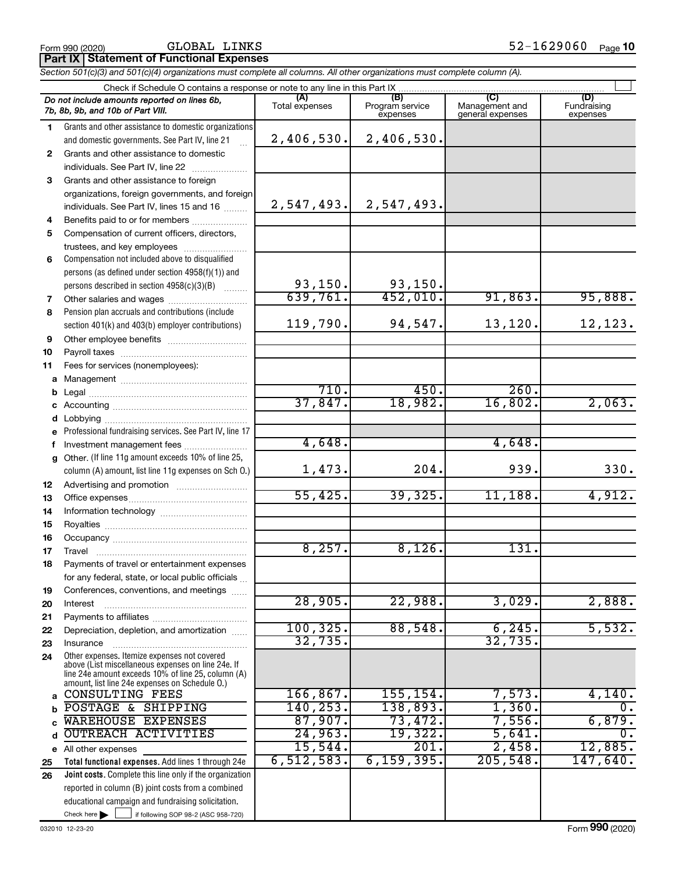## GLOBAL LINKS

**Part IX Statement of Functional Expenses**

*Section 501(c)(3) and 501(c)(4) organizations must complete all columns. All other organizations must complete column (A).*

|              | Do not include amounts reported on lines 6b,<br>7b, 8b, 9b, and 10b of Part VIII.                    | (A)<br>Total expenses | (B)<br>Program service<br>expenses | (C)<br>Management and<br>general expenses | (D)<br>Fundraising<br>expenses |
|--------------|------------------------------------------------------------------------------------------------------|-----------------------|------------------------------------|-------------------------------------------|--------------------------------|
| 1            | Grants and other assistance to domestic organizations                                                |                       |                                    |                                           |                                |
|              | and domestic governments. See Part IV, line 21                                                       | 2,406,530.            | 2,406,530.                         |                                           |                                |
| $\mathbf{2}$ | Grants and other assistance to domestic                                                              |                       |                                    |                                           |                                |
|              | individuals. See Part IV, line 22                                                                    |                       |                                    |                                           |                                |
| 3            | Grants and other assistance to foreign                                                               |                       |                                    |                                           |                                |
|              | organizations, foreign governments, and foreign                                                      |                       |                                    |                                           |                                |
|              | individuals. See Part IV, lines 15 and 16                                                            | 2,547,493.            | 2,547,493.                         |                                           |                                |
| 4            | Benefits paid to or for members                                                                      |                       |                                    |                                           |                                |
| 5            | Compensation of current officers, directors,                                                         |                       |                                    |                                           |                                |
|              | trustees, and key employees                                                                          |                       |                                    |                                           |                                |
| 6            | Compensation not included above to disqualified                                                      |                       |                                    |                                           |                                |
|              | persons (as defined under section 4958(f)(1)) and                                                    |                       |                                    |                                           |                                |
|              | persons described in section 4958(c)(3)(B)                                                           | 93, 150.              | 93,150.                            |                                           |                                |
| 7            | Other salaries and wages                                                                             | 639,761.              | 452,010.                           | 91,863.                                   | 95,888.                        |
| 8            | Pension plan accruals and contributions (include                                                     |                       |                                    |                                           |                                |
|              | section 401(k) and 403(b) employer contributions)                                                    | 119,790.              | 94,547.                            | 13, 120.                                  | 12,123.                        |
| 9            | Other employee benefits                                                                              |                       |                                    |                                           |                                |
| 10           |                                                                                                      |                       |                                    |                                           |                                |
| 11           | Fees for services (nonemployees):                                                                    |                       |                                    |                                           |                                |
| а            |                                                                                                      |                       |                                    |                                           |                                |
| b            |                                                                                                      | 710.                  | 450.                               | 260.                                      |                                |
| с            |                                                                                                      | 37,847.               | 18,982.                            | 16,802.                                   | 2,063.                         |
| d            |                                                                                                      |                       |                                    |                                           |                                |
| е            | Professional fundraising services. See Part IV, line 17                                              |                       |                                    |                                           |                                |
| f            | Investment management fees                                                                           | 4,648.                |                                    | 4,648.                                    |                                |
| g            | Other. (If line 11g amount exceeds 10% of line 25,                                                   |                       |                                    |                                           |                                |
|              | column (A) amount, list line 11g expenses on Sch O.)                                                 | 1,473.                | 204.                               | 939.                                      | 330.                           |
| 12           |                                                                                                      |                       |                                    |                                           |                                |
| 13           |                                                                                                      | 55,425.               | 39,325.                            | 11,188.                                   | 4,912.                         |
| 14           |                                                                                                      |                       |                                    |                                           |                                |
| 15           |                                                                                                      |                       |                                    |                                           |                                |
| 16           |                                                                                                      | 8, 257.               | 8,126.                             | 131.                                      |                                |
| 17           | Travel                                                                                               |                       |                                    |                                           |                                |
| 18           | Payments of travel or entertainment expenses                                                         |                       |                                    |                                           |                                |
|              | for any federal, state, or local public officials                                                    |                       |                                    |                                           |                                |
| 19<br>20     | Conferences, conventions, and meetings<br>Interest                                                   | 28,905.               | 22,988.                            | 3,029.                                    | 2,888.                         |
| 21           |                                                                                                      |                       |                                    |                                           |                                |
| 22           | Depreciation, depletion, and amortization                                                            | 100, 325.             | 88,548.                            | 6, 245.                                   | 5,532.                         |
| 23           | Insurance                                                                                            | 32,735.               |                                    | 32,735.                                   |                                |
| 24           | Other expenses. Itemize expenses not covered                                                         |                       |                                    |                                           |                                |
|              | above (List miscellaneous expenses on line 24e. If                                                   |                       |                                    |                                           |                                |
|              | line 24e amount exceeds 10% of line 25, column (A)<br>amount, list line 24e expenses on Schedule O.) |                       |                                    |                                           |                                |
| a            | <b>CONSULTING FEES</b>                                                                               | 166, 867.             | 155, 154.                          | 7,573.                                    | 4,140.                         |
| b            | POSTAGE & SHIPPING                                                                                   | 140, 253.             | 138,893.                           | 1,360.                                    | $\overline{0}$ .               |
|              | WAREHOUSE EXPENSES                                                                                   | 87,907.               | 73,472.                            | 7,556.                                    | 6,879.                         |
| d            | OUTREACH ACTIVITIES                                                                                  | 24,963.               | 19,322.                            | 5,641.                                    | 0.                             |
|              | e All other expenses                                                                                 | 15,544.               | 201.                               | 2,458.                                    | 12,885.                        |
| 25           | Total functional expenses. Add lines 1 through 24e                                                   | 6, 512, 583.          | 6, 159, 395.                       | 205,548.                                  | $147,640$ .                    |
| 26           | Joint costs. Complete this line only if the organization                                             |                       |                                    |                                           |                                |
|              | reported in column (B) joint costs from a combined                                                   |                       |                                    |                                           |                                |
|              | educational campaign and fundraising solicitation.                                                   |                       |                                    |                                           |                                |
|              | Check here $\blacktriangleright$<br>if following SOP 98-2 (ASC 958-720)                              |                       |                                    |                                           |                                |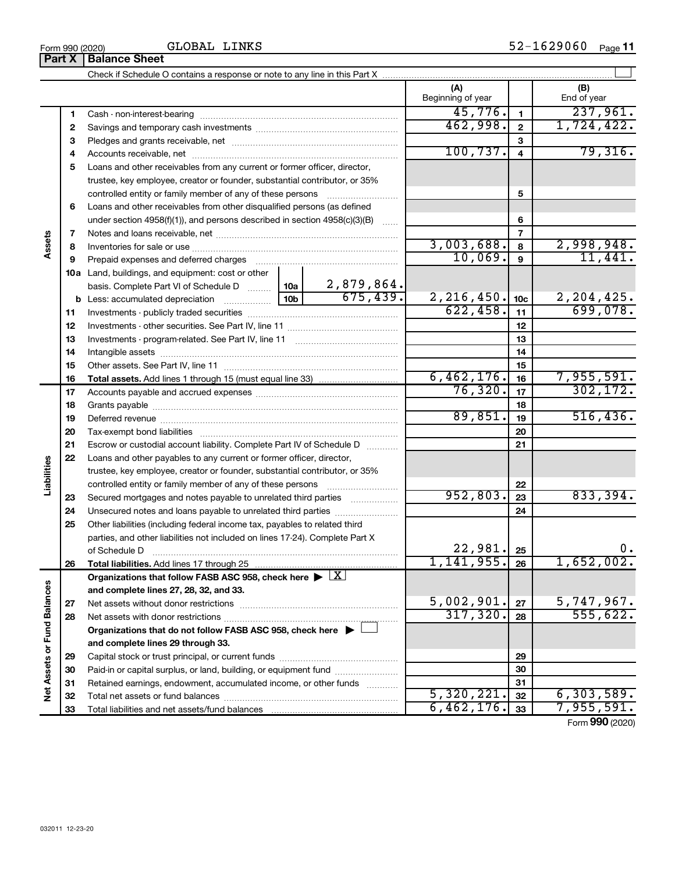| $52 - 1629060$ Page 11 |
|------------------------|
|------------------------|

Form 990 (2020) Page GLOBAL LINKS 52-1629060 **Part X Balance Sheet** 

|                             |              |                                                                                                                                          | (A)<br>Beginning of year |                         | (B)<br>End of year |
|-----------------------------|--------------|------------------------------------------------------------------------------------------------------------------------------------------|--------------------------|-------------------------|--------------------|
|                             | 1            | Cash - non-interest-bearing                                                                                                              | 45,776.                  | $\mathbf{1}$            | 237,961.           |
|                             | $\mathbf{2}$ |                                                                                                                                          | 462,998.                 | $\mathbf{2}$            | 1,724,422.         |
|                             | З            |                                                                                                                                          |                          | 3                       |                    |
|                             | 4            |                                                                                                                                          | 100, 737.                | $\overline{\mathbf{4}}$ | 79,316.            |
|                             | 5            | Loans and other receivables from any current or former officer, director,                                                                |                          |                         |                    |
|                             |              | trustee, key employee, creator or founder, substantial contributor, or 35%                                                               |                          |                         |                    |
|                             |              |                                                                                                                                          |                          | 5                       |                    |
|                             | 6            | Loans and other receivables from other disqualified persons (as defined                                                                  |                          |                         |                    |
|                             |              | under section 4958(f)(1)), and persons described in section 4958(c)(3)(B)<br>$\ldots$                                                    |                          | 6                       |                    |
|                             | 7            |                                                                                                                                          |                          | $\overline{7}$          |                    |
| Assets                      | 8            |                                                                                                                                          | 3,003,688.               | 8                       | 2,998,948.         |
|                             | 9            | Prepaid expenses and deferred charges                                                                                                    | 10,069.                  | $\boldsymbol{9}$        | 11,441.            |
|                             |              | 10a Land, buildings, and equipment: cost or other                                                                                        |                          |                         |                    |
|                             |              | 2,879,864.<br>basis. Complete Part VI of Schedule D  10a                                                                                 |                          |                         |                    |
|                             |              | 675,439.<br>10 <sub>b</sub>                                                                                                              | 2,216,450.               | 10 <sub>c</sub>         | 2,204,425.         |
|                             | 11           |                                                                                                                                          | 622, 458.                | 11                      | 699,078.           |
|                             | 12           |                                                                                                                                          |                          | 12                      |                    |
|                             | 13           |                                                                                                                                          |                          | 13                      |                    |
|                             | 14           |                                                                                                                                          |                          | 14                      |                    |
|                             | 15           |                                                                                                                                          |                          | 15                      |                    |
|                             | 16           |                                                                                                                                          | 6,462,176.               | 16                      | 7,955,591.         |
|                             | 17           |                                                                                                                                          | 76, 320.                 | 17                      | 302, 172.          |
|                             | 18           |                                                                                                                                          | 89,851.                  | 18                      | 516,436.           |
|                             | 19           |                                                                                                                                          |                          | 19                      |                    |
|                             | 20<br>21     |                                                                                                                                          |                          | 20<br>21                |                    |
|                             | 22           | Escrow or custodial account liability. Complete Part IV of Schedule D                                                                    |                          |                         |                    |
| Liabilities                 |              | Loans and other payables to any current or former officer, director,                                                                     |                          |                         |                    |
|                             |              | trustee, key employee, creator or founder, substantial contributor, or 35%<br>controlled entity or family member of any of these persons |                          | 22                      |                    |
|                             | 23           | Secured mortgages and notes payable to unrelated third parties                                                                           | 952,803.                 | 23                      | 833,394.           |
|                             | 24           | Unsecured notes and loans payable to unrelated third parties                                                                             |                          | 24                      |                    |
|                             | 25           | Other liabilities (including federal income tax, payables to related third                                                               |                          |                         |                    |
|                             |              | parties, and other liabilities not included on lines 17-24). Complete Part X                                                             |                          |                         |                    |
|                             |              | of Schedule D                                                                                                                            | 22,981.                  | 25                      | 0.                 |
|                             | 26           | Total liabilities. Add lines 17 through 25                                                                                               | 1,141,955.               | 26                      | 1,652,002.         |
|                             |              | Organizations that follow FASB ASC 958, check here $\blacktriangleright \lfloor \underline{X} \rfloor$                                   |                          |                         |                    |
|                             |              | and complete lines 27, 28, 32, and 33.                                                                                                   |                          |                         |                    |
|                             | 27           | Net assets without donor restrictions                                                                                                    | 5,002,901.               | 27                      | 5,747,967.         |
|                             | 28           |                                                                                                                                          | 317,320.                 | 28                      | 555,622.           |
|                             |              | Organizations that do not follow FASB ASC 958, check here ▶ □                                                                            |                          |                         |                    |
|                             |              | and complete lines 29 through 33.                                                                                                        |                          |                         |                    |
|                             | 29           |                                                                                                                                          |                          | 29                      |                    |
|                             | 30           | Paid-in or capital surplus, or land, building, or equipment fund                                                                         |                          | 30                      |                    |
| Net Assets or Fund Balances | 31           | Retained earnings, endowment, accumulated income, or other funds                                                                         |                          | 31                      |                    |
|                             | 32           |                                                                                                                                          | 5,320,221.               | 32                      | 6,303,589.         |
|                             | 33           |                                                                                                                                          | 6,462,176.               | 33                      | 7,955,591.         |
|                             |              |                                                                                                                                          |                          |                         | $Form$ 990 (2020)  |

 $\Box$ 

Form (2020) **990**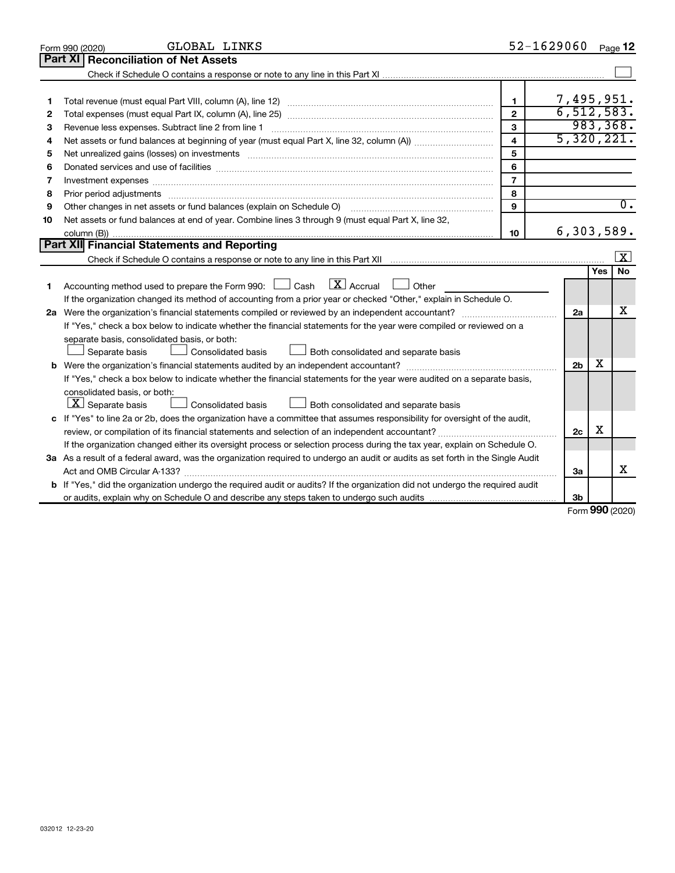|    | GLOBAL LINKS<br>Form 990 (2020)                                                                                                 | 52-1629060              |                |            | Page 12                 |
|----|---------------------------------------------------------------------------------------------------------------------------------|-------------------------|----------------|------------|-------------------------|
|    | Part XI<br><b>Reconciliation of Net Assets</b>                                                                                  |                         |                |            |                         |
|    |                                                                                                                                 |                         |                |            |                         |
|    |                                                                                                                                 |                         |                |            |                         |
| 1  |                                                                                                                                 | $\blacksquare$          | 7,495,951.     |            |                         |
| 2  |                                                                                                                                 | $\mathbf{2}$            | 6, 512, 583.   |            |                         |
| З  | Revenue less expenses. Subtract line 2 from line 1                                                                              | 3                       | 983, 368.      |            |                         |
| 4  |                                                                                                                                 | $\overline{\mathbf{4}}$ | 5,320,221.     |            |                         |
| 5  |                                                                                                                                 | 5                       |                |            |                         |
| 6  |                                                                                                                                 | 6                       |                |            |                         |
| 7  |                                                                                                                                 | $\overline{7}$          |                |            |                         |
| 8  | Prior period adjustments www.communication.communication.communication.com/                                                     | 8                       |                |            |                         |
| 9  | Other changes in net assets or fund balances (explain on Schedule O)                                                            | 9                       |                |            | $\mathbf{0}$ .          |
| 10 | Net assets or fund balances at end of year. Combine lines 3 through 9 (must equal Part X, line 32,                              |                         |                |            |                         |
|    |                                                                                                                                 | 10                      | 6,303,589.     |            |                         |
|    | <b>Part XII</b> Financial Statements and Reporting                                                                              |                         |                |            |                         |
|    |                                                                                                                                 |                         |                |            | $\overline{\mathbf{x}}$ |
|    |                                                                                                                                 |                         |                | <b>Yes</b> | <b>No</b>               |
| 1  | Accounting method used to prepare the Form 990: $\Box$ Cash $\Box X$ Accrual<br><b>Other</b>                                    |                         |                |            |                         |
|    | If the organization changed its method of accounting from a prior year or checked "Other," explain in Schedule O.               |                         |                |            |                         |
|    |                                                                                                                                 |                         | 2a             |            | х                       |
|    | If "Yes," check a box below to indicate whether the financial statements for the year were compiled or reviewed on a            |                         |                |            |                         |
|    | separate basis, consolidated basis, or both:                                                                                    |                         |                |            |                         |
|    | Separate basis<br>Both consolidated and separate basis<br>Consolidated basis                                                    |                         |                |            |                         |
|    |                                                                                                                                 |                         | 2 <sub>b</sub> | х          |                         |
|    | If "Yes," check a box below to indicate whether the financial statements for the year were audited on a separate basis,         |                         |                |            |                         |
|    | consolidated basis, or both:                                                                                                    |                         |                |            |                         |
|    | $ \mathbf{X} $ Separate basis<br><b>Consolidated basis</b><br>Both consolidated and separate basis                              |                         |                |            |                         |
|    | c If "Yes" to line 2a or 2b, does the organization have a committee that assumes responsibility for oversight of the audit,     |                         |                |            |                         |
|    |                                                                                                                                 |                         | 2c             | х          |                         |
|    | If the organization changed either its oversight process or selection process during the tax year, explain on Schedule O.       |                         |                |            |                         |
|    | 3a As a result of a federal award, was the organization required to undergo an audit or audits as set forth in the Single Audit |                         |                |            |                         |
|    |                                                                                                                                 |                         | За             |            | x                       |
|    | b If "Yes," did the organization undergo the required audit or audits? If the organization did not undergo the required audit   |                         |                |            |                         |
|    |                                                                                                                                 |                         | 3b             |            |                         |

Form (2020) **990**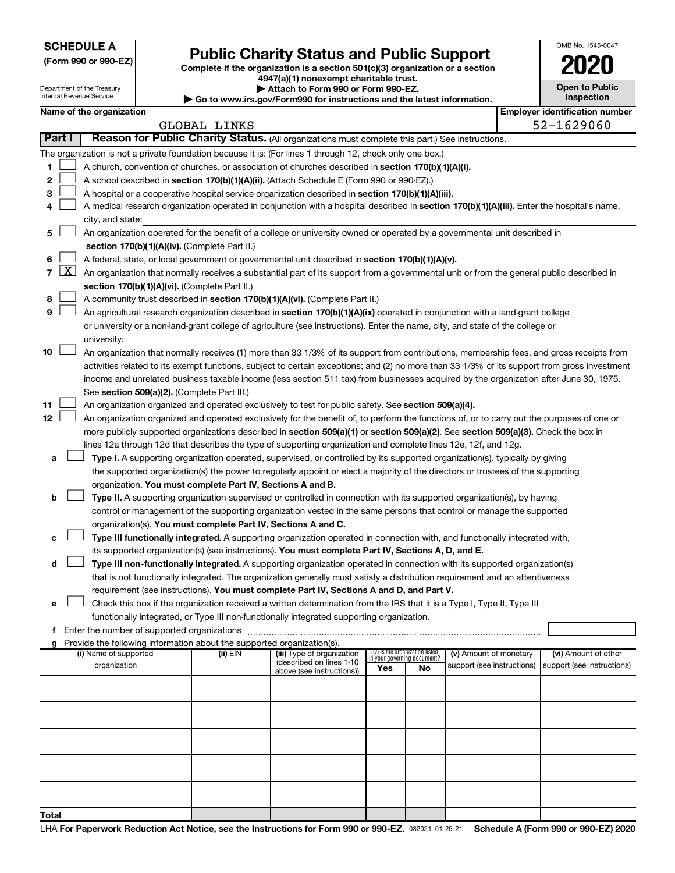|--|

Department of the Treasury Internal Revenue Service

| (Form 990 or 990-EZ) |  |  |  |  |
|----------------------|--|--|--|--|
|----------------------|--|--|--|--|

# Form 990 or 990-EZ) **Public Charity Status and Public Support**<br>
Complete if the organization is a section 501(c)(3) organization or a section<br> **2020**

**4947(a)(1) nonexempt charitable trust. | Attach to Form 990 or Form 990-EZ.** 

**| Go to www.irs.gov/Form990 for instructions and the latest information.**

| OMB No. 1545-0047                   |
|-------------------------------------|
| 2020                                |
| <b>Open to Public</b><br>Inspection |
| identification num                  |

|                 |                                                                                                                                   | Name of the organization                                                                                                                      |              |                            |                                    |                                 |                            |  | <b>Employer identification number</b> |
|-----------------|-----------------------------------------------------------------------------------------------------------------------------------|-----------------------------------------------------------------------------------------------------------------------------------------------|--------------|----------------------------|------------------------------------|---------------------------------|----------------------------|--|---------------------------------------|
|                 | <b>GLOBAL LINKS</b><br>Part I<br>Reason for Public Charity Status. (All organizations must complete this part.) See instructions. |                                                                                                                                               |              |                            |                                    |                                 |                            |  | 52-1629060                            |
|                 |                                                                                                                                   |                                                                                                                                               |              |                            |                                    |                                 |                            |  |                                       |
|                 |                                                                                                                                   | The organization is not a private foundation because it is: (For lines 1 through 12, check only one box.)                                     |              |                            |                                    |                                 |                            |  |                                       |
| 1               |                                                                                                                                   | A church, convention of churches, or association of churches described in section 170(b)(1)(A)(i).                                            |              |                            |                                    |                                 |                            |  |                                       |
| 2               |                                                                                                                                   | A school described in section 170(b)(1)(A)(ii). (Attach Schedule E (Form 990 or 990-EZ).)                                                     |              |                            |                                    |                                 |                            |  |                                       |
| 3               |                                                                                                                                   | A hospital or a cooperative hospital service organization described in section 170(b)(1)(A)(iii).                                             |              |                            |                                    |                                 |                            |  |                                       |
| 4               |                                                                                                                                   | A medical research organization operated in conjunction with a hospital described in section 170(b)(1)(A)(iii). Enter the hospital's name,    |              |                            |                                    |                                 |                            |  |                                       |
|                 |                                                                                                                                   | city, and state:                                                                                                                              |              |                            |                                    |                                 |                            |  |                                       |
| 5               |                                                                                                                                   | An organization operated for the benefit of a college or university owned or operated by a governmental unit described in                     |              |                            |                                    |                                 |                            |  |                                       |
|                 |                                                                                                                                   | section 170(b)(1)(A)(iv). (Complete Part II.)                                                                                                 |              |                            |                                    |                                 |                            |  |                                       |
| 6               |                                                                                                                                   | A federal, state, or local government or governmental unit described in section 170(b)(1)(A)(v).                                              |              |                            |                                    |                                 |                            |  |                                       |
| $\overline{7}$  |                                                                                                                                   | $X$ An organization that normally receives a substantial part of its support from a governmental unit or from the general public described in |              |                            |                                    |                                 |                            |  |                                       |
|                 |                                                                                                                                   | section 170(b)(1)(A)(vi). (Complete Part II.)                                                                                                 |              |                            |                                    |                                 |                            |  |                                       |
| 8               |                                                                                                                                   | A community trust described in section 170(b)(1)(A)(vi). (Complete Part II.)                                                                  |              |                            |                                    |                                 |                            |  |                                       |
| 9               |                                                                                                                                   | An agricultural research organization described in section 170(b)(1)(A)(ix) operated in conjunction with a land-grant college                 |              |                            |                                    |                                 |                            |  |                                       |
|                 |                                                                                                                                   | or university or a non-land-grant college of agriculture (see instructions). Enter the name, city, and state of the college or                |              |                            |                                    |                                 |                            |  |                                       |
|                 |                                                                                                                                   | university:                                                                                                                                   |              |                            |                                    |                                 |                            |  |                                       |
| 10              |                                                                                                                                   | An organization that normally receives (1) more than 33 1/3% of its support from contributions, membership fees, and gross receipts from      |              |                            |                                    |                                 |                            |  |                                       |
|                 |                                                                                                                                   | activities related to its exempt functions, subject to certain exceptions; and (2) no more than 33 1/3% of its support from gross investment  |              |                            |                                    |                                 |                            |  |                                       |
|                 |                                                                                                                                   | income and unrelated business taxable income (less section 511 tax) from businesses acquired by the organization after June 30, 1975.         |              |                            |                                    |                                 |                            |  |                                       |
|                 |                                                                                                                                   | See section 509(a)(2). (Complete Part III.)                                                                                                   |              |                            |                                    |                                 |                            |  |                                       |
| 11              |                                                                                                                                   | An organization organized and operated exclusively to test for public safety. See section 509(a)(4).                                          |              |                            |                                    |                                 |                            |  |                                       |
| 12 <sub>2</sub> |                                                                                                                                   | An organization organized and operated exclusively for the benefit of, to perform the functions of, or to carry out the purposes of one or    |              |                            |                                    |                                 |                            |  |                                       |
|                 |                                                                                                                                   | more publicly supported organizations described in section 509(a)(1) or section 509(a)(2). See section 509(a)(3). Check the box in            |              |                            |                                    |                                 |                            |  |                                       |
|                 |                                                                                                                                   | lines 12a through 12d that describes the type of supporting organization and complete lines 12e, 12f, and 12g.                                |              |                            |                                    |                                 |                            |  |                                       |
| a               |                                                                                                                                   | Type I. A supporting organization operated, supervised, or controlled by its supported organization(s), typically by giving                   |              |                            |                                    |                                 |                            |  |                                       |
|                 |                                                                                                                                   | the supported organization(s) the power to regularly appoint or elect a majority of the directors or trustees of the supporting               |              |                            |                                    |                                 |                            |  |                                       |
|                 |                                                                                                                                   | organization. You must complete Part IV, Sections A and B.                                                                                    |              |                            |                                    |                                 |                            |  |                                       |
| b               |                                                                                                                                   | Type II. A supporting organization supervised or controlled in connection with its supported organization(s), by having                       |              |                            |                                    |                                 |                            |  |                                       |
|                 |                                                                                                                                   | control or management of the supporting organization vested in the same persons that control or manage the supported                          |              |                            |                                    |                                 |                            |  |                                       |
|                 |                                                                                                                                   | organization(s). You must complete Part IV, Sections A and C.                                                                                 |              |                            |                                    |                                 |                            |  |                                       |
| с               |                                                                                                                                   | Type III functionally integrated. A supporting organization operated in connection with, and functionally integrated with,                    |              |                            |                                    |                                 |                            |  |                                       |
|                 |                                                                                                                                   | its supported organization(s) (see instructions). You must complete Part IV, Sections A, D, and E.                                            |              |                            |                                    |                                 |                            |  |                                       |
| d               | Type III non-functionally integrated. A supporting organization operated in connection with its supported organization(s)         |                                                                                                                                               |              |                            |                                    |                                 |                            |  |                                       |
|                 |                                                                                                                                   | that is not functionally integrated. The organization generally must satisfy a distribution requirement and an attentiveness                  |              |                            |                                    |                                 |                            |  |                                       |
|                 |                                                                                                                                   | requirement (see instructions). You must complete Part IV, Sections A and D, and Part V.                                                      |              |                            |                                    |                                 |                            |  |                                       |
|                 |                                                                                                                                   | Check this box if the organization received a written determination from the IRS that it is a Type I, Type II, Type III                       |              |                            |                                    |                                 |                            |  |                                       |
|                 |                                                                                                                                   | functionally integrated, or Type III non-functionally integrated supporting organization.                                                     |              |                            |                                    |                                 |                            |  |                                       |
|                 |                                                                                                                                   |                                                                                                                                               |              |                            |                                    |                                 |                            |  |                                       |
|                 |                                                                                                                                   | Provide the following information about the supported organization(s).<br>(i) Name of supported                                               | $(ii)$ $EIN$ | (iii) Type of organization |                                    | (iv) Is the organization listed | (v) Amount of monetary     |  | (vi) Amount of other                  |
|                 |                                                                                                                                   | organization                                                                                                                                  |              | (described on lines 1-10   | in your governing document?<br>Yes | No                              | support (see instructions) |  | support (see instructions)            |
|                 |                                                                                                                                   |                                                                                                                                               |              | above (see instructions))  |                                    |                                 |                            |  |                                       |
|                 |                                                                                                                                   |                                                                                                                                               |              |                            |                                    |                                 |                            |  |                                       |
|                 |                                                                                                                                   |                                                                                                                                               |              |                            |                                    |                                 |                            |  |                                       |
|                 |                                                                                                                                   |                                                                                                                                               |              |                            |                                    |                                 |                            |  |                                       |
|                 |                                                                                                                                   |                                                                                                                                               |              |                            |                                    |                                 |                            |  |                                       |
|                 |                                                                                                                                   |                                                                                                                                               |              |                            |                                    |                                 |                            |  |                                       |
|                 |                                                                                                                                   |                                                                                                                                               |              |                            |                                    |                                 |                            |  |                                       |
|                 |                                                                                                                                   |                                                                                                                                               |              |                            |                                    |                                 |                            |  |                                       |
|                 |                                                                                                                                   |                                                                                                                                               |              |                            |                                    |                                 |                            |  |                                       |
|                 |                                                                                                                                   |                                                                                                                                               |              |                            |                                    |                                 |                            |  |                                       |
| Total           |                                                                                                                                   |                                                                                                                                               |              |                            |                                    |                                 |                            |  |                                       |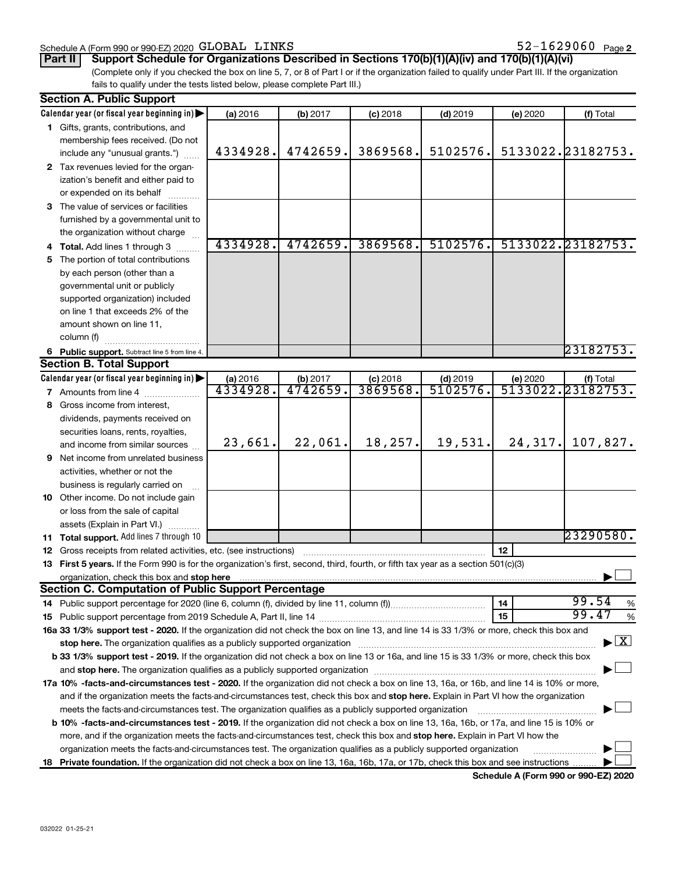#### Schedule A (Form 990 or 990-EZ) 2020  $GLOBAL$   $LINKS$   $52-1629060$   $Page$

**Part II Support Schedule for Organizations Described in Sections 170(b)(1)(A)(iv) and 170(b)(1)(A)(vi)**

(Complete only if you checked the box on line 5, 7, or 8 of Part I or if the organization failed to qualify under Part III. If the organization fails to qualify under the tests listed below, please complete Part III.)

| <b>Section A. Public Support</b>                                                                                                                                                                                                                                                                                                                                                                                 |          |          |            |            |          |                   |  |  |  |
|------------------------------------------------------------------------------------------------------------------------------------------------------------------------------------------------------------------------------------------------------------------------------------------------------------------------------------------------------------------------------------------------------------------|----------|----------|------------|------------|----------|-------------------|--|--|--|
| Calendar year (or fiscal year beginning in)                                                                                                                                                                                                                                                                                                                                                                      | (a) 2016 | (b) 2017 | $(c)$ 2018 | $(d)$ 2019 | (e) 2020 | (f) Total         |  |  |  |
| 1 Gifts, grants, contributions, and                                                                                                                                                                                                                                                                                                                                                                              |          |          |            |            |          |                   |  |  |  |
| membership fees received. (Do not                                                                                                                                                                                                                                                                                                                                                                                |          |          |            |            |          |                   |  |  |  |
| include any "unusual grants.")                                                                                                                                                                                                                                                                                                                                                                                   | 4334928. | 4742659. | 3869568.   | 5102576.   |          | 5133022.23182753. |  |  |  |
| 2 Tax revenues levied for the organ-                                                                                                                                                                                                                                                                                                                                                                             |          |          |            |            |          |                   |  |  |  |
| ization's benefit and either paid to                                                                                                                                                                                                                                                                                                                                                                             |          |          |            |            |          |                   |  |  |  |
| or expended on its behalf                                                                                                                                                                                                                                                                                                                                                                                        |          |          |            |            |          |                   |  |  |  |
| 3 The value of services or facilities                                                                                                                                                                                                                                                                                                                                                                            |          |          |            |            |          |                   |  |  |  |
| furnished by a governmental unit to                                                                                                                                                                                                                                                                                                                                                                              |          |          |            |            |          |                   |  |  |  |
| the organization without charge                                                                                                                                                                                                                                                                                                                                                                                  |          |          |            |            |          |                   |  |  |  |
| 4 Total. Add lines 1 through 3                                                                                                                                                                                                                                                                                                                                                                                   | 4334928. | 4742659. | 3869568.   | 5102576.   |          | 5133022.23182753. |  |  |  |
| 5 The portion of total contributions                                                                                                                                                                                                                                                                                                                                                                             |          |          |            |            |          |                   |  |  |  |
| by each person (other than a                                                                                                                                                                                                                                                                                                                                                                                     |          |          |            |            |          |                   |  |  |  |
| governmental unit or publicly                                                                                                                                                                                                                                                                                                                                                                                    |          |          |            |            |          |                   |  |  |  |
| supported organization) included                                                                                                                                                                                                                                                                                                                                                                                 |          |          |            |            |          |                   |  |  |  |
| on line 1 that exceeds 2% of the                                                                                                                                                                                                                                                                                                                                                                                 |          |          |            |            |          |                   |  |  |  |
| amount shown on line 11,                                                                                                                                                                                                                                                                                                                                                                                         |          |          |            |            |          |                   |  |  |  |
| column (f)                                                                                                                                                                                                                                                                                                                                                                                                       |          |          |            |            |          |                   |  |  |  |
| 6 Public support. Subtract line 5 from line 4.                                                                                                                                                                                                                                                                                                                                                                   |          |          |            |            |          | 23182753.         |  |  |  |
| <b>Section B. Total Support</b>                                                                                                                                                                                                                                                                                                                                                                                  |          |          |            |            |          |                   |  |  |  |
| Calendar year (or fiscal year beginning in)                                                                                                                                                                                                                                                                                                                                                                      | (a) 2016 | (b) 2017 | $(c)$ 2018 | $(d)$ 2019 | (e) 2020 | (f) Total         |  |  |  |
| 7 Amounts from line 4                                                                                                                                                                                                                                                                                                                                                                                            | 4334928. | 4742659. | 3869568.   | 5102576    |          | 5133022.23182753. |  |  |  |
| 8 Gross income from interest,                                                                                                                                                                                                                                                                                                                                                                                    |          |          |            |            |          |                   |  |  |  |
| dividends, payments received on                                                                                                                                                                                                                                                                                                                                                                                  |          |          |            |            |          |                   |  |  |  |
| securities loans, rents, royalties,                                                                                                                                                                                                                                                                                                                                                                              |          |          |            |            |          |                   |  |  |  |
| and income from similar sources                                                                                                                                                                                                                                                                                                                                                                                  | 23,661.  | 22,061.  | 18,257.    | 19,531.    | 24,317.  | 107,827.          |  |  |  |
| <b>9</b> Net income from unrelated business                                                                                                                                                                                                                                                                                                                                                                      |          |          |            |            |          |                   |  |  |  |
| activities, whether or not the                                                                                                                                                                                                                                                                                                                                                                                   |          |          |            |            |          |                   |  |  |  |
| business is regularly carried on                                                                                                                                                                                                                                                                                                                                                                                 |          |          |            |            |          |                   |  |  |  |
| 10 Other income. Do not include gain                                                                                                                                                                                                                                                                                                                                                                             |          |          |            |            |          |                   |  |  |  |
| or loss from the sale of capital                                                                                                                                                                                                                                                                                                                                                                                 |          |          |            |            |          |                   |  |  |  |
| assets (Explain in Part VI.)                                                                                                                                                                                                                                                                                                                                                                                     |          |          |            |            |          |                   |  |  |  |
| 11 Total support. Add lines 7 through 10                                                                                                                                                                                                                                                                                                                                                                         |          |          |            |            |          | 23290580.         |  |  |  |
| <b>12</b> Gross receipts from related activities, etc. (see instructions)                                                                                                                                                                                                                                                                                                                                        |          |          |            |            | 12       |                   |  |  |  |
| 13 First 5 years. If the Form 990 is for the organization's first, second, third, fourth, or fifth tax year as a section 501(c)(3)                                                                                                                                                                                                                                                                               |          |          |            |            |          |                   |  |  |  |
| organization, check this box and stop here [1, 1, 2008] The Construction of the state of the state of the state of the state of the state of the state of the state of the state of the state of the state of the state of the                                                                                                                                                                                   |          |          |            |            |          |                   |  |  |  |
| <b>Section C. Computation of Public Support Percentage</b>                                                                                                                                                                                                                                                                                                                                                       |          |          |            |            |          |                   |  |  |  |
|                                                                                                                                                                                                                                                                                                                                                                                                                  |          |          |            |            | 14       | 99.54<br>%        |  |  |  |
|                                                                                                                                                                                                                                                                                                                                                                                                                  |          |          |            |            | 15       | 99.47<br>%        |  |  |  |
|                                                                                                                                                                                                                                                                                                                                                                                                                  |          |          |            |            |          |                   |  |  |  |
| 16a 33 1/3% support test - 2020. If the organization did not check the box on line 13, and line 14 is 33 1/3% or more, check this box and<br>$\blacktriangleright$ $\mathbf{X}$<br>stop here. The organization qualifies as a publicly supported organization manufactured content and the organization manufactured and the state of the state of the state of the state of the state of the state of the state |          |          |            |            |          |                   |  |  |  |
| b 33 1/3% support test - 2019. If the organization did not check a box on line 13 or 16a, and line 15 is 33 1/3% or more, check this box                                                                                                                                                                                                                                                                         |          |          |            |            |          |                   |  |  |  |
|                                                                                                                                                                                                                                                                                                                                                                                                                  |          |          |            |            |          |                   |  |  |  |
|                                                                                                                                                                                                                                                                                                                                                                                                                  |          |          |            |            |          |                   |  |  |  |
| 17a 10% -facts-and-circumstances test - 2020. If the organization did not check a box on line 13, 16a, or 16b, and line 14 is 10% or more,<br>and if the organization meets the facts-and-circumstances test, check this box and stop here. Explain in Part VI how the organization                                                                                                                              |          |          |            |            |          |                   |  |  |  |
| meets the facts-and-circumstances test. The organization qualifies as a publicly supported organization                                                                                                                                                                                                                                                                                                          |          |          |            |            |          |                   |  |  |  |
| <b>b 10%</b> -facts-and-circumstances test - 2019. If the organization did not check a box on line 13, 16a, 16b, or 17a, and line 15 is 10% or                                                                                                                                                                                                                                                                   |          |          |            |            |          |                   |  |  |  |
|                                                                                                                                                                                                                                                                                                                                                                                                                  |          |          |            |            |          |                   |  |  |  |
| more, and if the organization meets the facts-and-circumstances test, check this box and stop here. Explain in Part VI how the                                                                                                                                                                                                                                                                                   |          |          |            |            |          |                   |  |  |  |
| organization meets the facts-and-circumstances test. The organization qualifies as a publicly supported organization                                                                                                                                                                                                                                                                                             |          |          |            |            |          |                   |  |  |  |
| 18 Private foundation. If the organization did not check a box on line 13, 16a, 16b, 17a, or 17b, check this box and see instructions                                                                                                                                                                                                                                                                            |          |          |            |            |          |                   |  |  |  |

**Schedule A (Form 990 or 990-EZ) 2020**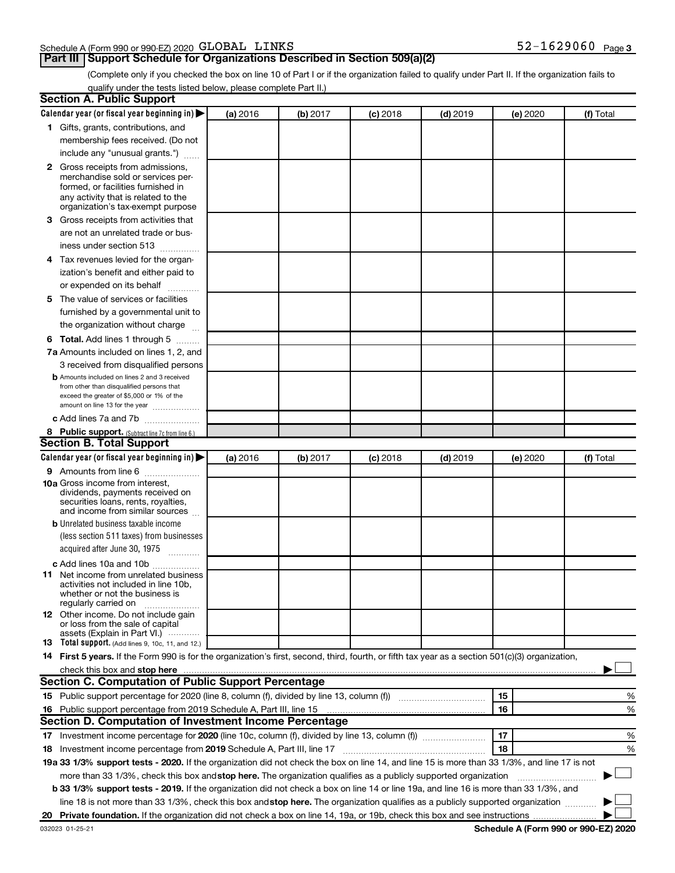#### Schedule A (Form 990 or 990-EZ) 2020  $GLOBAL$   $LINKS$   $52-1629060$   $Page$

## **Part III Support Schedule for Organizations Described in Section 509(a)(2)**

(Complete only if you checked the box on line 10 of Part I or if the organization failed to qualify under Part II. If the organization fails to qualify under the tests listed below, please complete Part II.)

| <b>Section A. Public Support</b>                                                                                                                 |          |          |            |            |          |           |
|--------------------------------------------------------------------------------------------------------------------------------------------------|----------|----------|------------|------------|----------|-----------|
| Calendar year (or fiscal year beginning in)                                                                                                      | (a) 2016 | (b) 2017 | $(c)$ 2018 | $(d)$ 2019 | (e) 2020 | (f) Total |
| 1 Gifts, grants, contributions, and                                                                                                              |          |          |            |            |          |           |
| membership fees received. (Do not                                                                                                                |          |          |            |            |          |           |
| include any "unusual grants.")                                                                                                                   |          |          |            |            |          |           |
| 2 Gross receipts from admissions,                                                                                                                |          |          |            |            |          |           |
| merchandise sold or services per-                                                                                                                |          |          |            |            |          |           |
| formed, or facilities furnished in                                                                                                               |          |          |            |            |          |           |
| any activity that is related to the<br>organization's tax-exempt purpose                                                                         |          |          |            |            |          |           |
| 3 Gross receipts from activities that                                                                                                            |          |          |            |            |          |           |
| are not an unrelated trade or bus-                                                                                                               |          |          |            |            |          |           |
| iness under section 513                                                                                                                          |          |          |            |            |          |           |
|                                                                                                                                                  |          |          |            |            |          |           |
| 4 Tax revenues levied for the organ-                                                                                                             |          |          |            |            |          |           |
| ization's benefit and either paid to                                                                                                             |          |          |            |            |          |           |
| or expended on its behalf                                                                                                                        |          |          |            |            |          |           |
| 5 The value of services or facilities                                                                                                            |          |          |            |            |          |           |
| furnished by a governmental unit to                                                                                                              |          |          |            |            |          |           |
| the organization without charge                                                                                                                  |          |          |            |            |          |           |
| <b>6 Total.</b> Add lines 1 through 5                                                                                                            |          |          |            |            |          |           |
| 7a Amounts included on lines 1, 2, and                                                                                                           |          |          |            |            |          |           |
| 3 received from disqualified persons                                                                                                             |          |          |            |            |          |           |
| <b>b</b> Amounts included on lines 2 and 3 received                                                                                              |          |          |            |            |          |           |
| from other than disqualified persons that<br>exceed the greater of \$5,000 or 1% of the                                                          |          |          |            |            |          |           |
| amount on line 13 for the year                                                                                                                   |          |          |            |            |          |           |
| c Add lines 7a and 7b                                                                                                                            |          |          |            |            |          |           |
| 8 Public support. (Subtract line 7c from line 6.)                                                                                                |          |          |            |            |          |           |
| <b>Section B. Total Support</b>                                                                                                                  |          |          |            |            |          |           |
| Calendar year (or fiscal year beginning in)                                                                                                      | (a) 2016 | (b) 2017 | (c) 2018   | $(d)$ 2019 | (e) 2020 | (f) Total |
| 9 Amounts from line 6                                                                                                                            |          |          |            |            |          |           |
| <b>10a</b> Gross income from interest,                                                                                                           |          |          |            |            |          |           |
| dividends, payments received on                                                                                                                  |          |          |            |            |          |           |
| securities loans, rents, royalties,<br>and income from similar sources                                                                           |          |          |            |            |          |           |
| <b>b</b> Unrelated business taxable income                                                                                                       |          |          |            |            |          |           |
| (less section 511 taxes) from businesses                                                                                                         |          |          |            |            |          |           |
| acquired after June 30, 1975<br>$\frac{1}{2}$                                                                                                    |          |          |            |            |          |           |
| c Add lines 10a and 10b                                                                                                                          |          |          |            |            |          |           |
| 11 Net income from unrelated business                                                                                                            |          |          |            |            |          |           |
| activities not included in line 10b.                                                                                                             |          |          |            |            |          |           |
| whether or not the business is                                                                                                                   |          |          |            |            |          |           |
| regularly carried on<br><b>12</b> Other income. Do not include gain                                                                              |          |          |            |            |          |           |
| or loss from the sale of capital                                                                                                                 |          |          |            |            |          |           |
| assets (Explain in Part VI.)                                                                                                                     |          |          |            |            |          |           |
| <b>13</b> Total support. (Add lines 9, 10c, 11, and 12.)                                                                                         |          |          |            |            |          |           |
| 14 First 5 years. If the Form 990 is for the organization's first, second, third, fourth, or fifth tax year as a section 501(c)(3) organization, |          |          |            |            |          |           |
| Section C. Computation of Public Support Percentage                                                                                              |          |          |            |            |          |           |
|                                                                                                                                                  |          |          |            |            |          |           |
|                                                                                                                                                  |          |          |            |            | 15       | %         |
| 16 Public support percentage from 2019 Schedule A, Part III, line 15                                                                             |          |          |            |            | 16       | %         |
| Section D. Computation of Investment Income Percentage                                                                                           |          |          |            |            |          |           |
| 17 Investment income percentage for 2020 (line 10c, column (f), divided by line 13, column (f) <i>manumention</i>                                |          |          |            |            | 17       | %         |
| 18 Investment income percentage from 2019 Schedule A, Part III, line 17                                                                          |          |          |            |            | 18       | %         |
| 19a 33 1/3% support tests - 2020. If the organization did not check the box on line 14, and line 15 is more than 33 1/3%, and line 17 is not     |          |          |            |            |          |           |
| more than 33 1/3%, check this box and stop here. The organization qualifies as a publicly supported organization                                 |          |          |            |            |          |           |
| b 33 1/3% support tests - 2019. If the organization did not check a box on line 14 or line 19a, and line 16 is more than 33 1/3%, and            |          |          |            |            |          |           |
| line 18 is not more than 33 1/3%, check this box and stop here. The organization qualifies as a publicly supported organization                  |          |          |            |            |          |           |
|                                                                                                                                                  |          |          |            |            |          |           |

**Schedule A (Form 990 or 990-EZ) 2020**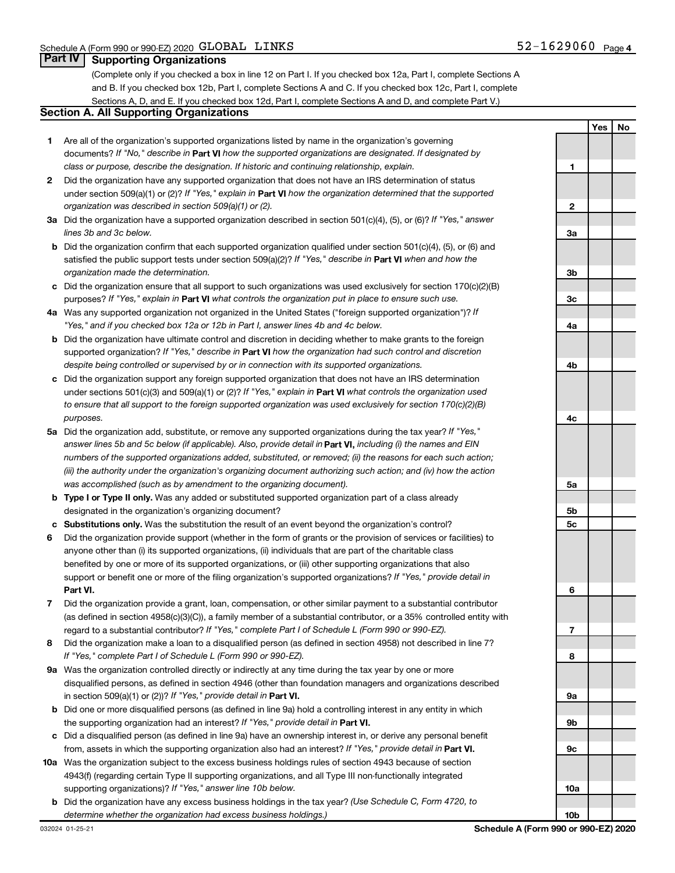## **Part IV Supporting Organizations**

(Complete only if you checked a box in line 12 on Part I. If you checked box 12a, Part I, complete Sections A and B. If you checked box 12b, Part I, complete Sections A and C. If you checked box 12c, Part I, complete Sections A, D, and E. If you checked box 12d, Part I, complete Sections A and D, and complete Part V.)

## **Section A. All Supporting Organizations**

- **1** Are all of the organization's supported organizations listed by name in the organization's governing documents? If "No," describe in Part VI how the supported organizations are designated. If designated by *class or purpose, describe the designation. If historic and continuing relationship, explain.*
- **2** Did the organization have any supported organization that does not have an IRS determination of status under section 509(a)(1) or (2)? If "Yes," explain in Part **VI** how the organization determined that the supported *organization was described in section 509(a)(1) or (2).*
- **3a** Did the organization have a supported organization described in section 501(c)(4), (5), or (6)? If "Yes," answer *lines 3b and 3c below.*
- **b** Did the organization confirm that each supported organization qualified under section 501(c)(4), (5), or (6) and satisfied the public support tests under section 509(a)(2)? If "Yes," describe in Part VI when and how the *organization made the determination.*
- **c** Did the organization ensure that all support to such organizations was used exclusively for section 170(c)(2)(B) purposes? If "Yes," explain in Part VI what controls the organization put in place to ensure such use.
- **4 a** *If* Was any supported organization not organized in the United States ("foreign supported organization")? *"Yes," and if you checked box 12a or 12b in Part I, answer lines 4b and 4c below.*
- **b** Did the organization have ultimate control and discretion in deciding whether to make grants to the foreign supported organization? If "Yes," describe in Part VI how the organization had such control and discretion *despite being controlled or supervised by or in connection with its supported organizations.*
- **c** Did the organization support any foreign supported organization that does not have an IRS determination under sections 501(c)(3) and 509(a)(1) or (2)? If "Yes," explain in Part VI what controls the organization used *to ensure that all support to the foreign supported organization was used exclusively for section 170(c)(2)(B) purposes.*
- **5a** Did the organization add, substitute, or remove any supported organizations during the tax year? If "Yes," answer lines 5b and 5c below (if applicable). Also, provide detail in **Part VI,** including (i) the names and EIN *numbers of the supported organizations added, substituted, or removed; (ii) the reasons for each such action; (iii) the authority under the organization's organizing document authorizing such action; and (iv) how the action was accomplished (such as by amendment to the organizing document).*
- **b** Type I or Type II only. Was any added or substituted supported organization part of a class already designated in the organization's organizing document?
- **c Substitutions only.**  Was the substitution the result of an event beyond the organization's control?
- **6** Did the organization provide support (whether in the form of grants or the provision of services or facilities) to **Part VI.** support or benefit one or more of the filing organization's supported organizations? If "Yes," provide detail in anyone other than (i) its supported organizations, (ii) individuals that are part of the charitable class benefited by one or more of its supported organizations, or (iii) other supporting organizations that also
- **7** Did the organization provide a grant, loan, compensation, or other similar payment to a substantial contributor regard to a substantial contributor? If "Yes," complete Part I of Schedule L (Form 990 or 990-EZ). (as defined in section 4958(c)(3)(C)), a family member of a substantial contributor, or a 35% controlled entity with
- **8** Did the organization make a loan to a disqualified person (as defined in section 4958) not described in line 7? *If "Yes," complete Part I of Schedule L (Form 990 or 990-EZ).*
- **9 a** Was the organization controlled directly or indirectly at any time during the tax year by one or more in section 509(a)(1) or (2))? If "Yes," provide detail in **Part VI.** disqualified persons, as defined in section 4946 (other than foundation managers and organizations described
- **b** Did one or more disqualified persons (as defined in line 9a) hold a controlling interest in any entity in which the supporting organization had an interest? If "Yes," provide detail in Part VI.
- **c** Did a disqualified person (as defined in line 9a) have an ownership interest in, or derive any personal benefit from, assets in which the supporting organization also had an interest? If "Yes," provide detail in Part VI.
- **10 a** Was the organization subject to the excess business holdings rules of section 4943 because of section supporting organizations)? If "Yes," answer line 10b below. 4943(f) (regarding certain Type II supporting organizations, and all Type III non-functionally integrated
	- **b** Did the organization have any excess business holdings in the tax year? (Use Schedule C, Form 4720, to *determine whether the organization had excess business holdings.)*

**Yes No 1 2 3a 3b 3c 4a 4b 4c 5a 5b 5c 6 7 8 9a 9b 9c 10a 10b**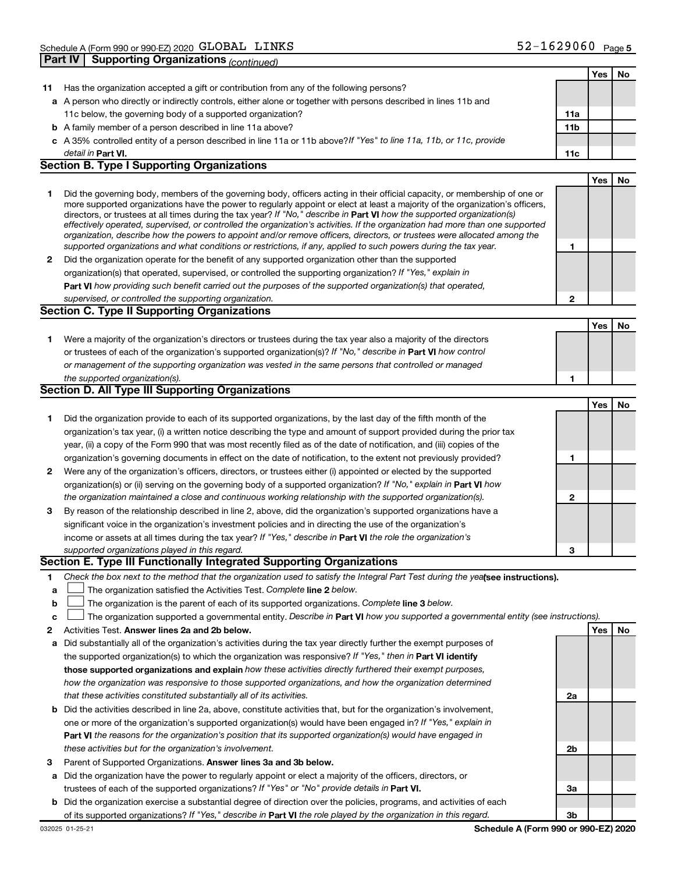|              | $\epsilon$ continued $\epsilon$ of $\epsilon$ and $\epsilon$ and $\epsilon$ and $\epsilon$ and $\epsilon$ and $\epsilon$ and $\epsilon$ and $\epsilon$ and $\epsilon$ and $\epsilon$ and $\epsilon$ and $\epsilon$ and $\epsilon$ and $\epsilon$ and $\epsilon$ and $\epsilon$ and $\epsilon$ and $\epsilon$ and $\epsilon$ and $\epsilon$ and $\epsilon$ and $\epsilon$ and                                                                                                                                                                                                                                                                                                                                                                                             |                 |     |    |
|--------------|--------------------------------------------------------------------------------------------------------------------------------------------------------------------------------------------------------------------------------------------------------------------------------------------------------------------------------------------------------------------------------------------------------------------------------------------------------------------------------------------------------------------------------------------------------------------------------------------------------------------------------------------------------------------------------------------------------------------------------------------------------------------------|-----------------|-----|----|
|              |                                                                                                                                                                                                                                                                                                                                                                                                                                                                                                                                                                                                                                                                                                                                                                          |                 | Yes | No |
| 11           | Has the organization accepted a gift or contribution from any of the following persons?                                                                                                                                                                                                                                                                                                                                                                                                                                                                                                                                                                                                                                                                                  |                 |     |    |
|              | a A person who directly or indirectly controls, either alone or together with persons described in lines 11b and                                                                                                                                                                                                                                                                                                                                                                                                                                                                                                                                                                                                                                                         |                 |     |    |
|              | 11c below, the governing body of a supported organization?                                                                                                                                                                                                                                                                                                                                                                                                                                                                                                                                                                                                                                                                                                               | 11a             |     |    |
|              | <b>b</b> A family member of a person described in line 11a above?                                                                                                                                                                                                                                                                                                                                                                                                                                                                                                                                                                                                                                                                                                        | 11 <sub>b</sub> |     |    |
|              | c A 35% controlled entity of a person described in line 11a or 11b above? If "Yes" to line 11a, 11b, or 11c, provide                                                                                                                                                                                                                                                                                                                                                                                                                                                                                                                                                                                                                                                     |                 |     |    |
|              | detail in Part VI.                                                                                                                                                                                                                                                                                                                                                                                                                                                                                                                                                                                                                                                                                                                                                       | 11c             |     |    |
|              | <b>Section B. Type I Supporting Organizations</b>                                                                                                                                                                                                                                                                                                                                                                                                                                                                                                                                                                                                                                                                                                                        |                 |     |    |
|              |                                                                                                                                                                                                                                                                                                                                                                                                                                                                                                                                                                                                                                                                                                                                                                          |                 | Yes | No |
| 1.           | Did the governing body, members of the governing body, officers acting in their official capacity, or membership of one or<br>more supported organizations have the power to regularly appoint or elect at least a majority of the organization's officers,<br>directors, or trustees at all times during the tax year? If "No," describe in Part VI how the supported organization(s)<br>effectively operated, supervised, or controlled the organization's activities. If the organization had more than one supported<br>organization, describe how the powers to appoint and/or remove officers, directors, or trustees were allocated among the<br>supported organizations and what conditions or restrictions, if any, applied to such powers during the tax year. | 1               |     |    |
|              | 2 Did the organization operate for the benefit of any supported organization other than the supported                                                                                                                                                                                                                                                                                                                                                                                                                                                                                                                                                                                                                                                                    |                 |     |    |
|              | organization(s) that operated, supervised, or controlled the supporting organization? If "Yes," explain in                                                                                                                                                                                                                                                                                                                                                                                                                                                                                                                                                                                                                                                               |                 |     |    |
|              | Part VI how providing such benefit carried out the purposes of the supported organization(s) that operated,                                                                                                                                                                                                                                                                                                                                                                                                                                                                                                                                                                                                                                                              |                 |     |    |
|              | supervised, or controlled the supporting organization.                                                                                                                                                                                                                                                                                                                                                                                                                                                                                                                                                                                                                                                                                                                   | 2               |     |    |
|              | <b>Section C. Type II Supporting Organizations</b>                                                                                                                                                                                                                                                                                                                                                                                                                                                                                                                                                                                                                                                                                                                       |                 |     |    |
|              |                                                                                                                                                                                                                                                                                                                                                                                                                                                                                                                                                                                                                                                                                                                                                                          |                 | Yes | No |
| 1.           | Were a majority of the organization's directors or trustees during the tax year also a majority of the directors                                                                                                                                                                                                                                                                                                                                                                                                                                                                                                                                                                                                                                                         |                 |     |    |
|              | or trustees of each of the organization's supported organization(s)? If "No," describe in Part VI how control                                                                                                                                                                                                                                                                                                                                                                                                                                                                                                                                                                                                                                                            |                 |     |    |
|              | or management of the supporting organization was vested in the same persons that controlled or managed                                                                                                                                                                                                                                                                                                                                                                                                                                                                                                                                                                                                                                                                   |                 |     |    |
|              | the supported organization(s).                                                                                                                                                                                                                                                                                                                                                                                                                                                                                                                                                                                                                                                                                                                                           | 1               |     |    |
|              | <b>Section D. All Type III Supporting Organizations</b>                                                                                                                                                                                                                                                                                                                                                                                                                                                                                                                                                                                                                                                                                                                  |                 |     |    |
|              |                                                                                                                                                                                                                                                                                                                                                                                                                                                                                                                                                                                                                                                                                                                                                                          |                 | Yes | No |
| 1.           | Did the organization provide to each of its supported organizations, by the last day of the fifth month of the                                                                                                                                                                                                                                                                                                                                                                                                                                                                                                                                                                                                                                                           |                 |     |    |
|              | organization's tax year, (i) a written notice describing the type and amount of support provided during the prior tax                                                                                                                                                                                                                                                                                                                                                                                                                                                                                                                                                                                                                                                    |                 |     |    |
|              | year, (ii) a copy of the Form 990 that was most recently filed as of the date of notification, and (iii) copies of the                                                                                                                                                                                                                                                                                                                                                                                                                                                                                                                                                                                                                                                   |                 |     |    |
|              | organization's governing documents in effect on the date of notification, to the extent not previously provided?                                                                                                                                                                                                                                                                                                                                                                                                                                                                                                                                                                                                                                                         | 1               |     |    |
| $\mathbf{2}$ | Were any of the organization's officers, directors, or trustees either (i) appointed or elected by the supported                                                                                                                                                                                                                                                                                                                                                                                                                                                                                                                                                                                                                                                         |                 |     |    |
|              | organization(s) or (ii) serving on the governing body of a supported organization? If "No," explain in Part VI how                                                                                                                                                                                                                                                                                                                                                                                                                                                                                                                                                                                                                                                       |                 |     |    |
|              | the organization maintained a close and continuous working relationship with the supported organization(s).                                                                                                                                                                                                                                                                                                                                                                                                                                                                                                                                                                                                                                                              | 2               |     |    |
| 3            | By reason of the relationship described in line 2, above, did the organization's supported organizations have a                                                                                                                                                                                                                                                                                                                                                                                                                                                                                                                                                                                                                                                          |                 |     |    |
|              | significant voice in the organization's investment policies and in directing the use of the organization's                                                                                                                                                                                                                                                                                                                                                                                                                                                                                                                                                                                                                                                               |                 |     |    |
|              | income or assets at all times during the tax year? If "Yes," describe in Part VI the role the organization's                                                                                                                                                                                                                                                                                                                                                                                                                                                                                                                                                                                                                                                             |                 |     |    |
|              | supported organizations played in this regard.<br>Section E. Type III Functionally Integrated Supporting Organizations                                                                                                                                                                                                                                                                                                                                                                                                                                                                                                                                                                                                                                                   | 3               |     |    |
|              |                                                                                                                                                                                                                                                                                                                                                                                                                                                                                                                                                                                                                                                                                                                                                                          |                 |     |    |
| 1            | Check the box next to the method that the organization used to satisfy the Integral Part Test during the yealsee instructions).                                                                                                                                                                                                                                                                                                                                                                                                                                                                                                                                                                                                                                          |                 |     |    |
| a            | The organization satisfied the Activities Test. Complete line 2 below.<br>The organization is the parent of each of its supported organizations. Complete line 3 below.                                                                                                                                                                                                                                                                                                                                                                                                                                                                                                                                                                                                  |                 |     |    |
| b<br>c       | The organization supported a governmental entity. Describe in Part VI how you supported a governmental entity (see instructions).                                                                                                                                                                                                                                                                                                                                                                                                                                                                                                                                                                                                                                        |                 |     |    |
| 2            | Activities Test. Answer lines 2a and 2b below.                                                                                                                                                                                                                                                                                                                                                                                                                                                                                                                                                                                                                                                                                                                           |                 | Yes | No |
| a            | Did substantially all of the organization's activities during the tax year directly further the exempt purposes of                                                                                                                                                                                                                                                                                                                                                                                                                                                                                                                                                                                                                                                       |                 |     |    |
|              | the supported organization(s) to which the organization was responsive? If "Yes," then in Part VI identify                                                                                                                                                                                                                                                                                                                                                                                                                                                                                                                                                                                                                                                               |                 |     |    |
|              | those supported organizations and explain how these activities directly furthered their exempt purposes,                                                                                                                                                                                                                                                                                                                                                                                                                                                                                                                                                                                                                                                                 |                 |     |    |
|              | how the organization was responsive to those supported organizations, and how the organization determined                                                                                                                                                                                                                                                                                                                                                                                                                                                                                                                                                                                                                                                                |                 |     |    |
|              | that these activities constituted substantially all of its activities.                                                                                                                                                                                                                                                                                                                                                                                                                                                                                                                                                                                                                                                                                                   | 2a              |     |    |
| b            | Did the activities described in line 2a, above, constitute activities that, but for the organization's involvement,                                                                                                                                                                                                                                                                                                                                                                                                                                                                                                                                                                                                                                                      |                 |     |    |
|              | one or more of the organization's supported organization(s) would have been engaged in? If "Yes," explain in                                                                                                                                                                                                                                                                                                                                                                                                                                                                                                                                                                                                                                                             |                 |     |    |
|              | Part VI the reasons for the organization's position that its supported organization(s) would have engaged in                                                                                                                                                                                                                                                                                                                                                                                                                                                                                                                                                                                                                                                             |                 |     |    |
|              | these activities but for the organization's involvement.                                                                                                                                                                                                                                                                                                                                                                                                                                                                                                                                                                                                                                                                                                                 | 2b              |     |    |
| 3            | Parent of Supported Organizations. Answer lines 3a and 3b below.                                                                                                                                                                                                                                                                                                                                                                                                                                                                                                                                                                                                                                                                                                         |                 |     |    |
| а            | Did the organization have the power to regularly appoint or elect a majority of the officers, directors, or                                                                                                                                                                                                                                                                                                                                                                                                                                                                                                                                                                                                                                                              |                 |     |    |
|              | trustees of each of the supported organizations? If "Yes" or "No" provide details in Part VI.                                                                                                                                                                                                                                                                                                                                                                                                                                                                                                                                                                                                                                                                            | 3a              |     |    |
| b            | Did the organization exercise a substantial degree of direction over the policies, programs, and activities of each                                                                                                                                                                                                                                                                                                                                                                                                                                                                                                                                                                                                                                                      |                 |     |    |
|              | of its supported organizations? If "Yes," describe in Part VI the role played by the organization in this regard.                                                                                                                                                                                                                                                                                                                                                                                                                                                                                                                                                                                                                                                        | 3 <sub>b</sub>  |     |    |

**Schedule A (Form 990 or 990-EZ) 2020**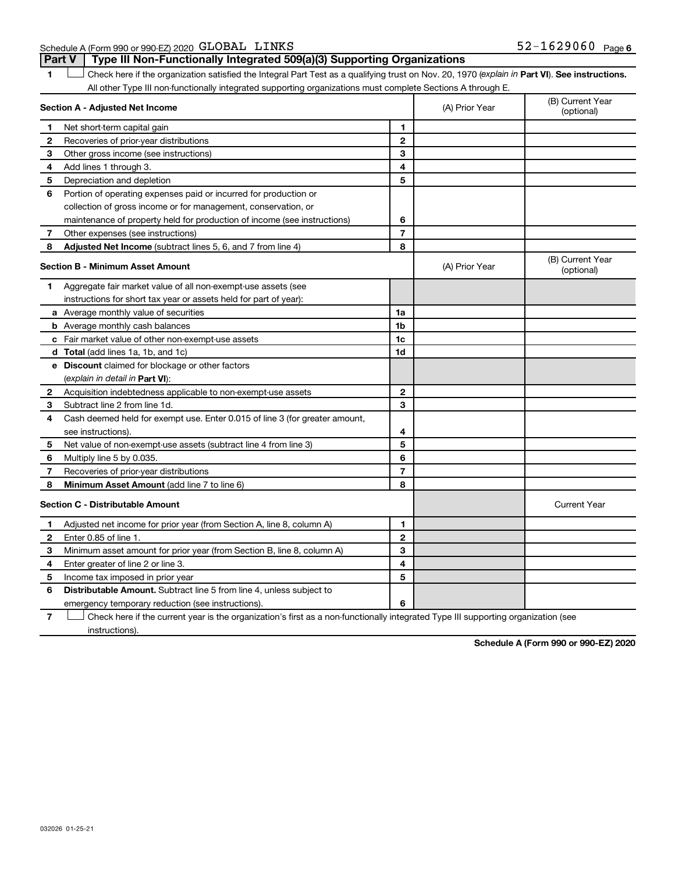Schedule A (Form 990 or 990-EZ) 2020  $GLOBAL$   $LINKS$   $52-1629060$   $Page$ 

1 **Letter See instructions.** Check here if the organization satisfied the Integral Part Test as a qualifying trust on Nov. 20, 1970 (*explain in* Part **VI**). See instructions. All other Type III non-functionally integrated supporting organizations must complete Sections A through E.

**Part V Type III Non-Functionally Integrated 509(a)(3) Supporting Organizations** 

| Section A - Adjusted Net Income |                                                                             | (A) Prior Year | (B) Current Year<br>(optional) |                                |
|---------------------------------|-----------------------------------------------------------------------------|----------------|--------------------------------|--------------------------------|
| 1                               | Net short-term capital gain                                                 | 1              |                                |                                |
| 2                               | Recoveries of prior-year distributions                                      | $\overline{2}$ |                                |                                |
| 3                               | Other gross income (see instructions)                                       | 3              |                                |                                |
| 4                               | Add lines 1 through 3.                                                      | 4              |                                |                                |
| 5                               | Depreciation and depletion                                                  | 5              |                                |                                |
| 6                               | Portion of operating expenses paid or incurred for production or            |                |                                |                                |
|                                 | collection of gross income or for management, conservation, or              |                |                                |                                |
|                                 | maintenance of property held for production of income (see instructions)    | 6              |                                |                                |
| 7                               | Other expenses (see instructions)                                           | $\overline{7}$ |                                |                                |
| 8                               | Adjusted Net Income (subtract lines 5, 6, and 7 from line 4)                | 8              |                                |                                |
|                                 | <b>Section B - Minimum Asset Amount</b>                                     |                | (A) Prior Year                 | (B) Current Year<br>(optional) |
| 1.                              | Aggregate fair market value of all non-exempt-use assets (see               |                |                                |                                |
|                                 | instructions for short tax year or assets held for part of year):           |                |                                |                                |
|                                 | <b>a</b> Average monthly value of securities                                | 1a             |                                |                                |
|                                 | <b>b</b> Average monthly cash balances                                      | 1 <sub>b</sub> |                                |                                |
|                                 | c Fair market value of other non-exempt-use assets                          | 1c             |                                |                                |
|                                 | d Total (add lines 1a, 1b, and 1c)                                          | 1d             |                                |                                |
|                                 | e Discount claimed for blockage or other factors                            |                |                                |                                |
|                                 | (explain in detail in Part VI):                                             |                |                                |                                |
| 2                               | Acquisition indebtedness applicable to non-exempt-use assets                | $\mathbf{2}$   |                                |                                |
| 3                               | Subtract line 2 from line 1d.                                               | 3              |                                |                                |
| 4                               | Cash deemed held for exempt use. Enter 0.015 of line 3 (for greater amount, |                |                                |                                |
|                                 | see instructions).                                                          | 4              |                                |                                |
| 5                               | Net value of non-exempt-use assets (subtract line 4 from line 3)            | 5              |                                |                                |
| 6                               | Multiply line 5 by 0.035.                                                   | 6              |                                |                                |
| 7                               | Recoveries of prior-year distributions                                      | $\overline{7}$ |                                |                                |
| 8                               | Minimum Asset Amount (add line 7 to line 6)                                 | 8              |                                |                                |
|                                 | <b>Section C - Distributable Amount</b>                                     |                |                                | <b>Current Year</b>            |
| 1                               | Adjusted net income for prior year (from Section A, line 8, column A)       | 1              |                                |                                |
| 2                               | Enter 0.85 of line 1.                                                       | $\mathbf{2}$   |                                |                                |
| З                               | Minimum asset amount for prior year (from Section B, line 8, column A)      | 3              |                                |                                |
| 4                               | Enter greater of line 2 or line 3.                                          | 4              |                                |                                |
| 5                               | Income tax imposed in prior year                                            | 5              |                                |                                |
| 6                               | <b>Distributable Amount.</b> Subtract line 5 from line 4, unless subject to |                |                                |                                |
|                                 | emergency temporary reduction (see instructions).                           | 6              |                                |                                |

**7** Check here if the current year is the organization's first as a non-functionally integrated Type III supporting organization (see † instructions).

**Schedule A (Form 990 or 990-EZ) 2020**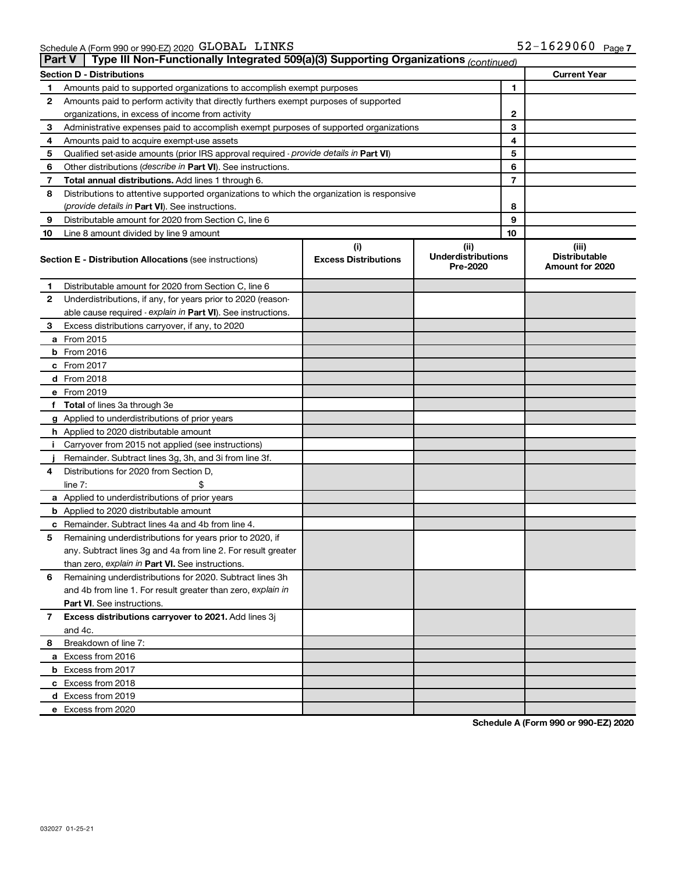| <b>Part V</b> | Type III Non-Functionally Integrated 509(a)(3) Supporting Organizations (continued)        |                             |                                       |              |                                                |
|---------------|--------------------------------------------------------------------------------------------|-----------------------------|---------------------------------------|--------------|------------------------------------------------|
|               | <b>Section D - Distributions</b>                                                           |                             |                                       |              | <b>Current Year</b>                            |
| 1             | Amounts paid to supported organizations to accomplish exempt purposes                      |                             |                                       | $\mathbf{1}$ |                                                |
| 2             | Amounts paid to perform activity that directly furthers exempt purposes of supported       |                             |                                       |              |                                                |
|               | organizations, in excess of income from activity                                           | $\mathbf{2}$                |                                       |              |                                                |
| 3             | Administrative expenses paid to accomplish exempt purposes of supported organizations      |                             |                                       | 3            |                                                |
| 4             | Amounts paid to acquire exempt-use assets                                                  |                             |                                       | 4            |                                                |
| 5             | Qualified set-aside amounts (prior IRS approval required - provide details in Part VI)     |                             |                                       | 5            |                                                |
| 6             | Other distributions ( <i>describe in Part VI</i> ). See instructions.                      |                             |                                       | 6            |                                                |
| 7             | Total annual distributions. Add lines 1 through 6.                                         |                             |                                       | 7            |                                                |
| 8             | Distributions to attentive supported organizations to which the organization is responsive |                             |                                       |              |                                                |
|               | (provide details in Part VI). See instructions.                                            |                             |                                       | 8            |                                                |
| 9             | Distributable amount for 2020 from Section C, line 6                                       |                             |                                       | 9            |                                                |
| 10            | Line 8 amount divided by line 9 amount                                                     |                             |                                       | 10           |                                                |
|               |                                                                                            | (i)                         | (ii)                                  |              | (iii)                                          |
|               | <b>Section E - Distribution Allocations (see instructions)</b>                             | <b>Excess Distributions</b> | <b>Underdistributions</b><br>Pre-2020 |              | <b>Distributable</b><br><b>Amount for 2020</b> |
| 1             | Distributable amount for 2020 from Section C, line 6                                       |                             |                                       |              |                                                |
| 2             | Underdistributions, if any, for years prior to 2020 (reason-                               |                             |                                       |              |                                                |
|               | able cause required - explain in Part VI). See instructions.                               |                             |                                       |              |                                                |
| 3             | Excess distributions carryover, if any, to 2020                                            |                             |                                       |              |                                                |
|               | a From 2015                                                                                |                             |                                       |              |                                                |
|               | <b>b</b> From 2016                                                                         |                             |                                       |              |                                                |
|               | c From 2017                                                                                |                             |                                       |              |                                                |
|               | d From 2018                                                                                |                             |                                       |              |                                                |
|               | e From 2019                                                                                |                             |                                       |              |                                                |
|               | f Total of lines 3a through 3e                                                             |                             |                                       |              |                                                |
|               | g Applied to underdistributions of prior years                                             |                             |                                       |              |                                                |
|               | h Applied to 2020 distributable amount                                                     |                             |                                       |              |                                                |
| Ť.            | Carryover from 2015 not applied (see instructions)                                         |                             |                                       |              |                                                |
|               | Remainder. Subtract lines 3g, 3h, and 3i from line 3f.                                     |                             |                                       |              |                                                |
| 4             | Distributions for 2020 from Section D,                                                     |                             |                                       |              |                                                |
|               | line $7:$                                                                                  |                             |                                       |              |                                                |
|               | a Applied to underdistributions of prior years                                             |                             |                                       |              |                                                |
|               | <b>b</b> Applied to 2020 distributable amount                                              |                             |                                       |              |                                                |
|               | c Remainder. Subtract lines 4a and 4b from line 4.                                         |                             |                                       |              |                                                |
| 5             | Remaining underdistributions for years prior to 2020, if                                   |                             |                                       |              |                                                |
|               | any. Subtract lines 3g and 4a from line 2. For result greater                              |                             |                                       |              |                                                |
|               | than zero, explain in Part VI. See instructions.                                           |                             |                                       |              |                                                |
| 6             | Remaining underdistributions for 2020. Subtract lines 3h                                   |                             |                                       |              |                                                |
|               | and 4b from line 1. For result greater than zero, explain in                               |                             |                                       |              |                                                |
|               | <b>Part VI.</b> See instructions.                                                          |                             |                                       |              |                                                |
| 7             | Excess distributions carryover to 2021. Add lines 3j                                       |                             |                                       |              |                                                |
|               | and 4c.                                                                                    |                             |                                       |              |                                                |
| 8             | Breakdown of line 7:                                                                       |                             |                                       |              |                                                |
|               | a Excess from 2016                                                                         |                             |                                       |              |                                                |
|               | <b>b</b> Excess from 2017                                                                  |                             |                                       |              |                                                |
|               | c Excess from 2018                                                                         |                             |                                       |              |                                                |
|               | d Excess from 2019                                                                         |                             |                                       |              |                                                |
|               | e Excess from 2020                                                                         |                             |                                       |              |                                                |

**Schedule A (Form 990 or 990-EZ) 2020**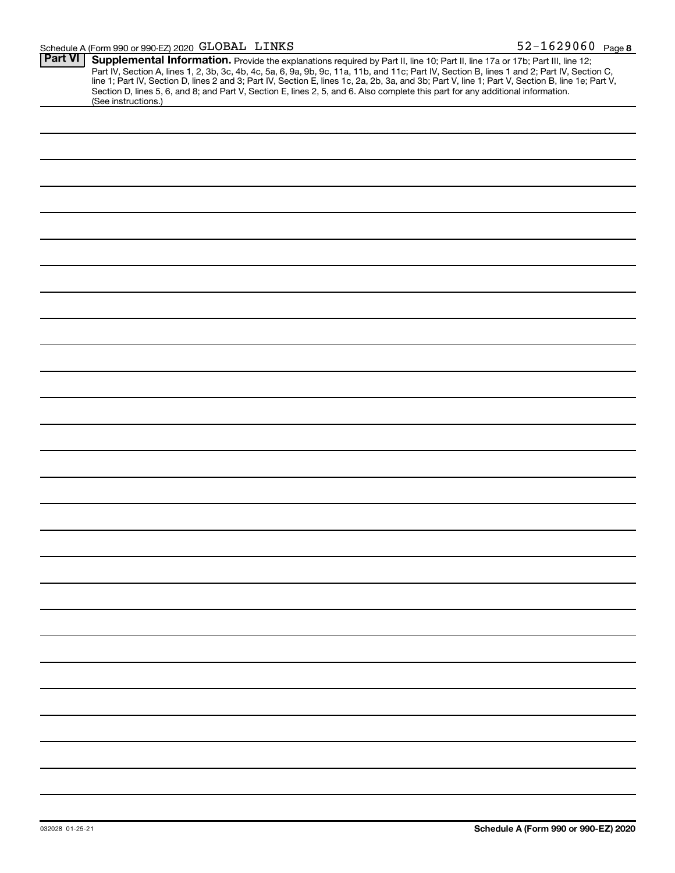| <b>Part VI</b> | Supplemental Information. Provide the explanations required by Part II, line 10; Part II, line 17a or 17b; Part III, line 12;                                                                                                    |
|----------------|----------------------------------------------------------------------------------------------------------------------------------------------------------------------------------------------------------------------------------|
|                |                                                                                                                                                                                                                                  |
|                | Part IV, Section A, lines 1, 2, 3b, 3c, 4b, 4c, 5a, 6, 9a, 9b, 9c, 11a, 11b, and 11c, Part IV, Section B, lines 1 and 2; Part IV, Section C,<br>line 1; Part IV, Section D, lines 2 and 3; Part IV, Section E, lines 1c, 2a, 2b, |
|                | Section D, lines 5, 6, and 8; and Part V, Section E, lines 2, 5, and 6. Also complete this part for any additional information.                                                                                                  |
|                | (See instructions.)                                                                                                                                                                                                              |
|                |                                                                                                                                                                                                                                  |
|                |                                                                                                                                                                                                                                  |
|                |                                                                                                                                                                                                                                  |
|                |                                                                                                                                                                                                                                  |
|                |                                                                                                                                                                                                                                  |
|                |                                                                                                                                                                                                                                  |
|                |                                                                                                                                                                                                                                  |
|                |                                                                                                                                                                                                                                  |
|                |                                                                                                                                                                                                                                  |
|                |                                                                                                                                                                                                                                  |
|                |                                                                                                                                                                                                                                  |
|                |                                                                                                                                                                                                                                  |
|                |                                                                                                                                                                                                                                  |
|                |                                                                                                                                                                                                                                  |
|                |                                                                                                                                                                                                                                  |
|                |                                                                                                                                                                                                                                  |
|                |                                                                                                                                                                                                                                  |
|                |                                                                                                                                                                                                                                  |
|                |                                                                                                                                                                                                                                  |
|                |                                                                                                                                                                                                                                  |
|                |                                                                                                                                                                                                                                  |
|                |                                                                                                                                                                                                                                  |
|                |                                                                                                                                                                                                                                  |
|                |                                                                                                                                                                                                                                  |
|                |                                                                                                                                                                                                                                  |
|                |                                                                                                                                                                                                                                  |
|                |                                                                                                                                                                                                                                  |
|                |                                                                                                                                                                                                                                  |
|                |                                                                                                                                                                                                                                  |
|                |                                                                                                                                                                                                                                  |
|                |                                                                                                                                                                                                                                  |
|                |                                                                                                                                                                                                                                  |
|                |                                                                                                                                                                                                                                  |
|                |                                                                                                                                                                                                                                  |
|                |                                                                                                                                                                                                                                  |
|                |                                                                                                                                                                                                                                  |
|                |                                                                                                                                                                                                                                  |
|                |                                                                                                                                                                                                                                  |
|                |                                                                                                                                                                                                                                  |
|                |                                                                                                                                                                                                                                  |
|                |                                                                                                                                                                                                                                  |
|                |                                                                                                                                                                                                                                  |
|                |                                                                                                                                                                                                                                  |
|                |                                                                                                                                                                                                                                  |
|                |                                                                                                                                                                                                                                  |
|                |                                                                                                                                                                                                                                  |
|                |                                                                                                                                                                                                                                  |
|                |                                                                                                                                                                                                                                  |
|                |                                                                                                                                                                                                                                  |
|                |                                                                                                                                                                                                                                  |
|                |                                                                                                                                                                                                                                  |
|                |                                                                                                                                                                                                                                  |
|                |                                                                                                                                                                                                                                  |
|                |                                                                                                                                                                                                                                  |
|                |                                                                                                                                                                                                                                  |
|                |                                                                                                                                                                                                                                  |
|                |                                                                                                                                                                                                                                  |
|                |                                                                                                                                                                                                                                  |
|                |                                                                                                                                                                                                                                  |
|                |                                                                                                                                                                                                                                  |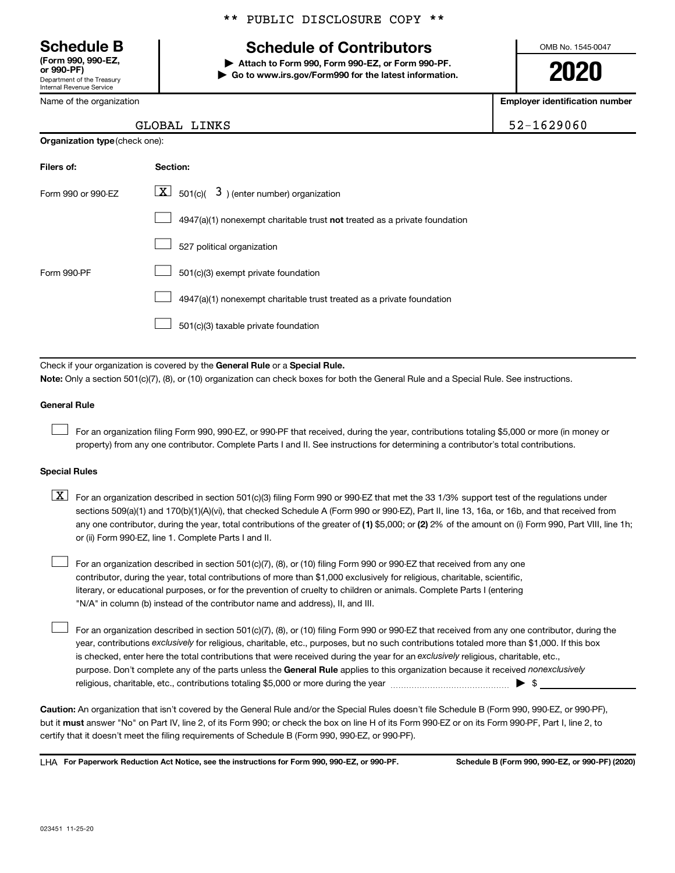Department of the Treasury Internal Revenue Service **(Form 990, 990-EZ,**

Name of the organization

**Organization type** (check one):

### \*\* PUBLIC DISCLOSURE COPY \*\*

## **Schedule B Schedule of Contributors**

**or 990-PF) | Attach to Form 990, Form 990-EZ, or Form 990-PF. | Go to www.irs.gov/Form990 for the latest information.** OMB No. 1545-0047

**2020**

**Employer identification number**

| 52-1629060 |  |  |  |  |
|------------|--|--|--|--|
|            |  |  |  |  |

| GLOBAL LINKS | 52-1629060 |
|--------------|------------|
|              |            |

| Filers of:         | Section:                                                                           |
|--------------------|------------------------------------------------------------------------------------|
| Form 990 or 990-FZ | $ \mathbf{X} $ 501(c)( 3) (enter number) organization                              |
|                    | $4947(a)(1)$ nonexempt charitable trust <b>not</b> treated as a private foundation |
|                    | 527 political organization                                                         |
| Form 990-PF        | 501(c)(3) exempt private foundation                                                |
|                    | 4947(a)(1) nonexempt charitable trust treated as a private foundation              |
|                    | 501(c)(3) taxable private foundation                                               |

Check if your organization is covered by the General Rule or a Special Rule. **Note:**  Only a section 501(c)(7), (8), or (10) organization can check boxes for both the General Rule and a Special Rule. See instructions.

#### **General Rule**

 $\Box$ 

 $\Box$ 

For an organization filing Form 990, 990-EZ, or 990-PF that received, during the year, contributions totaling \$5,000 or more (in money or property) from any one contributor. Complete Parts I and II. See instructions for determining a contributor's total contributions.

#### **Special Rules**

any one contributor, during the year, total contributions of the greater of (1) \$5,000; or (2) 2% of the amount on (i) Form 990, Part VIII, line 1h;  $\boxed{\text{X}}$  For an organization described in section 501(c)(3) filing Form 990 or 990-EZ that met the 33 1/3% support test of the regulations under sections 509(a)(1) and 170(b)(1)(A)(vi), that checked Schedule A (Form 990 or 990-EZ), Part II, line 13, 16a, or 16b, and that received from or (ii) Form 990-EZ, line 1. Complete Parts I and II.

For an organization described in section 501(c)(7), (8), or (10) filing Form 990 or 990-EZ that received from any one contributor, during the year, total contributions of more than \$1,000 exclusively for religious, charitable, scientific, literary, or educational purposes, or for the prevention of cruelty to children or animals. Complete Parts I (entering "N/A" in column (b) instead of the contributor name and address), II, and III.  $\Box$ 

purpose. Don't complete any of the parts unless the General Rule applies to this organization because it received nonexclusively year, contributions exclusively for religious, charitable, etc., purposes, but no such contributions totaled more than \$1,000. If this box is checked, enter here the total contributions that were received during the year for an exclusively religious, charitable, etc., For an organization described in section 501(c)(7), (8), or (10) filing Form 990 or 990-EZ that received from any one contributor, during the religious, charitable, etc., contributions totaling \$5,000 or more during the year  $\ldots$  $\ldots$  $\ldots$  $\ldots$  $\ldots$  $\ldots$ 

**Caution:**  An organization that isn't covered by the General Rule and/or the Special Rules doesn't file Schedule B (Form 990, 990-EZ, or 990-PF),  **must** but it answer "No" on Part IV, line 2, of its Form 990; or check the box on line H of its Form 990-EZ or on its Form 990-PF, Part I, line 2, to certify that it doesn't meet the filing requirements of Schedule B (Form 990, 990-EZ, or 990-PF).

**For Paperwork Reduction Act Notice, see the instructions for Form 990, 990-EZ, or 990-PF. Schedule B (Form 990, 990-EZ, or 990-PF) (2020)** LHA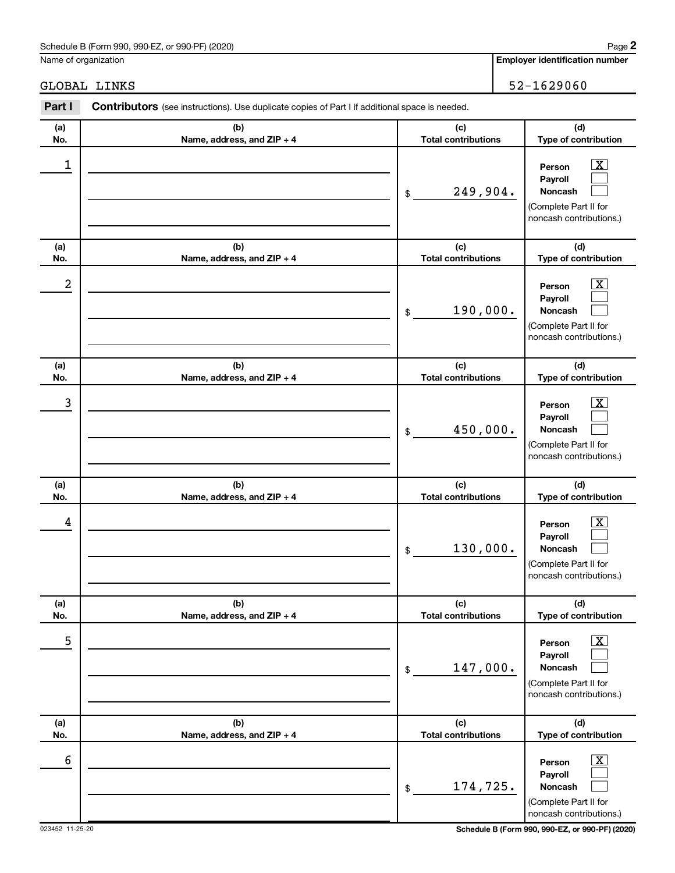### Schedule B (Form 990, 990-EZ, or 990-PF) (2020)

Name of organization

**Employer identification number**

GLOBAL LINKS 52-1629060

| Part I     | Contributors (see instructions). Use duplicate copies of Part I if additional space is needed. |                                              |                                                                                                                                   |  |  |
|------------|------------------------------------------------------------------------------------------------|----------------------------------------------|-----------------------------------------------------------------------------------------------------------------------------------|--|--|
| (a)        | (b)                                                                                            | (c)                                          | (d)                                                                                                                               |  |  |
| No.        | Name, address, and ZIP + 4                                                                     | <b>Total contributions</b>                   | Type of contribution                                                                                                              |  |  |
| 1          |                                                                                                | 249,904.<br>\$                               | $\overline{\text{X}}$<br>Person<br>Payroll<br>Noncash<br>(Complete Part II for<br>noncash contributions.)                         |  |  |
| (a)<br>No. | (b)<br>Name, address, and ZIP + 4                                                              | (c)<br><b>Total contributions</b>            | (d)<br>Type of contribution                                                                                                       |  |  |
| 2          |                                                                                                | 190,000.<br>\$                               | $\overline{\text{X}}$<br>Person<br>Payroll<br>Noncash<br>(Complete Part II for<br>noncash contributions.)                         |  |  |
| (a)<br>No. | (b)<br>Name, address, and ZIP + 4                                                              | (c)<br><b>Total contributions</b>            | (d)<br>Type of contribution                                                                                                       |  |  |
| 3          |                                                                                                | 450,000.<br>\$                               | $\overline{\mathbf{X}}$<br>Person<br>Payroll<br>Noncash<br>(Complete Part II for<br>noncash contributions.)                       |  |  |
| (a)        | (b)                                                                                            | (c)                                          | (d)                                                                                                                               |  |  |
| No.<br>4   | Name, address, and ZIP + 4                                                                     | <b>Total contributions</b><br>130,000.<br>\$ | Type of contribution<br>$\overline{\text{X}}$<br>Person<br>Payroll<br>Noncash<br>(Complete Part II for<br>noncash contributions.) |  |  |
| (a)        | (b)                                                                                            | (c)                                          | (d)<br>Type of contribution                                                                                                       |  |  |
| No.<br>5   | Name, address, and ZIP + 4                                                                     | <b>Total contributions</b><br>147,000.<br>\$ | $\overline{\mathbf{X}}$<br>Person<br>Payroll<br>Noncash<br>(Complete Part II for<br>noncash contributions.)                       |  |  |
| (a)<br>No. | (b)<br>Name, address, and ZIP + 4                                                              | (c)<br><b>Total contributions</b>            | (d)<br>Type of contribution                                                                                                       |  |  |
| 6          |                                                                                                | 174,725.<br>\$                               | $\overline{\mathbf{X}}$<br>Person<br>Payroll<br>Noncash<br>(Complete Part II for<br>noncash contributions.)                       |  |  |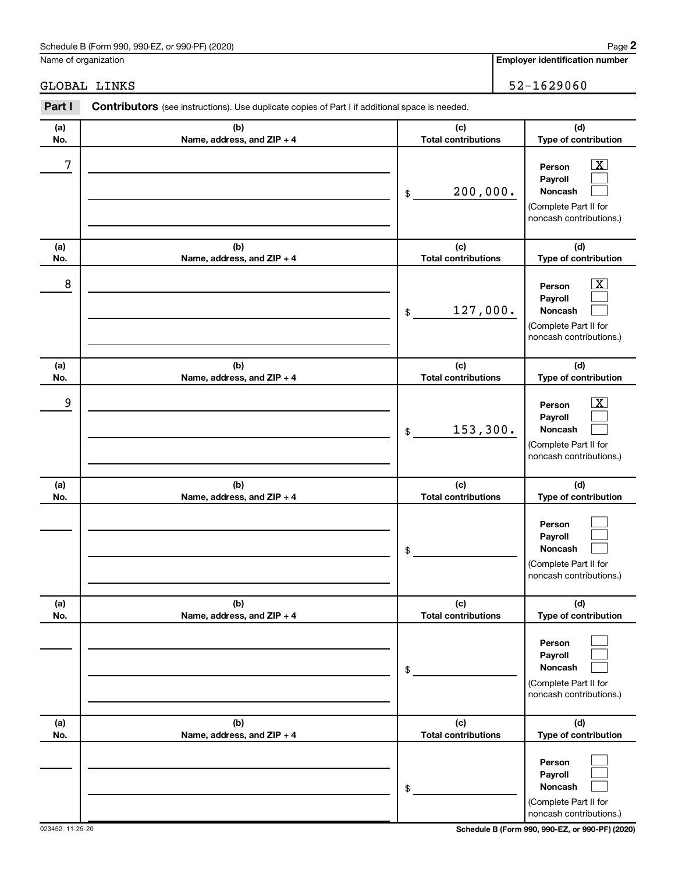#### Schedule B (Form 990, 990-EZ, or 990-PF) (2020)

Name of organization

GLOBAL LINKS 52-1629060

| Part I     | Contributors (see instructions). Use duplicate copies of Part I if additional space is needed. |                                   |                                                                                       |
|------------|------------------------------------------------------------------------------------------------|-----------------------------------|---------------------------------------------------------------------------------------|
| (a)<br>No. | (b)<br>Name, address, and ZIP + 4                                                              | (c)<br><b>Total contributions</b> | (d)<br>Type of contribution                                                           |
| 7          |                                                                                                | 200,000.<br>\$                    | x<br>Person<br>Payroll<br>Noncash<br>(Complete Part II for<br>noncash contributions.) |
| (a)<br>No. | (b)<br>Name, address, and ZIP + 4                                                              | (c)<br><b>Total contributions</b> | (d)<br>Type of contribution                                                           |
| 8          |                                                                                                | 127,000.<br>\$                    | x<br>Person<br>Payroll<br>Noncash<br>(Complete Part II for<br>noncash contributions.) |
| (a)<br>No. | (b)<br>Name, address, and ZIP + 4                                                              | (c)<br><b>Total contributions</b> | (d)<br>Type of contribution                                                           |
| 9          |                                                                                                | 153, 300.<br>\$                   | x<br>Person<br>Payroll<br>Noncash<br>(Complete Part II for<br>noncash contributions.) |
| (a)<br>No. | (b)<br>Name, address, and ZIP + 4                                                              | (c)<br><b>Total contributions</b> | (d)<br>Type of contribution                                                           |
|            |                                                                                                | \$                                | Person<br>Payroll<br>Noncash<br>(Complete Part II for<br>noncash contributions.)      |
| (a)<br>No. | (b)<br>Name, address, and ZIP + 4                                                              | (c)<br><b>Total contributions</b> | (d)<br>Type of contribution                                                           |
|            |                                                                                                | \$                                | Person<br>Pavroll<br>Noncash<br>(Complete Part II for<br>noncash contributions.)      |
| (a)<br>No. | (b)<br>Name, address, and ZIP + 4                                                              | (c)<br><b>Total contributions</b> | (d)<br>Type of contribution                                                           |
|            |                                                                                                | \$                                | Person<br>Payroll<br>Noncash<br>(Complete Part II for<br>noncash contributions.)      |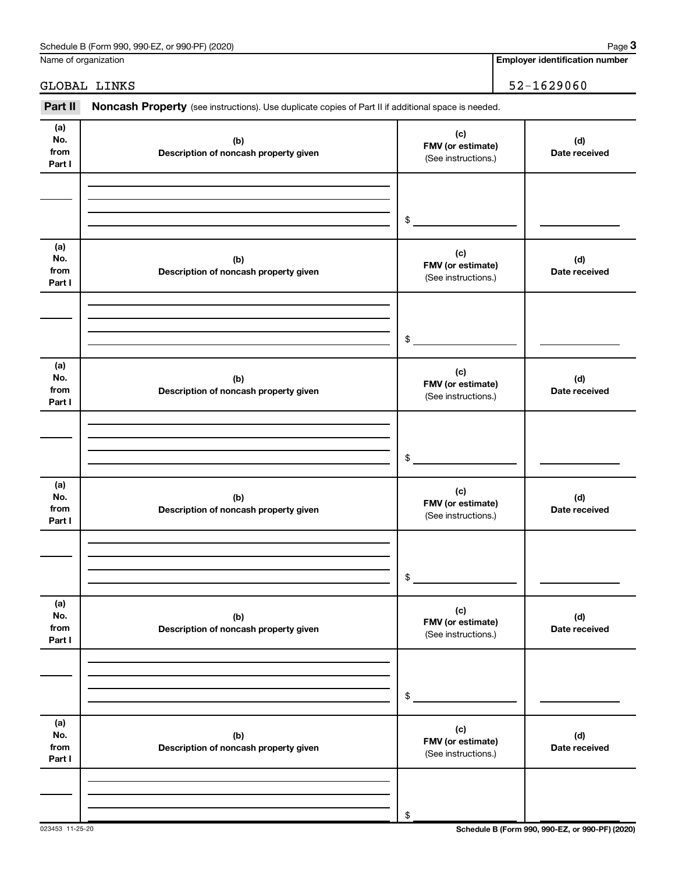| (2020)<br>or 990-PF)<br>Schedule B (Form 990,<br>990-EZ | Paɑe |
|---------------------------------------------------------|------|
|                                                         |      |

Name of organization

**Employer identification number**

# GLOBAL LINKS 52-1629060

Part II Noncash Property (see instructions). Use duplicate copies of Part II if additional space is needed.

| (a)<br>No.<br>from<br>Part I | (b)<br>Description of noncash property given | (c)<br>FMV (or estimate)<br>(See instructions.) | (d)<br>Date received |
|------------------------------|----------------------------------------------|-------------------------------------------------|----------------------|
|                              |                                              | $\frac{1}{2}$                                   |                      |
|                              |                                              |                                                 |                      |
| (a)<br>No.<br>from<br>Part I | (b)<br>Description of noncash property given | (c)<br>FMV (or estimate)<br>(See instructions.) | (d)<br>Date received |
|                              |                                              | $\frac{1}{2}$                                   |                      |
| (a)<br>No.<br>from<br>Part I | (b)<br>Description of noncash property given | (c)<br>FMV (or estimate)<br>(See instructions.) | (d)<br>Date received |
|                              |                                              | $\frac{1}{2}$                                   |                      |
| (a)<br>No.<br>from<br>Part I | (b)<br>Description of noncash property given | (c)<br>FMV (or estimate)<br>(See instructions.) | (d)<br>Date received |
|                              |                                              | $$\circ$$                                       |                      |
| (a)<br>No.<br>from<br>Part I | (b)<br>Description of noncash property given | (c)<br>FMV (or estimate)<br>(See instructions.) | (d)<br>Date received |
|                              |                                              | \$                                              |                      |
| (a)<br>No.<br>from<br>Part I | (b)<br>Description of noncash property given | (c)<br>FMV (or estimate)<br>(See instructions.) | (d)<br>Date received |
|                              |                                              | \$                                              |                      |

023453 11-25-20 **Schedule B (Form 990, 990-EZ, or 990-PF) (2020)**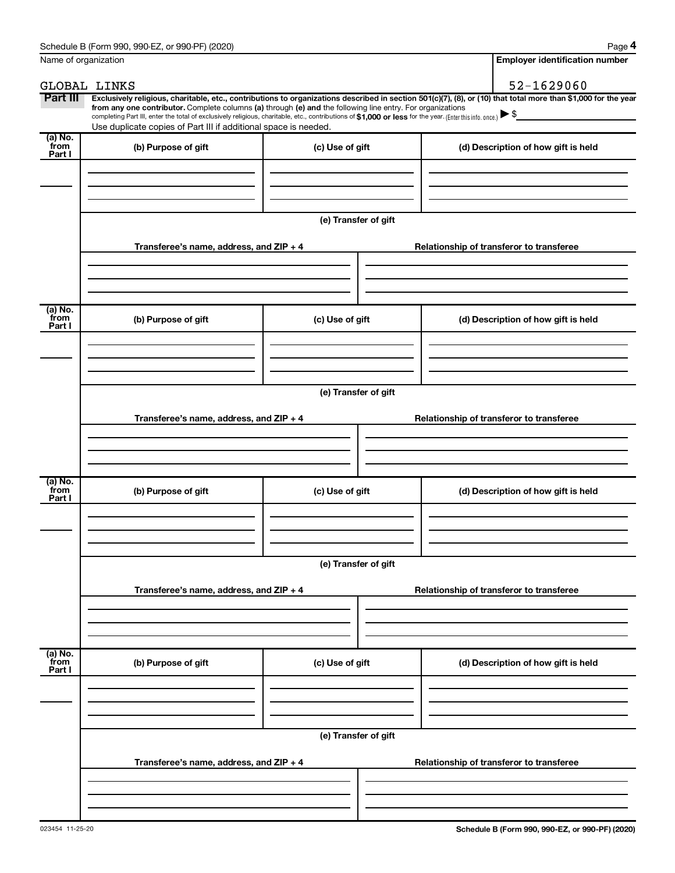| Name of organization      |                                                                                                                                                                                                                                                                                                                                                                                                                                                                                                             | <b>Employer identification number</b> |  |                                          |
|---------------------------|-------------------------------------------------------------------------------------------------------------------------------------------------------------------------------------------------------------------------------------------------------------------------------------------------------------------------------------------------------------------------------------------------------------------------------------------------------------------------------------------------------------|---------------------------------------|--|------------------------------------------|
|                           | <b>GLOBAL LINKS</b>                                                                                                                                                                                                                                                                                                                                                                                                                                                                                         |                                       |  | 52-1629060                               |
| Part III                  | Exclusively religious, charitable, etc., contributions to organizations described in section 501(c)(7), (8), or (10) that total more than \$1,000 for the year<br>from any one contributor. Complete columns (a) through (e) and the following line entry. For organizations<br>completing Part III, enter the total of exclusively religious, charitable, etc., contributions of \$1,000 or less for the year. (Enter this info. once.)<br>Use duplicate copies of Part III if additional space is needed. |                                       |  |                                          |
| (a) No.                   |                                                                                                                                                                                                                                                                                                                                                                                                                                                                                                             |                                       |  |                                          |
| from<br>Part I            | (b) Purpose of gift                                                                                                                                                                                                                                                                                                                                                                                                                                                                                         | (c) Use of gift                       |  | (d) Description of how gift is held      |
|                           |                                                                                                                                                                                                                                                                                                                                                                                                                                                                                                             | (e) Transfer of gift                  |  |                                          |
|                           | Transferee's name, address, and $ZIP + 4$                                                                                                                                                                                                                                                                                                                                                                                                                                                                   |                                       |  | Relationship of transferor to transferee |
| (a) No.<br>from<br>Part I | (b) Purpose of gift                                                                                                                                                                                                                                                                                                                                                                                                                                                                                         | (c) Use of gift                       |  | (d) Description of how gift is held      |
|                           | Transferee's name, address, and $ZIP + 4$                                                                                                                                                                                                                                                                                                                                                                                                                                                                   | (e) Transfer of gift                  |  | Relationship of transferor to transferee |
| (a) No.<br>from<br>Part I | (b) Purpose of gift                                                                                                                                                                                                                                                                                                                                                                                                                                                                                         | (c) Use of gift                       |  | (d) Description of how gift is held      |
|                           |                                                                                                                                                                                                                                                                                                                                                                                                                                                                                                             | (e) Transfer of gift                  |  |                                          |
|                           | Transferee's name, address, and ZIP + 4                                                                                                                                                                                                                                                                                                                                                                                                                                                                     |                                       |  | Relationship of transferor to transferee |
| (a) No.<br>from<br>Part I | (b) Purpose of gift                                                                                                                                                                                                                                                                                                                                                                                                                                                                                         | (c) Use of gift                       |  | (d) Description of how gift is held      |
|                           |                                                                                                                                                                                                                                                                                                                                                                                                                                                                                                             |                                       |  |                                          |
|                           |                                                                                                                                                                                                                                                                                                                                                                                                                                                                                                             | (e) Transfer of gift                  |  |                                          |
|                           | Transferee's name, address, and ZIP + 4                                                                                                                                                                                                                                                                                                                                                                                                                                                                     |                                       |  | Relationship of transferor to transferee |
|                           |                                                                                                                                                                                                                                                                                                                                                                                                                                                                                                             |                                       |  |                                          |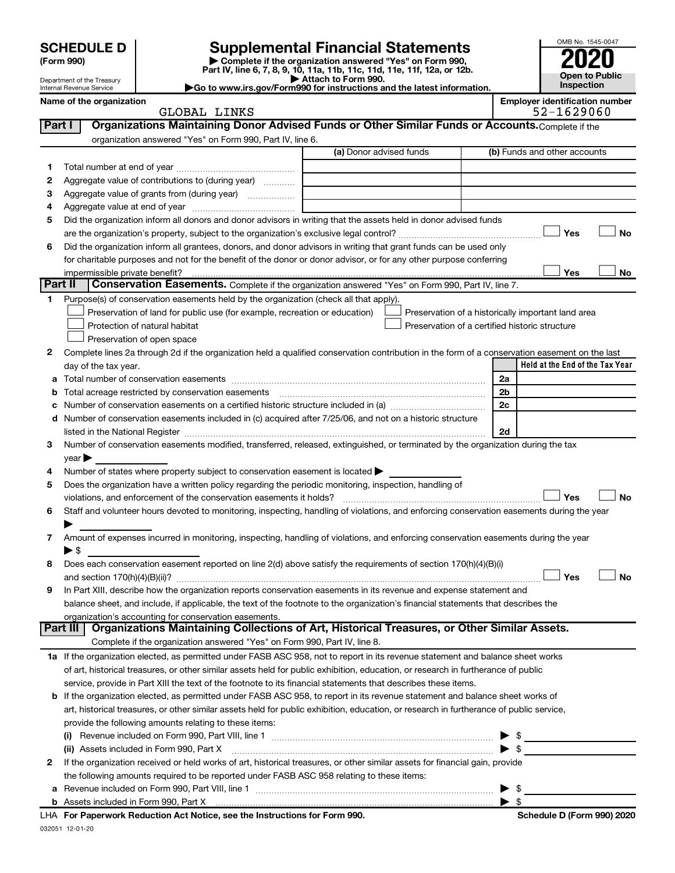| <b>SCHEDULE D</b> |
|-------------------|
|-------------------|

# **SCHEDULE D Supplemental Financial Statements**<br> **Form 990 2020**<br> **Part IV** line 6.7.8.9.10, 11a, 11b, 11d, 11d, 11d, 11d, 11d, 12a, 0r, 12b

**(Form 990) | Complete if the organization answered "Yes" on Form 990, Part IV, line 6, 7, 8, 9, 10, 11a, 11b, 11c, 11d, 11e, 11f, 12a, or 12b.**

**| Attach to Form 990. |Go to www.irs.gov/Form990 for instructions and the latest information.**



Department of the Treasury Internal Revenue Service

| LOBAL: | LINKS |
|--------|-------|
|        |       |

Name of the organization<br> **Employer identification number**<br> **Employer identification number**<br> **Employer identification number**<br> **Employer identification number**  $52 - 1629060$ 

| Part I  |                                                                                                                                                | Organizations Maintaining Donor Advised Funds or Other Similar Funds or Accounts. Complete if the                                                     |                         |  |  |                                                    |
|---------|------------------------------------------------------------------------------------------------------------------------------------------------|-------------------------------------------------------------------------------------------------------------------------------------------------------|-------------------------|--|--|----------------------------------------------------|
|         |                                                                                                                                                | organization answered "Yes" on Form 990, Part IV, line 6.                                                                                             |                         |  |  |                                                    |
|         |                                                                                                                                                |                                                                                                                                                       | (a) Donor advised funds |  |  | (b) Funds and other accounts                       |
| 1.      |                                                                                                                                                |                                                                                                                                                       |                         |  |  |                                                    |
| 2       |                                                                                                                                                | Aggregate value of contributions to (during year)                                                                                                     |                         |  |  |                                                    |
| 3       |                                                                                                                                                | Aggregate value of grants from (during year)                                                                                                          |                         |  |  |                                                    |
| 4       |                                                                                                                                                |                                                                                                                                                       |                         |  |  |                                                    |
| 5       |                                                                                                                                                | Did the organization inform all donors and donor advisors in writing that the assets held in donor advised funds                                      |                         |  |  |                                                    |
|         |                                                                                                                                                |                                                                                                                                                       |                         |  |  | Yes<br>No                                          |
| 6       |                                                                                                                                                | Did the organization inform all grantees, donors, and donor advisors in writing that grant funds can be used only                                     |                         |  |  |                                                    |
|         |                                                                                                                                                | for charitable purposes and not for the benefit of the donor or donor advisor, or for any other purpose conferring                                    |                         |  |  |                                                    |
|         |                                                                                                                                                | impermissible private benefit?                                                                                                                        |                         |  |  | Yes<br>No                                          |
| Part II |                                                                                                                                                | Conservation Easements. Complete if the organization answered "Yes" on Form 990, Part IV, line 7.                                                     |                         |  |  |                                                    |
| 1.      |                                                                                                                                                | Purpose(s) of conservation easements held by the organization (check all that apply).                                                                 |                         |  |  |                                                    |
|         |                                                                                                                                                | Preservation of land for public use (for example, recreation or education)                                                                            |                         |  |  | Preservation of a historically important land area |
|         |                                                                                                                                                | Protection of natural habitat                                                                                                                         |                         |  |  | Preservation of a certified historic structure     |
|         |                                                                                                                                                | Preservation of open space                                                                                                                            |                         |  |  |                                                    |
| 2       |                                                                                                                                                | Complete lines 2a through 2d if the organization held a qualified conservation contribution in the form of a conservation easement on the last        |                         |  |  |                                                    |
|         |                                                                                                                                                | day of the tax year.                                                                                                                                  |                         |  |  | Held at the End of the Tax Year                    |
|         |                                                                                                                                                |                                                                                                                                                       |                         |  |  | 2a                                                 |
|         |                                                                                                                                                | Total acreage restricted by conservation easements                                                                                                    |                         |  |  | 2b                                                 |
|         |                                                                                                                                                |                                                                                                                                                       |                         |  |  | 2c                                                 |
| d       |                                                                                                                                                | Number of conservation easements included in (c) acquired after 7/25/06, and not on a historic structure                                              |                         |  |  |                                                    |
|         |                                                                                                                                                |                                                                                                                                                       |                         |  |  | 2d                                                 |
| 3       |                                                                                                                                                | Number of conservation easements modified, transferred, released, extinguished, or terminated by the organization during the tax                      |                         |  |  |                                                    |
|         | $year \triangleright$                                                                                                                          |                                                                                                                                                       |                         |  |  |                                                    |
| 4       |                                                                                                                                                | Number of states where property subject to conservation easement is located >                                                                         |                         |  |  |                                                    |
| 5       |                                                                                                                                                | Does the organization have a written policy regarding the periodic monitoring, inspection, handling of                                                |                         |  |  |                                                    |
|         |                                                                                                                                                | violations, and enforcement of the conservation easements it holds?                                                                                   |                         |  |  | Yes<br><b>No</b>                                   |
|         | Staff and volunteer hours devoted to monitoring, inspecting, handling of violations, and enforcing conservation easements during the year<br>6 |                                                                                                                                                       |                         |  |  |                                                    |
|         |                                                                                                                                                |                                                                                                                                                       |                         |  |  |                                                    |
| 7       |                                                                                                                                                | Amount of expenses incurred in monitoring, inspecting, handling of violations, and enforcing conservation easements during the year                   |                         |  |  |                                                    |
|         | ▶ \$                                                                                                                                           |                                                                                                                                                       |                         |  |  |                                                    |
| 8       |                                                                                                                                                | Does each conservation easement reported on line 2(d) above satisfy the requirements of section 170(h)(4)(B)(i)                                       |                         |  |  |                                                    |
|         |                                                                                                                                                |                                                                                                                                                       |                         |  |  | Yes<br><b>No</b>                                   |
| 9       |                                                                                                                                                | In Part XIII, describe how the organization reports conservation easements in its revenue and expense statement and                                   |                         |  |  |                                                    |
|         |                                                                                                                                                | balance sheet, and include, if applicable, the text of the footnote to the organization's financial statements that describes the                     |                         |  |  |                                                    |
|         | Part III                                                                                                                                       | organization's accounting for conservation easements.<br>Organizations Maintaining Collections of Art, Historical Treasures, or Other Similar Assets. |                         |  |  |                                                    |
|         |                                                                                                                                                | Complete if the organization answered "Yes" on Form 990, Part IV, line 8.                                                                             |                         |  |  |                                                    |
|         |                                                                                                                                                | 1a If the organization elected, as permitted under FASB ASC 958, not to report in its revenue statement and balance sheet works                       |                         |  |  |                                                    |
|         |                                                                                                                                                | of art, historical treasures, or other similar assets held for public exhibition, education, or research in furtherance of public                     |                         |  |  |                                                    |
|         |                                                                                                                                                | service, provide in Part XIII the text of the footnote to its financial statements that describes these items.                                        |                         |  |  |                                                    |
|         |                                                                                                                                                | <b>b</b> If the organization elected, as permitted under FASB ASC 958, to report in its revenue statement and balance sheet works of                  |                         |  |  |                                                    |
|         |                                                                                                                                                | art, historical treasures, or other similar assets held for public exhibition, education, or research in furtherance of public service,               |                         |  |  |                                                    |
|         |                                                                                                                                                | provide the following amounts relating to these items:                                                                                                |                         |  |  |                                                    |
|         |                                                                                                                                                |                                                                                                                                                       |                         |  |  | \$                                                 |
|         |                                                                                                                                                | (ii) Assets included in Form 990, Part X                                                                                                              |                         |  |  | $\blacktriangleright$ s                            |
| 2       |                                                                                                                                                | If the organization received or held works of art, historical treasures, or other similar assets for financial gain, provide                          |                         |  |  |                                                    |
|         |                                                                                                                                                | the following amounts required to be reported under FASB ASC 958 relating to these items:                                                             |                         |  |  |                                                    |
| а       |                                                                                                                                                |                                                                                                                                                       |                         |  |  | $\blacktriangleright$ s                            |
|         |                                                                                                                                                |                                                                                                                                                       |                         |  |  | $\blacktriangleright$ s                            |

| <b>b</b> Assets included in Form 990, Pa |
|------------------------------------------|
|------------------------------------------|

| LHA For Paperwork Reduction Act Notice, see the Instructions for Form 990. |
|----------------------------------------------------------------------------|
| 032051 12-01-20                                                            |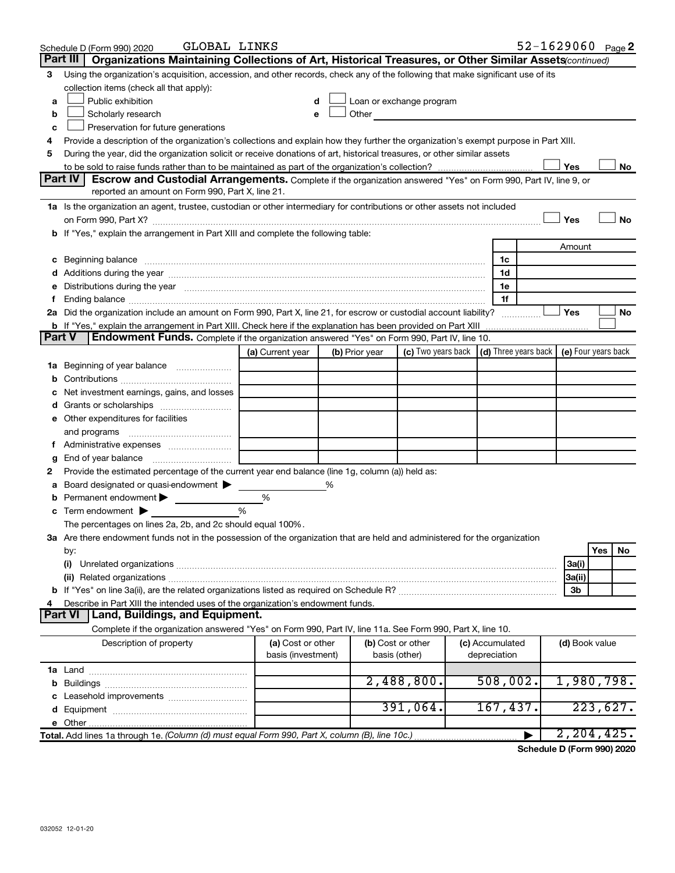|               | <b>GLOBAL LINKS</b><br>Schedule D (Form 990) 2020                                                                                                                                                                             |                                         |   |                |                                                                                                                                                                                                                                |                                 | 52-1629060 Page 2 |                     |          |           |
|---------------|-------------------------------------------------------------------------------------------------------------------------------------------------------------------------------------------------------------------------------|-----------------------------------------|---|----------------|--------------------------------------------------------------------------------------------------------------------------------------------------------------------------------------------------------------------------------|---------------------------------|-------------------|---------------------|----------|-----------|
|               | Part III<br>Organizations Maintaining Collections of Art, Historical Treasures, or Other Similar Assets(continued)                                                                                                            |                                         |   |                |                                                                                                                                                                                                                                |                                 |                   |                     |          |           |
| 3             | Using the organization's acquisition, accession, and other records, check any of the following that make significant use of its                                                                                               |                                         |   |                |                                                                                                                                                                                                                                |                                 |                   |                     |          |           |
|               | collection items (check all that apply):                                                                                                                                                                                      |                                         |   |                |                                                                                                                                                                                                                                |                                 |                   |                     |          |           |
| a             | Public exhibition                                                                                                                                                                                                             | d                                       |   |                | Loan or exchange program                                                                                                                                                                                                       |                                 |                   |                     |          |           |
| b             | Scholarly research                                                                                                                                                                                                            | e                                       |   |                | Other and the control of the control of the control of the control of the control of the control of the control of the control of the control of the control of the control of the control of the control of the control of th |                                 |                   |                     |          |           |
| c             | Preservation for future generations                                                                                                                                                                                           |                                         |   |                |                                                                                                                                                                                                                                |                                 |                   |                     |          |           |
| 4             | Provide a description of the organization's collections and explain how they further the organization's exempt purpose in Part XIII.                                                                                          |                                         |   |                |                                                                                                                                                                                                                                |                                 |                   |                     |          |           |
| 5             | During the year, did the organization solicit or receive donations of art, historical treasures, or other similar assets                                                                                                      |                                         |   |                |                                                                                                                                                                                                                                |                                 |                   |                     |          |           |
|               |                                                                                                                                                                                                                               |                                         |   |                |                                                                                                                                                                                                                                |                                 |                   | Yes                 |          | No        |
|               | <b>Part IV</b><br>Escrow and Custodial Arrangements. Complete if the organization answered "Yes" on Form 990, Part IV, line 9, or                                                                                             |                                         |   |                |                                                                                                                                                                                                                                |                                 |                   |                     |          |           |
|               | reported an amount on Form 990, Part X, line 21.                                                                                                                                                                              |                                         |   |                |                                                                                                                                                                                                                                |                                 |                   |                     |          |           |
|               | 1a Is the organization an agent, trustee, custodian or other intermediary for contributions or other assets not included                                                                                                      |                                         |   |                |                                                                                                                                                                                                                                |                                 |                   |                     |          |           |
|               |                                                                                                                                                                                                                               |                                         |   |                |                                                                                                                                                                                                                                |                                 |                   | Yes                 |          | <b>No</b> |
|               | b If "Yes," explain the arrangement in Part XIII and complete the following table:                                                                                                                                            |                                         |   |                |                                                                                                                                                                                                                                |                                 |                   |                     |          |           |
|               |                                                                                                                                                                                                                               |                                         |   |                |                                                                                                                                                                                                                                |                                 |                   | Amount              |          |           |
|               |                                                                                                                                                                                                                               |                                         |   |                |                                                                                                                                                                                                                                | 1c                              |                   |                     |          |           |
|               |                                                                                                                                                                                                                               |                                         |   |                |                                                                                                                                                                                                                                | 1d                              |                   |                     |          |           |
|               | Distributions during the year manufactured and continuum control of the year manufactured and control of the year manufactured and control of the year manufactured and control of the state of the state of the state of the |                                         |   |                |                                                                                                                                                                                                                                | 1е                              |                   |                     |          |           |
|               |                                                                                                                                                                                                                               |                                         |   |                |                                                                                                                                                                                                                                | 1f                              |                   | Yes                 |          | No        |
|               | 2a Did the organization include an amount on Form 990, Part X, line 21, for escrow or custodial account liability?                                                                                                            |                                         |   |                |                                                                                                                                                                                                                                |                                 |                   |                     |          |           |
| <b>Part V</b> | <b>b</b> If "Yes," explain the arrangement in Part XIII. Check here if the explanation has been provided on Part XIII<br><b>Endowment Funds.</b> Complete if the organization answered "Yes" on Form 990, Part IV, line 10.   |                                         |   |                |                                                                                                                                                                                                                                |                                 |                   |                     |          |           |
|               |                                                                                                                                                                                                                               | (a) Current year                        |   | (b) Prior year | (c) Two years back $\vert$ (d) Three years back $\vert$                                                                                                                                                                        |                                 |                   | (e) Four years back |          |           |
|               | 1a Beginning of year balance                                                                                                                                                                                                  |                                         |   |                |                                                                                                                                                                                                                                |                                 |                   |                     |          |           |
| b             |                                                                                                                                                                                                                               |                                         |   |                |                                                                                                                                                                                                                                |                                 |                   |                     |          |           |
|               | Net investment earnings, gains, and losses                                                                                                                                                                                    |                                         |   |                |                                                                                                                                                                                                                                |                                 |                   |                     |          |           |
|               |                                                                                                                                                                                                                               |                                         |   |                |                                                                                                                                                                                                                                |                                 |                   |                     |          |           |
|               | e Other expenditures for facilities                                                                                                                                                                                           |                                         |   |                |                                                                                                                                                                                                                                |                                 |                   |                     |          |           |
|               | and programs                                                                                                                                                                                                                  |                                         |   |                |                                                                                                                                                                                                                                |                                 |                   |                     |          |           |
| f.            |                                                                                                                                                                                                                               |                                         |   |                |                                                                                                                                                                                                                                |                                 |                   |                     |          |           |
|               | End of year balance                                                                                                                                                                                                           |                                         |   |                |                                                                                                                                                                                                                                |                                 |                   |                     |          |           |
| 2             | Provide the estimated percentage of the current year end balance (line 1g, column (a)) held as:                                                                                                                               |                                         |   |                |                                                                                                                                                                                                                                |                                 |                   |                     |          |           |
|               | Board designated or quasi-endowment                                                                                                                                                                                           |                                         | ℅ |                |                                                                                                                                                                                                                                |                                 |                   |                     |          |           |
|               | Permanent endowment                                                                                                                                                                                                           | %                                       |   |                |                                                                                                                                                                                                                                |                                 |                   |                     |          |           |
|               | Term endowment $\blacktriangleright$                                                                                                                                                                                          | %                                       |   |                |                                                                                                                                                                                                                                |                                 |                   |                     |          |           |
|               | The percentages on lines 2a, 2b, and 2c should equal 100%.                                                                                                                                                                    |                                         |   |                |                                                                                                                                                                                                                                |                                 |                   |                     |          |           |
|               | 3a Are there endowment funds not in the possession of the organization that are held and administered for the organization                                                                                                    |                                         |   |                |                                                                                                                                                                                                                                |                                 |                   |                     |          |           |
|               | by:                                                                                                                                                                                                                           |                                         |   |                |                                                                                                                                                                                                                                |                                 |                   |                     | Yes      | No        |
|               | (i)                                                                                                                                                                                                                           |                                         |   |                |                                                                                                                                                                                                                                |                                 |                   | 3a(i)               |          |           |
|               |                                                                                                                                                                                                                               |                                         |   |                |                                                                                                                                                                                                                                |                                 |                   | 3a(ii)              |          |           |
|               |                                                                                                                                                                                                                               |                                         |   |                |                                                                                                                                                                                                                                |                                 |                   | 3b                  |          |           |
|               | Describe in Part XIII the intended uses of the organization's endowment funds.                                                                                                                                                |                                         |   |                |                                                                                                                                                                                                                                |                                 |                   |                     |          |           |
|               | Land, Buildings, and Equipment.<br><b>Part VI</b>                                                                                                                                                                             |                                         |   |                |                                                                                                                                                                                                                                |                                 |                   |                     |          |           |
|               | Complete if the organization answered "Yes" on Form 990, Part IV, line 11a. See Form 990, Part X, line 10.                                                                                                                    |                                         |   |                |                                                                                                                                                                                                                                |                                 |                   |                     |          |           |
|               | Description of property                                                                                                                                                                                                       | (a) Cost or other<br>basis (investment) |   |                | (b) Cost or other<br>basis (other)                                                                                                                                                                                             | (c) Accumulated<br>depreciation |                   | (d) Book value      |          |           |
|               |                                                                                                                                                                                                                               |                                         |   |                |                                                                                                                                                                                                                                |                                 |                   |                     |          |           |
|               |                                                                                                                                                                                                                               |                                         |   |                | 2,488,800.                                                                                                                                                                                                                     | 508,002.                        |                   | 1,980,798.          |          |           |
|               |                                                                                                                                                                                                                               |                                         |   |                |                                                                                                                                                                                                                                |                                 |                   |                     |          |           |
|               |                                                                                                                                                                                                                               |                                         |   |                | 391,064.                                                                                                                                                                                                                       | 167,437.                        |                   |                     | 223,627. |           |
|               | <b>e</b> Other                                                                                                                                                                                                                |                                         |   |                |                                                                                                                                                                                                                                |                                 |                   |                     |          |           |
|               | Total. Add lines 1a through 1e. (Column (d) must equal Form 990, Part X, column (B), line 10c.)                                                                                                                               |                                         |   |                |                                                                                                                                                                                                                                |                                 |                   | 2, 204, 425.        |          |           |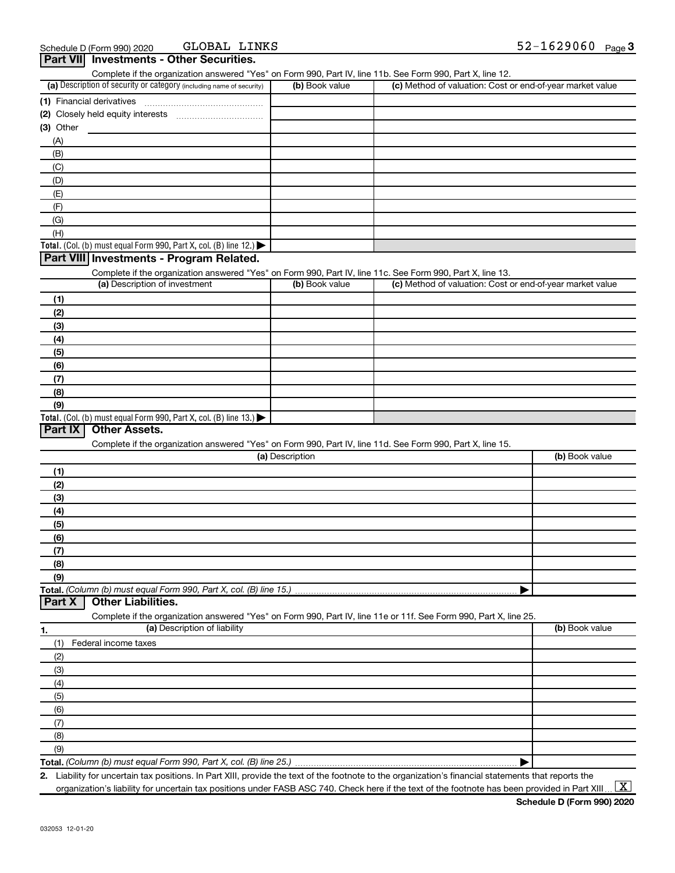| Complete if the organization answered "Yes" on Form 990, Part IV, line 11b. See Form 990, Part X, line 12.        |                 |                                                           |                |
|-------------------------------------------------------------------------------------------------------------------|-----------------|-----------------------------------------------------------|----------------|
| (a) Description of security or category (including name of security)                                              | (b) Book value  | (c) Method of valuation: Cost or end-of-year market value |                |
|                                                                                                                   |                 |                                                           |                |
|                                                                                                                   |                 |                                                           |                |
| (3) Other                                                                                                         |                 |                                                           |                |
| (A)                                                                                                               |                 |                                                           |                |
| (B)                                                                                                               |                 |                                                           |                |
| (C)                                                                                                               |                 |                                                           |                |
| (D)                                                                                                               |                 |                                                           |                |
| (E)                                                                                                               |                 |                                                           |                |
| (F)                                                                                                               |                 |                                                           |                |
| (G)                                                                                                               |                 |                                                           |                |
| (H)                                                                                                               |                 |                                                           |                |
| Total. (Col. (b) must equal Form 990, Part X, col. (B) line 12.)                                                  |                 |                                                           |                |
| Part VIII Investments - Program Related.                                                                          |                 |                                                           |                |
| Complete if the organization answered "Yes" on Form 990, Part IV, line 11c. See Form 990, Part X, line 13.        |                 |                                                           |                |
| (a) Description of investment                                                                                     | (b) Book value  | (c) Method of valuation: Cost or end-of-year market value |                |
| (1)                                                                                                               |                 |                                                           |                |
| (2)                                                                                                               |                 |                                                           |                |
| (3)                                                                                                               |                 |                                                           |                |
| (4)                                                                                                               |                 |                                                           |                |
| (5)                                                                                                               |                 |                                                           |                |
| (6)                                                                                                               |                 |                                                           |                |
| (7)                                                                                                               |                 |                                                           |                |
| (8)                                                                                                               |                 |                                                           |                |
| (9)                                                                                                               |                 |                                                           |                |
| Total. (Col. (b) must equal Form 990, Part X, col. (B) line 13.)                                                  |                 |                                                           |                |
| Part IX<br><b>Other Assets.</b>                                                                                   |                 |                                                           |                |
| Complete if the organization answered "Yes" on Form 990, Part IV, line 11d. See Form 990, Part X, line 15.        |                 |                                                           |                |
|                                                                                                                   | (a) Description |                                                           | (b) Book value |
| (1)                                                                                                               |                 |                                                           |                |
| (2)                                                                                                               |                 |                                                           |                |
| (3)                                                                                                               |                 |                                                           |                |
| (4)                                                                                                               |                 |                                                           |                |
| (5)                                                                                                               |                 |                                                           |                |
| (6)                                                                                                               |                 |                                                           |                |
| (7)                                                                                                               |                 |                                                           |                |
| (8)                                                                                                               |                 |                                                           |                |
| (9)                                                                                                               |                 |                                                           |                |
| Total. (Column (b) must equal Form 990, Part X, col. (B) line 15.)                                                |                 |                                                           |                |
| <b>Other Liabilities.</b><br>Part X                                                                               |                 |                                                           |                |
| Complete if the organization answered "Yes" on Form 990, Part IV, line 11e or 11f. See Form 990, Part X, line 25. |                 |                                                           |                |
| (a) Description of liability                                                                                      |                 |                                                           | (b) Book value |
| 1.<br>(1)<br>Federal income taxes                                                                                 |                 |                                                           |                |
|                                                                                                                   |                 |                                                           |                |
| (2)                                                                                                               |                 |                                                           |                |
| (3)                                                                                                               |                 |                                                           |                |
| (4)                                                                                                               |                 |                                                           |                |
| (5)                                                                                                               |                 |                                                           |                |
| (6)                                                                                                               |                 |                                                           |                |
| (7)                                                                                                               |                 |                                                           |                |
| (8)                                                                                                               |                 |                                                           |                |
| (9)                                                                                                               |                 |                                                           |                |
|                                                                                                                   |                 |                                                           |                |

**2.** Liability for uncertain tax positions. In Part XIII, provide the text of the footnote to the organization's financial statements that reports the organization's liability for uncertain tax positions under FASB ASC 740. Check here if the text of the footnote has been provided in Part XIII ...  $\fbox{\bf X}$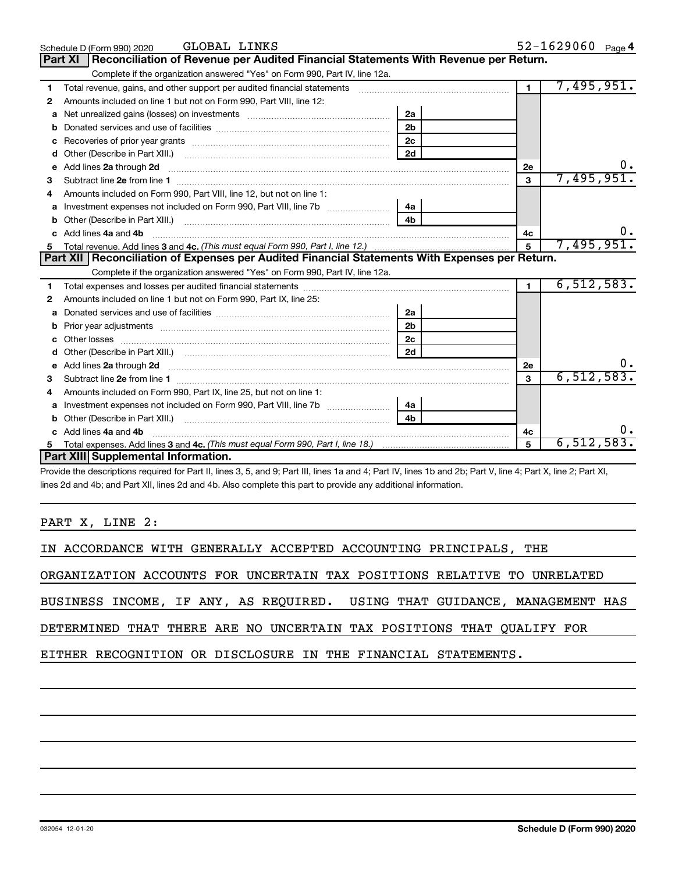|    | GLOBAL LINKS<br>Schedule D (Form 990) 2020                                                                                                                           |                |                | 52-1629060 $_{Page 4}$ |  |
|----|----------------------------------------------------------------------------------------------------------------------------------------------------------------------|----------------|----------------|------------------------|--|
|    | Reconciliation of Revenue per Audited Financial Statements With Revenue per Return.<br>Part XI                                                                       |                |                |                        |  |
|    | Complete if the organization answered "Yes" on Form 990, Part IV, line 12a.                                                                                          |                |                |                        |  |
| 1  | Total revenue, gains, and other support per audited financial statements [11] [11] Total revenue, [21] Total revenue of the support per audited financial statements |                | $\blacksquare$ | 7,495,951.             |  |
| 2  | Amounts included on line 1 but not on Form 990, Part VIII, line 12:                                                                                                  |                |                |                        |  |
| a  | Net unrealized gains (losses) on investments [111] [12] matter and all the unrealized gains (losses) on investments                                                  | 2a             |                |                        |  |
|    |                                                                                                                                                                      | 2 <sub>b</sub> |                |                        |  |
| с  |                                                                                                                                                                      | 2 <sub>c</sub> |                |                        |  |
| d  |                                                                                                                                                                      | 2d             |                |                        |  |
| е  | Add lines 2a through 2d                                                                                                                                              |                | 2e             |                        |  |
| 3  |                                                                                                                                                                      |                | $\mathbf{3}$   | 7,495,951.             |  |
|    | Amounts included on Form 990, Part VIII, line 12, but not on line 1:                                                                                                 |                |                |                        |  |
|    |                                                                                                                                                                      |                |                |                        |  |
| b  |                                                                                                                                                                      | 4 <sub>h</sub> |                |                        |  |
| c. | Add lines 4a and 4b                                                                                                                                                  |                | 4с             |                        |  |
| 5  |                                                                                                                                                                      |                | 5              | 7,495,951.             |  |
|    | Part XII   Reconciliation of Expenses per Audited Financial Statements With Expenses per Return.                                                                     |                |                |                        |  |
|    |                                                                                                                                                                      |                |                |                        |  |
|    | Complete if the organization answered "Yes" on Form 990, Part IV, line 12a.                                                                                          |                |                |                        |  |
| 1  |                                                                                                                                                                      |                | 1 <sup>1</sup> | 6,512,583.             |  |
| 2  | Amounts included on line 1 but not on Form 990, Part IX, line 25:                                                                                                    |                |                |                        |  |
| a  |                                                                                                                                                                      | 2a             |                |                        |  |
|    |                                                                                                                                                                      | 2 <sub>b</sub> |                |                        |  |
| c  |                                                                                                                                                                      | 2 <sub>c</sub> |                |                        |  |
| d  |                                                                                                                                                                      | 2d             |                |                        |  |
| е  | Add lines 2a through 2d <b>contained a contained a contained a contained a</b> contained a contained a contact the set                                               |                | 2e             |                        |  |
| 3  |                                                                                                                                                                      |                | 3              | 6,512,583.             |  |
| 4  | Amounts included on Form 990, Part IX, line 25, but not on line 1:                                                                                                   |                |                |                        |  |
| a  |                                                                                                                                                                      | 4a             |                |                        |  |
| b  |                                                                                                                                                                      | 4h             |                |                        |  |
|    | Add lines 4a and 4b                                                                                                                                                  |                | 4с             |                        |  |
|    |                                                                                                                                                                      |                | 5              | 6,512,583.             |  |

Provide the descriptions required for Part II, lines 3, 5, and 9; Part III, lines 1a and 4; Part IV, lines 1b and 2b; Part V, line 4; Part X, line 2; Part XI, lines 2d and 4b; and Part XII, lines 2d and 4b. Also complete this part to provide any additional information.

### PART X, LINE 2:

IN ACCORDANCE WITH GENERALLY ACCEPTED ACCOUNTING PRINCIPALS, THE

ORGANIZATION ACCOUNTS FOR UNCERTAIN TAX POSITIONS RELATIVE TO UNRELATED

BUSINESS INCOME, IF ANY, AS REQUIRED. USING THAT GUIDANCE, MANAGEMENT HAS

DETERMINED THAT THERE ARE NO UNCERTAIN TAX POSITIONS THAT QUALIFY FOR

EITHER RECOGNITION OR DISCLOSURE IN THE FINANCIAL STATEMENTS.

 $52 - 1629060$  Page 4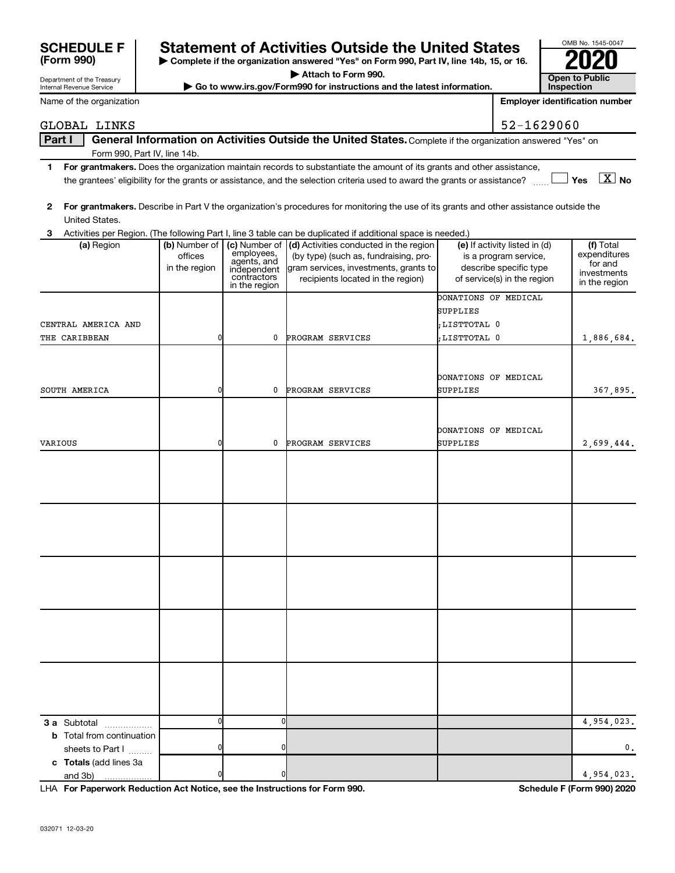# **SCHEDULE F Statement of Activities Outside the United States 2020**

**| Complete if the organization answered "Yes" on Form 990, Part IV, line 14b, 15, or 16. | Attach to Form 990.**

▶ Go to www.irs.gov/Form990 for instructions and the latest information.

| OMB No. 1545-0047                   |  |
|-------------------------------------|--|
| 202                                 |  |
| <b>Open to Public</b><br>Inspection |  |

**Employer identification number**

Department of the Treasury Internal Revenue Service

**(Form 990)**

Name of the organization

GLOBAL LINKS 52-1629060

Part I | General Information on Activities Outside the United States. Complete if the organization answered "Yes" on Form 990, Part IV, line 14b.

- **1 For grantmakers.**  Does the organization maintain records to substantiate the amount of its grants and other assistance, **Yes No** the grantees' eligibility for the grants or assistance, and the selection criteria used to award the grants or assistance? ~~ † † X
- **2 For grantmakers.**  ribe in Part V the organization's procedures for monitoring the use of its grants and other assistance outside the United States.

| 3                                |                |                                          | Activities per Region. (The following Part I, line 3 table can be duplicated if additional space is needed.) |                               |                           |
|----------------------------------|----------------|------------------------------------------|--------------------------------------------------------------------------------------------------------------|-------------------------------|---------------------------|
| (a) Region                       | (b) Number of  |                                          | (c) Number of (d) Activities conducted in the region                                                         | (e) If activity listed in (d) | (f) Total<br>expenditures |
|                                  | offices        | employees,<br>agents, and<br>independent | (by type) (such as, fundraising, pro-                                                                        | is a program service,         | for and                   |
|                                  | in the region  | contractors                              | gram services, investments, grants to                                                                        | describe specific type        | investments               |
|                                  |                | in the region                            | recipients located in the region)                                                                            | of service(s) in the region   | in the region             |
|                                  |                |                                          |                                                                                                              | DONATIONS OF MEDICAL          |                           |
|                                  |                |                                          |                                                                                                              | SUPPLIES                      |                           |
| CENTRAL AMERICA AND              |                |                                          |                                                                                                              | ;LISTTOTAL 0                  |                           |
| THE CARIBBEAN                    | $\overline{0}$ | 0                                        | PROGRAM SERVICES                                                                                             | ;LISTTOTAL 0                  | 1,886,684.                |
|                                  |                |                                          |                                                                                                              |                               |                           |
|                                  |                |                                          |                                                                                                              |                               |                           |
|                                  |                |                                          |                                                                                                              | DONATIONS OF MEDICAL          |                           |
| SOUTH AMERICA                    | $\overline{0}$ | $\mathbf 0$                              | PROGRAM SERVICES                                                                                             | SUPPLIES                      | 367,895.                  |
|                                  |                |                                          |                                                                                                              |                               |                           |
|                                  |                |                                          |                                                                                                              |                               |                           |
|                                  |                |                                          |                                                                                                              | DONATIONS OF MEDICAL          |                           |
| VARIOUS                          | 0              | 0                                        | PROGRAM SERVICES                                                                                             | SUPPLIES                      | 2,699,444.                |
|                                  |                |                                          |                                                                                                              |                               |                           |
|                                  |                |                                          |                                                                                                              |                               |                           |
|                                  |                |                                          |                                                                                                              |                               |                           |
|                                  |                |                                          |                                                                                                              |                               |                           |
|                                  |                |                                          |                                                                                                              |                               |                           |
|                                  |                |                                          |                                                                                                              |                               |                           |
|                                  |                |                                          |                                                                                                              |                               |                           |
|                                  |                |                                          |                                                                                                              |                               |                           |
|                                  |                |                                          |                                                                                                              |                               |                           |
|                                  |                |                                          |                                                                                                              |                               |                           |
|                                  |                |                                          |                                                                                                              |                               |                           |
|                                  |                |                                          |                                                                                                              |                               |                           |
|                                  |                |                                          |                                                                                                              |                               |                           |
|                                  |                |                                          |                                                                                                              |                               |                           |
|                                  |                |                                          |                                                                                                              |                               |                           |
|                                  |                |                                          |                                                                                                              |                               |                           |
|                                  |                |                                          |                                                                                                              |                               |                           |
|                                  |                |                                          |                                                                                                              |                               |                           |
|                                  |                |                                          |                                                                                                              |                               |                           |
| 3 a Subtotal                     | $\overline{0}$ | $\mathbf 0$                              |                                                                                                              |                               | 4,954,023.                |
| <b>b</b> Total from continuation |                |                                          |                                                                                                              |                               |                           |
| sheets to Part I                 | 0              | 0                                        |                                                                                                              |                               | 0.                        |
| c Totals (add lines 3a           |                |                                          |                                                                                                              |                               |                           |
| and 3b)<br>.                     | $\overline{0}$ | 0                                        |                                                                                                              |                               | 4,954,023.                |
|                                  |                |                                          |                                                                                                              |                               |                           |

**For Paperwork Reduction Act Notice, see the Instructions for Form 990. Schedule F (Form 990) 2020** LHA

| <b>2</b> For grantmakers. Describe in Part V the organization's procedures for monitoring the use of its grants |  |
|-----------------------------------------------------------------------------------------------------------------|--|
| $11 - 2 - 10 - 12$                                                                                              |  |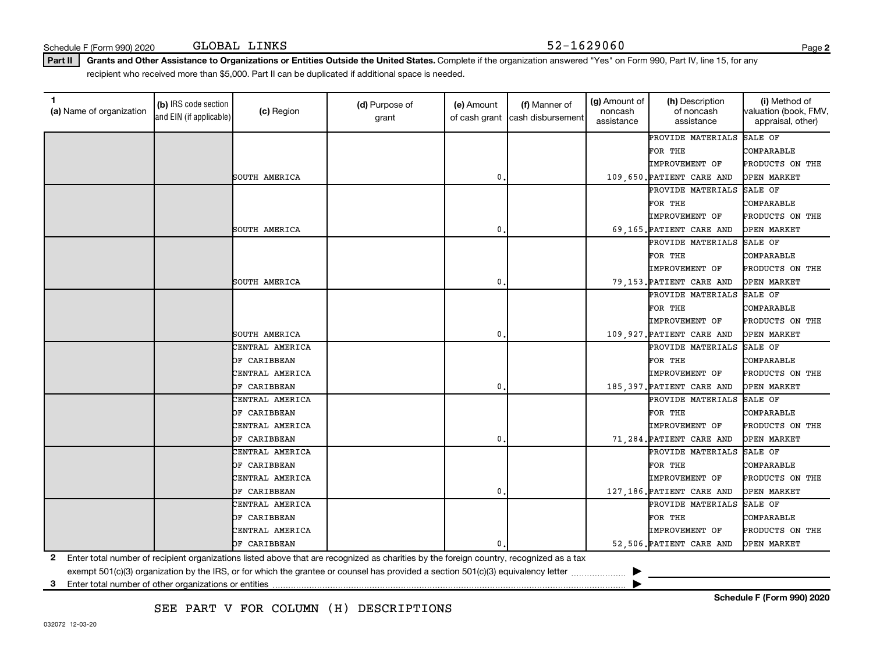SEE PART V FOR COLUMN (H) DESCRIPTIONS

#### Part II | Grants and Other Assistance to Organizations or Entities Outside the United States. Complete if the organization answered "Yes" on Form 990, Part IV, line 15, for any Schedule F (Form 990) 2020  $GLOBAL$   $LINKS$ GLOBAL LINKS

recipient who received more than \$5,000. Part II can be duplicated if additional space is needed.

(b) IRS code section and EIN (if applicable)

**1** (a) Name of organization  $\begin{bmatrix} \text{(b)} \text{ IRS code section} \\ \text{and} \text{ This code section} \end{bmatrix}$  (c) Region (d) Purpose of

|                                                         |                                                                                                                                           |   |  | PROVIDE MATERIALS         | SALE OF            |
|---------------------------------------------------------|-------------------------------------------------------------------------------------------------------------------------------------------|---|--|---------------------------|--------------------|
|                                                         |                                                                                                                                           |   |  | FOR THE                   | COMPARABLE         |
|                                                         |                                                                                                                                           |   |  | <b>IMPROVEMENT OF</b>     | PRODUCTS ON THE    |
|                                                         | SOUTH AMERICA                                                                                                                             | 0 |  | 109,650. PATIENT CARE AND | OPEN MARKET        |
|                                                         |                                                                                                                                           |   |  | PROVIDE MATERIALS         | SALE OF            |
|                                                         |                                                                                                                                           |   |  | FOR THE                   | COMPARABLE         |
|                                                         |                                                                                                                                           |   |  | <b>IMPROVEMENT OF</b>     | PRODUCTS ON THE    |
|                                                         | SOUTH AMERICA                                                                                                                             | 0 |  | 69,165. PATIENT CARE AND  | <b>OPEN MARKET</b> |
|                                                         |                                                                                                                                           |   |  | PROVIDE MATERIALS         | <b>SALE OF</b>     |
|                                                         |                                                                                                                                           |   |  | FOR THE                   | COMPARABLE         |
|                                                         |                                                                                                                                           |   |  | <b>IMPROVEMENT OF</b>     | PRODUCTS ON THE    |
|                                                         | SOUTH AMERICA                                                                                                                             | 0 |  | 79,153. PATIENT CARE AND  | OPEN MARKET        |
|                                                         |                                                                                                                                           |   |  | PROVIDE MATERIALS         | SALE OF            |
|                                                         |                                                                                                                                           |   |  | FOR THE                   | COMPARABLE         |
|                                                         |                                                                                                                                           |   |  | <b>IMPROVEMENT OF</b>     | PRODUCTS ON THE    |
|                                                         | SOUTH AMERICA                                                                                                                             | 0 |  | 109,927. PATIENT CARE AND | OPEN MARKET        |
|                                                         | CENTRAL AMERICA                                                                                                                           |   |  | PROVIDE MATERIALS         | SALE OF            |
|                                                         | OF CARIBBEAN                                                                                                                              |   |  | FOR THE                   | COMPARABLE         |
|                                                         | CENTRAL AMERICA                                                                                                                           |   |  | <b>IMPROVEMENT OF</b>     | PRODUCTS ON THE    |
|                                                         | OF CARIBBEAN                                                                                                                              | 0 |  | 185,397. PATIENT CARE AND | OPEN MARKET        |
|                                                         | CENTRAL AMERICA                                                                                                                           |   |  | PROVIDE MATERIALS         | SALE OF            |
|                                                         | OF CARIBBEAN                                                                                                                              |   |  | FOR THE                   | COMPARABLE         |
|                                                         | CENTRAL AMERICA                                                                                                                           |   |  | <b>IMPROVEMENT OF</b>     | PRODUCTS ON THE    |
|                                                         | OF CARIBBEAN                                                                                                                              | 0 |  | 71,284. PATIENT CARE AND  | OPEN MARKET        |
|                                                         | CENTRAL AMERICA                                                                                                                           |   |  | PROVIDE MATERIALS         | SALE OF            |
|                                                         | OF CARIBBEAN                                                                                                                              |   |  | FOR THE                   | COMPARABLE         |
|                                                         | CENTRAL AMERICA                                                                                                                           |   |  | <b>IMPROVEMENT OF</b>     | PRODUCTS ON THE    |
|                                                         | OF CARIBBEAN                                                                                                                              | 0 |  | 127,186. PATIENT CARE AND | OPEN MARKET        |
|                                                         | CENTRAL AMERICA                                                                                                                           |   |  | PROVIDE MATERIALS         | SALE OF            |
|                                                         | OF CARIBBEAN                                                                                                                              |   |  | FOR THE                   | COMPARABLE         |
|                                                         | CENTRAL AMERICA                                                                                                                           |   |  | <b>IMPROVEMENT OF</b>     | PRODUCTS ON THE    |
|                                                         | <b>DF CARIBBEAN</b>                                                                                                                       | 0 |  | 52,506. PATIENT CARE AND  | <b>OPEN MARKET</b> |
|                                                         | 2 Enter total number of recipient organizations listed above that are recognized as charities by the foreign country, recognized as a tax |   |  |                           |                    |
|                                                         |                                                                                                                                           |   |  |                           |                    |
| 3 Enter total number of other organizations or entities |                                                                                                                                           |   |  |                           |                    |

**(a)** Name of organization (b) IRS code section (c) Region (c) Region (d) Purpose of (e) Amount (f) Manner of (g) Amount of (h) Description (i) (a) Name of organization (f) IRS code section (c) Region (d) Purpose of (d) Am

grant

of cash grant | cash disbursement

(f) Manner of

(e) Amount

**2**

(i) Method of valuation (book, FMV, appraisal, other)

**Schedule F (Form 990) 2020**

(g) Amount of noncash assistance

(h) Description of noncash assistance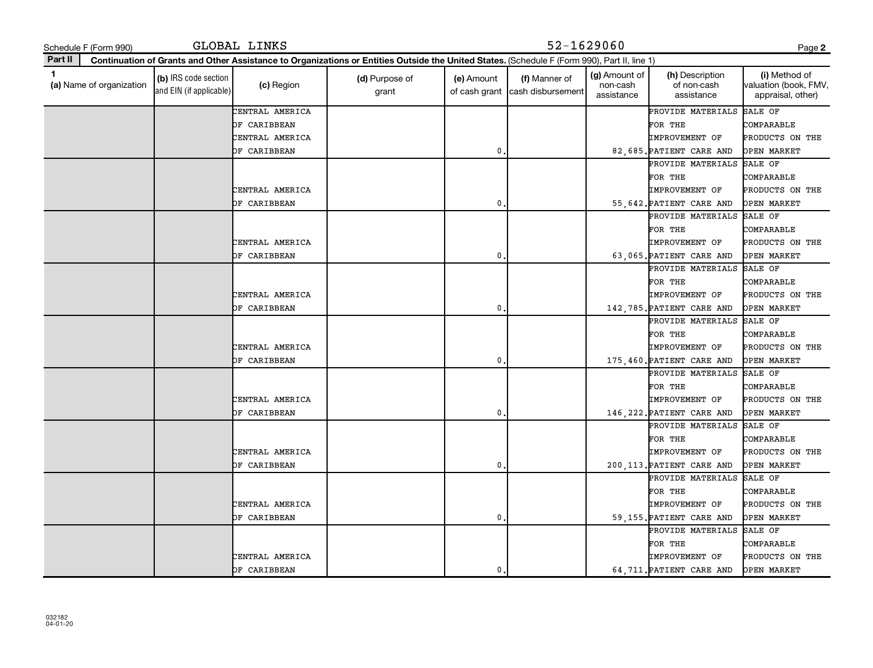|         | Schedule F (Form 990)    |                                                 | <b>GLOBAL LINKS</b> |                                                                                                                                              |                             | 52-1629060                         |                                         |                                              | Page 2                                                      |
|---------|--------------------------|-------------------------------------------------|---------------------|----------------------------------------------------------------------------------------------------------------------------------------------|-----------------------------|------------------------------------|-----------------------------------------|----------------------------------------------|-------------------------------------------------------------|
| Part II |                          |                                                 |                     | Continuation of Grants and Other Assistance to Organizations or Entities Outside the United States. (Schedule F (Form 990), Part II, line 1) |                             |                                    |                                         |                                              |                                                             |
| 1       | (a) Name of organization | (b) IRS code section<br>and EIN (if applicable) | (c) Region          | (d) Purpose of<br>grant                                                                                                                      | (e) Amount<br>of cash grant | (f) Manner of<br>cash disbursement | (g) Amount of<br>non-cash<br>assistance | (h) Description<br>of non-cash<br>assistance | (i) Method of<br>valuation (book, FMV,<br>appraisal, other) |
|         |                          |                                                 | CENTRAL AMERICA     |                                                                                                                                              |                             |                                    |                                         | PROVIDE MATERIALS                            | SALE OF                                                     |
|         |                          |                                                 | OF CARIBBEAN        |                                                                                                                                              |                             |                                    |                                         | FOR THE                                      | COMPARABLE                                                  |
|         |                          |                                                 | CENTRAL AMERICA     |                                                                                                                                              |                             |                                    |                                         | IMPROVEMENT OF                               | PRODUCTS ON THE                                             |
|         |                          |                                                 | OF CARIBBEAN        |                                                                                                                                              | $\mathbf 0$ .               |                                    |                                         | 82,685. PATIENT CARE AND                     | OPEN MARKET                                                 |
|         |                          |                                                 |                     |                                                                                                                                              |                             |                                    |                                         | PROVIDE MATERIALS                            | SALE OF                                                     |
|         |                          |                                                 |                     |                                                                                                                                              |                             |                                    |                                         | FOR THE                                      | COMPARABLE                                                  |
|         |                          |                                                 | CENTRAL AMERICA     |                                                                                                                                              |                             |                                    |                                         | IMPROVEMENT OF                               | PRODUCTS ON THE                                             |
|         |                          |                                                 | <b>DF CARIBBEAN</b> |                                                                                                                                              | $\mathbf{0}$                |                                    |                                         | 55,642. PATIENT CARE AND                     | OPEN MARKET                                                 |
|         |                          |                                                 |                     |                                                                                                                                              |                             |                                    |                                         | PROVIDE MATERIALS                            | SALE OF                                                     |
|         |                          |                                                 |                     |                                                                                                                                              |                             |                                    |                                         | FOR THE                                      | COMPARABLE                                                  |
|         |                          |                                                 | CENTRAL AMERICA     |                                                                                                                                              |                             |                                    |                                         | IMPROVEMENT OF                               | PRODUCTS ON THE                                             |
|         |                          |                                                 | OF CARIBBEAN        |                                                                                                                                              | $\mathbf{0}$                |                                    |                                         | 63,065. PATIENT CARE AND                     | OPEN MARKET                                                 |
|         |                          |                                                 |                     |                                                                                                                                              |                             |                                    |                                         | PROVIDE MATERIALS                            | SALE OF                                                     |
|         |                          |                                                 |                     |                                                                                                                                              |                             |                                    |                                         | FOR THE                                      | COMPARABLE                                                  |
|         |                          |                                                 | CENTRAL AMERICA     |                                                                                                                                              |                             |                                    |                                         | IMPROVEMENT OF                               | PRODUCTS ON THE                                             |
|         |                          |                                                 | <b>DF CARIBBEAN</b> |                                                                                                                                              | $\mathbf 0$ .               |                                    |                                         | 142,785. PATIENT CARE AND                    | OPEN MARKET                                                 |
|         |                          |                                                 |                     |                                                                                                                                              |                             |                                    |                                         | PROVIDE MATERIALS                            | SALE OF                                                     |
|         |                          |                                                 |                     |                                                                                                                                              |                             |                                    |                                         | FOR THE                                      | COMPARABLE                                                  |
|         |                          |                                                 | CENTRAL AMERICA     |                                                                                                                                              |                             |                                    |                                         | IMPROVEMENT OF                               | PRODUCTS ON THE                                             |
|         |                          |                                                 | <b>DF CARIBBEAN</b> |                                                                                                                                              | $\mathbf 0$ .               |                                    |                                         | 175,460. PATIENT CARE AND                    | OPEN MARKET                                                 |
|         |                          |                                                 |                     |                                                                                                                                              |                             |                                    |                                         | PROVIDE MATERIALS                            | SALE OF                                                     |
|         |                          |                                                 |                     |                                                                                                                                              |                             |                                    |                                         | FOR THE                                      | COMPARABLE                                                  |
|         |                          |                                                 | CENTRAL AMERICA     |                                                                                                                                              |                             |                                    |                                         | IMPROVEMENT OF                               | PRODUCTS ON THE                                             |
|         |                          |                                                 | OF CARIBBEAN        |                                                                                                                                              | 0                           |                                    |                                         | 146, 222. PATIENT CARE AND                   | OPEN MARKET                                                 |
|         |                          |                                                 |                     |                                                                                                                                              |                             |                                    |                                         | PROVIDE MATERIALS                            | SALE OF                                                     |
|         |                          |                                                 |                     |                                                                                                                                              |                             |                                    |                                         | FOR THE                                      | COMPARABLE                                                  |
|         |                          |                                                 | CENTRAL AMERICA     |                                                                                                                                              |                             |                                    |                                         | <b>IMPROVEMENT OF</b>                        | PRODUCTS ON THE                                             |
|         |                          |                                                 | <b>DF CARIBBEAN</b> |                                                                                                                                              | 0                           |                                    |                                         | 200, 113. PATIENT CARE AND                   | OPEN MARKET                                                 |
|         |                          |                                                 |                     |                                                                                                                                              |                             |                                    |                                         | PROVIDE MATERIALS                            | SALE OF                                                     |
|         |                          |                                                 |                     |                                                                                                                                              |                             |                                    |                                         | FOR THE                                      | COMPARABLE                                                  |
|         |                          |                                                 | CENTRAL AMERICA     |                                                                                                                                              |                             |                                    |                                         | IMPROVEMENT OF                               | PRODUCTS ON THE                                             |
|         |                          |                                                 | OF CARIBBEAN        |                                                                                                                                              | 0                           |                                    |                                         | 59,155. PATIENT CARE AND                     | OPEN MARKET                                                 |
|         |                          |                                                 |                     |                                                                                                                                              |                             |                                    |                                         | PROVIDE MATERIALS                            | SALE OF                                                     |
|         |                          |                                                 |                     |                                                                                                                                              |                             |                                    |                                         | FOR THE                                      | COMPARABLE                                                  |
|         |                          |                                                 | CENTRAL AMERICA     |                                                                                                                                              |                             |                                    |                                         | IMPROVEMENT OF                               | PRODUCTS ON THE                                             |
|         |                          |                                                 | OF CARIBBEAN        |                                                                                                                                              | $\mathbf{0}$                |                                    |                                         | 64,711. PATIENT CARE AND                     | OPEN MARKET                                                 |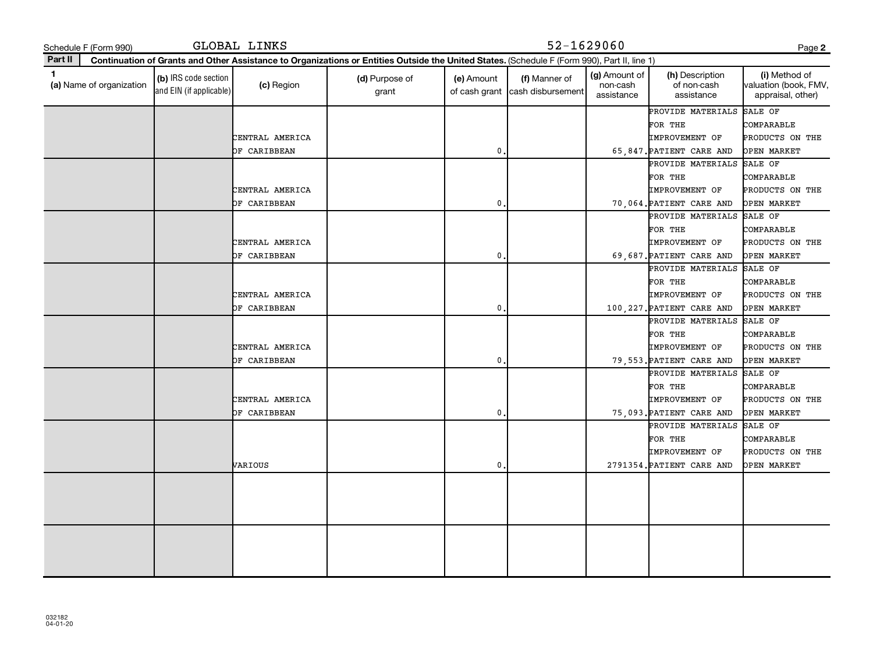|              | Schedule F (Form 990)    |                                                 | <b>GLOBAL LINKS</b> |                                                                                                                                              |                             | 52-1629060                         |                                         |                                              | Page 2                                                      |
|--------------|--------------------------|-------------------------------------------------|---------------------|----------------------------------------------------------------------------------------------------------------------------------------------|-----------------------------|------------------------------------|-----------------------------------------|----------------------------------------------|-------------------------------------------------------------|
| Part II      |                          |                                                 |                     | Continuation of Grants and Other Assistance to Organizations or Entities Outside the United States. (Schedule F (Form 990), Part II, line 1) |                             |                                    |                                         |                                              |                                                             |
| $\mathbf{1}$ | (a) Name of organization | (b) IRS code section<br>and EIN (if applicable) | (c) Region          | (d) Purpose of<br>grant                                                                                                                      | (e) Amount<br>of cash grant | (f) Manner of<br>cash disbursement | (g) Amount of<br>non-cash<br>assistance | (h) Description<br>of non-cash<br>assistance | (i) Method of<br>valuation (book, FMV,<br>appraisal, other) |
|              |                          |                                                 |                     |                                                                                                                                              |                             |                                    |                                         | PROVIDE MATERIALS                            | SALE OF                                                     |
|              |                          |                                                 |                     |                                                                                                                                              |                             |                                    |                                         | FOR THE                                      | COMPARABLE                                                  |
|              |                          |                                                 | CENTRAL AMERICA     |                                                                                                                                              |                             |                                    |                                         | IMPROVEMENT OF                               | PRODUCTS ON THE                                             |
|              |                          |                                                 | OF CARIBBEAN        |                                                                                                                                              | $\mathbf{0}$                |                                    |                                         | 65,847. PATIENT CARE AND                     | OPEN MARKET                                                 |
|              |                          |                                                 |                     |                                                                                                                                              |                             |                                    |                                         | PROVIDE MATERIALS                            | SALE OF                                                     |
|              |                          |                                                 |                     |                                                                                                                                              |                             |                                    |                                         | FOR THE                                      | COMPARABLE                                                  |
|              |                          |                                                 | CENTRAL AMERICA     |                                                                                                                                              |                             |                                    |                                         | <b>IMPROVEMENT OF</b>                        | PRODUCTS ON THE                                             |
|              |                          |                                                 | OF CARIBBEAN        |                                                                                                                                              | $\mathbf{0}$                |                                    |                                         | 70,064. PATIENT CARE AND                     | OPEN MARKET                                                 |
|              |                          |                                                 |                     |                                                                                                                                              |                             |                                    |                                         | PROVIDE MATERIALS                            | SALE OF                                                     |
|              |                          |                                                 |                     |                                                                                                                                              |                             |                                    |                                         | FOR THE                                      | COMPARABLE                                                  |
|              |                          |                                                 | CENTRAL AMERICA     |                                                                                                                                              |                             |                                    |                                         | IMPROVEMENT OF                               | PRODUCTS ON THE                                             |
|              |                          |                                                 | OF CARIBBEAN        |                                                                                                                                              | $\mathbf{0}$                |                                    |                                         | 69,687. PATIENT CARE AND                     | OPEN MARKET                                                 |
|              |                          |                                                 |                     |                                                                                                                                              |                             |                                    |                                         | PROVIDE MATERIALS                            | SALE OF                                                     |
|              |                          |                                                 |                     |                                                                                                                                              |                             |                                    |                                         | FOR THE                                      | COMPARABLE                                                  |
|              |                          |                                                 | CENTRAL AMERICA     |                                                                                                                                              |                             |                                    |                                         | IMPROVEMENT OF                               | PRODUCTS ON THE                                             |
|              |                          |                                                 | OF CARIBBEAN        |                                                                                                                                              | $\mathbf{0}$                |                                    |                                         | 100.227. PATIENT CARE AND                    | OPEN MARKET                                                 |
|              |                          |                                                 |                     |                                                                                                                                              |                             |                                    |                                         | PROVIDE MATERIALS                            | SALE OF                                                     |
|              |                          |                                                 |                     |                                                                                                                                              |                             |                                    |                                         | FOR THE                                      | COMPARABLE                                                  |
|              |                          |                                                 | CENTRAL AMERICA     |                                                                                                                                              |                             |                                    |                                         | IMPROVEMENT OF                               | PRODUCTS ON THE                                             |
|              |                          |                                                 | OF CARIBBEAN        |                                                                                                                                              | $\mathbf{0}$                |                                    |                                         | 79,553. PATIENT CARE AND                     | OPEN MARKET                                                 |
|              |                          |                                                 |                     |                                                                                                                                              |                             |                                    |                                         | PROVIDE MATERIALS                            | SALE OF                                                     |
|              |                          |                                                 |                     |                                                                                                                                              |                             |                                    |                                         | FOR THE                                      | COMPARABLE                                                  |
|              |                          |                                                 | CENTRAL AMERICA     |                                                                                                                                              |                             |                                    |                                         | IMPROVEMENT OF                               | PRODUCTS ON THE                                             |
|              |                          |                                                 | OF CARIBBEAN        |                                                                                                                                              | $\mathbf{0}$                |                                    |                                         | 75,093. PATIENT CARE AND                     | OPEN MARKET                                                 |
|              |                          |                                                 |                     |                                                                                                                                              |                             |                                    |                                         | PROVIDE MATERIALS                            | SALE OF                                                     |
|              |                          |                                                 |                     |                                                                                                                                              |                             |                                    |                                         | FOR THE                                      | COMPARABLE                                                  |
|              |                          |                                                 |                     |                                                                                                                                              |                             |                                    |                                         | IMPROVEMENT OF                               | PRODUCTS ON THE                                             |
|              |                          |                                                 | VARIOUS             |                                                                                                                                              | $\mathbf{0}$                |                                    |                                         | 2791354. PATIENT CARE AND                    | OPEN MARKET                                                 |
|              |                          |                                                 |                     |                                                                                                                                              |                             |                                    |                                         |                                              |                                                             |
|              |                          |                                                 |                     |                                                                                                                                              |                             |                                    |                                         |                                              |                                                             |
|              |                          |                                                 |                     |                                                                                                                                              |                             |                                    |                                         |                                              |                                                             |
|              |                          |                                                 |                     |                                                                                                                                              |                             |                                    |                                         |                                              |                                                             |
|              |                          |                                                 |                     |                                                                                                                                              |                             |                                    |                                         |                                              |                                                             |
|              |                          |                                                 |                     |                                                                                                                                              |                             |                                    |                                         |                                              |                                                             |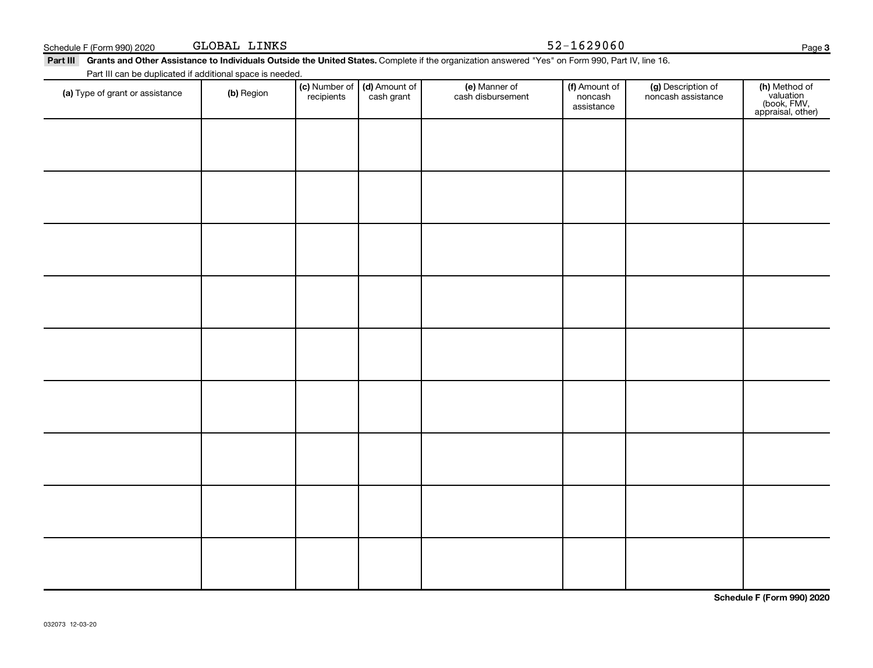# Part III Grants and Other Assistance to Individuals Outside the United States. Complete if the organization answered "Yes" on Form 990, Part IV, line 16. Part III can be duplicated if additional space is needed.

GLOBAL LINKS

| (a) Type of grant or assistance | (b) Region | (c) Number of<br>recipients | (d) Amount of<br>cash grant | (e) Manner of<br>cash disbursement | (f) Amount of<br>noncash<br>assistance | (g) Description of<br>noncash assistance | (h) Method of<br>valuation<br>(book, FMV,<br>appraisal, other) |
|---------------------------------|------------|-----------------------------|-----------------------------|------------------------------------|----------------------------------------|------------------------------------------|----------------------------------------------------------------|
|                                 |            |                             |                             |                                    |                                        |                                          |                                                                |
|                                 |            |                             |                             |                                    |                                        |                                          |                                                                |
|                                 |            |                             |                             |                                    |                                        |                                          |                                                                |
|                                 |            |                             |                             |                                    |                                        |                                          |                                                                |
|                                 |            |                             |                             |                                    |                                        |                                          |                                                                |
|                                 |            |                             |                             |                                    |                                        |                                          |                                                                |
|                                 |            |                             |                             |                                    |                                        |                                          |                                                                |
|                                 |            |                             |                             |                                    |                                        |                                          |                                                                |
|                                 |            |                             |                             |                                    |                                        |                                          |                                                                |
|                                 |            |                             |                             |                                    |                                        |                                          |                                                                |

**Schedule F (Form 990) 2020**

## Schedule F (Form 990) 2020 GLOBAL LINKS  $52-1629060$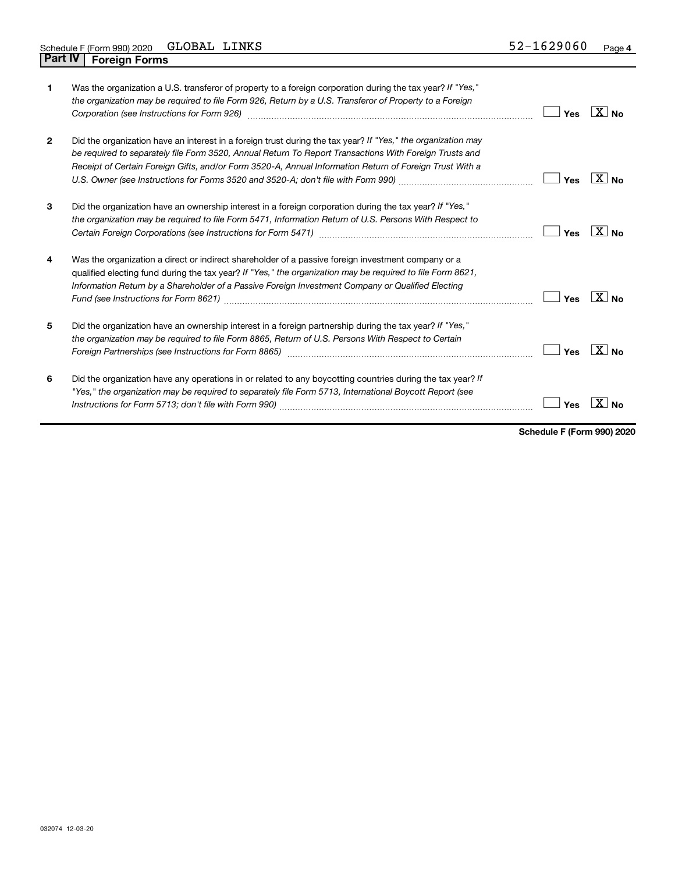| 1              | Was the organization a U.S. transferor of property to a foreign corporation during the tax year? If "Yes,"<br>the organization may be required to file Form 926, Return by a U.S. Transferor of Property to a Foreign<br>Corporation (see Instructions for Form 926) manufactured controller controller than 1990 and the Corporation (                                                                                | Yes | $X $ No             |
|----------------|------------------------------------------------------------------------------------------------------------------------------------------------------------------------------------------------------------------------------------------------------------------------------------------------------------------------------------------------------------------------------------------------------------------------|-----|---------------------|
| $\overline{2}$ | Did the organization have an interest in a foreign trust during the tax year? If "Yes," the organization may<br>be required to separately file Form 3520, Annual Return To Report Transactions With Foreign Trusts and<br>Receipt of Certain Foreign Gifts, and/or Form 3520-A, Annual Information Return of Foreign Trust With a<br>U.S. Owner (see Instructions for Forms 3520 and 3520-A; don't file with Form 990) | Yes | $X \mid N_0$        |
| 3              | Did the organization have an ownership interest in a foreign corporation during the tax year? If "Yes,"<br>the organization may be required to file Form 5471, Information Return of U.S. Persons With Respect to                                                                                                                                                                                                      | Yes | ΧI<br><b>No</b>     |
| 4              | Was the organization a direct or indirect shareholder of a passive foreign investment company or a<br>qualified electing fund during the tax year? If "Yes," the organization may be required to file Form 8621,<br>Information Return by a Shareholder of a Passive Foreign Investment Company or Qualified Electing                                                                                                  | Yes | χI<br><b>No</b>     |
| 5              | Did the organization have an ownership interest in a foreign partnership during the tax year? If "Yes,"<br>the organization may be required to file Form 8865, Return of U.S. Persons With Respect to Certain                                                                                                                                                                                                          | Yes | X<br>N <sub>0</sub> |
| 6              | Did the organization have any operations in or related to any boycotting countries during the tax year? If<br>"Yes," the organization may be required to separately file Form 5713, International Boycott Report (see                                                                                                                                                                                                  | Yes |                     |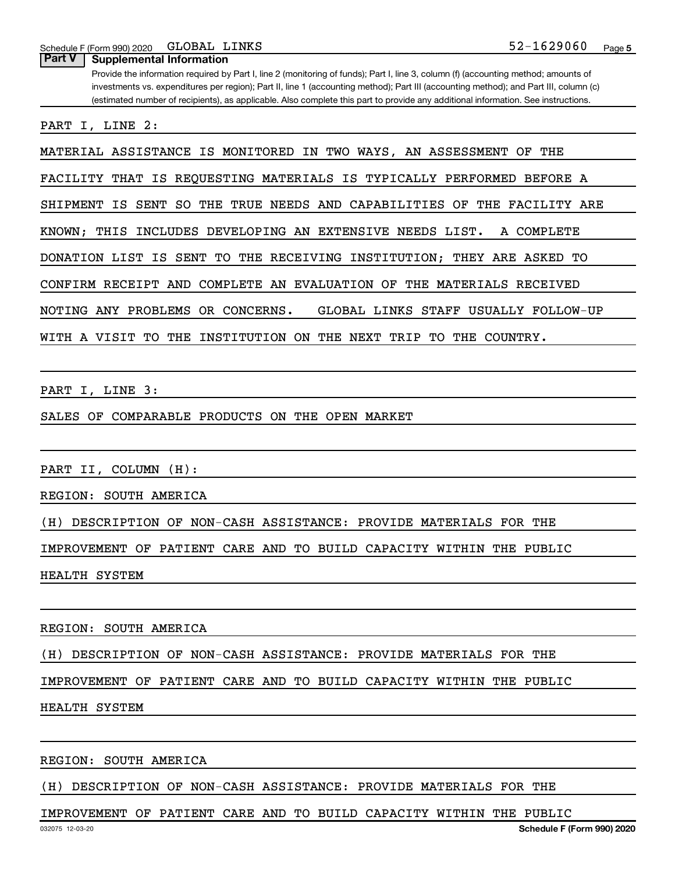Schedule F (Form 990) 2020 GLOBAL LINKS  $52-1629060$ GLOBAL LINKS

**Part V Supplemental Information**

Provide the information required by Part I, line 2 (monitoring of funds); Part I, line 3, column (f) (accounting method; amounts of investments vs. expenditures per region); Part II, line 1 (accounting method); Part III (accounting method); and Part III, column (c) (estimated number of recipients), as applicable. Also complete this part to provide any additional information. See instructions.

PART I, LINE 2:

MATERIAL ASSISTANCE IS MONITORED IN TWO WAYS, AN ASSESSMENT OF THE

FACILITY THAT IS REQUESTING MATERIALS IS TYPICALLY PERFORMED BEFORE A

SHIPMENT IS SENT SO THE TRUE NEEDS AND CAPABILITIES OF THE FACILITY ARE

KNOWN; THIS INCLUDES DEVELOPING AN EXTENSIVE NEEDS LIST. A COMPLETE

DONATION LIST IS SENT TO THE RECEIVING INSTITUTION; THEY ARE ASKED TO

CONFIRM RECEIPT AND COMPLETE AN EVALUATION OF THE MATERIALS RECEIVED

NOTING ANY PROBLEMS OR CONCERNS. GLOBAL LINKS STAFF USUALLY FOLLOW-UP

WITH A VISIT TO THE INSTITUTION ON THE NEXT TRIP TO THE COUNTRY.

PART I, LINE 3:

#### SALES OF COMPARABLE PRODUCTS ON THE OPEN MARKET

PART II, COLUMN (H):

REGION: SOUTH AMERICA

(H) DESCRIPTION OF NON-CASH ASSISTANCE: PROVIDE MATERIALS FOR THE

IMPROVEMENT OF PATIENT CARE AND TO BUILD CAPACITY WITHIN THE PUBLIC

HEALTH SYSTEM

REGION: SOUTH AMERICA

(H) DESCRIPTION OF NON-CASH ASSISTANCE: PROVIDE MATERIALS FOR THE

IMPROVEMENT OF PATIENT CARE AND TO BUILD CAPACITY WITHIN THE PUBLIC

HEALTH SYSTEM

REGION: SOUTH AMERICA

(H) DESCRIPTION OF NON-CASH ASSISTANCE: PROVIDE MATERIALS FOR THE

#### IMPROVEMENT OF PATIENT CARE AND TO BUILD CAPACITY WITHIN THE PUBLIC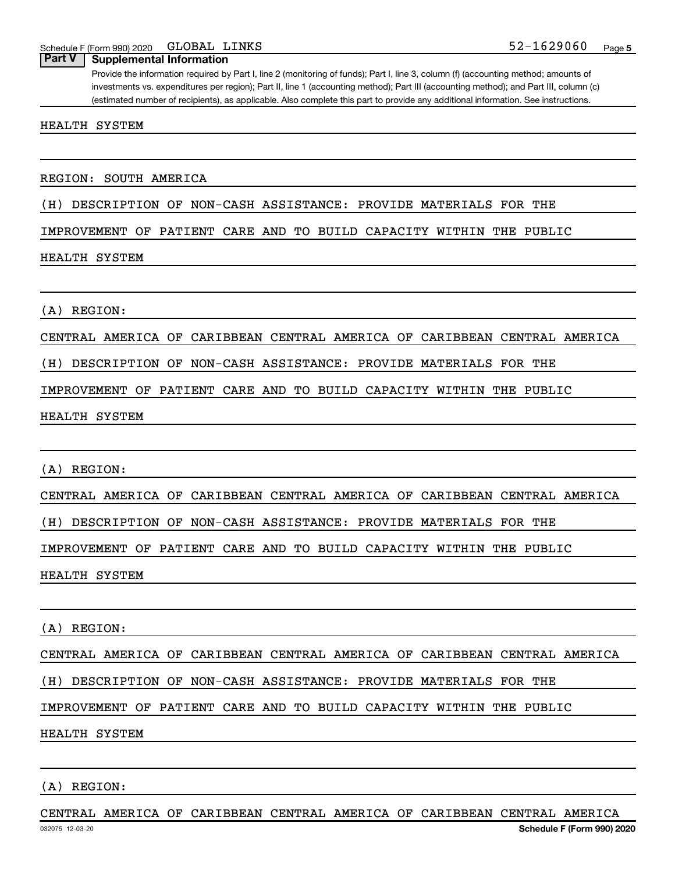Provide the information required by Part I, line 2 (monitoring of funds); Part I, line 3, column (f) (accounting method; amounts of investments vs. expenditures per region); Part II, line 1 (accounting method); Part III (accounting method); and Part III, column (c) (estimated number of recipients), as applicable. Also complete this part to provide any additional information. See instructions.

#### HEALTH SYSTEM

#### REGION: SOUTH AMERICA

(H) DESCRIPTION OF NON-CASH ASSISTANCE: PROVIDE MATERIALS FOR THE

IMPROVEMENT OF PATIENT CARE AND TO BUILD CAPACITY WITHIN THE PUBLIC

#### HEALTH SYSTEM

#### (A) REGION:

CENTRAL AMERICA OF CARIBBEAN CENTRAL AMERICA OF CARIBBEAN CENTRAL AMERICA

(H) DESCRIPTION OF NON-CASH ASSISTANCE: PROVIDE MATERIALS FOR THE

IMPROVEMENT OF PATIENT CARE AND TO BUILD CAPACITY WITHIN THE PUBLIC

#### HEALTH SYSTEM

(A) REGION:

CENTRAL AMERICA OF CARIBBEAN CENTRAL AMERICA OF CARIBBEAN CENTRAL AMERICA

(H) DESCRIPTION OF NON-CASH ASSISTANCE: PROVIDE MATERIALS FOR THE

IMPROVEMENT OF PATIENT CARE AND TO BUILD CAPACITY WITHIN THE PUBLIC

#### HEALTH SYSTEM

(A) REGION:

CENTRAL AMERICA OF CARIBBEAN CENTRAL AMERICA OF CARIBBEAN CENTRAL AMERICA

(H) DESCRIPTION OF NON-CASH ASSISTANCE: PROVIDE MATERIALS FOR THE

IMPROVEMENT OF PATIENT CARE AND TO BUILD CAPACITY WITHIN THE PUBLIC

HEALTH SYSTEM

#### (A) REGION:

CENTRAL AMERICA OF CARIBBEAN CENTRAL AMERICA OF CARIBBEAN CENTRAL AMERICA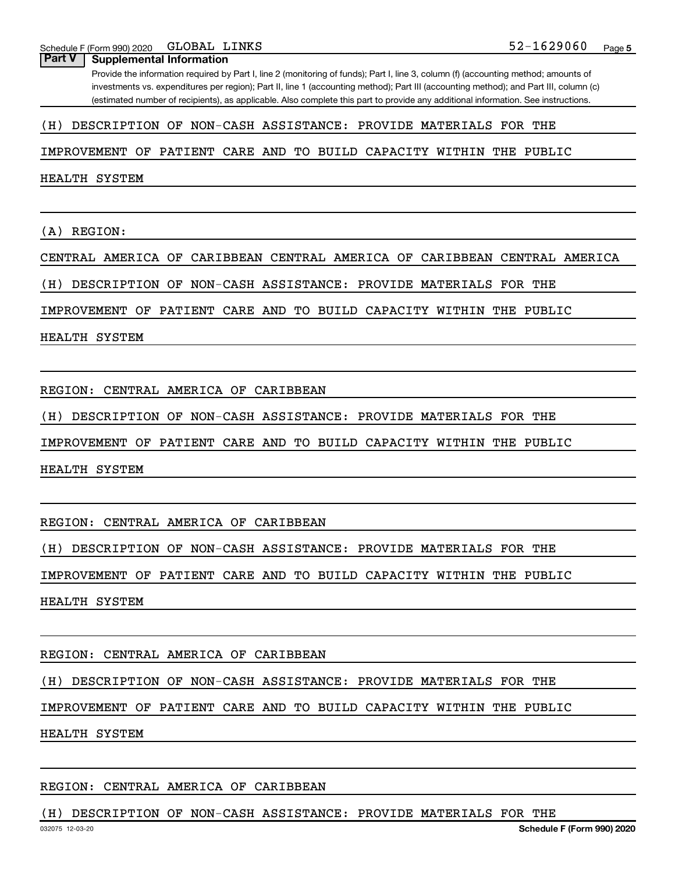Provide the information required by Part I, line 2 (monitoring of funds); Part I, line 3, column (f) (accounting method; amounts of investments vs. expenditures per region); Part II, line 1 (accounting method); Part III (accounting method); and Part III, column (c) (estimated number of recipients), as applicable. Also complete this part to provide any additional information. See instructions.

#### (H) DESCRIPTION OF NON-CASH ASSISTANCE: PROVIDE MATERIALS FOR THE

IMPROVEMENT OF PATIENT CARE AND TO BUILD CAPACITY WITHIN THE PUBLIC

HEALTH SYSTEM

(A) REGION:

CENTRAL AMERICA OF CARIBBEAN CENTRAL AMERICA OF CARIBBEAN CENTRAL AMERICA

(H) DESCRIPTION OF NON-CASH ASSISTANCE: PROVIDE MATERIALS FOR THE

IMPROVEMENT OF PATIENT CARE AND TO BUILD CAPACITY WITHIN THE PUBLIC

HEALTH SYSTEM

REGION: CENTRAL AMERICA OF CARIBBEAN

(H) DESCRIPTION OF NON-CASH ASSISTANCE: PROVIDE MATERIALS FOR THE

IMPROVEMENT OF PATIENT CARE AND TO BUILD CAPACITY WITHIN THE PUBLIC

HEALTH SYSTEM

REGION: CENTRAL AMERICA OF CARIBBEAN

(H) DESCRIPTION OF NON-CASH ASSISTANCE: PROVIDE MATERIALS FOR THE

IMPROVEMENT OF PATIENT CARE AND TO BUILD CAPACITY WITHIN THE PUBLIC

HEALTH SYSTEM

REGION: CENTRAL AMERICA OF CARIBBEAN

(H) DESCRIPTION OF NON-CASH ASSISTANCE: PROVIDE MATERIALS FOR THE

IMPROVEMENT OF PATIENT CARE AND TO BUILD CAPACITY WITHIN THE PUBLIC

HEALTH SYSTEM

#### REGION: CENTRAL AMERICA OF CARIBBEAN

#### (H) DESCRIPTION OF NON-CASH ASSISTANCE: PROVIDE MATERIALS FOR THE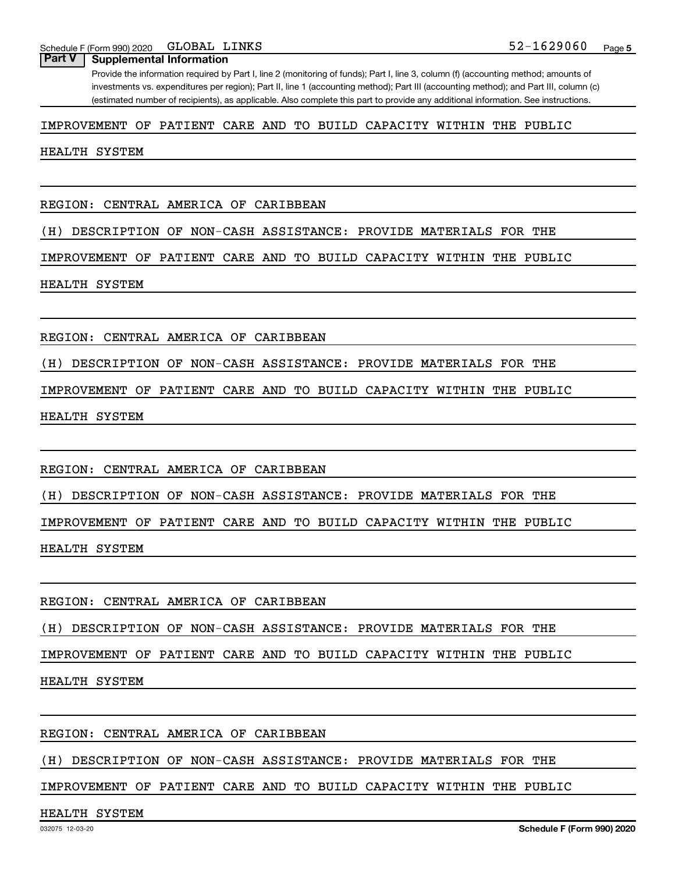Provide the information required by Part I, line 2 (monitoring of funds); Part I, line 3, column (f) (accounting method; amounts of investments vs. expenditures per region); Part II, line 1 (accounting method); Part III (accounting method); and Part III, column (c) (estimated number of recipients), as applicable. Also complete this part to provide any additional information. See instructions.

#### IMPROVEMENT OF PATIENT CARE AND TO BUILD CAPACITY WITHIN THE PUBLIC

#### HEALTH SYSTEM

REGION: CENTRAL AMERICA OF CARIBBEAN

(H) DESCRIPTION OF NON-CASH ASSISTANCE: PROVIDE MATERIALS FOR THE

IMPROVEMENT OF PATIENT CARE AND TO BUILD CAPACITY WITHIN THE PUBLIC

#### HEALTH SYSTEM

#### REGION: CENTRAL AMERICA OF CARIBBEAN

(H) DESCRIPTION OF NON-CASH ASSISTANCE: PROVIDE MATERIALS FOR THE

IMPROVEMENT OF PATIENT CARE AND TO BUILD CAPACITY WITHIN THE PUBLIC

#### HEALTH SYSTEM

#### REGION: CENTRAL AMERICA OF CARIBBEAN

(H) DESCRIPTION OF NON-CASH ASSISTANCE: PROVIDE MATERIALS FOR THE

IMPROVEMENT OF PATIENT CARE AND TO BUILD CAPACITY WITHIN THE PUBLIC

HEALTH SYSTEM

#### REGION: CENTRAL AMERICA OF CARIBBEAN

(H) DESCRIPTION OF NON-CASH ASSISTANCE: PROVIDE MATERIALS FOR THE

#### IMPROVEMENT OF PATIENT CARE AND TO BUILD CAPACITY WITHIN THE PUBLIC

HEALTH SYSTEM

#### REGION: CENTRAL AMERICA OF CARIBBEAN

(H) DESCRIPTION OF NON-CASH ASSISTANCE: PROVIDE MATERIALS FOR THE

IMPROVEMENT OF PATIENT CARE AND TO BUILD CAPACITY WITHIN THE PUBLIC

#### HEALTH SYSTEM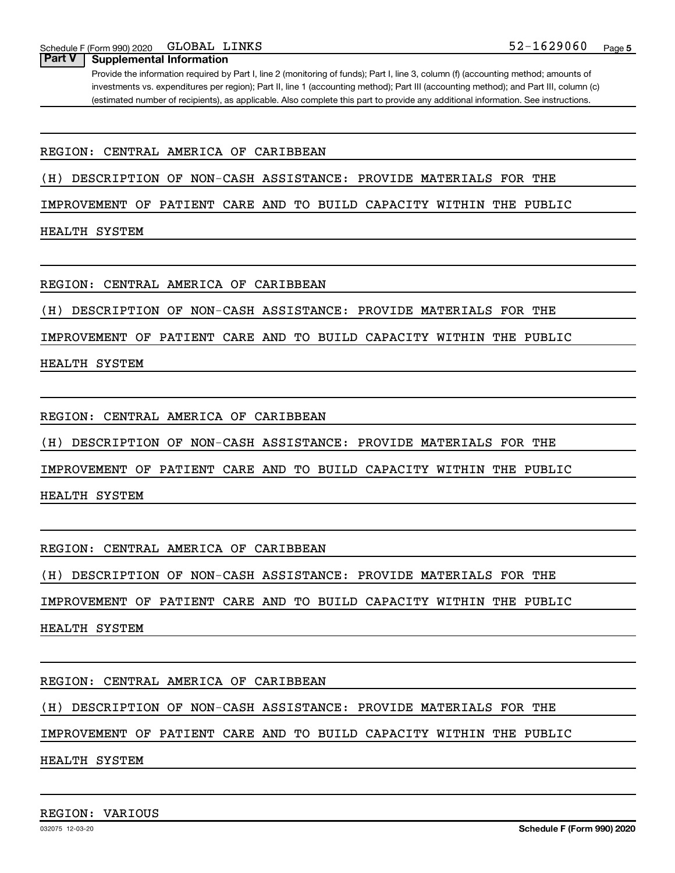Schedule F (Form 990) 2020 GLOBAL LINKS  $52-1629060$ GLOBAL LINKS

#### **Part V Supplemental Information**

Provide the information required by Part I, line 2 (monitoring of funds); Part I, line 3, column (f) (accounting method; amounts of investments vs. expenditures per region); Part II, line 1 (accounting method); Part III (accounting method); and Part III, column (c) (estimated number of recipients), as applicable. Also complete this part to provide any additional information. See instructions.

#### REGION: CENTRAL AMERICA OF CARIBBEAN

(H) DESCRIPTION OF NON-CASH ASSISTANCE: PROVIDE MATERIALS FOR THE

IMPROVEMENT OF PATIENT CARE AND TO BUILD CAPACITY WITHIN THE PUBLIC

#### HEALTH SYSTEM

#### REGION: CENTRAL AMERICA OF CARIBBEAN

(H) DESCRIPTION OF NON-CASH ASSISTANCE: PROVIDE MATERIALS FOR THE

IMPROVEMENT OF PATIENT CARE AND TO BUILD CAPACITY WITHIN THE PUBLIC

HEALTH SYSTEM

REGION: CENTRAL AMERICA OF CARIBBEAN

(H) DESCRIPTION OF NON-CASH ASSISTANCE: PROVIDE MATERIALS FOR THE

IMPROVEMENT OF PATIENT CARE AND TO BUILD CAPACITY WITHIN THE PUBLIC

HEALTH SYSTEM

REGION: CENTRAL AMERICA OF CARIBBEAN

(H) DESCRIPTION OF NON-CASH ASSISTANCE: PROVIDE MATERIALS FOR THE

IMPROVEMENT OF PATIENT CARE AND TO BUILD CAPACITY WITHIN THE PUBLIC

HEALTH SYSTEM

REGION: CENTRAL AMERICA OF CARIBBEAN

(H) DESCRIPTION OF NON-CASH ASSISTANCE: PROVIDE MATERIALS FOR THE

IMPROVEMENT OF PATIENT CARE AND TO BUILD CAPACITY WITHIN THE PUBLIC

HEALTH SYSTEM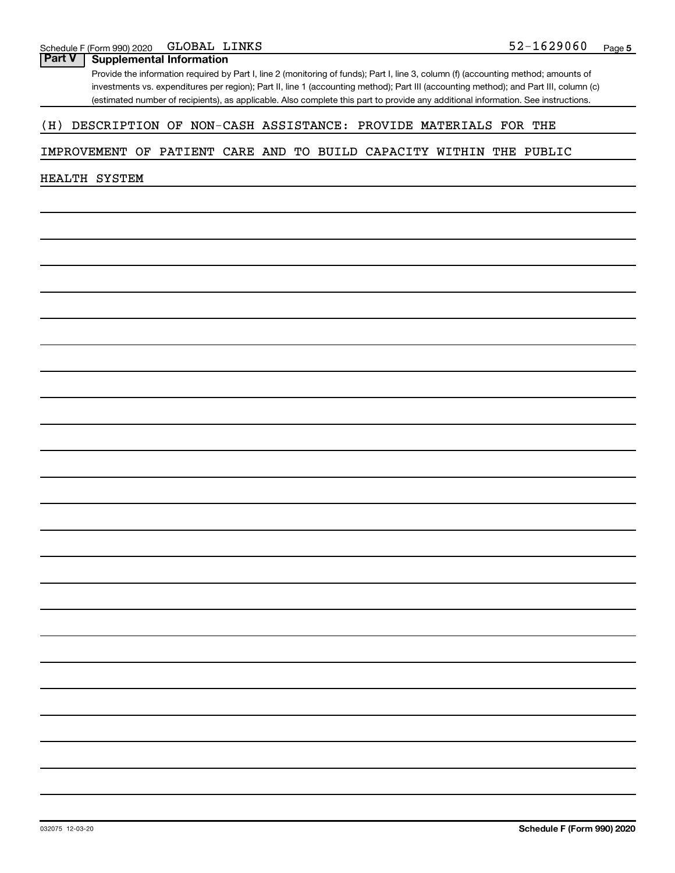Provide the information required by Part I, line 2 (monitoring of funds); Part I, line 3, column (f) (accounting method; amounts of investments vs. expenditures per region); Part II, line 1 (accounting method); Part III (accounting method); and Part III, column (c) (estimated number of recipients), as applicable. Also complete this part to provide any additional information. See instructions.

#### (H) DESCRIPTION OF NON-CASH ASSISTANCE: PROVIDE MATERIALS FOR THE

## IMPROVEMENT OF PATIENT CARE AND TO BUILD CAPACITY WITHIN THE PUBLIC

HEALTH SYSTEM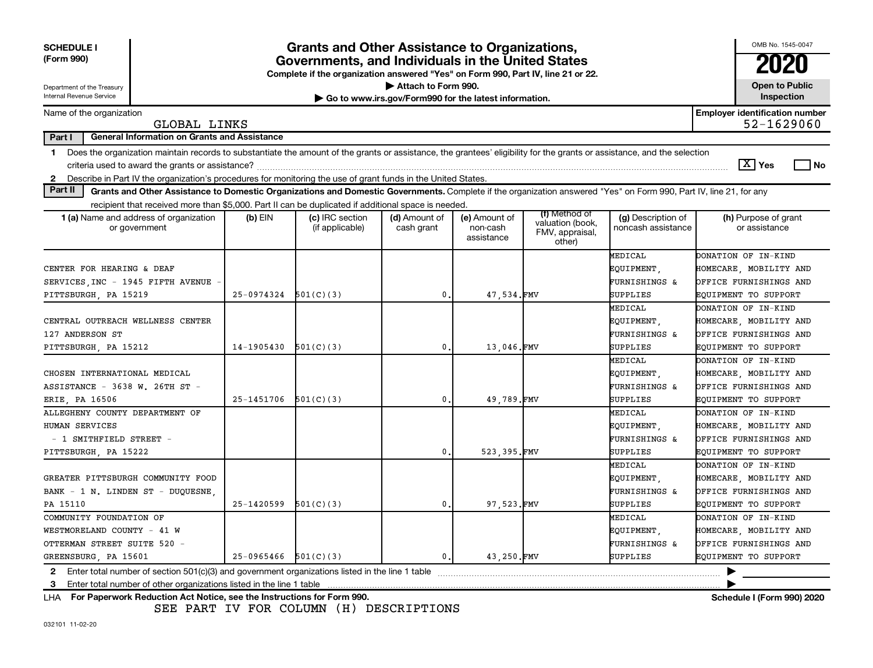| <b>Open to Public</b><br>Attach to Form 990.<br>Department of the Treasury<br>Internal Revenue Service<br>Inspection<br>Go to www.irs.gov/Form990 for the latest information.<br><b>Employer identification number</b><br>Name of the organization<br>52-1629060<br>GLOBAL LINKS<br>Part I<br>General Information on Grants and Assistance<br>Does the organization maintain records to substantiate the amount of the grants or assistance, the grantees' eligibility for the grants or assistance, and the selection<br>$\mathbf 1$<br>$ \mathbf{X} $ Yes<br>l No<br>Describe in Part IV the organization's procedures for monitoring the use of grant funds in the United States.<br>$\mathbf{2}$<br>Part II<br>Grants and Other Assistance to Domestic Organizations and Domestic Governments. Complete if the organization answered "Yes" on Form 990, Part IV, line 21, for any<br>recipient that received more than \$5,000. Part II can be duplicated if additional space is needed.<br>(f) Method of<br>(g) Description of<br>1 (a) Name and address of organization<br>$(b)$ EIN<br>(c) IRC section<br>(d) Amount of<br>(e) Amount of<br>(h) Purpose of grant<br>valuation (book,<br>noncash assistance<br>or assistance<br>or government<br>(if applicable)<br>cash grant<br>non-cash<br>FMV, appraisal,<br>assistance<br>other)<br>MEDICAL<br>DONATION OF IN-KIND<br>CENTER FOR HEARING & DEAF<br><b>EQUIPMENT</b><br>HOMECARE, MOBILITY AND<br>FURNISHINGS &<br>SERVICES INC - 1945 FIFTH AVENUE<br>OFFICE FURNISHINGS AND<br>$\mathbf{0}$ .<br>PITTSBURGH, PA 15219<br>25-0974324<br>501(C)(3)<br>47.534.FMV<br>SUPPLIES<br>EOUIPMENT TO SUPPORT<br>MEDICAL<br>DONATION OF IN-KIND<br>CENTRAL OUTREACH WELLNESS CENTER<br>HOMECARE, MOBILITY AND<br>EQUIPMENT,<br><b>FURNISHINGS &amp;</b><br>OFFICE FURNISHINGS AND<br>127 ANDERSON ST<br>$\mathbf{0}$ .<br>14-1905430<br>501(C)(3)<br>13,046.FMV<br>SUPPLIES<br>PITTSBURGH, PA 15212<br>EQUIPMENT TO SUPPORT<br>MEDICAL<br>DONATION OF IN-KIND<br>CHOSEN INTERNATIONAL MEDICAL<br>EQUIPMENT,<br>HOMECARE MOBILITY AND<br>ASSISTANCE - 3638 W. 26TH ST -<br>FURNISHINGS &<br>OFFICE FURNISHINGS AND<br>$\mathbf{0}$ .<br>25-1451706<br>501(C)(3)<br>49.789.FMV<br>SUPPLIES<br>EQUIPMENT TO SUPPORT<br>ERIE, PA 16506<br>ALLEGHENY COUNTY DEPARTMENT OF<br>MEDICAL<br>DONATION OF IN-KIND<br>HUMAN SERVICES<br>EQUIPMENT,<br>HOMECARE, MOBILITY AND<br>FURNISHINGS &<br>OFFICE FURNISHINGS AND<br>- 1 SMITHFIELD STREET -<br>0.<br>523, 395.FMV<br>SUPPLIES<br>PITTSBURGH, PA 15222<br>EOUIPMENT TO SUPPORT<br>MEDICAL<br>DONATION OF IN-KIND<br>EQUIPMENT,<br>HOMECARE MOBILITY AND<br>GREATER PITTSBURGH COMMUNITY FOOD<br>BANK - 1 N. LINDEN ST - DUQUESNE<br><b>FURNISHINGS &amp;</b><br>OFFICE FURNISHINGS AND<br>25-1420599<br>501(C)(3)<br>$\mathbf{0}$ .<br>97,523.FMV<br>SUPPLIES<br>EQUIPMENT TO SUPPORT<br>PA 15110<br>COMMUNITY FOUNDATION OF<br>MEDICAL<br>DONATION OF IN-KIND<br>WESTMORELAND COUNTY - 41 W<br>EQUIPMENT,<br>HOMECARE, MOBILITY AND<br>OTTERMAN STREET SUITE 520 -<br>FURNISHINGS &<br>OFFICE FURNISHINGS AND<br>$25-0965466$ $501(C)(3)$<br>$\mathbf{0}$ .<br>43.250.FMV<br>SUPPLIES<br>EQUIPMENT TO SUPPORT<br>GREENSBURG, PA 15601<br>2 Enter total number of section 501(c)(3) and government organizations listed in the line 1 table<br>Enter total number of other organizations listed in the line 1 table | <b>SCHEDULE I</b><br>(Form 990) | <b>Grants and Other Assistance to Organizations,</b><br>Governments, and Individuals in the United States<br>Complete if the organization answered "Yes" on Form 990, Part IV, line 21 or 22. |  |  | OMB No. 1545-0047<br>2020 |
|----------------------------------------------------------------------------------------------------------------------------------------------------------------------------------------------------------------------------------------------------------------------------------------------------------------------------------------------------------------------------------------------------------------------------------------------------------------------------------------------------------------------------------------------------------------------------------------------------------------------------------------------------------------------------------------------------------------------------------------------------------------------------------------------------------------------------------------------------------------------------------------------------------------------------------------------------------------------------------------------------------------------------------------------------------------------------------------------------------------------------------------------------------------------------------------------------------------------------------------------------------------------------------------------------------------------------------------------------------------------------------------------------------------------------------------------------------------------------------------------------------------------------------------------------------------------------------------------------------------------------------------------------------------------------------------------------------------------------------------------------------------------------------------------------------------------------------------------------------------------------------------------------------------------------------------------------------------------------------------------------------------------------------------------------------------------------------------------------------------------------------------------------------------------------------------------------------------------------------------------------------------------------------------------------------------------------------------------------------------------------------------------------------------------------------------------------------------------------------------------------------------------------------------------------------------------------------------------------------------------------------------------------------------------------------------------------------------------------------------------------------------------------------------------------------------------------------------------------------------------------------------------------------------------------------------------------------------------------------------------------------------------------------------------------------------------------------------------------------------------------------------------------------------------------------------------------------------------------------------------------------------------------------------------------------------------------------------------------------------------------------------------------------------|---------------------------------|-----------------------------------------------------------------------------------------------------------------------------------------------------------------------------------------------|--|--|---------------------------|
|                                                                                                                                                                                                                                                                                                                                                                                                                                                                                                                                                                                                                                                                                                                                                                                                                                                                                                                                                                                                                                                                                                                                                                                                                                                                                                                                                                                                                                                                                                                                                                                                                                                                                                                                                                                                                                                                                                                                                                                                                                                                                                                                                                                                                                                                                                                                                                                                                                                                                                                                                                                                                                                                                                                                                                                                                                                                                                                                                                                                                                                                                                                                                                                                                                                                                                                                                                                                                |                                 |                                                                                                                                                                                               |  |  |                           |
|                                                                                                                                                                                                                                                                                                                                                                                                                                                                                                                                                                                                                                                                                                                                                                                                                                                                                                                                                                                                                                                                                                                                                                                                                                                                                                                                                                                                                                                                                                                                                                                                                                                                                                                                                                                                                                                                                                                                                                                                                                                                                                                                                                                                                                                                                                                                                                                                                                                                                                                                                                                                                                                                                                                                                                                                                                                                                                                                                                                                                                                                                                                                                                                                                                                                                                                                                                                                                |                                 |                                                                                                                                                                                               |  |  |                           |
|                                                                                                                                                                                                                                                                                                                                                                                                                                                                                                                                                                                                                                                                                                                                                                                                                                                                                                                                                                                                                                                                                                                                                                                                                                                                                                                                                                                                                                                                                                                                                                                                                                                                                                                                                                                                                                                                                                                                                                                                                                                                                                                                                                                                                                                                                                                                                                                                                                                                                                                                                                                                                                                                                                                                                                                                                                                                                                                                                                                                                                                                                                                                                                                                                                                                                                                                                                                                                |                                 |                                                                                                                                                                                               |  |  |                           |
|                                                                                                                                                                                                                                                                                                                                                                                                                                                                                                                                                                                                                                                                                                                                                                                                                                                                                                                                                                                                                                                                                                                                                                                                                                                                                                                                                                                                                                                                                                                                                                                                                                                                                                                                                                                                                                                                                                                                                                                                                                                                                                                                                                                                                                                                                                                                                                                                                                                                                                                                                                                                                                                                                                                                                                                                                                                                                                                                                                                                                                                                                                                                                                                                                                                                                                                                                                                                                |                                 |                                                                                                                                                                                               |  |  |                           |
|                                                                                                                                                                                                                                                                                                                                                                                                                                                                                                                                                                                                                                                                                                                                                                                                                                                                                                                                                                                                                                                                                                                                                                                                                                                                                                                                                                                                                                                                                                                                                                                                                                                                                                                                                                                                                                                                                                                                                                                                                                                                                                                                                                                                                                                                                                                                                                                                                                                                                                                                                                                                                                                                                                                                                                                                                                                                                                                                                                                                                                                                                                                                                                                                                                                                                                                                                                                                                |                                 |                                                                                                                                                                                               |  |  |                           |
|                                                                                                                                                                                                                                                                                                                                                                                                                                                                                                                                                                                                                                                                                                                                                                                                                                                                                                                                                                                                                                                                                                                                                                                                                                                                                                                                                                                                                                                                                                                                                                                                                                                                                                                                                                                                                                                                                                                                                                                                                                                                                                                                                                                                                                                                                                                                                                                                                                                                                                                                                                                                                                                                                                                                                                                                                                                                                                                                                                                                                                                                                                                                                                                                                                                                                                                                                                                                                |                                 |                                                                                                                                                                                               |  |  |                           |
|                                                                                                                                                                                                                                                                                                                                                                                                                                                                                                                                                                                                                                                                                                                                                                                                                                                                                                                                                                                                                                                                                                                                                                                                                                                                                                                                                                                                                                                                                                                                                                                                                                                                                                                                                                                                                                                                                                                                                                                                                                                                                                                                                                                                                                                                                                                                                                                                                                                                                                                                                                                                                                                                                                                                                                                                                                                                                                                                                                                                                                                                                                                                                                                                                                                                                                                                                                                                                |                                 |                                                                                                                                                                                               |  |  |                           |
|                                                                                                                                                                                                                                                                                                                                                                                                                                                                                                                                                                                                                                                                                                                                                                                                                                                                                                                                                                                                                                                                                                                                                                                                                                                                                                                                                                                                                                                                                                                                                                                                                                                                                                                                                                                                                                                                                                                                                                                                                                                                                                                                                                                                                                                                                                                                                                                                                                                                                                                                                                                                                                                                                                                                                                                                                                                                                                                                                                                                                                                                                                                                                                                                                                                                                                                                                                                                                |                                 |                                                                                                                                                                                               |  |  |                           |
|                                                                                                                                                                                                                                                                                                                                                                                                                                                                                                                                                                                                                                                                                                                                                                                                                                                                                                                                                                                                                                                                                                                                                                                                                                                                                                                                                                                                                                                                                                                                                                                                                                                                                                                                                                                                                                                                                                                                                                                                                                                                                                                                                                                                                                                                                                                                                                                                                                                                                                                                                                                                                                                                                                                                                                                                                                                                                                                                                                                                                                                                                                                                                                                                                                                                                                                                                                                                                |                                 |                                                                                                                                                                                               |  |  |                           |
|                                                                                                                                                                                                                                                                                                                                                                                                                                                                                                                                                                                                                                                                                                                                                                                                                                                                                                                                                                                                                                                                                                                                                                                                                                                                                                                                                                                                                                                                                                                                                                                                                                                                                                                                                                                                                                                                                                                                                                                                                                                                                                                                                                                                                                                                                                                                                                                                                                                                                                                                                                                                                                                                                                                                                                                                                                                                                                                                                                                                                                                                                                                                                                                                                                                                                                                                                                                                                |                                 |                                                                                                                                                                                               |  |  |                           |
|                                                                                                                                                                                                                                                                                                                                                                                                                                                                                                                                                                                                                                                                                                                                                                                                                                                                                                                                                                                                                                                                                                                                                                                                                                                                                                                                                                                                                                                                                                                                                                                                                                                                                                                                                                                                                                                                                                                                                                                                                                                                                                                                                                                                                                                                                                                                                                                                                                                                                                                                                                                                                                                                                                                                                                                                                                                                                                                                                                                                                                                                                                                                                                                                                                                                                                                                                                                                                |                                 |                                                                                                                                                                                               |  |  |                           |
|                                                                                                                                                                                                                                                                                                                                                                                                                                                                                                                                                                                                                                                                                                                                                                                                                                                                                                                                                                                                                                                                                                                                                                                                                                                                                                                                                                                                                                                                                                                                                                                                                                                                                                                                                                                                                                                                                                                                                                                                                                                                                                                                                                                                                                                                                                                                                                                                                                                                                                                                                                                                                                                                                                                                                                                                                                                                                                                                                                                                                                                                                                                                                                                                                                                                                                                                                                                                                |                                 |                                                                                                                                                                                               |  |  |                           |
|                                                                                                                                                                                                                                                                                                                                                                                                                                                                                                                                                                                                                                                                                                                                                                                                                                                                                                                                                                                                                                                                                                                                                                                                                                                                                                                                                                                                                                                                                                                                                                                                                                                                                                                                                                                                                                                                                                                                                                                                                                                                                                                                                                                                                                                                                                                                                                                                                                                                                                                                                                                                                                                                                                                                                                                                                                                                                                                                                                                                                                                                                                                                                                                                                                                                                                                                                                                                                |                                 |                                                                                                                                                                                               |  |  |                           |
|                                                                                                                                                                                                                                                                                                                                                                                                                                                                                                                                                                                                                                                                                                                                                                                                                                                                                                                                                                                                                                                                                                                                                                                                                                                                                                                                                                                                                                                                                                                                                                                                                                                                                                                                                                                                                                                                                                                                                                                                                                                                                                                                                                                                                                                                                                                                                                                                                                                                                                                                                                                                                                                                                                                                                                                                                                                                                                                                                                                                                                                                                                                                                                                                                                                                                                                                                                                                                |                                 |                                                                                                                                                                                               |  |  |                           |
|                                                                                                                                                                                                                                                                                                                                                                                                                                                                                                                                                                                                                                                                                                                                                                                                                                                                                                                                                                                                                                                                                                                                                                                                                                                                                                                                                                                                                                                                                                                                                                                                                                                                                                                                                                                                                                                                                                                                                                                                                                                                                                                                                                                                                                                                                                                                                                                                                                                                                                                                                                                                                                                                                                                                                                                                                                                                                                                                                                                                                                                                                                                                                                                                                                                                                                                                                                                                                |                                 |                                                                                                                                                                                               |  |  |                           |
|                                                                                                                                                                                                                                                                                                                                                                                                                                                                                                                                                                                                                                                                                                                                                                                                                                                                                                                                                                                                                                                                                                                                                                                                                                                                                                                                                                                                                                                                                                                                                                                                                                                                                                                                                                                                                                                                                                                                                                                                                                                                                                                                                                                                                                                                                                                                                                                                                                                                                                                                                                                                                                                                                                                                                                                                                                                                                                                                                                                                                                                                                                                                                                                                                                                                                                                                                                                                                |                                 |                                                                                                                                                                                               |  |  |                           |
|                                                                                                                                                                                                                                                                                                                                                                                                                                                                                                                                                                                                                                                                                                                                                                                                                                                                                                                                                                                                                                                                                                                                                                                                                                                                                                                                                                                                                                                                                                                                                                                                                                                                                                                                                                                                                                                                                                                                                                                                                                                                                                                                                                                                                                                                                                                                                                                                                                                                                                                                                                                                                                                                                                                                                                                                                                                                                                                                                                                                                                                                                                                                                                                                                                                                                                                                                                                                                |                                 |                                                                                                                                                                                               |  |  |                           |
|                                                                                                                                                                                                                                                                                                                                                                                                                                                                                                                                                                                                                                                                                                                                                                                                                                                                                                                                                                                                                                                                                                                                                                                                                                                                                                                                                                                                                                                                                                                                                                                                                                                                                                                                                                                                                                                                                                                                                                                                                                                                                                                                                                                                                                                                                                                                                                                                                                                                                                                                                                                                                                                                                                                                                                                                                                                                                                                                                                                                                                                                                                                                                                                                                                                                                                                                                                                                                |                                 |                                                                                                                                                                                               |  |  |                           |
|                                                                                                                                                                                                                                                                                                                                                                                                                                                                                                                                                                                                                                                                                                                                                                                                                                                                                                                                                                                                                                                                                                                                                                                                                                                                                                                                                                                                                                                                                                                                                                                                                                                                                                                                                                                                                                                                                                                                                                                                                                                                                                                                                                                                                                                                                                                                                                                                                                                                                                                                                                                                                                                                                                                                                                                                                                                                                                                                                                                                                                                                                                                                                                                                                                                                                                                                                                                                                |                                 |                                                                                                                                                                                               |  |  |                           |
|                                                                                                                                                                                                                                                                                                                                                                                                                                                                                                                                                                                                                                                                                                                                                                                                                                                                                                                                                                                                                                                                                                                                                                                                                                                                                                                                                                                                                                                                                                                                                                                                                                                                                                                                                                                                                                                                                                                                                                                                                                                                                                                                                                                                                                                                                                                                                                                                                                                                                                                                                                                                                                                                                                                                                                                                                                                                                                                                                                                                                                                                                                                                                                                                                                                                                                                                                                                                                |                                 |                                                                                                                                                                                               |  |  |                           |
|                                                                                                                                                                                                                                                                                                                                                                                                                                                                                                                                                                                                                                                                                                                                                                                                                                                                                                                                                                                                                                                                                                                                                                                                                                                                                                                                                                                                                                                                                                                                                                                                                                                                                                                                                                                                                                                                                                                                                                                                                                                                                                                                                                                                                                                                                                                                                                                                                                                                                                                                                                                                                                                                                                                                                                                                                                                                                                                                                                                                                                                                                                                                                                                                                                                                                                                                                                                                                |                                 |                                                                                                                                                                                               |  |  |                           |
|                                                                                                                                                                                                                                                                                                                                                                                                                                                                                                                                                                                                                                                                                                                                                                                                                                                                                                                                                                                                                                                                                                                                                                                                                                                                                                                                                                                                                                                                                                                                                                                                                                                                                                                                                                                                                                                                                                                                                                                                                                                                                                                                                                                                                                                                                                                                                                                                                                                                                                                                                                                                                                                                                                                                                                                                                                                                                                                                                                                                                                                                                                                                                                                                                                                                                                                                                                                                                |                                 |                                                                                                                                                                                               |  |  |                           |
|                                                                                                                                                                                                                                                                                                                                                                                                                                                                                                                                                                                                                                                                                                                                                                                                                                                                                                                                                                                                                                                                                                                                                                                                                                                                                                                                                                                                                                                                                                                                                                                                                                                                                                                                                                                                                                                                                                                                                                                                                                                                                                                                                                                                                                                                                                                                                                                                                                                                                                                                                                                                                                                                                                                                                                                                                                                                                                                                                                                                                                                                                                                                                                                                                                                                                                                                                                                                                |                                 |                                                                                                                                                                                               |  |  |                           |
|                                                                                                                                                                                                                                                                                                                                                                                                                                                                                                                                                                                                                                                                                                                                                                                                                                                                                                                                                                                                                                                                                                                                                                                                                                                                                                                                                                                                                                                                                                                                                                                                                                                                                                                                                                                                                                                                                                                                                                                                                                                                                                                                                                                                                                                                                                                                                                                                                                                                                                                                                                                                                                                                                                                                                                                                                                                                                                                                                                                                                                                                                                                                                                                                                                                                                                                                                                                                                |                                 |                                                                                                                                                                                               |  |  |                           |
|                                                                                                                                                                                                                                                                                                                                                                                                                                                                                                                                                                                                                                                                                                                                                                                                                                                                                                                                                                                                                                                                                                                                                                                                                                                                                                                                                                                                                                                                                                                                                                                                                                                                                                                                                                                                                                                                                                                                                                                                                                                                                                                                                                                                                                                                                                                                                                                                                                                                                                                                                                                                                                                                                                                                                                                                                                                                                                                                                                                                                                                                                                                                                                                                                                                                                                                                                                                                                |                                 |                                                                                                                                                                                               |  |  |                           |
|                                                                                                                                                                                                                                                                                                                                                                                                                                                                                                                                                                                                                                                                                                                                                                                                                                                                                                                                                                                                                                                                                                                                                                                                                                                                                                                                                                                                                                                                                                                                                                                                                                                                                                                                                                                                                                                                                                                                                                                                                                                                                                                                                                                                                                                                                                                                                                                                                                                                                                                                                                                                                                                                                                                                                                                                                                                                                                                                                                                                                                                                                                                                                                                                                                                                                                                                                                                                                |                                 |                                                                                                                                                                                               |  |  |                           |
|                                                                                                                                                                                                                                                                                                                                                                                                                                                                                                                                                                                                                                                                                                                                                                                                                                                                                                                                                                                                                                                                                                                                                                                                                                                                                                                                                                                                                                                                                                                                                                                                                                                                                                                                                                                                                                                                                                                                                                                                                                                                                                                                                                                                                                                                                                                                                                                                                                                                                                                                                                                                                                                                                                                                                                                                                                                                                                                                                                                                                                                                                                                                                                                                                                                                                                                                                                                                                |                                 |                                                                                                                                                                                               |  |  |                           |
|                                                                                                                                                                                                                                                                                                                                                                                                                                                                                                                                                                                                                                                                                                                                                                                                                                                                                                                                                                                                                                                                                                                                                                                                                                                                                                                                                                                                                                                                                                                                                                                                                                                                                                                                                                                                                                                                                                                                                                                                                                                                                                                                                                                                                                                                                                                                                                                                                                                                                                                                                                                                                                                                                                                                                                                                                                                                                                                                                                                                                                                                                                                                                                                                                                                                                                                                                                                                                |                                 |                                                                                                                                                                                               |  |  |                           |
|                                                                                                                                                                                                                                                                                                                                                                                                                                                                                                                                                                                                                                                                                                                                                                                                                                                                                                                                                                                                                                                                                                                                                                                                                                                                                                                                                                                                                                                                                                                                                                                                                                                                                                                                                                                                                                                                                                                                                                                                                                                                                                                                                                                                                                                                                                                                                                                                                                                                                                                                                                                                                                                                                                                                                                                                                                                                                                                                                                                                                                                                                                                                                                                                                                                                                                                                                                                                                |                                 |                                                                                                                                                                                               |  |  |                           |
|                                                                                                                                                                                                                                                                                                                                                                                                                                                                                                                                                                                                                                                                                                                                                                                                                                                                                                                                                                                                                                                                                                                                                                                                                                                                                                                                                                                                                                                                                                                                                                                                                                                                                                                                                                                                                                                                                                                                                                                                                                                                                                                                                                                                                                                                                                                                                                                                                                                                                                                                                                                                                                                                                                                                                                                                                                                                                                                                                                                                                                                                                                                                                                                                                                                                                                                                                                                                                |                                 |                                                                                                                                                                                               |  |  |                           |
|                                                                                                                                                                                                                                                                                                                                                                                                                                                                                                                                                                                                                                                                                                                                                                                                                                                                                                                                                                                                                                                                                                                                                                                                                                                                                                                                                                                                                                                                                                                                                                                                                                                                                                                                                                                                                                                                                                                                                                                                                                                                                                                                                                                                                                                                                                                                                                                                                                                                                                                                                                                                                                                                                                                                                                                                                                                                                                                                                                                                                                                                                                                                                                                                                                                                                                                                                                                                                |                                 |                                                                                                                                                                                               |  |  |                           |
|                                                                                                                                                                                                                                                                                                                                                                                                                                                                                                                                                                                                                                                                                                                                                                                                                                                                                                                                                                                                                                                                                                                                                                                                                                                                                                                                                                                                                                                                                                                                                                                                                                                                                                                                                                                                                                                                                                                                                                                                                                                                                                                                                                                                                                                                                                                                                                                                                                                                                                                                                                                                                                                                                                                                                                                                                                                                                                                                                                                                                                                                                                                                                                                                                                                                                                                                                                                                                |                                 |                                                                                                                                                                                               |  |  |                           |
|                                                                                                                                                                                                                                                                                                                                                                                                                                                                                                                                                                                                                                                                                                                                                                                                                                                                                                                                                                                                                                                                                                                                                                                                                                                                                                                                                                                                                                                                                                                                                                                                                                                                                                                                                                                                                                                                                                                                                                                                                                                                                                                                                                                                                                                                                                                                                                                                                                                                                                                                                                                                                                                                                                                                                                                                                                                                                                                                                                                                                                                                                                                                                                                                                                                                                                                                                                                                                |                                 |                                                                                                                                                                                               |  |  |                           |
|                                                                                                                                                                                                                                                                                                                                                                                                                                                                                                                                                                                                                                                                                                                                                                                                                                                                                                                                                                                                                                                                                                                                                                                                                                                                                                                                                                                                                                                                                                                                                                                                                                                                                                                                                                                                                                                                                                                                                                                                                                                                                                                                                                                                                                                                                                                                                                                                                                                                                                                                                                                                                                                                                                                                                                                                                                                                                                                                                                                                                                                                                                                                                                                                                                                                                                                                                                                                                |                                 |                                                                                                                                                                                               |  |  |                           |
|                                                                                                                                                                                                                                                                                                                                                                                                                                                                                                                                                                                                                                                                                                                                                                                                                                                                                                                                                                                                                                                                                                                                                                                                                                                                                                                                                                                                                                                                                                                                                                                                                                                                                                                                                                                                                                                                                                                                                                                                                                                                                                                                                                                                                                                                                                                                                                                                                                                                                                                                                                                                                                                                                                                                                                                                                                                                                                                                                                                                                                                                                                                                                                                                                                                                                                                                                                                                                | 3                               |                                                                                                                                                                                               |  |  |                           |

**3** Enter total number of other organizations listed in the line 1 table

**For Paperwork Reduction Act Notice, see the Instructions for Form 990. Schedule I (Form 990) 2020** LHA

SEE PART IV FOR COLUMN (H) DESCRIPTIONS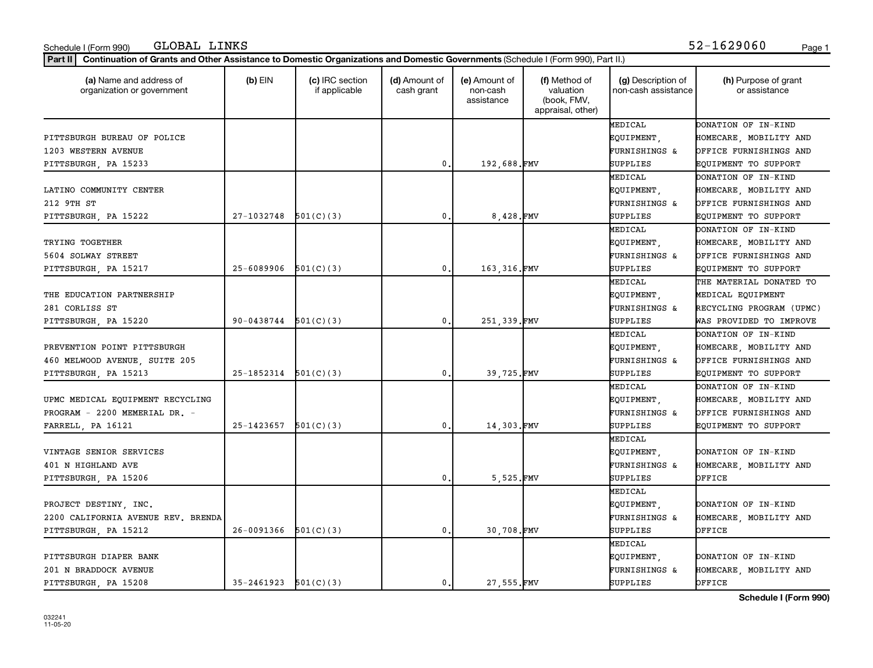| (a) Name and address of<br>organization or government | $(b)$ EIN                | (c) IRC section<br>if applicable | (d) Amount of<br>cash grant | (e) Amount of<br>non-cash<br>assistance | (f) Method of<br>valuation<br>(book, FMV,<br>appraisal, other) | (g) Description of<br>non-cash assistance | (h) Purpose of grant<br>or assistance |
|-------------------------------------------------------|--------------------------|----------------------------------|-----------------------------|-----------------------------------------|----------------------------------------------------------------|-------------------------------------------|---------------------------------------|
|                                                       |                          |                                  |                             |                                         |                                                                | MEDICAL                                   | DONATION OF IN-KIND                   |
| PITTSBURGH BUREAU OF POLICE                           |                          |                                  |                             |                                         |                                                                | EQUIPMENT,                                | HOMECARE, MOBILITY AND                |
| 1203 WESTERN AVENUE                                   |                          |                                  |                             |                                         |                                                                | <b>FURNISHINGS &amp;</b>                  | OFFICE FURNISHINGS AND                |
| PITTSBURGH, PA 15233                                  |                          |                                  | 0                           | 192,688.FMV                             |                                                                | SUPPLIES                                  | EQUIPMENT TO SUPPORT                  |
|                                                       |                          |                                  |                             |                                         |                                                                | MEDICAL                                   | DONATION OF IN-KIND                   |
| LATINO COMMUNITY CENTER                               |                          |                                  |                             |                                         |                                                                | EQUIPMENT,                                | HOMECARE, MOBILITY AND                |
| 212 9TH ST                                            |                          |                                  |                             |                                         |                                                                | <b>FURNISHINGS &amp;</b>                  | OFFICE FURNISHINGS AND                |
| PITTSBURGH, PA 15222                                  | 27-1032748               | 501(C)(3)                        | 0                           | 8,428.FMV                               |                                                                | SUPPLIES                                  | EQUIPMENT TO SUPPORT                  |
|                                                       |                          |                                  |                             |                                         |                                                                | MEDICAL                                   | DONATION OF IN-KIND                   |
| TRYING TOGETHER                                       |                          |                                  |                             |                                         |                                                                | EQUIPMENT                                 | HOMECARE, MOBILITY AND                |
| 5604 SOLWAY STREET                                    |                          |                                  |                             |                                         |                                                                | <b>FURNISHINGS &amp;</b>                  | OFFICE FURNISHINGS AND                |
| PITTSBURGH, PA 15217                                  | 25-6089906               | 501(C)(3)                        | $\mathbf{0}$                | 163,316.FMV                             |                                                                | SUPPLIES                                  | EQUIPMENT TO SUPPORT                  |
|                                                       |                          |                                  |                             |                                         |                                                                | MEDICAL                                   | THE MATERIAL DONATED TO               |
| THE EDUCATION PARTNERSHIP                             |                          |                                  |                             |                                         |                                                                | EQUIPMENT,                                | MEDICAL EQUIPMENT                     |
| 281 CORLISS ST                                        |                          |                                  |                             |                                         |                                                                | <b>FURNISHINGS &amp;</b>                  | RECYCLING PROGRAM (UPMC)              |
| PITTSBURGH, PA 15220                                  | $90-0438744$ $501(C)(3)$ |                                  | 0                           | 251,339.FMV                             |                                                                | SUPPLIES                                  | WAS PROVIDED TO IMPROVE               |
|                                                       |                          |                                  |                             |                                         |                                                                | MEDICAL                                   | DONATION OF IN-KIND                   |
| PREVENTION POINT PITTSBURGH                           |                          |                                  |                             |                                         |                                                                | EQUIPMENT,                                | HOMECARE, MOBILITY AND                |
| 460 MELWOOD AVENUE, SUITE 205                         |                          |                                  |                             |                                         |                                                                | <b>FURNISHINGS &amp;</b>                  | OFFICE FURNISHINGS AND                |
| PITTSBURGH, PA 15213                                  | 25-1852314               | 501(C)(3)                        | $\pmb{0}$                   | 39,725.FMV                              |                                                                | SUPPLIES                                  | EQUIPMENT TO SUPPORT                  |
|                                                       |                          |                                  |                             |                                         |                                                                | MEDICAL                                   | DONATION OF IN-KIND                   |
| UPMC MEDICAL EQUIPMENT RECYCLING                      |                          |                                  |                             |                                         |                                                                | <b>EQUIPMENT</b>                          | HOMECARE, MOBILITY AND                |
| PROGRAM - 2200 MEMERIAL DR. -                         |                          |                                  |                             |                                         |                                                                | <b>FURNISHINGS &amp;</b>                  | OFFICE FURNISHINGS AND                |
| FARRELL, PA 16121                                     | 25-1423657               | 501(C)(3)                        | $\mathbf{0}$                | 14,303.FMV                              |                                                                | SUPPLIES                                  | EQUIPMENT TO SUPPORT                  |
|                                                       |                          |                                  |                             |                                         |                                                                | MEDICAL                                   |                                       |
| VINTAGE SENIOR SERVICES                               |                          |                                  |                             |                                         |                                                                | EQUIPMENT,                                | DONATION OF IN-KIND                   |
| 401 N HIGHLAND AVE                                    |                          |                                  |                             |                                         |                                                                | <b>FURNISHINGS &amp;</b>                  | HOMECARE, MOBILITY AND                |
| PITTSBURGH, PA 15206                                  |                          |                                  | $\mathbf 0$                 | 5,525.FMV                               |                                                                | SUPPLIES                                  | OFFICE                                |
|                                                       |                          |                                  |                             |                                         |                                                                | MEDICAL                                   |                                       |
| PROJECT DESTINY, INC.                                 |                          |                                  |                             |                                         |                                                                | EQUIPMENT,                                | DONATION OF IN-KIND                   |
| 2200 CALIFORNIA AVENUE REV. BRENDA                    |                          |                                  |                             |                                         |                                                                | FURNISHINGS &                             | HOMECARE, MOBILITY AND                |
| PITTSBURGH, PA 15212                                  | 26-0091366               | 501(C)(3)                        | 0                           | 30,708.FMV                              |                                                                | SUPPLIES                                  | OFFICE                                |
|                                                       |                          |                                  |                             |                                         |                                                                | MEDICAL                                   |                                       |
| PITTSBURGH DIAPER BANK                                |                          |                                  |                             |                                         |                                                                | EQUIPMENT,                                | DONATION OF IN-KIND                   |
| 201 N BRADDOCK AVENUE                                 |                          |                                  |                             |                                         |                                                                | <b>FURNISHINGS &amp;</b>                  | HOMECARE, MOBILITY AND                |
| PITTSBURGH, PA 15208                                  | 35-2461923               | 501(C)(3)                        | 0.                          | 27.555.FMV                              |                                                                | SUPPLIES                                  | OFFICE                                |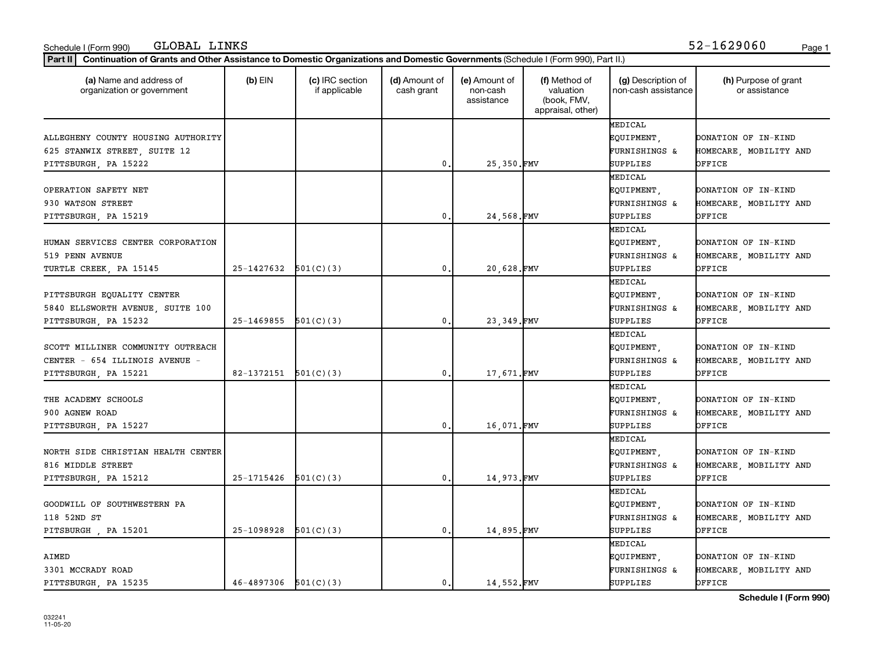| (a) Name and address of<br>organization or government | $(b)$ EIN                | (c) IRC section<br>if applicable | (d) Amount of<br>cash grant | (e) Amount of<br>non-cash<br>assistance | (f) Method of<br>valuation<br>(book, FMV,<br>appraisal, other) | (g) Description of<br>non-cash assistance | (h) Purpose of grant<br>or assistance |
|-------------------------------------------------------|--------------------------|----------------------------------|-----------------------------|-----------------------------------------|----------------------------------------------------------------|-------------------------------------------|---------------------------------------|
|                                                       |                          |                                  |                             |                                         |                                                                | MEDICAL                                   |                                       |
| ALLEGHENY COUNTY HOUSING AUTHORITY                    |                          |                                  |                             |                                         |                                                                | EQUIPMENT,                                | DONATION OF IN-KIND                   |
| 625 STANWIX STREET, SUITE 12                          |                          |                                  |                             |                                         |                                                                | <b>FURNISHINGS &amp;</b>                  | HOMECARE, MOBILITY AND                |
| PITTSBURGH, PA 15222                                  |                          |                                  | 0                           | 25,350.FMV                              |                                                                | SUPPLIES                                  | OFFICE                                |
|                                                       |                          |                                  |                             |                                         |                                                                | MEDICAL                                   |                                       |
| OPERATION SAFETY NET                                  |                          |                                  |                             |                                         |                                                                | EQUIPMENT,                                | DONATION OF IN-KIND                   |
| 930 WATSON STREET                                     |                          |                                  |                             |                                         |                                                                | <b>FURNISHINGS &amp;</b>                  | HOMECARE, MOBILITY AND                |
| PITTSBURGH, PA 15219                                  |                          |                                  | $\mathbf 0$                 | 24,568.FMV                              |                                                                | SUPPLIES                                  | OFFICE                                |
|                                                       |                          |                                  |                             |                                         |                                                                | MEDICAL                                   |                                       |
| HUMAN SERVICES CENTER CORPORATION                     |                          |                                  |                             |                                         |                                                                | <b>EQUIPMENT</b>                          | DONATION OF IN-KIND                   |
| 519 PENN AVENUE                                       |                          |                                  |                             |                                         |                                                                | <b>FURNISHINGS &amp;</b>                  | HOMECARE, MOBILITY AND                |
| TURTLE CREEK, PA 15145                                | $25-1427632$ $501(C)(3)$ |                                  | 0.                          | 20.628.FMV                              |                                                                | SUPPLIES                                  | OFFICE                                |
|                                                       |                          |                                  |                             |                                         |                                                                | MEDICAL                                   |                                       |
| PITTSBURGH EQUALITY CENTER                            |                          |                                  |                             |                                         |                                                                | EQUIPMENT,                                | DONATION OF IN-KIND                   |
| 5840 ELLSWORTH AVENUE, SUITE 100                      |                          |                                  |                             |                                         |                                                                | <b>FURNISHINGS &amp;</b>                  | HOMECARE, MOBILITY AND                |
| PITTSBURGH, PA 15232                                  | $25-1469855$ $501(C)(3)$ |                                  | 0                           | 23, 349. FMV                            |                                                                | SUPPLIES                                  | OFFICE                                |
|                                                       |                          |                                  |                             |                                         |                                                                | <b>MEDICAL</b>                            |                                       |
| SCOTT MILLINER COMMUNITY OUTREACH                     |                          |                                  |                             |                                         |                                                                | EQUIPMENT,                                | DONATION OF IN-KIND                   |
| CENTER - 654 ILLINOIS AVENUE -                        |                          |                                  |                             |                                         |                                                                | <b>FURNISHINGS &amp;</b>                  | HOMECARE, MOBILITY AND                |
| PITTSBURGH, PA 15221                                  | $82-1372151$ $501(C)(3)$ |                                  | 0.                          | 17,671.FMV                              |                                                                | SUPPLIES                                  | OFFICE                                |
|                                                       |                          |                                  |                             |                                         |                                                                | MEDICAL                                   |                                       |
| THE ACADEMY SCHOOLS                                   |                          |                                  |                             |                                         |                                                                | EQUIPMENT,                                | DONATION OF IN-KIND                   |
| 900 AGNEW ROAD                                        |                          |                                  |                             |                                         |                                                                | <b>FURNISHINGS &amp;</b>                  | HOMECARE, MOBILITY AND                |
| PITTSBURGH, PA 15227                                  |                          |                                  | $\mathbf 0$                 | 16,071.FMV                              |                                                                | SUPPLIES                                  | OFFICE                                |
|                                                       |                          |                                  |                             |                                         |                                                                | MEDICAL                                   |                                       |
| NORTH SIDE CHRISTIAN HEALTH CENTER                    |                          |                                  |                             |                                         |                                                                | EQUIPMENT,                                | DONATION OF IN-KIND                   |
| 816 MIDDLE STREET                                     |                          |                                  |                             |                                         |                                                                | <b>FURNISHINGS &amp;</b>                  | HOMECARE, MOBILITY AND                |
| PITTSBURGH, PA 15212                                  | $25-1715426$ $501(C)(3)$ |                                  | 0.                          | 14,973.FMV                              |                                                                | SUPPLIES                                  | <b>OFFICE</b>                         |
|                                                       |                          |                                  |                             |                                         |                                                                | MEDICAL                                   |                                       |
| GOODWILL OF SOUTHWESTERN PA                           |                          |                                  |                             |                                         |                                                                | EQUIPMENT,                                | DONATION OF IN-KIND                   |
| 118 52ND ST                                           |                          |                                  |                             |                                         |                                                                | <b>FURNISHINGS &amp;</b>                  | HOMECARE, MOBILITY AND                |
| PITSBURGH, PA 15201                                   | 25-1098928               | 501(C)(3)                        | 0.                          | 14,895.FMV                              |                                                                | SUPPLIES                                  | OFFICE                                |
|                                                       |                          |                                  |                             |                                         |                                                                | MEDICAL                                   |                                       |
| AIMED                                                 |                          |                                  |                             |                                         |                                                                | EQUIPMENT,                                | DONATION OF IN-KIND                   |
| 3301 MCCRADY ROAD                                     |                          |                                  |                             |                                         |                                                                | <b>FURNISHINGS &amp;</b>                  | HOMECARE, MOBILITY AND                |
| PITTSBURGH, PA 15235                                  | $46-4897306$ $501(C)(3)$ |                                  | 0.                          | 14.552.FMV                              |                                                                | SUPPLIES                                  | OFFICE                                |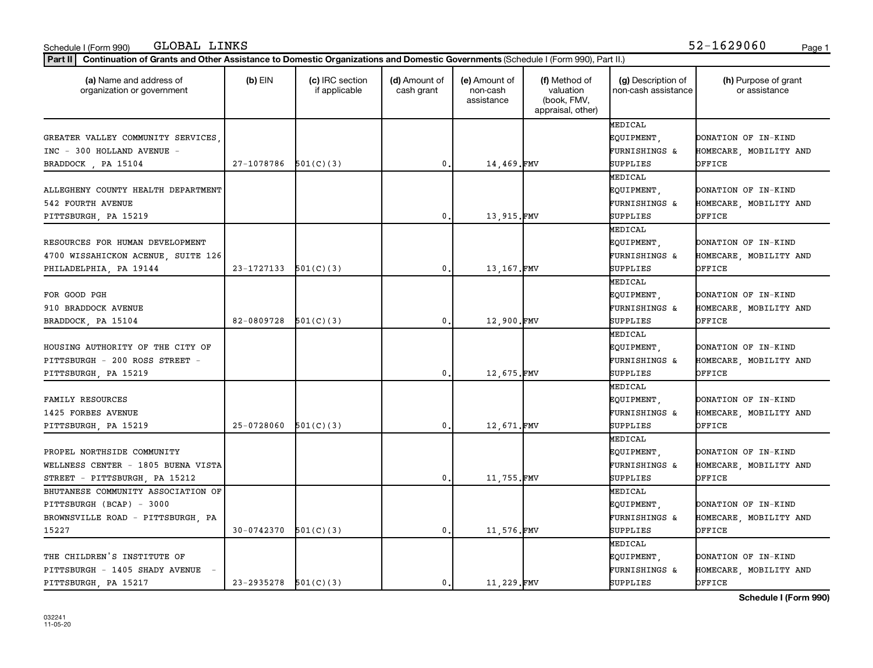| (a) Name and address of<br>organization or government                                                        | $(b)$ EIN  | (c) IRC section<br>if applicable | (d) Amount of<br>cash grant | (e) Amount of<br>non-cash<br>assistance | (f) Method of<br>valuation<br>(book, FMV,<br>appraisal, other) | (g) Description of<br>non-cash assistance                            | (h) Purpose of grant<br>or assistance                   |
|--------------------------------------------------------------------------------------------------------------|------------|----------------------------------|-----------------------------|-----------------------------------------|----------------------------------------------------------------|----------------------------------------------------------------------|---------------------------------------------------------|
| GREATER VALLEY COMMUNITY SERVICES<br>INC - 300 HOLLAND AVENUE -<br>BRADDOCK, PA 15104                        | 27-1078786 | 501(C)(3)                        | 0                           | 14,469.FMV                              |                                                                | MEDICAL<br>EQUIPMENT.<br><b>FURNISHINGS &amp;</b><br><b>SUPPLIES</b> | DONATION OF IN-KIND<br>HOMECARE, MOBILITY AND<br>OFFICE |
| ALLEGHENY COUNTY HEALTH DEPARTMENT<br>542 FOURTH AVENUE<br>PITTSBURGH, PA 15219                              |            |                                  | 0                           | 13,915.FMV                              |                                                                | <b>MEDICAL</b><br>EQUIPMENT,<br><b>FURNISHINGS &amp;</b><br>SUPPLIES | DONATION OF IN-KIND<br>HOMECARE, MOBILITY AND<br>OFFICE |
| RESOURCES FOR HUMAN DEVELOPMENT<br>4700 WISSAHICKON ACENUE, SUITE 126<br>PHILADELPHIA, PA 19144              | 23-1727133 | 501(C)(3)                        | 0.                          | 13,167.FMV                              |                                                                | MEDICAL<br>EQUIPMENT,<br><b>FURNISHINGS &amp;</b><br>SUPPLIES        | DONATION OF IN-KIND<br>HOMECARE, MOBILITY AND<br>OFFICE |
| FOR GOOD PGH<br>910 BRADDOCK AVENUE<br>BRADDOCK, PA 15104                                                    | 82-0809728 | 501(C)(3)                        | 0                           | 12,900.FMV                              |                                                                | MEDICAL<br>EQUIPMENT,<br><b>FURNISHINGS &amp;</b><br>SUPPLIES        | DONATION OF IN-KIND<br>HOMECARE, MOBILITY AND<br>OFFICE |
| HOUSING AUTHORITY OF THE CITY OF<br>PITTSBURGH - 200 ROSS STREET -<br>PITTSBURGH, PA 15219                   |            |                                  | 0                           | 12,675.FMV                              |                                                                | MEDICAL<br>EQUIPMENT,<br><b>FURNISHINGS &amp;</b><br>SUPPLIES        | DONATION OF IN-KIND<br>HOMECARE, MOBILITY AND<br>OFFICE |
| FAMILY RESOURCES<br>1425 FORBES AVENUE<br>PITTSBURGH, PA 15219                                               | 25-0728060 | 501(C)(3)                        | 0                           | 12,671.FMV                              |                                                                | MEDICAL<br>EQUIPMENT,<br><b>FURNISHINGS &amp;</b><br>SUPPLIES        | DONATION OF IN-KIND<br>HOMECARE, MOBILITY AND<br>OFFICE |
| PROPEL NORTHSIDE COMMUNITY<br>WELLNESS CENTER - 1805 BUENA VISTA<br>STREET - PITTSBURGH, PA 15212            |            |                                  | 0                           | 11,755.FMV                              |                                                                | MEDICAL<br>EQUIPMENT,<br><b>FURNISHINGS &amp;</b><br>SUPPLIES        | DONATION OF IN-KIND<br>HOMECARE, MOBILITY AND<br>OFFICE |
| BHUTANESE COMMUNITY ASSOCIATION OF<br>PITTSBURGH (BCAP) - 3000<br>BROWNSVILLE ROAD - PITTSBURGH, PA<br>15227 | 30-0742370 | 501(C)(3)                        | 0                           | 11,576.FMV                              |                                                                | MEDICAL<br>EQUIPMENT,<br><b>FURNISHINGS &amp;</b><br>SUPPLIES        | DONATION OF IN-KIND<br>HOMECARE, MOBILITY AND<br>OFFICE |
| THE CHILDREN'S INSTITUTE OF<br>PITTSBURGH - 1405 SHADY AVENUE -<br>PITTSBURGH, PA 15217                      | 23-2935278 | 501(C)(3)                        | $\mathbf{0}$ .              | 11,229.FMV                              |                                                                | MEDICAL<br>EQUIPMENT,<br><b>FURNISHINGS &amp;</b><br>SUPPLIES        | DONATION OF IN-KIND<br>HOMECARE, MOBILITY AND<br>OFFICE |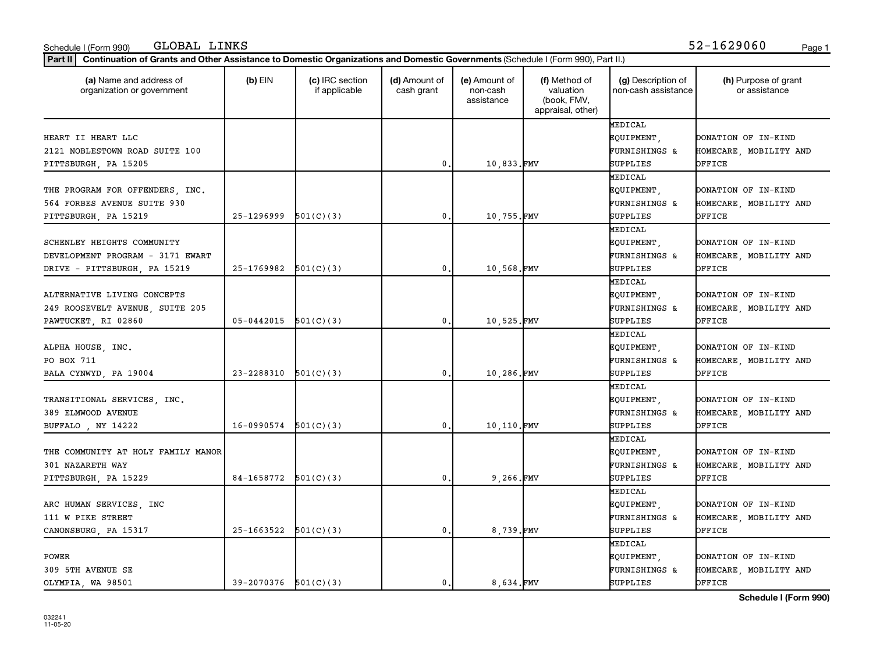| (a) Name and address of<br>organization or government | $(b)$ EIN                | (c) IRC section<br>if applicable | (d) Amount of<br>cash grant | (e) Amount of<br>non-cash<br>assistance | (f) Method of<br>valuation<br>(book, FMV,<br>appraisal, other) | (g) Description of<br>non-cash assistance | (h) Purpose of grant<br>or assistance |
|-------------------------------------------------------|--------------------------|----------------------------------|-----------------------------|-----------------------------------------|----------------------------------------------------------------|-------------------------------------------|---------------------------------------|
|                                                       |                          |                                  |                             |                                         |                                                                | MEDICAL                                   |                                       |
| HEART II HEART LLC                                    |                          |                                  |                             |                                         |                                                                | EQUIPMENT,                                | DONATION OF IN-KIND                   |
| 2121 NOBLESTOWN ROAD SUITE 100                        |                          |                                  |                             |                                         |                                                                | <b>FURNISHINGS &amp;</b>                  | HOMECARE, MOBILITY AND                |
| PITTSBURGH, PA 15205                                  |                          |                                  | 0                           | 10,833.FMV                              |                                                                | SUPPLIES                                  | <b>OFFICE</b>                         |
|                                                       |                          |                                  |                             |                                         |                                                                | MEDICAL                                   |                                       |
| THE PROGRAM FOR OFFENDERS, INC.                       |                          |                                  |                             |                                         |                                                                | EQUIPMENT,                                | DONATION OF IN-KIND                   |
| 564 FORBES AVENUE SUITE 930                           |                          |                                  |                             |                                         |                                                                | <b>FURNISHINGS &amp;</b>                  | HOMECARE, MOBILITY AND                |
| PITTSBURGH, PA 15219                                  | 25-1296999               | 501(C)(3)                        | 0.                          | 10,755.FMV                              |                                                                | SUPPLIES                                  | OFFICE                                |
|                                                       |                          |                                  |                             |                                         |                                                                | MEDICAL                                   |                                       |
| SCHENLEY HEIGHTS COMMUNITY                            |                          |                                  |                             |                                         |                                                                | <b>EQUIPMENT,</b>                         | DONATION OF IN-KIND                   |
| DEVELOPMENT PROGRAM - 3171 EWART                      |                          |                                  |                             |                                         |                                                                | <b>FURNISHINGS &amp;</b>                  | HOMECARE, MOBILITY AND                |
| DRIVE - PITTSBURGH, PA 15219                          | 25-1769982               | 501(C)(3)                        | 0.                          | 10,568.FMV                              |                                                                | SUPPLIES                                  | <b>OFFICE</b>                         |
|                                                       |                          |                                  |                             |                                         |                                                                | MEDICAL                                   |                                       |
| ALTERNATIVE LIVING CONCEPTS                           |                          |                                  |                             |                                         |                                                                | EQUIPMENT,                                | DONATION OF IN-KIND                   |
| 249 ROOSEVELT AVENUE, SUITE 205                       |                          |                                  |                             |                                         |                                                                | <b>FURNISHINGS &amp;</b>                  | HOMECARE, MOBILITY AND                |
| PAWTUCKET, RI 02860                                   | $05 - 0442015$           | 501(C)(3)                        | 0                           | 10,525.FMV                              |                                                                | SUPPLIES                                  | OFFICE                                |
|                                                       |                          |                                  |                             |                                         |                                                                | MEDICAL                                   |                                       |
| ALPHA HOUSE, INC.                                     |                          |                                  |                             |                                         |                                                                | EQUIPMENT,                                | DONATION OF IN-KIND                   |
| PO BOX 711                                            |                          |                                  |                             |                                         |                                                                | <b>FURNISHINGS &amp;</b>                  | HOMECARE, MOBILITY AND                |
| BALA CYNWYD, PA 19004                                 | 23-2288310               | 501(C)(3)                        | $\mathbf 0$                 | 10,286.FMV                              |                                                                | SUPPLIES                                  | OFFICE                                |
|                                                       |                          |                                  |                             |                                         |                                                                | MEDICAL                                   |                                       |
| TRANSITIONAL SERVICES, INC.                           |                          |                                  |                             |                                         |                                                                | EQUIPMENT,                                | DONATION OF IN-KIND                   |
| 389 ELMWOOD AVENUE                                    |                          |                                  |                             |                                         |                                                                | <b>FURNISHINGS &amp;</b>                  | HOMECARE, MOBILITY AND                |
| BUFFALO, NY 14222                                     | 16-0990574               | 501(C)(3)                        | $\mathbf 0$                 | 10,110.FMV                              |                                                                | SUPPLIES                                  | OFFICE                                |
|                                                       |                          |                                  |                             |                                         |                                                                | MEDICAL                                   |                                       |
| THE COMMUNITY AT HOLY FAMILY MANOR                    |                          |                                  |                             |                                         |                                                                | EQUIPMENT,                                | DONATION OF IN-KIND                   |
| 301 NAZARETH WAY                                      |                          |                                  |                             |                                         |                                                                | <b>FURNISHINGS &amp;</b>                  | HOMECARE, MOBILITY AND                |
| PITTSBURGH, PA 15229                                  | $84-1658772$ $501(C)(3)$ |                                  | $\mathbf{0}$ .              | 9.266.FMV                               |                                                                | SUPPLIES                                  | OFFICE                                |
|                                                       |                          |                                  |                             |                                         |                                                                | MEDICAL                                   |                                       |
| ARC HUMAN SERVICES, INC                               |                          |                                  |                             |                                         |                                                                | EQUIPMENT,                                | DONATION OF IN-KIND                   |
| 111 W PIKE STREET                                     |                          |                                  |                             |                                         |                                                                | <b>FURNISHINGS &amp;</b>                  | HOMECARE, MOBILITY AND                |
| CANONSBURG, PA 15317                                  | $25-1663522$ $501(C)(3)$ |                                  | 0.                          | 8,739.FMV                               |                                                                | SUPPLIES                                  | OFFICE                                |
|                                                       |                          |                                  |                             |                                         |                                                                | MEDICAL                                   |                                       |
| POWER                                                 |                          |                                  |                             |                                         |                                                                | EQUIPMENT,                                | DONATION OF IN-KIND                   |
| 309 5TH AVENUE SE                                     |                          |                                  |                             |                                         |                                                                | <b>FURNISHINGS &amp;</b>                  | HOMECARE, MOBILITY AND                |
| OLYMPIA, WA 98501                                     | $39-2070376$ $501(C)(3)$ |                                  | $\mathbf{0}$ .              | 8.634.FMV                               |                                                                | <b>SUPPLIES</b>                           | <b>OFFICE</b>                         |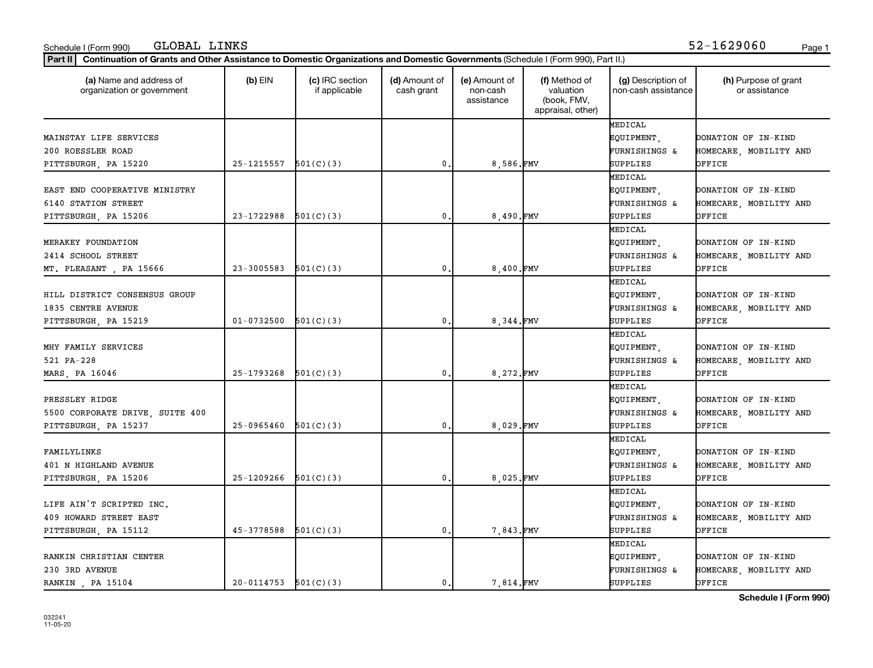| (a) Name and address of<br>organization or government | $(b)$ EIN                | (c) IRC section<br>if applicable | (d) Amount of<br>cash grant | (e) Amount of<br>non-cash<br>assistance | (f) Method of<br>valuation<br>(book, FMV,<br>appraisal, other) | (g) Description of<br>non-cash assistance | (h) Purpose of grant<br>or assistance |
|-------------------------------------------------------|--------------------------|----------------------------------|-----------------------------|-----------------------------------------|----------------------------------------------------------------|-------------------------------------------|---------------------------------------|
|                                                       |                          |                                  |                             |                                         |                                                                | MEDICAL                                   |                                       |
| MAINSTAY LIFE SERVICES                                |                          |                                  |                             |                                         |                                                                | EQUIPMENT.                                | DONATION OF IN-KIND                   |
| 200 ROESSLER ROAD                                     |                          |                                  |                             |                                         |                                                                | <b>FURNISHINGS &amp;</b>                  | HOMECARE, MOBILITY AND                |
| PITTSBURGH, PA 15220                                  | 25-1215557               | 501(C)(3)                        | 0                           | 8,586.FMV                               |                                                                | SUPPLIES                                  | OFFICE                                |
|                                                       |                          |                                  |                             |                                         |                                                                | MEDICAL                                   |                                       |
| EAST END COOPERATIVE MINISTRY                         |                          |                                  |                             |                                         |                                                                | EQUIPMENT,                                | DONATION OF IN-KIND                   |
| 6140 STATION STREET                                   |                          |                                  |                             |                                         |                                                                | <b>FURNISHINGS &amp;</b>                  | HOMECARE, MOBILITY AND                |
| PITTSBURGH, PA 15206                                  | 23-1722988               | 501(C)(3)                        | 0.                          | 8,490.FMV                               |                                                                | SUPPLIES                                  | OFFICE                                |
|                                                       |                          |                                  |                             |                                         |                                                                | MEDICAL                                   |                                       |
| MERAKEY FOUNDATION                                    |                          |                                  |                             |                                         |                                                                | EQUIPMENT,                                | DONATION OF IN-KIND                   |
| 2414 SCHOOL STREET                                    |                          |                                  |                             |                                         |                                                                | <b>FURNISHINGS &amp;</b>                  | HOMECARE, MOBILITY AND                |
| MT. PLEASANT , PA 15666                               | 23-3005583               | 501(C)(3)                        | $\mathbf{0}$ .              | 8,400.FMV                               |                                                                | SUPPLIES                                  | OFFICE                                |
|                                                       |                          |                                  |                             |                                         |                                                                | MEDICAL                                   |                                       |
| HILL DISTRICT CONSENSUS GROUP                         |                          |                                  |                             |                                         |                                                                | EQUIPMENT,                                | DONATION OF IN-KIND                   |
| 1835 CENTRE AVENUE                                    |                          |                                  |                             |                                         |                                                                | <b>FURNISHINGS &amp;</b>                  | HOMECARE, MOBILITY AND                |
| PITTSBURGH, PA 15219                                  | $01 - 0732500$           | 501(C)(3)                        | 0                           | 8,344.FMV                               |                                                                | SUPPLIES                                  | <b>OFFICE</b>                         |
|                                                       |                          |                                  |                             |                                         |                                                                | MEDICAL                                   |                                       |
| MHY FAMILY SERVICES                                   |                          |                                  |                             |                                         |                                                                | EQUIPMENT,                                | DONATION OF IN-KIND                   |
| 521 PA-228                                            |                          |                                  |                             |                                         |                                                                | <b>FURNISHINGS &amp;</b>                  | HOMECARE, MOBILITY AND                |
| MARS, PA 16046                                        | 25-1793268               | 501(C)(3)                        | 0.                          | 8,272.FMV                               |                                                                | SUPPLIES                                  | OFFICE                                |
|                                                       |                          |                                  |                             |                                         |                                                                | MEDICAL                                   |                                       |
| PRESSLEY RIDGE                                        |                          |                                  |                             |                                         |                                                                | EQUIPMENT,                                | DONATION OF IN-KIND                   |
| 5500 CORPORATE DRIVE, SUITE 400                       |                          |                                  |                             |                                         |                                                                | <b>FURNISHINGS &amp;</b>                  | HOMECARE, MOBILITY AND                |
| PITTSBURGH, PA 15237                                  | 25-0965460               | 501(C)(3)                        | $\mathbf{0}$ .              | 8.029.FMV                               |                                                                | SUPPLIES                                  | OFFICE                                |
|                                                       |                          |                                  |                             |                                         |                                                                | <b>MEDICAL</b>                            |                                       |
| FAMILYLINKS                                           |                          |                                  |                             |                                         |                                                                | EQUIPMENT,                                | DONATION OF IN-KIND                   |
| 401 N HIGHLAND AVENUE                                 |                          |                                  |                             |                                         |                                                                | <b>FURNISHINGS &amp;</b>                  | HOMECARE, MOBILITY AND                |
| PITTSBURGH, PA 15206                                  | 25-1209266               | 501(C)(3)                        | 0                           | 8,025.FMV                               |                                                                | SUPPLIES                                  | OFFICE                                |
|                                                       |                          |                                  |                             |                                         |                                                                | <b>MEDICAL</b>                            |                                       |
| LIFE AIN'T SCRIPTED INC.                              |                          |                                  |                             |                                         |                                                                | EQUIPMENT,                                | DONATION OF IN-KIND                   |
| 409 HOWARD STREET EAST                                |                          |                                  |                             |                                         |                                                                | <b>FURNISHINGS &amp;</b>                  | HOMECARE, MOBILITY AND                |
| PITTSBURGH, PA 15112                                  | 45-3778588               | 501(C)(3)                        | $\mathbf{0}$                | 7,843.FMV                               |                                                                | SUPPLIES                                  | OFFICE                                |
|                                                       |                          |                                  |                             |                                         |                                                                | MEDICAL                                   |                                       |
| RANKIN CHRISTIAN CENTER                               |                          |                                  |                             |                                         |                                                                | EQUIPMENT,                                | DONATION OF IN-KIND                   |
| 230 3RD AVENUE                                        |                          |                                  |                             |                                         |                                                                | <b>FURNISHINGS &amp;</b>                  | HOMECARE, MOBILITY AND                |
| RANKIN, PA 15104                                      | $20-0114753$ $501(C)(3)$ |                                  | 0.                          | 7.814.FMV                               |                                                                | SUPPLIES                                  | OFFICE                                |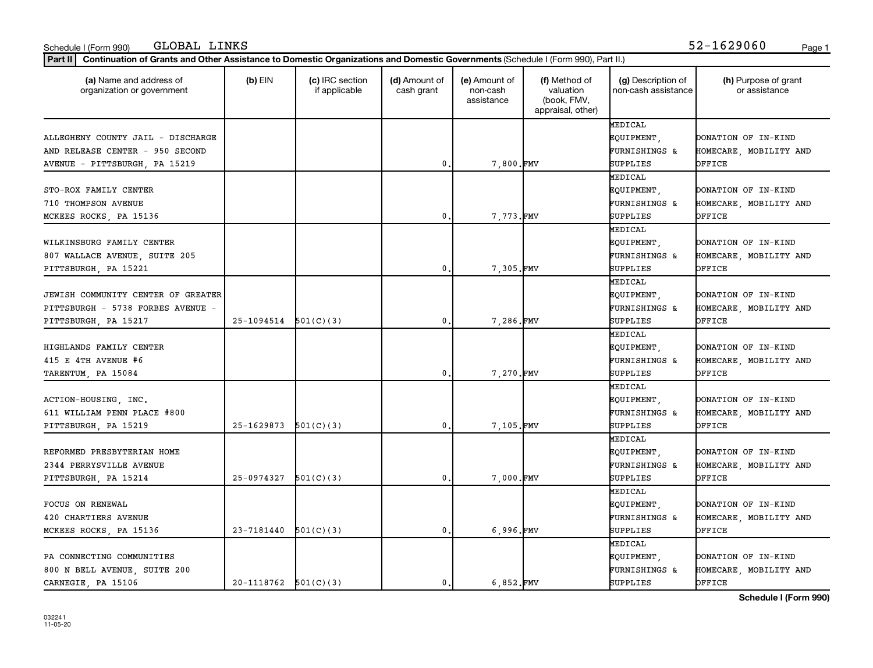| (a) Name and address of<br>organization or government | $(b)$ EIN                | (c) IRC section<br>if applicable | (d) Amount of<br>cash grant | (e) Amount of<br>non-cash<br>assistance | (f) Method of<br>valuation<br>(book, FMV,<br>appraisal, other) | (g) Description of<br>non-cash assistance | (h) Purpose of grant<br>or assistance |
|-------------------------------------------------------|--------------------------|----------------------------------|-----------------------------|-----------------------------------------|----------------------------------------------------------------|-------------------------------------------|---------------------------------------|
|                                                       |                          |                                  |                             |                                         |                                                                | MEDICAL                                   |                                       |
| ALLEGHENY COUNTY JAIL - DISCHARGE                     |                          |                                  |                             |                                         |                                                                | EQUIPMENT,                                | DONATION OF IN-KIND                   |
| AND RELEASE CENTER - 950 SECOND                       |                          |                                  |                             |                                         |                                                                | <b>FURNISHINGS &amp;</b>                  | HOMECARE, MOBILITY AND                |
| AVENUE - PITTSBURGH, PA 15219                         |                          |                                  | 0                           | 7,800.FMV                               |                                                                | SUPPLIES                                  | <b>DFFICE</b>                         |
|                                                       |                          |                                  |                             |                                         |                                                                | MEDICAL                                   |                                       |
| STO-ROX FAMILY CENTER                                 |                          |                                  |                             |                                         |                                                                | EQUIPMENT,                                | DONATION OF IN-KIND                   |
| 710 THOMPSON AVENUE                                   |                          |                                  |                             |                                         |                                                                | <b>FURNISHINGS &amp;</b>                  | HOMECARE, MOBILITY AND                |
| MCKEES ROCKS, PA 15136                                |                          |                                  | 0                           | 7,773.FMV                               |                                                                | SUPPLIES                                  | OFFICE                                |
|                                                       |                          |                                  |                             |                                         |                                                                | MEDICAL                                   |                                       |
| WILKINSBURG FAMILY CENTER                             |                          |                                  |                             |                                         |                                                                | EQUIPMENT,                                | DONATION OF IN-KIND                   |
| 807 WALLACE AVENUE, SUITE 205                         |                          |                                  |                             |                                         |                                                                | <b>FURNISHINGS &amp;</b>                  | HOMECARE, MOBILITY AND                |
| PITTSBURGH, PA 15221                                  |                          |                                  | 0                           | 7.305.FMV                               |                                                                | SUPPLIES                                  | <b>DFFICE</b>                         |
|                                                       |                          |                                  |                             |                                         |                                                                | MEDICAL                                   |                                       |
| JEWISH COMMUNITY CENTER OF GREATER                    |                          |                                  |                             |                                         |                                                                | EQUIPMENT,                                | DONATION OF IN-KIND                   |
| PITTSBURGH - 5738 FORBES AVENUE -                     |                          |                                  |                             |                                         |                                                                | <b>FURNISHINGS &amp;</b>                  | HOMECARE, MOBILITY AND                |
| PITTSBURGH, PA 15217                                  | $25-1094514$ $501(C)(3)$ |                                  | 0                           | 7,286.FMV                               |                                                                | SUPPLIES                                  | <b>DFFICE</b>                         |
|                                                       |                          |                                  |                             |                                         |                                                                | MEDICAL                                   |                                       |
| HIGHLANDS FAMILY CENTER                               |                          |                                  |                             |                                         |                                                                | EQUIPMENT,                                | DONATION OF IN-KIND                   |
| 415 E 4TH AVENUE #6                                   |                          |                                  |                             |                                         |                                                                | <b>FURNISHINGS &amp;</b>                  | HOMECARE, MOBILITY AND                |
| TARENTUM, PA 15084                                    |                          |                                  | 0                           | 7,270.FMV                               |                                                                | SUPPLIES                                  | OFFICE                                |
|                                                       |                          |                                  |                             |                                         |                                                                | MEDICAL                                   |                                       |
| ACTION-HOUSING, INC.                                  |                          |                                  |                             |                                         |                                                                | EQUIPMENT,                                | DONATION OF IN-KIND                   |
| 611 WILLIAM PENN PLACE #800                           |                          |                                  |                             |                                         |                                                                | <b>FURNISHINGS &amp;</b>                  | HOMECARE, MOBILITY AND                |
| PITTSBURGH, PA 15219                                  | 25-1629873               | 501(C)(3)                        | 0                           | 7.105.FMV                               |                                                                | SUPPLIES                                  | OFFICE                                |
|                                                       |                          |                                  |                             |                                         |                                                                | MEDICAL                                   |                                       |
| REFORMED PRESBYTERIAN HOME                            |                          |                                  |                             |                                         |                                                                | EQUIPMENT,                                | DONATION OF IN-KIND                   |
| 2344 PERRYSVILLE AVENUE                               |                          |                                  |                             |                                         |                                                                | <b>FURNISHINGS &amp;</b>                  | HOMECARE, MOBILITY AND                |
| PITTSBURGH, PA 15214                                  | 25-0974327               | 501(C)(3)                        | 0                           | 7.000.FMV                               |                                                                | SUPPLIES                                  | OFFICE                                |
|                                                       |                          |                                  |                             |                                         |                                                                | MEDICAL                                   |                                       |
| <b>FOCUS ON RENEWAL</b>                               |                          |                                  |                             |                                         |                                                                | EQUIPMENT,                                | DONATION OF IN-KIND                   |
| 420 CHARTIERS AVENUE                                  |                          |                                  |                             |                                         |                                                                | <b>FURNISHINGS &amp;</b>                  | HOMECARE, MOBILITY AND                |
| MCKEES ROCKS, PA 15136                                | 23-7181440               | 501(C)(3)                        | 0                           | 6,996.FMV                               |                                                                | SUPPLIES                                  | OFFICE                                |
|                                                       |                          |                                  |                             |                                         |                                                                | MEDICAL                                   |                                       |
| PA CONNECTING COMMUNITIES                             |                          |                                  |                             |                                         |                                                                | EQUIPMENT,                                | DONATION OF IN-KIND                   |
| 800 N BELL AVENUE, SUITE 200                          |                          |                                  |                             |                                         |                                                                | <b>FURNISHINGS &amp;</b>                  | HOMECARE, MOBILITY AND                |
| CARNEGIE, PA 15106                                    | $20-1118762$ $501(C)(3)$ |                                  | $\mathbf 0$                 | 6.852.FMV                               |                                                                | SUPPLIES                                  | <b>OFFICE</b>                         |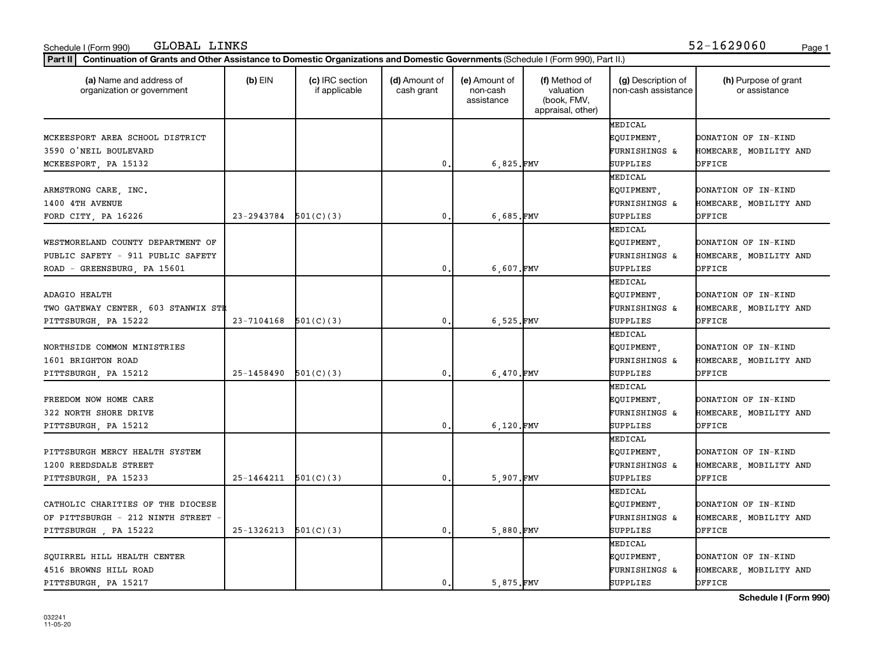| (a) Name and address of<br>organization or government | $(b)$ EIN                | (c) IRC section<br>if applicable | (d) Amount of<br>cash grant | (e) Amount of<br>non-cash<br>assistance | (f) Method of<br>valuation<br>(book, FMV,<br>appraisal, other) | (g) Description of<br>non-cash assistance | (h) Purpose of grant<br>or assistance |
|-------------------------------------------------------|--------------------------|----------------------------------|-----------------------------|-----------------------------------------|----------------------------------------------------------------|-------------------------------------------|---------------------------------------|
|                                                       |                          |                                  |                             |                                         |                                                                | MEDICAL                                   |                                       |
| MCKEESPORT AREA SCHOOL DISTRICT                       |                          |                                  |                             |                                         |                                                                | EQUIPMENT,                                | DONATION OF IN-KIND                   |
| 3590 O'NEIL BOULEVARD                                 |                          |                                  |                             |                                         |                                                                | <b>FURNISHINGS &amp;</b>                  | HOMECARE, MOBILITY AND                |
| MCKEESPORT, PA 15132                                  |                          |                                  | 0                           | 6,825.FMV                               |                                                                | SUPPLIES                                  | <b>DFFICE</b>                         |
|                                                       |                          |                                  |                             |                                         |                                                                | MEDICAL                                   |                                       |
| ARMSTRONG CARE, INC.                                  |                          |                                  |                             |                                         |                                                                | EQUIPMENT,                                | DONATION OF IN-KIND                   |
| 1400 4TH AVENUE                                       |                          |                                  |                             |                                         |                                                                | <b>FURNISHINGS &amp;</b>                  | HOMECARE, MOBILITY AND                |
| FORD CITY, PA 16226                                   | 23-2943784               | 501(C)(3)                        | 0                           | 6,685.FMV                               |                                                                | SUPPLIES                                  | OFFICE                                |
|                                                       |                          |                                  |                             |                                         |                                                                | MEDICAL                                   |                                       |
| WESTMORELAND COUNTY DEPARTMENT OF                     |                          |                                  |                             |                                         |                                                                | EQUIPMENT,                                | DONATION OF IN-KIND                   |
| PUBLIC SAFETY - 911 PUBLIC SAFETY                     |                          |                                  |                             |                                         |                                                                | <b>FURNISHINGS &amp;</b>                  | HOMECARE, MOBILITY AND                |
| ROAD - GREENSBURG, PA 15601                           |                          |                                  | 0                           | 6.607.FMV                               |                                                                | SUPPLIES                                  | <b>DFFICE</b>                         |
|                                                       |                          |                                  |                             |                                         |                                                                | MEDICAL                                   |                                       |
| ADAGIO HEALTH                                         |                          |                                  |                             |                                         |                                                                | EQUIPMENT,                                | DONATION OF IN-KIND                   |
| TWO GATEWAY CENTER, 603 STANWIX STR                   |                          |                                  |                             |                                         |                                                                | <b>FURNISHINGS &amp;</b>                  | HOMECARE, MOBILITY AND                |
| PITTSBURGH, PA 15222                                  | 23-7104168               | 501(C)(3)                        | 0                           | 6,525.FMV                               |                                                                | SUPPLIES                                  | <b>DFFICE</b>                         |
|                                                       |                          |                                  |                             |                                         |                                                                | MEDICAL                                   |                                       |
| NORTHSIDE COMMON MINISTRIES                           |                          |                                  |                             |                                         |                                                                | EQUIPMENT,                                | DONATION OF IN-KIND                   |
| 1601 BRIGHTON ROAD                                    |                          |                                  |                             |                                         |                                                                | <b>FURNISHINGS &amp;</b>                  | HOMECARE, MOBILITY AND                |
| PITTSBURGH, PA 15212                                  | 25-1458490               | 501(C)(3)                        | 0                           | 6,470.FMV                               |                                                                | SUPPLIES                                  | OFFICE                                |
|                                                       |                          |                                  |                             |                                         |                                                                | MEDICAL                                   |                                       |
| FREEDOM NOW HOME CARE                                 |                          |                                  |                             |                                         |                                                                | EQUIPMENT,                                | DONATION OF IN-KIND                   |
| 322 NORTH SHORE DRIVE                                 |                          |                                  |                             |                                         |                                                                | <b>FURNISHINGS &amp;</b>                  | HOMECARE, MOBILITY AND                |
| PITTSBURGH, PA 15212                                  |                          |                                  | 0                           | 6,120.FMV                               |                                                                | SUPPLIES                                  | OFFICE                                |
|                                                       |                          |                                  |                             |                                         |                                                                | MEDICAL                                   |                                       |
| PITTSBURGH MERCY HEALTH SYSTEM                        |                          |                                  |                             |                                         |                                                                | EQUIPMENT,                                | DONATION OF IN-KIND                   |
| 1200 REEDSDALE STREET                                 |                          |                                  |                             |                                         |                                                                | <b>FURNISHINGS &amp;</b>                  | HOMECARE, MOBILITY AND                |
| PITTSBURGH, PA 15233                                  | $25-1464211$ $501(C)(3)$ |                                  | 0                           | 5.907.FMV                               |                                                                | SUPPLIES                                  | OFFICE                                |
|                                                       |                          |                                  |                             |                                         |                                                                | MEDICAL                                   |                                       |
| CATHOLIC CHARITIES OF THE DIOCESE                     |                          |                                  |                             |                                         |                                                                |                                           | DONATION OF IN-KIND                   |
| OF PITTSBURGH - 212 NINTH STREET                      |                          |                                  |                             |                                         |                                                                | EQUIPMENT,<br><b>FURNISHINGS &amp;</b>    |                                       |
|                                                       | $25-1326213$ $501(C)(3)$ |                                  | 0                           | 5,880.FMV                               |                                                                | SUPPLIES                                  | HOMECARE, MOBILITY AND<br>OFFICE      |
| PITTSBURGH, PA 15222                                  |                          |                                  |                             |                                         |                                                                |                                           |                                       |
|                                                       |                          |                                  |                             |                                         |                                                                | MEDICAL                                   |                                       |
| SQUIRREL HILL HEALTH CENTER                           |                          |                                  |                             |                                         |                                                                | EQUIPMENT,                                | DONATION OF IN-KIND                   |
| 4516 BROWNS HILL ROAD                                 |                          |                                  |                             |                                         |                                                                | <b>FURNISHINGS &amp;</b>                  | HOMECARE, MOBILITY AND                |
| PITTSBURGH, PA 15217                                  |                          |                                  | $\mathbf 0$                 | 5.875.FMV                               |                                                                | SUPPLIES                                  | <b>OFFICE</b>                         |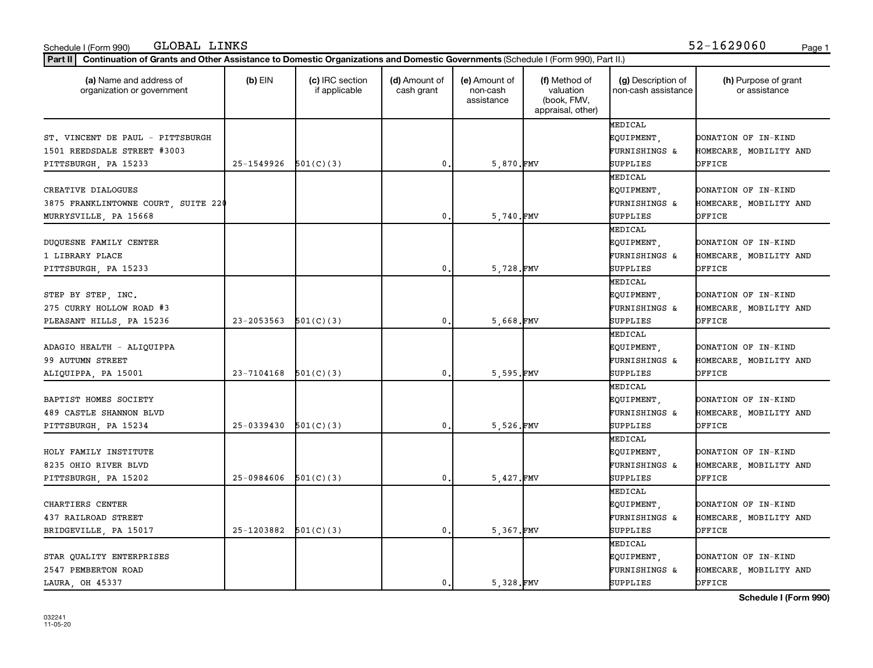| (a) Name and address of<br>organization or government | $(b)$ EIN                  | (c) IRC section<br>if applicable | (d) Amount of<br>cash grant | (e) Amount of<br>non-cash<br>assistance | (f) Method of<br>valuation<br>(book, FMV,<br>appraisal, other) | (g) Description of<br>non-cash assistance | (h) Purpose of grant<br>or assistance |
|-------------------------------------------------------|----------------------------|----------------------------------|-----------------------------|-----------------------------------------|----------------------------------------------------------------|-------------------------------------------|---------------------------------------|
|                                                       |                            |                                  |                             |                                         |                                                                | MEDICAL                                   |                                       |
| ST. VINCENT DE PAUL - PITTSBURGH                      |                            |                                  |                             |                                         |                                                                | EQUIPMENT,                                | DONATION OF IN-KIND                   |
| 1501 REEDSDALE STREET #3003                           |                            |                                  |                             |                                         |                                                                | <b>FURNISHINGS &amp;</b>                  | HOMECARE, MOBILITY AND                |
| PITTSBURGH, PA 15233                                  | $25-1549926$ $501(C)(3)$   |                                  | 0                           | 5,870.FMV                               |                                                                | SUPPLIES                                  | OFFICE                                |
|                                                       |                            |                                  |                             |                                         |                                                                | MEDICAL                                   |                                       |
| CREATIVE DIALOGUES                                    |                            |                                  |                             |                                         |                                                                | EQUIPMENT,                                | DONATION OF IN-KIND                   |
| 3875 FRANKLINTOWNE COURT, SUITE 220                   |                            |                                  |                             |                                         |                                                                | <b>FURNISHINGS &amp;</b>                  | HOMECARE, MOBILITY AND                |
| MURRYSVILLE, PA 15668                                 |                            |                                  | $\mathbf 0$                 | 5,740.FMV                               |                                                                | SUPPLIES                                  | OFFICE                                |
|                                                       |                            |                                  |                             |                                         |                                                                | MEDICAL                                   |                                       |
| DUQUESNE FAMILY CENTER                                |                            |                                  |                             |                                         |                                                                | EQUIPMENT,                                | DONATION OF IN-KIND                   |
| 1 LIBRARY PLACE                                       |                            |                                  |                             |                                         |                                                                | <b>FURNISHINGS &amp;</b>                  | HOMECARE, MOBILITY AND                |
| PITTSBURGH, PA 15233                                  |                            |                                  | 0.                          | 5.728.FMV                               |                                                                | SUPPLIES                                  | OFFICE                                |
|                                                       |                            |                                  |                             |                                         |                                                                | MEDICAL                                   |                                       |
| STEP BY STEP, INC.                                    |                            |                                  |                             |                                         |                                                                | EQUIPMENT,                                | DONATION OF IN-KIND                   |
| 275 CURRY HOLLOW ROAD #3                              |                            |                                  |                             |                                         |                                                                | <b>FURNISHINGS &amp;</b>                  | HOMECARE, MOBILITY AND                |
| PLEASANT HILLS, PA 15236                              | $23 - 2053563$ $501(C)(3)$ |                                  | 0                           | 5,668.FMV                               |                                                                | SUPPLIES                                  | OFFICE                                |
|                                                       |                            |                                  |                             |                                         |                                                                | MEDICAL                                   |                                       |
| ADAGIO HEALTH - ALIQUIPPA                             |                            |                                  |                             |                                         |                                                                | EQUIPMENT,                                | DONATION OF IN-KIND                   |
| 99 AUTUMN STREET                                      |                            |                                  |                             |                                         |                                                                | FURNISHINGS &                             | HOMECARE, MOBILITY AND                |
| ALIQUIPPA, PA 15001                                   | $23 - 7104168$ $501(C)(3)$ |                                  | $\mathbf{0}$ .              | 5,595.FMV                               |                                                                | SUPPLIES                                  | OFFICE                                |
|                                                       |                            |                                  |                             |                                         |                                                                | MEDICAL                                   |                                       |
| BAPTIST HOMES SOCIETY                                 |                            |                                  |                             |                                         |                                                                | EQUIPMENT,                                | DONATION OF IN-KIND                   |
| 489 CASTLE SHANNON BLVD                               |                            |                                  |                             |                                         |                                                                | <b>FURNISHINGS &amp;</b>                  | HOMECARE, MOBILITY AND                |
| PITTSBURGH, PA 15234                                  | 25-0339430                 | 501(C)(3)                        | $\mathbf 0$                 | 5,526.FMV                               |                                                                | SUPPLIES                                  | OFFICE                                |
|                                                       |                            |                                  |                             |                                         |                                                                | MEDICAL                                   |                                       |
| HOLY FAMILY INSTITUTE                                 |                            |                                  |                             |                                         |                                                                | EQUIPMENT,                                | DONATION OF IN-KIND                   |
| 8235 OHIO RIVER BLVD                                  |                            |                                  |                             |                                         |                                                                | <b>FURNISHINGS &amp;</b>                  | HOMECARE, MOBILITY AND                |
| PITTSBURGH, PA 15202                                  | $25-0984606$ $501(C)(3)$   |                                  | 0.                          | 5.427.FMV                               |                                                                | SUPPLIES                                  | OFFICE                                |
|                                                       |                            |                                  |                             |                                         |                                                                | MEDICAL                                   |                                       |
| CHARTIERS CENTER                                      |                            |                                  |                             |                                         |                                                                | EQUIPMENT,                                | DONATION OF IN-KIND                   |
| 437 RAILROAD STREET                                   |                            |                                  |                             |                                         |                                                                | <b>FURNISHINGS &amp;</b>                  | HOMECARE, MOBILITY AND                |
| BRIDGEVILLE, PA 15017                                 | $25-1203882$ $501(C)(3)$   |                                  | 0.                          | 5,367.FMV                               |                                                                | SUPPLIES                                  | OFFICE                                |
|                                                       |                            |                                  |                             |                                         |                                                                | MEDICAL                                   |                                       |
| STAR QUALITY ENTERPRISES                              |                            |                                  |                             |                                         |                                                                | EQUIPMENT,                                | DONATION OF IN-KIND                   |
| 2547 PEMBERTON ROAD                                   |                            |                                  |                             |                                         |                                                                | <b>FURNISHINGS &amp;</b>                  | HOMECARE, MOBILITY AND                |
| LAURA, OH 45337                                       |                            |                                  | 0.                          | 5.328.FMV                               |                                                                | <b>SUPPLIES</b>                           | <b>OFFICE</b>                         |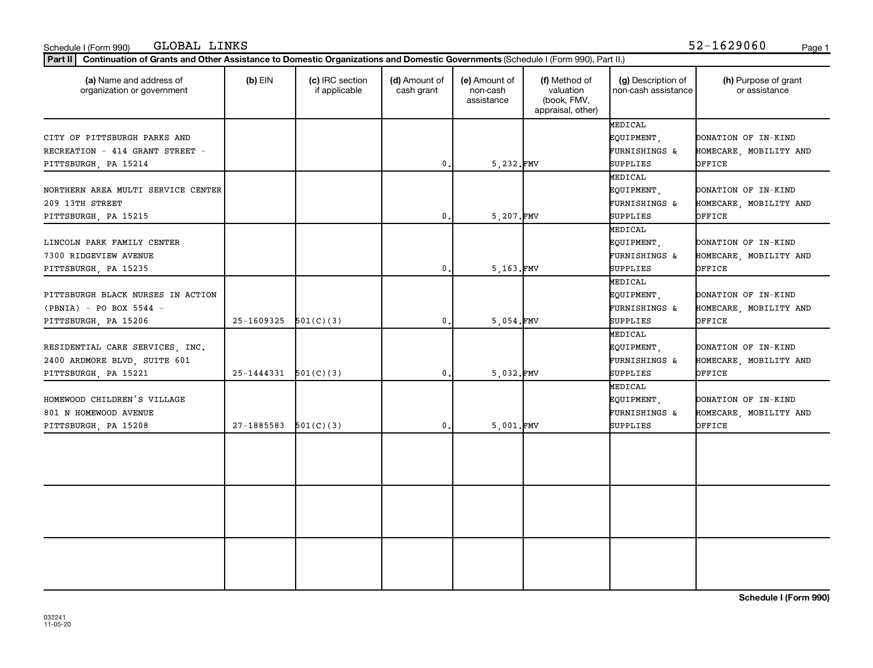| (a) Name and address of<br>organization or government                                   | $(b)$ EIN                | (c) IRC section<br>if applicable | (d) Amount of<br>cash grant | (e) Amount of<br>non-cash<br>assistance | (f) Method of<br>valuation<br>(book, FMV,<br>appraisal, other) | (g) Description of<br>non-cash assistance                     | (h) Purpose of grant<br>or assistance                   |
|-----------------------------------------------------------------------------------------|--------------------------|----------------------------------|-----------------------------|-----------------------------------------|----------------------------------------------------------------|---------------------------------------------------------------|---------------------------------------------------------|
| CITY OF PITTSBURGH PARKS AND<br>RECREATION - 414 GRANT STREET -<br>PITTSBURGH, PA 15214 |                          |                                  | $\mathbf{0}$ .              | 5,232.FMV                               |                                                                | MEDICAL<br>EQUIPMENT,<br><b>FURNISHINGS &amp;</b><br>SUPPLIES | DONATION OF IN-KIND<br>HOMECARE, MOBILITY AND<br>OFFICE |
| NORTHERN AREA MULTI SERVICE CENTER<br>209 13TH STREET<br>PITTSBURGH, PA 15215           |                          |                                  | $\mathbf{0}$ .              | 5,207.FMV                               |                                                                | MEDICAL<br>EQUIPMENT,<br>FURNISHINGS &<br>SUPPLIES            | DONATION OF IN-KIND<br>HOMECARE, MOBILITY AND<br>OFFICE |
| LINCOLN PARK FAMILY CENTER<br>7300 RIDGEVIEW AVENUE<br>PITTSBURGH, PA 15235             |                          |                                  | $\mathbf 0$ .               | 5.163.FMV                               |                                                                | MEDICAL<br>EQUIPMENT,<br>FURNISHINGS &<br>SUPPLIES            | DONATION OF IN-KIND<br>HOMECARE, MOBILITY AND<br>OFFICE |
| PITTSBURGH BLACK NURSES IN ACTION<br>$(PBNIA) - PO BOX 5544 -$<br>PITTSBURGH, PA 15206  | 25-1609325               | 501(C)(3)                        | 0.                          | 5,054.FMV                               |                                                                | MEDICAL<br>EQUIPMENT,<br><b>FURNISHINGS &amp;</b><br>SUPPLIES | DONATION OF IN-KIND<br>HOMECARE, MOBILITY AND<br>OFFICE |
| RESIDENTIAL CARE SERVICES, INC.<br>2400 ARDMORE BLVD, SUITE 601<br>PITTSBURGH, PA 15221 | $25-1444331$ $501(C)(3)$ |                                  | $\mathbf{0}$ .              | 5,032.FMV                               |                                                                | MEDICAL<br>EQUIPMENT,<br>FURNISHINGS &<br>SUPPLIES            | DONATION OF IN-KIND<br>HOMECARE, MOBILITY AND<br>OFFICE |
| HOMEWOOD CHILDREN'S VILLAGE<br>801 N HOMEWOOD AVENUE<br>PITTSBURGH, PA 15208            | 27-1885583               | 501(C)(3)                        | $\mathbf{0}$ .              | 5,001.FMV                               |                                                                | MEDICAL<br>EQUIPMENT,<br><b>FURNISHINGS &amp;</b><br>SUPPLIES | DONATION OF IN-KIND<br>HOMECARE, MOBILITY AND<br>OFFICE |
|                                                                                         |                          |                                  |                             |                                         |                                                                |                                                               |                                                         |
|                                                                                         |                          |                                  |                             |                                         |                                                                |                                                               |                                                         |
|                                                                                         |                          |                                  |                             |                                         |                                                                |                                                               |                                                         |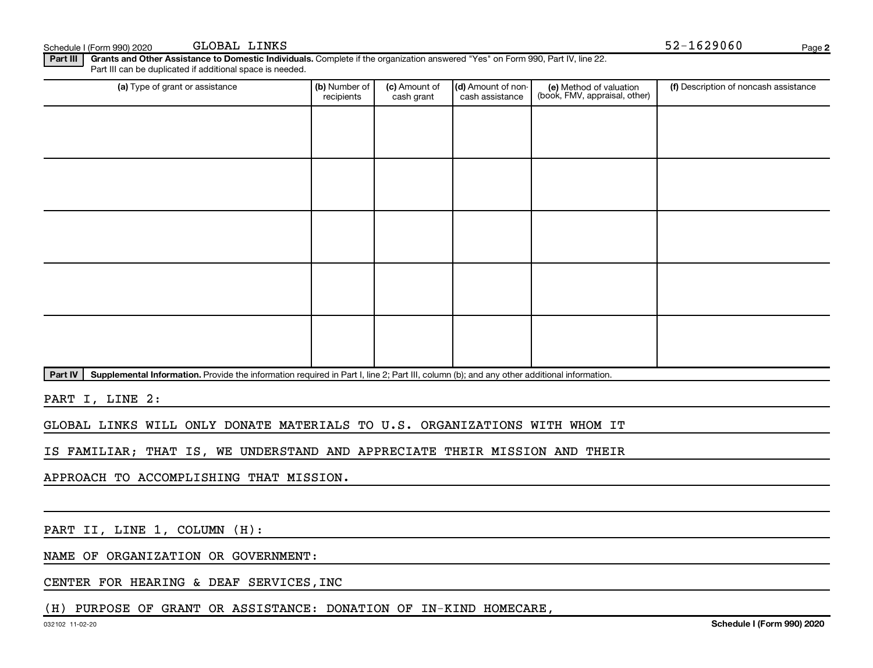Schedule I (Form 990) 2020 GLOBAL LINKS  $52-1629060$ GLOBAL LINKS

**2**

Part III | Grants and Other Assistance to Domestic Individuals. Complete if the organization answered "Yes" on Form 990, Part IV, line 22. Part III can be duplicated if additional space is needed.

| (a) Type of grant or assistance | (b) Number of<br>recipients | (c) Amount of<br>cash grant | (d) Amount of non-<br>cash assistance | (e) Method of valuation<br>(book, FMV, appraisal, other) | (f) Description of noncash assistance |
|---------------------------------|-----------------------------|-----------------------------|---------------------------------------|----------------------------------------------------------|---------------------------------------|
|                                 |                             |                             |                                       |                                                          |                                       |
|                                 |                             |                             |                                       |                                                          |                                       |
|                                 |                             |                             |                                       |                                                          |                                       |
|                                 |                             |                             |                                       |                                                          |                                       |
|                                 |                             |                             |                                       |                                                          |                                       |
|                                 |                             |                             |                                       |                                                          |                                       |
|                                 |                             |                             |                                       |                                                          |                                       |
|                                 |                             |                             |                                       |                                                          |                                       |
|                                 |                             |                             |                                       |                                                          |                                       |
|                                 |                             |                             |                                       |                                                          |                                       |

Part IV | Supplemental Information. Provide the information required in Part I, line 2; Part III, column (b); and any other additional information.

PART I, LINE 2:

GLOBAL LINKS WILL ONLY DONATE MATERIALS TO U.S. ORGANIZATIONS WITH WHOM IT

IS FAMILIAR; THAT IS, WE UNDERSTAND AND APPRECIATE THEIR MISSION AND THEIR

APPROACH TO ACCOMPLISHING THAT MISSION.

PART II, LINE 1, COLUMN (H):

NAME OF ORGANIZATION OR GOVERNMENT:

CENTER FOR HEARING & DEAF SERVICES,INC

(H) PURPOSE OF GRANT OR ASSISTANCE: DONATION OF IN-KIND HOMECARE,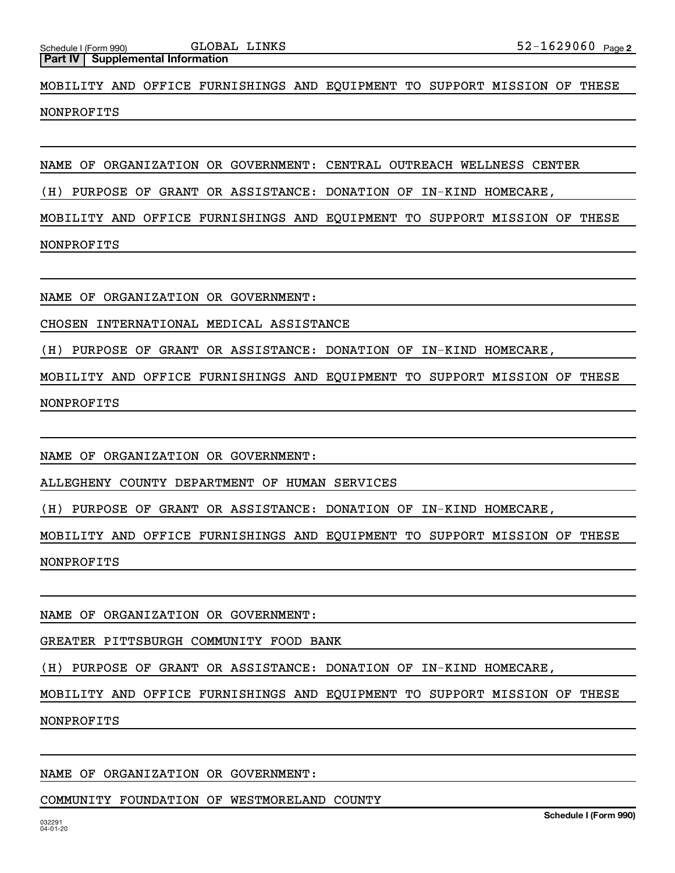MOBILITY AND OFFICE FURNISHINGS AND EQUIPMENT TO SUPPORT MISSION OF THESE NONPROFITS

NAME OF ORGANIZATION OR GOVERNMENT: CENTRAL OUTREACH WELLNESS CENTER

(H) PURPOSE OF GRANT OR ASSISTANCE: DONATION OF IN-KIND HOMECARE,

MOBILITY AND OFFICE FURNISHINGS AND EQUIPMENT TO SUPPORT MISSION OF THESE NONPROFITS

NAME OF ORGANIZATION OR GOVERNMENT:

CHOSEN INTERNATIONAL MEDICAL ASSISTANCE

(H) PURPOSE OF GRANT OR ASSISTANCE: DONATION OF IN-KIND HOMECARE,

MOBILITY AND OFFICE FURNISHINGS AND EQUIPMENT TO SUPPORT MISSION OF THESE

NONPROFITS

NAME OF ORGANIZATION OR GOVERNMENT:

ALLEGHENY COUNTY DEPARTMENT OF HUMAN SERVICES

(H) PURPOSE OF GRANT OR ASSISTANCE: DONATION OF IN-KIND HOMECARE,

MOBILITY AND OFFICE FURNISHINGS AND EQUIPMENT TO SUPPORT MISSION OF THESE NONPROFITS

NAME OF ORGANIZATION OR GOVERNMENT:

GREATER PITTSBURGH COMMUNITY FOOD BANK

(H) PURPOSE OF GRANT OR ASSISTANCE: DONATION OF IN-KIND HOMECARE,

MOBILITY AND OFFICE FURNISHINGS AND EQUIPMENT TO SUPPORT MISSION OF THESE NONPROFITS

NAME OF ORGANIZATION OR GOVERNMENT:

COMMUNITY FOUNDATION OF WESTMORELAND COUNTY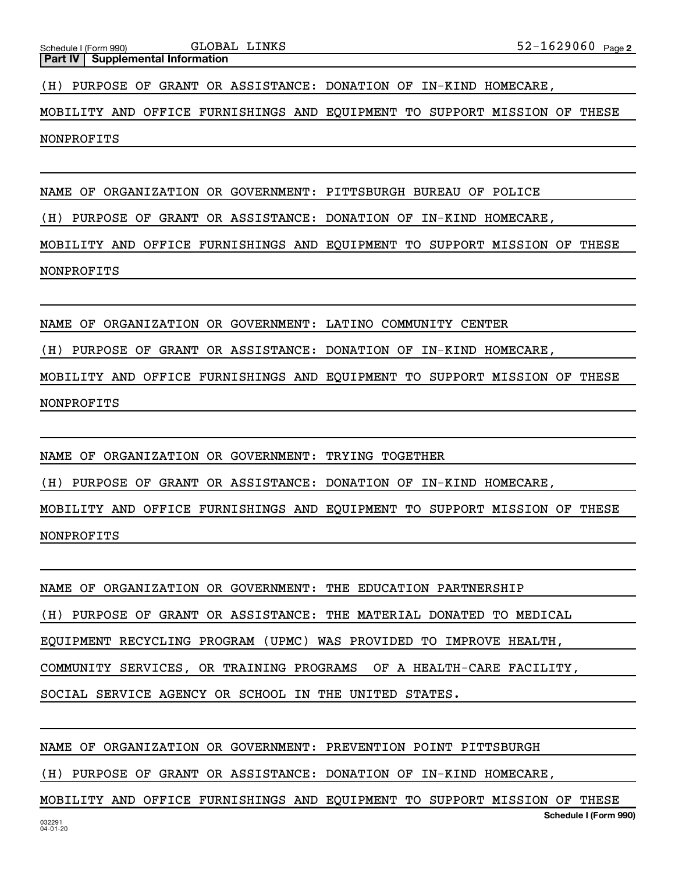GLOBAL LINKS

**Part IV** | Supplemental Information

(H) PURPOSE OF GRANT OR ASSISTANCE: DONATION OF IN-KIND HOMECARE,

MOBILITY AND OFFICE FURNISHINGS AND EQUIPMENT TO SUPPORT MISSION OF THESE NONPROFITS

NAME OF ORGANIZATION OR GOVERNMENT: PITTSBURGH BUREAU OF POLICE

(H) PURPOSE OF GRANT OR ASSISTANCE: DONATION OF IN-KIND HOMECARE,

MOBILITY AND OFFICE FURNISHINGS AND EQUIPMENT TO SUPPORT MISSION OF THESE NONPROFITS

NAME OF ORGANIZATION OR GOVERNMENT: LATINO COMMUNITY CENTER

(H) PURPOSE OF GRANT OR ASSISTANCE: DONATION OF IN-KIND HOMECARE,

MOBILITY AND OFFICE FURNISHINGS AND EQUIPMENT TO SUPPORT MISSION OF THESE NONPROFITS

NAME OF ORGANIZATION OR GOVERNMENT: TRYING TOGETHER

(H) PURPOSE OF GRANT OR ASSISTANCE: DONATION OF IN-KIND HOMECARE,

MOBILITY AND OFFICE FURNISHINGS AND EQUIPMENT TO SUPPORT MISSION OF THESE NONPROFITS

NAME OF ORGANIZATION OR GOVERNMENT: THE EDUCATION PARTNERSHIP

(H) PURPOSE OF GRANT OR ASSISTANCE: THE MATERIAL DONATED TO MEDICAL

EQUIPMENT RECYCLING PROGRAM (UPMC) WAS PROVIDED TO IMPROVE HEALTH,

COMMUNITY SERVICES, OR TRAINING PROGRAMS OF A HEALTH-CARE FACILITY,

SOCIAL SERVICE AGENCY OR SCHOOL IN THE UNITED STATES.

NAME OF ORGANIZATION OR GOVERNMENT: PREVENTION POINT PITTSBURGH

(H) PURPOSE OF GRANT OR ASSISTANCE: DONATION OF IN-KIND HOMECARE,

MOBILITY AND OFFICE FURNISHINGS AND EQUIPMENT TO SUPPORT MISSION OF THESE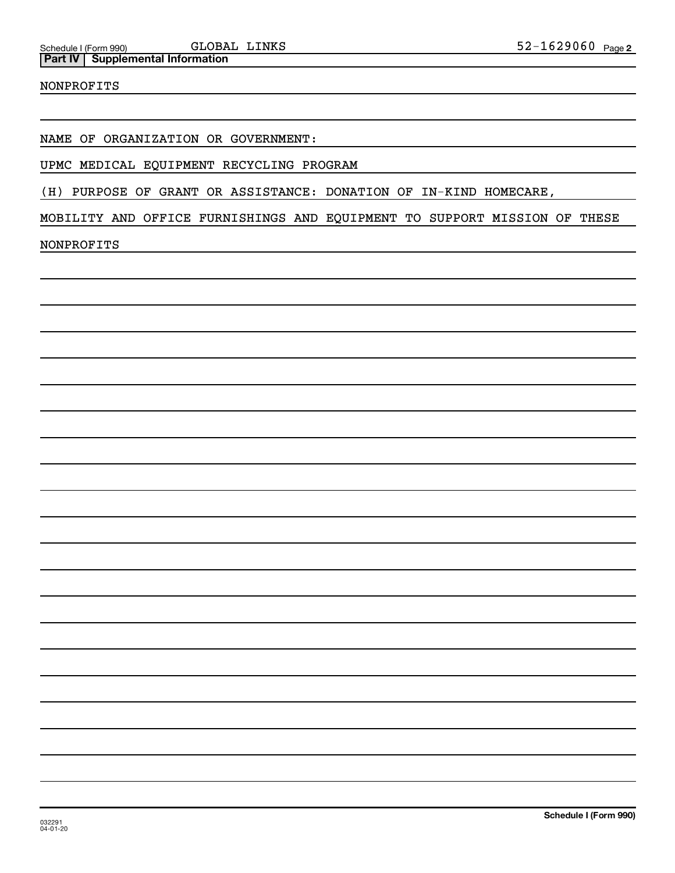GLOBAL LINKS

NONPROFITS

NAME OF ORGANIZATION OR GOVERNMENT:

UPMC MEDICAL EQUIPMENT RECYCLING PROGRAM

(H) PURPOSE OF GRANT OR ASSISTANCE: DONATION OF IN-KIND HOMECARE,

MOBILITY AND OFFICE FURNISHINGS AND EQUIPMENT TO SUPPORT MISSION OF THESE

#### NONPROFITS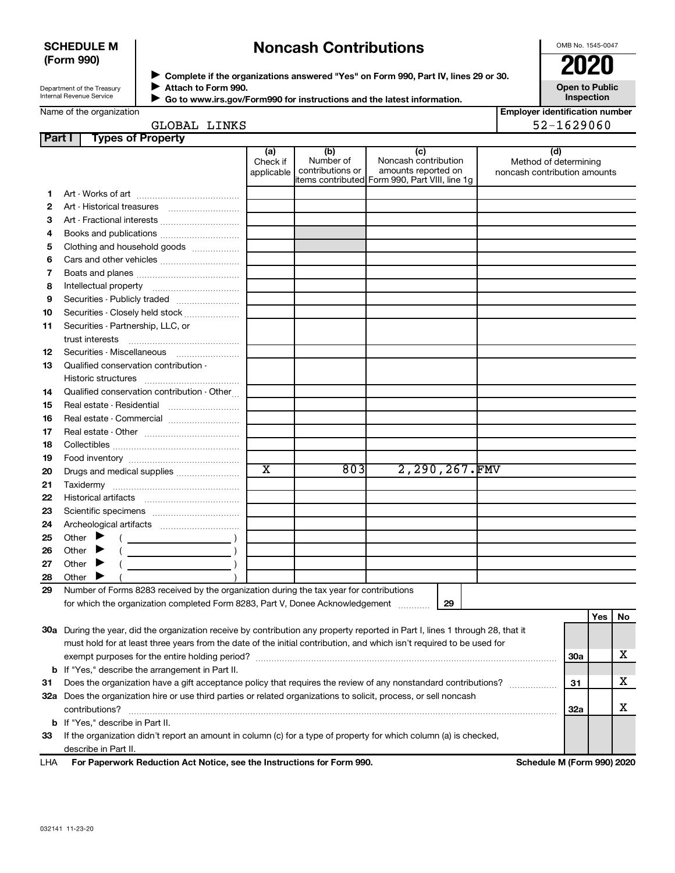#### **SCHEDULE M (Form 990)**

# **Noncash Contributions**

OMB No. 1545-0047

Department of the Treasury Internal Revenue Service

◆ Complete if the organizations answered "Yes" on Form 990, Part IV, lines 29 or 30.<br>● Complete if the organizations answered "Yes" on Form 990, Part IV, lines 29 or 30. **Attach to Form 990.**  $\blacktriangleright$ 

 **Go to www.irs.gov/Form990 for instructions and the latest information.** J

**Open to Public Inspection**

**Employer identification number**

Name of the organization

|        | GLOBAL LINKS                                                                                                                   |                               |                                      |                                                                                                      | 52-1629060                                                   |            |     |           |
|--------|--------------------------------------------------------------------------------------------------------------------------------|-------------------------------|--------------------------------------|------------------------------------------------------------------------------------------------------|--------------------------------------------------------------|------------|-----|-----------|
| Part I | <b>Types of Property</b>                                                                                                       |                               |                                      |                                                                                                      |                                                              |            |     |           |
|        |                                                                                                                                | (a)<br>Check if<br>applicable | (b)<br>Number of<br>contributions or | (c)<br>Noncash contribution<br>amounts reported on<br>items contributed Form 990, Part VIII, line 1g | (d)<br>Method of determining<br>noncash contribution amounts |            |     |           |
| 1      |                                                                                                                                |                               |                                      |                                                                                                      |                                                              |            |     |           |
| 2      |                                                                                                                                |                               |                                      |                                                                                                      |                                                              |            |     |           |
| З      |                                                                                                                                |                               |                                      |                                                                                                      |                                                              |            |     |           |
| 4      | Books and publications                                                                                                         |                               |                                      |                                                                                                      |                                                              |            |     |           |
| 5      | Clothing and household goods                                                                                                   |                               |                                      |                                                                                                      |                                                              |            |     |           |
| 6      |                                                                                                                                |                               |                                      |                                                                                                      |                                                              |            |     |           |
| 7      |                                                                                                                                |                               |                                      |                                                                                                      |                                                              |            |     |           |
| 8      |                                                                                                                                |                               |                                      |                                                                                                      |                                                              |            |     |           |
| 9      | Securities - Publicly traded                                                                                                   |                               |                                      |                                                                                                      |                                                              |            |     |           |
| 10     | Securities - Closely held stock                                                                                                |                               |                                      |                                                                                                      |                                                              |            |     |           |
| 11     | Securities - Partnership, LLC, or                                                                                              |                               |                                      |                                                                                                      |                                                              |            |     |           |
|        | trust interests                                                                                                                |                               |                                      |                                                                                                      |                                                              |            |     |           |
| 12     | Securities - Miscellaneous                                                                                                     |                               |                                      |                                                                                                      |                                                              |            |     |           |
| 13     | Qualified conservation contribution -                                                                                          |                               |                                      |                                                                                                      |                                                              |            |     |           |
|        |                                                                                                                                |                               |                                      |                                                                                                      |                                                              |            |     |           |
| 14     | Qualified conservation contribution - Other                                                                                    |                               |                                      |                                                                                                      |                                                              |            |     |           |
| 15     |                                                                                                                                |                               |                                      |                                                                                                      |                                                              |            |     |           |
| 16     | Real estate - Commercial                                                                                                       |                               |                                      |                                                                                                      |                                                              |            |     |           |
| 17     |                                                                                                                                |                               |                                      |                                                                                                      |                                                              |            |     |           |
| 18     |                                                                                                                                |                               |                                      |                                                                                                      |                                                              |            |     |           |
| 19     |                                                                                                                                |                               |                                      |                                                                                                      |                                                              |            |     |           |
| 20     | Drugs and medical supplies                                                                                                     | $\overline{\text{x}}$         | 803                                  | 2,290,267.FMV                                                                                        |                                                              |            |     |           |
| 21     |                                                                                                                                |                               |                                      |                                                                                                      |                                                              |            |     |           |
| 22     |                                                                                                                                |                               |                                      |                                                                                                      |                                                              |            |     |           |
| 23     |                                                                                                                                |                               |                                      |                                                                                                      |                                                              |            |     |           |
| 24     |                                                                                                                                |                               |                                      |                                                                                                      |                                                              |            |     |           |
| 25     | Other $\blacktriangleright$                                                                                                    |                               |                                      |                                                                                                      |                                                              |            |     |           |
| 26     | $\overline{\phantom{a}}$ )<br>Other $\blacktriangleright$                                                                      |                               |                                      |                                                                                                      |                                                              |            |     |           |
| 27     | Other $\blacktriangleright$                                                                                                    |                               |                                      |                                                                                                      |                                                              |            |     |           |
| 28     | Other                                                                                                                          |                               |                                      |                                                                                                      |                                                              |            |     |           |
| 29     | Number of Forms 8283 received by the organization during the tax year for contributions                                        |                               |                                      |                                                                                                      |                                                              |            |     |           |
|        | for which the organization completed Form 8283, Part V, Donee Acknowledgement                                                  |                               |                                      | 29                                                                                                   |                                                              |            |     |           |
|        |                                                                                                                                |                               |                                      |                                                                                                      |                                                              |            | Yes | <b>No</b> |
|        | 30a During the year, did the organization receive by contribution any property reported in Part I, lines 1 through 28, that it |                               |                                      |                                                                                                      |                                                              |            |     |           |
|        | must hold for at least three years from the date of the initial contribution, and which isn't required to be used for          |                               |                                      |                                                                                                      |                                                              |            |     |           |
|        |                                                                                                                                |                               |                                      |                                                                                                      |                                                              | <b>30a</b> |     | х         |
|        | <b>b</b> If "Yes," describe the arrangement in Part II.                                                                        |                               |                                      |                                                                                                      |                                                              |            |     |           |
| 31     | Does the organization have a gift acceptance policy that requires the review of any nonstandard contributions?                 |                               |                                      |                                                                                                      |                                                              | 31         |     | х         |
|        | 32a Does the organization hire or use third parties or related organizations to solicit, process, or sell noncash              |                               |                                      |                                                                                                      |                                                              |            |     |           |
|        | contributions?                                                                                                                 |                               |                                      |                                                                                                      |                                                              | 32a        |     | x         |
|        | <b>b</b> If "Yes," describe in Part II.                                                                                        |                               |                                      |                                                                                                      |                                                              |            |     |           |

**33** If the organization didn't report an amount in column (c) for a type of property for which column (a) is checked, describe in Part II.

**For Paperwork Reduction Act Notice, see the Instructions for Form 990. Schedule M (Form 990) 2020** LHA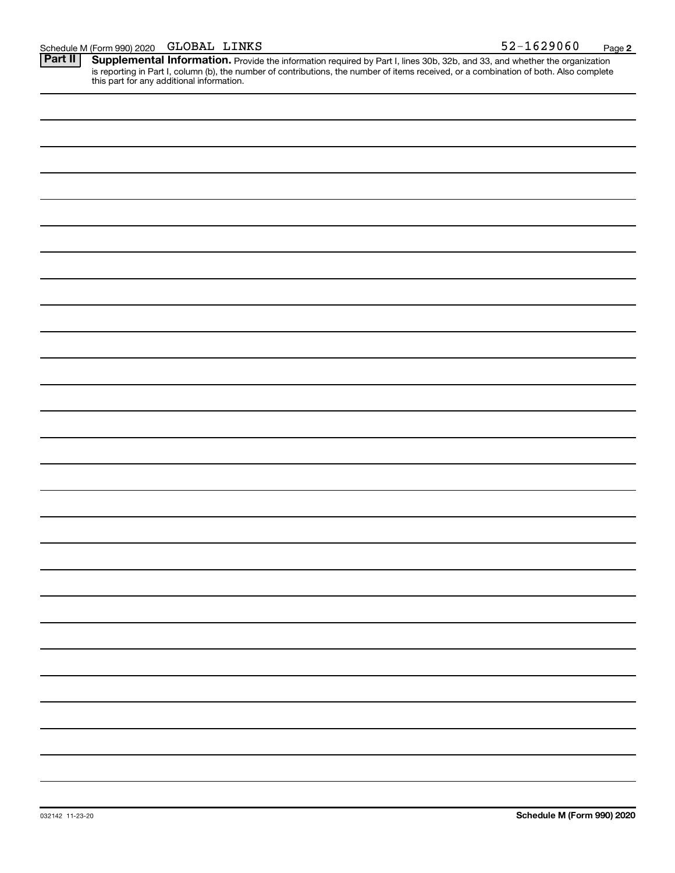**2**

Schedule M (Form 990) 2020 GLOBAL LINKS<br>**Part II** Supplemental Information. Provide the information required by Part I. lines 30b. 32b. and 33. and whether the orga Provide the information required by Part I, lines 30b, 32b, and 33, and whether the organization is reporting in Part I, column (b), the number of contributions, the number of items received, or a combination of both. Also complete this part for any additional information. **Part II Supplemental Information.**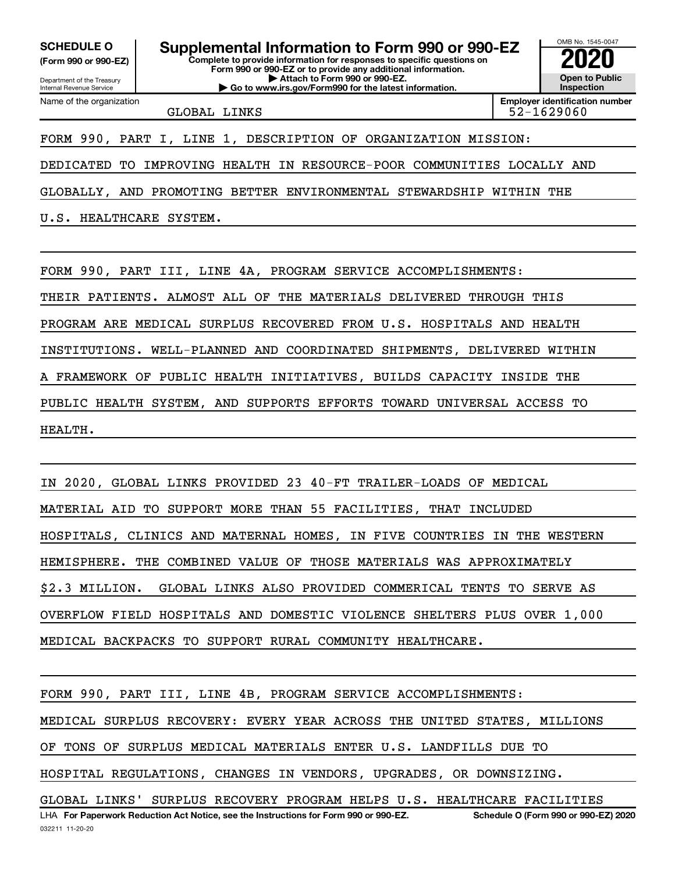**(Form 990 or 990-EZ)**

Department of the Treasury Internal Revenue Service Name of the organization

**Complete to provide information for responses to specific questions on Form 990 or 990-EZ or to provide any additional information. | Attach to Form 990 or 990-EZ. | Go to www.irs.gov/Form990 for the latest information. SCHEDULE O Supplemental Information to Form 990 or 990-EZ 2020**<br>(Form 990 or 990-EZ) Complete to provide information for responses to specific questions on



GLOBAL LINKS 52-1629060

FORM 990, PART I, LINE 1, DESCRIPTION OF ORGANIZATION MISSION:

DEDICATED TO IMPROVING HEALTH IN RESOURCE-POOR COMMUNITIES LOCALLY AND

GLOBALLY, AND PROMOTING BETTER ENVIRONMENTAL STEWARDSHIP WITHIN THE

U.S. HEALTHCARE SYSTEM.

FORM 990, PART III, LINE 4A, PROGRAM SERVICE ACCOMPLISHMENTS:

THEIR PATIENTS. ALMOST ALL OF THE MATERIALS DELIVERED THROUGH THIS

PROGRAM ARE MEDICAL SURPLUS RECOVERED FROM U.S. HOSPITALS AND HEALTH

INSTITUTIONS. WELL-PLANNED AND COORDINATED SHIPMENTS, DELIVERED WITHIN

A FRAMEWORK OF PUBLIC HEALTH INITIATIVES, BUILDS CAPACITY INSIDE THE

PUBLIC HEALTH SYSTEM, AND SUPPORTS EFFORTS TOWARD UNIVERSAL ACCESS TO

HEALTH.

032211 11-20-20

IN 2020, GLOBAL LINKS PROVIDED 23 40-FT TRAILER-LOADS OF MEDICAL MATERIAL AID TO SUPPORT MORE THAN 55 FACILITIES, THAT INCLUDED HOSPITALS, CLINICS AND MATERNAL HOMES, IN FIVE COUNTRIES IN THE WESTERN HEMISPHERE. THE COMBINED VALUE OF THOSE MATERIALS WAS APPROXIMATELY \$2.3 MILLION. GLOBAL LINKS ALSO PROVIDED COMMERICAL TENTS TO SERVE AS OVERFLOW FIELD HOSPITALS AND DOMESTIC VIOLENCE SHELTERS PLUS OVER 1,000 MEDICAL BACKPACKS TO SUPPORT RURAL COMMUNITY HEALTHCARE.

**For Paperwork Reduction Act Notice, see the Instructions for Form 990 or 990-EZ. Schedule O (Form 990 or 990-EZ) 2020** LHA FORM 990, PART III, LINE 4B, PROGRAM SERVICE ACCOMPLISHMENTS: MEDICAL SURPLUS RECOVERY: EVERY YEAR ACROSS THE UNITED STATES, MILLIONS OF TONS OF SURPLUS MEDICAL MATERIALS ENTER U.S. LANDFILLS DUE TO HOSPITAL REGULATIONS, CHANGES IN VENDORS, UPGRADES, OR DOWNSIZING. GLOBAL LINKS' SURPLUS RECOVERY PROGRAM HELPS U.S. HEALTHCARE FACILITIES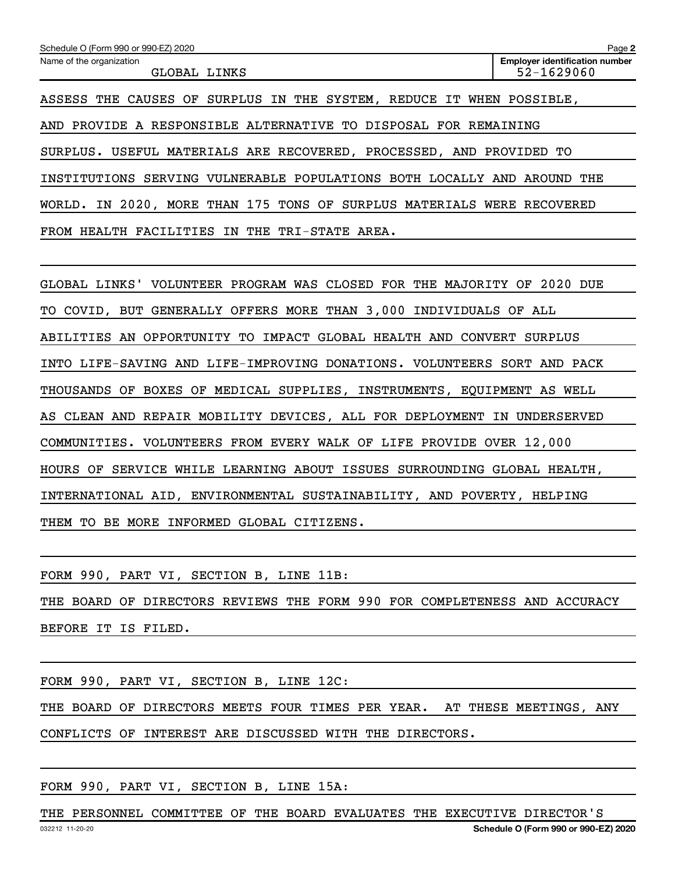| Schedule O (Form 990 or 990-EZ) 2020                                   | Page 2                                              |
|------------------------------------------------------------------------|-----------------------------------------------------|
| Name of the organization<br>GLOBAL LINKS                               | <b>Employer identification number</b><br>52-1629060 |
| ASSESS THE CAUSES OF SURPLUS IN THE SYSTEM, REDUCE IT WHEN POSSIBLE,   |                                                     |
| AND PROVIDE A RESPONSIBLE ALTERNATIVE TO DISPOSAL FOR REMAINING        |                                                     |
| SURPLUS. USEFUL MATERIALS ARE RECOVERED, PROCESSED, AND PROVIDED TO    |                                                     |
| INSTITUTIONS SERVING VULNERABLE POPULATIONS BOTH LOCALLY AND AROUND    | THE                                                 |
| WORLD. IN 2020, MORE THAN 175 TONS OF SURPLUS MATERIALS WERE RECOVERED |                                                     |
| FROM HEALTH FACILITIES IN THE TRI-STATE AREA.                          |                                                     |
|                                                                        |                                                     |

GLOBAL LINKS' VOLUNTEER PROGRAM WAS CLOSED FOR THE MAJORITY OF 2020 DUE TO COVID, BUT GENERALLY OFFERS MORE THAN 3,000 INDIVIDUALS OF ALL ABILITIES AN OPPORTUNITY TO IMPACT GLOBAL HEALTH AND CONVERT SURPLUS INTO LIFE-SAVING AND LIFE-IMPROVING DONATIONS. VOLUNTEERS SORT AND PACK THOUSANDS OF BOXES OF MEDICAL SUPPLIES, INSTRUMENTS, EQUIPMENT AS WELL AS CLEAN AND REPAIR MOBILITY DEVICES, ALL FOR DEPLOYMENT IN UNDERSERVED COMMUNITIES. VOLUNTEERS FROM EVERY WALK OF LIFE PROVIDE OVER 12,000 HOURS OF SERVICE WHILE LEARNING ABOUT ISSUES SURROUNDING GLOBAL HEALTH, INTERNATIONAL AID, ENVIRONMENTAL SUSTAINABILITY, AND POVERTY, HELPING THEM TO BE MORE INFORMED GLOBAL CITIZENS.

FORM 990, PART VI, SECTION B, LINE 11B:

THE BOARD OF DIRECTORS REVIEWS THE FORM 990 FOR COMPLETENESS AND ACCURACY BEFORE IT IS FILED.

FORM 990, PART VI, SECTION B, LINE 12C: THE BOARD OF DIRECTORS MEETS FOUR TIMES PER YEAR. AT THESE MEETINGS, ANY CONFLICTS OF INTEREST ARE DISCUSSED WITH THE DIRECTORS.

FORM 990, PART VI, SECTION B, LINE 15A:

THE PERSONNEL COMMITTEE OF THE BOARD EVALUATES THE EXECUTIVE DIRECTOR'S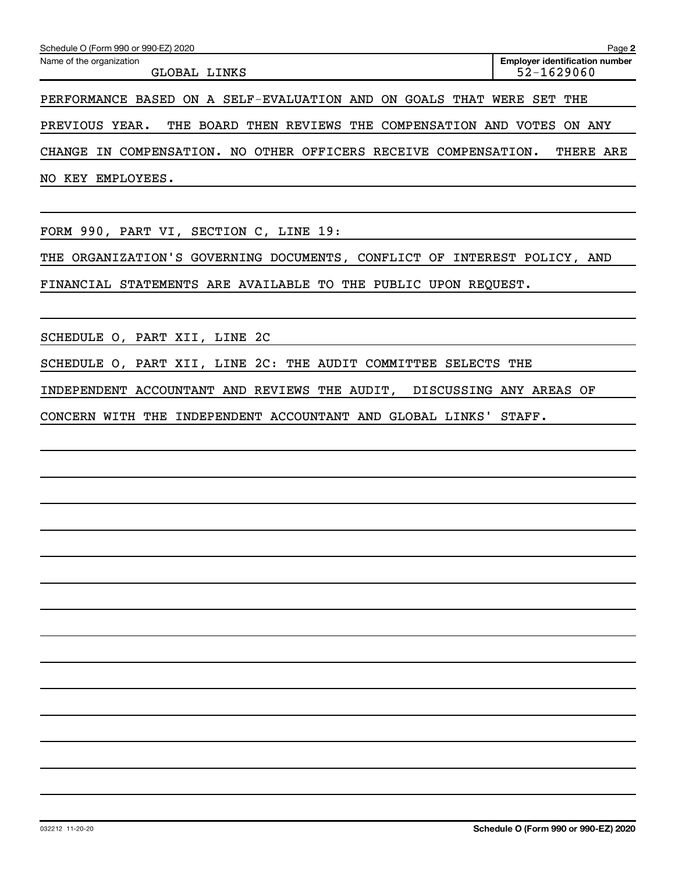| Schedule O (Form 990 or 990-EZ) 2020                                       | Page 2                                              |
|----------------------------------------------------------------------------|-----------------------------------------------------|
| Name of the organization<br>GLOBAL LINKS                                   | <b>Employer identification number</b><br>52-1629060 |
| PERFORMANCE BASED ON A SELF-EVALUATION AND ON GOALS THAT WERE SET THE      |                                                     |
| PREVIOUS YEAR.<br>THE BOARD THEN REVIEWS THE COMPENSATION AND VOTES ON ANY |                                                     |
| CHANGE IN COMPENSATION. NO OTHER OFFICERS RECEIVE COMPENSATION.            | THERE ARE                                           |
| NO KEY EMPLOYEES.                                                          |                                                     |
|                                                                            |                                                     |
| FORM 990, PART VI, SECTION C, LINE 19:                                     |                                                     |
| THE ORGANIZATION'S GOVERNING DOCUMENTS, CONFLICT OF INTEREST POLICY, AND   |                                                     |
| FINANCIAL STATEMENTS ARE AVAILABLE TO THE PUBLIC UPON REQUEST.             |                                                     |
|                                                                            |                                                     |
| SCHEDULE O, PART XII, LINE 2C                                              |                                                     |
| SCHEDULE O, PART XII, LINE 2C: THE AUDIT COMMITTEE SELECTS THE             |                                                     |
| INDEPENDENT ACCOUNTANT AND REVIEWS THE AUDIT, DISCUSSING ANY AREAS OF      |                                                     |
| CONCERN WITH THE INDEPENDENT ACCOUNTANT AND GLOBAL LINKS'                  | STAFF.                                              |
|                                                                            |                                                     |
|                                                                            |                                                     |
|                                                                            |                                                     |
|                                                                            |                                                     |
|                                                                            |                                                     |
|                                                                            |                                                     |
|                                                                            |                                                     |
|                                                                            |                                                     |